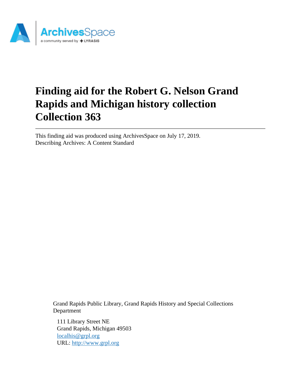

# **Finding aid for the Robert G. Nelson Grand Rapids and Michigan history collection Collection 363**

This finding aid was produced using ArchivesSpace on July 17, 2019. Describing Archives: A Content Standard

> Grand Rapids Public Library, Grand Rapids History and Special Collections Department

111 Library Street NE Grand Rapids, Michigan 49503 [localhis@grpl.org](mailto:localhis@grpl.org) URL:<http://www.grpl.org>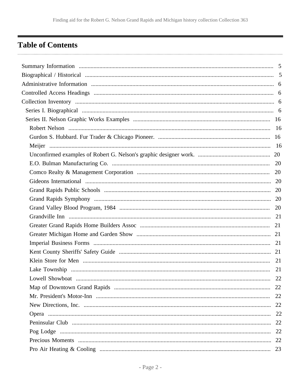# <span id="page-1-0"></span>**Table of Contents**

| 22 |
|----|
|    |
|    |
|    |
|    |
|    |
|    |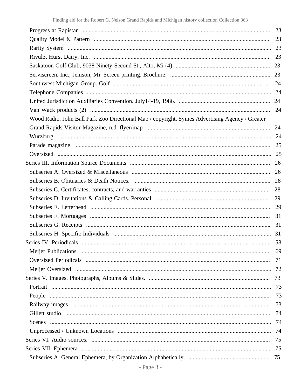| Wood Radio. John Ball Park Zoo Directional Map / copyright, Symes Advertising Agency / Greater |    |
|------------------------------------------------------------------------------------------------|----|
|                                                                                                |    |
|                                                                                                |    |
|                                                                                                |    |
|                                                                                                |    |
|                                                                                                |    |
|                                                                                                |    |
|                                                                                                |    |
|                                                                                                |    |
|                                                                                                |    |
|                                                                                                |    |
|                                                                                                |    |
|                                                                                                |    |
|                                                                                                |    |
|                                                                                                |    |
|                                                                                                | 69 |
|                                                                                                | 71 |
|                                                                                                |    |
|                                                                                                |    |
|                                                                                                | 73 |
|                                                                                                |    |
|                                                                                                | 73 |
|                                                                                                |    |
|                                                                                                |    |
|                                                                                                |    |
|                                                                                                | 75 |
|                                                                                                |    |
|                                                                                                |    |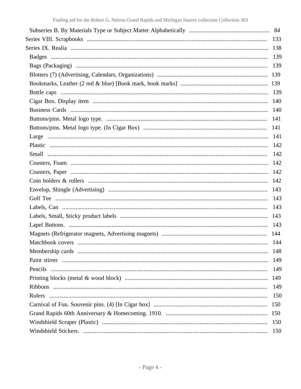| 133 |
|-----|
|     |
|     |
|     |
|     |
|     |
|     |
|     |
|     |
|     |
| 141 |
|     |
|     |
|     |
|     |
|     |
|     |
|     |
|     |
|     |
|     |
|     |
|     |
|     |
| 148 |
| 149 |
| 149 |
| 149 |
| 149 |
| 150 |
| 150 |
| 150 |
| 150 |
| 150 |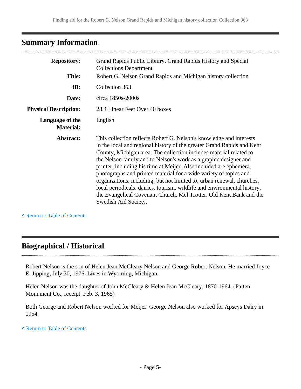# <span id="page-4-0"></span>**Summary Information**

| <b>Repository:</b>                  | Grand Rapids Public Library, Grand Rapids History and Special<br><b>Collections Department</b><br><b>Title:</b><br>Robert G. Nelson Grand Rapids and Michigan history collection                                                                                                                                                                                                                                                                                                                                                                                                                                                                                                        |  |
|-------------------------------------|-----------------------------------------------------------------------------------------------------------------------------------------------------------------------------------------------------------------------------------------------------------------------------------------------------------------------------------------------------------------------------------------------------------------------------------------------------------------------------------------------------------------------------------------------------------------------------------------------------------------------------------------------------------------------------------------|--|
|                                     |                                                                                                                                                                                                                                                                                                                                                                                                                                                                                                                                                                                                                                                                                         |  |
| ID:                                 | Collection 363                                                                                                                                                                                                                                                                                                                                                                                                                                                                                                                                                                                                                                                                          |  |
| Date:                               | circa 1850s-2000s                                                                                                                                                                                                                                                                                                                                                                                                                                                                                                                                                                                                                                                                       |  |
| <b>Physical Description:</b>        | 28.4 Linear Feet Over 40 boxes                                                                                                                                                                                                                                                                                                                                                                                                                                                                                                                                                                                                                                                          |  |
| Language of the<br><b>Material:</b> | English                                                                                                                                                                                                                                                                                                                                                                                                                                                                                                                                                                                                                                                                                 |  |
| Abstract:                           | This collection reflects Robert G. Nelson's knowledge and interests<br>in the local and regional history of the greater Grand Rapids and Kent<br>County, Michigan area. The collection includes material related to<br>the Nelson family and to Nelson's work as a graphic designer and<br>printer, including his time at Meijer. Also included are ephemera,<br>photographs and printed material for a wide variety of topics and<br>organizations, including, but not limited to, urban renewal, churches,<br>local periodicals, dairies, tourism, wildlife and environmental history,<br>the Evangelical Covenant Church, Mel Trotter, Old Kent Bank and the<br>Swedish Aid Society. |  |

**^** [Return to Table of Contents](#page-1-0)

. . . . . . . . . . . .

# <span id="page-4-1"></span>**Biographical / Historical**

Robert Nelson is the son of Helen Jean McCleary Nelson and George Robert Nelson. He married Joyce E. Jipping, July 30, 1976. Lives in Wyoming, Michigan.

Helen Nelson was the daughter of John McCleary & Helen Jean McCleary, 1870-1964. (Patten Monument Co., receipt. Feb. 3, 1965)

Both George and Robert Nelson worked for Meijer. George Nelson also worked for Apseys Dairy in 1954.

**^** [Return to Table of Contents](#page-1-0)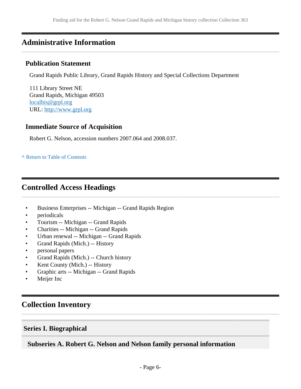# <span id="page-5-0"></span>**Administrative Information**

### **Publication Statement**

Grand Rapids Public Library, Grand Rapids History and Special Collections Department

111 Library Street NE Grand Rapids, Michigan 49503 [localhis@grpl.org](mailto:localhis@grpl.org) URL:<http://www.grpl.org>

### **Immediate Source of Acquisition**

Robert G. Nelson, accession numbers 2007.064 and 2008.037.

#### **^** [Return to Table of Contents](#page-1-0)

# <span id="page-5-1"></span>**Controlled Access Headings**

- Business Enterprises -- Michigan -- Grand Rapids Region
- periodicals
- Tourism -- Michigan -- Grand Rapids
- Charities -- Michigan -- Grand Rapids
- Urban renewal -- Michigan -- Grand Rapids
- Grand Rapids (Mich.) -- History
- personal papers
- Grand Rapids (Mich.) -- Church history
- Kent County (Mich.) -- History
- Graphic arts -- Michigan -- Grand Rapids
- Meijer Inc

## <span id="page-5-2"></span>**Collection Inventory**

### <span id="page-5-3"></span>**Series I. Biographical**

### **Subseries A. Robert G. Nelson and Nelson family personal information**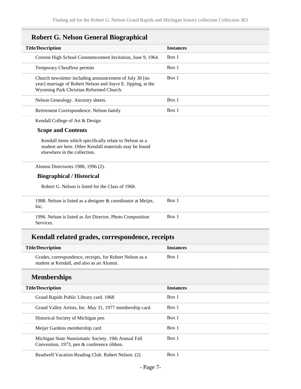| <b>Instances</b> |
|------------------|
| Box 1            |
| Box 1            |
| Box 1            |
| Box 1            |
| Box 1            |
|                  |
|                  |
|                  |
|                  |
|                  |
|                  |
| Box 1            |
| Box 1            |
|                  |

| <b>Title/Description</b>                                 | <b>Instances</b> |
|----------------------------------------------------------|------------------|
| Grades, correspondence, receipts, for Robert Nelson as a | Box 1            |
| student at Kendall, and also as an Alumni.               |                  |

# **Memberships**

| <b>Title/Description</b>                                                                          | <b>Instances</b> |
|---------------------------------------------------------------------------------------------------|------------------|
| Grand Rapids Public Library card. 1968                                                            | Box 1            |
| Grand Valley Artists, Inc. May 31, 1977 membership card.                                          | Box 1            |
| Historical Society of Michigan pen                                                                | Box 1            |
| Meijer Gardens membership card                                                                    | Box 1            |
| Michigan State Numismatic Society. 19th Annual Fall<br>Convention, 1973, pen & conference ribbon. | Box 1            |
| Readwell Vacation Reading Club. Robert Nelson. (2)                                                | Box 1            |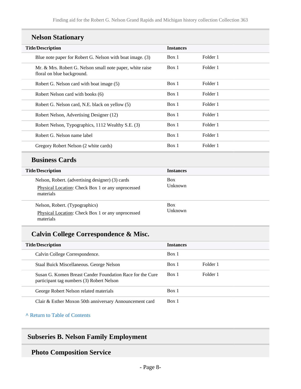# **Nelson Stationary**

| <b>Title/Description</b>                                                                | <b>Instances</b> |          |  |
|-----------------------------------------------------------------------------------------|------------------|----------|--|
| Blue note paper for Robert G. Nelson with boat image. (3)                               | Box 1            | Folder 1 |  |
| Mr. & Mrs. Robert G. Nelson small note paper, white raise<br>floral on blue background. | Box 1            | Folder 1 |  |
| Robert G. Nelson card with boat image (5)                                               | Box 1            | Folder 1 |  |
| Robert Nelson card with books (6)                                                       | Box 1            | Folder 1 |  |
| Robert G. Nelson card, N.E. black on yellow (5)                                         | Box 1            | Folder 1 |  |
| Robert Nelson, Advertising Designer (12)                                                | Box 1            | Folder 1 |  |
| Robert Nelson, Typographics, 1112 Wealthy S.E. (3)                                      | Box 1            | Folder 1 |  |
| Robert G. Nelson name label                                                             | Box 1            | Folder 1 |  |
| Gregory Robert Nelson (2 white cards)                                                   | Box 1            | Folder 1 |  |

### **Business Cards**

| <b>Title/Description</b>                                                                                           | <b>Instances</b>      |
|--------------------------------------------------------------------------------------------------------------------|-----------------------|
| Nelson, Robert. (advertising designer) (3) cards<br>Physical Location: Check Box 1 or any unprocessed<br>materials | <b>Box</b><br>Unknown |
| Nelson, Robert. (Typographics)<br>Physical Location: Check Box 1 or any unprocessed<br>materials                   | <b>Box</b><br>Unknown |

# **Calvin College Correspondence & Misc.**

| <b>Title/Description</b>                                                                               | <b>Instances</b> |          |
|--------------------------------------------------------------------------------------------------------|------------------|----------|
| Calvin College Correspondence.                                                                         | Box 1            |          |
| Staal Buick Miscellaneous. George Nelson                                                               | Box 1            | Folder 1 |
| Susan G. Komen Breast Cander Foundation Race for the Cure<br>participant tag numbers (3) Robert Nelson | Box 1            | Folder 1 |
| George Robert Nelson related materials                                                                 | Box 1            |          |
| Clair & Esther Moxon 50th anniversary Announcement card                                                | Box 1            |          |

**^** [Return to Table of Contents](#page-1-0)

# **Subseries B. Nelson Family Employment**

# **Photo Composition Service**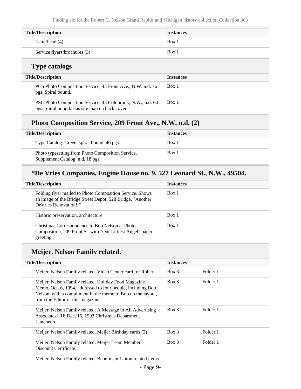Finding aid for the Robert G. Nelson Grand Rapids and Michigan history collection Collection 363

| <b>Title/Description</b>     | <b>Instances</b> |
|------------------------------|------------------|
| Letterhead (4)               | Box 1            |
| Service flyers/brochures (3) | Box 1            |

# **Type catalogs**

| <b>Title/Description</b>                                                                                     | <b>Instances</b> |
|--------------------------------------------------------------------------------------------------------------|------------------|
| PCS Photo Composition Service, 43 Front Ave., N.W. n.d. 76<br>pgs. Spiral bound.                             | Box 1            |
| PSC Photo Composition Service, 43 Coldbrook, N.W., n.d. 60<br>pgs. Spiral bound. Has site map on back cover. | Box 1            |

# **Photo Composition Service, 209 Front Ave., N.W. n.d. (2)**

| <b>Title/Description</b>                                                              | <b>Instances</b> |
|---------------------------------------------------------------------------------------|------------------|
| Type Catalog. Green, spiral bound, 40 pgs.                                            | Box 1            |
| Photo typesetting from Photo Composition Service.<br>Supplement Catalog. n.d. 18 pgs. | Box 1            |

## **\*De Vries Companies, Engine House no. 9, 527 Leonard St., N.W., 49504.**

| <b>Title/Description</b>                                                                                                                       | <b>Instances</b> |
|------------------------------------------------------------------------------------------------------------------------------------------------|------------------|
| Folding flyer mailed to Photo Composition Service. Shows<br>an image of the Bridge Street Depot, 528 Bridge. "Another<br>DeVries Renovation!!" | Box 1            |
| Historic preservation, architecture                                                                                                            | Box 1            |
| Christmas Correspondence to Bob Nelson at Photo<br>Composition, 209 Front St. with "Our Littlest Angel" paper<br>greeting.                     | Box 1            |

## **Meijer. Nelson Family related.**

| <b>Title/Description</b>                                                                                                                                                                                                | <b>Instances</b> |          |
|-------------------------------------------------------------------------------------------------------------------------------------------------------------------------------------------------------------------------|------------------|----------|
| Meijer. Nelson Family related. Video Center card for Robert                                                                                                                                                             | Box 3            | Folder 1 |
| Meijer. Nelson Family related. Holiday Food Magazine<br>Memo. Oct. 6, 1994, addressed to four people, including Bob<br>Nelson, with a compliment in the memo to Bob on the layout,<br>from the Editor of this magazine. | Box 3            | Folder 1 |
| Meijer. Nelson Family related. A Message to All Advertising<br>Associates! RE Dec. 16, 1993 Christmas Department<br>Luncheon.                                                                                           | Box 3            | Folder 1 |
| Meijer. Nelson Family related. Meijer Birthday cards (2)                                                                                                                                                                | $Box$ 3          | Folder 1 |
| Meijer. Nelson Family related. Meijer Team Member<br>Discount Certificate                                                                                                                                               | Box 3            | Folder 1 |

Meijer. Nelson Family related. Benefits or Union related items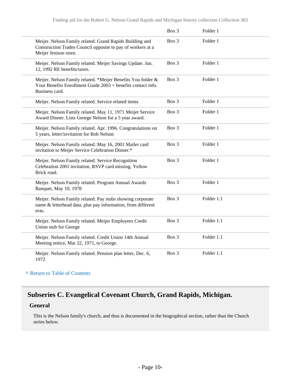|                                                                                                                                                  | Box 3 | Folder 1   |  |
|--------------------------------------------------------------------------------------------------------------------------------------------------|-------|------------|--|
| Meijer. Nelson Family related. Grand Rapids Building and<br>Construction Trades Council opposite to pay of workers at a<br>Meijer Jenison store. | Box 3 | Folder 1   |  |
| Meijer. Nelson Family related. Meijer Savings Update. Jan.<br>12, 1992 RE benefits/taxes.                                                        | Box 3 | Folder 1   |  |
| Meijer. Nelson Family related. *Meijer Benefits You folder &<br>Your Benefits Enrollment Guide 2003 + benefits contact info.<br>Business card.   | Box 3 | Folder 1   |  |
| Meijer. Nelson Family related. Service related items                                                                                             | Box 3 | Folder 1   |  |
| Meijer. Nelson Family related. May 11, 1971 Meijer Service<br>Award Dinner. Lists George Nelson for a 5 year award.                              | Box 3 | Folder 1   |  |
| Meijer. Nelson Family related. Apr. 1996. Congratulations on<br>5 years, letter/invitation for Bob Nelson                                        | Box 3 | Folder 1   |  |
| Meijer. Nelson Family related. May 16, 2001 Mailer card<br>invitation to Meijer Service Celebration Dinner.*                                     | Box 3 | Folder 1   |  |
| Meijer. Nelson Family related. Service Recognition<br>Celebration 2001 invitation, RSVP card missing. Yellow<br>Brick road.                      | Box 3 | Folder 1   |  |
| Meijer. Nelson Family related. Program Annual Awards<br>Banquet, May 10, 1978                                                                    | Box 3 | Folder 1   |  |
| Meijer. Nelson Family related. Pay stubs showing corporate<br>name & letterhead data, plus pay information, from different<br>eras.              | Box 3 | Folder 1.1 |  |
| Meijer. Nelson Family related. Meijer Employees Credit<br>Union stub for George                                                                  | Box 3 | Folder 1.1 |  |
| Meijer. Nelson Family related. Credit Union 14th Annual<br>Meeting notice, Mar 22, 1971, to George.                                              | Box 3 | Folder 1.1 |  |
| Meijer. Nelson Family related. Pension plan letter, Dec. 6,<br>1972                                                                              | Box 3 | Folder 1.1 |  |

#### **^** [Return to Table of Contents](#page-1-0)

# **Subseries C. Evangelical Covenant Church, Grand Rapids, Michigan.**

#### **General**

This is the Nelson family's church, and thus is documented in the biographical section, rather than the Church series below.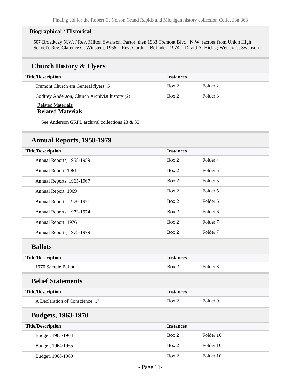#### **Biographical / Historical**

507 Broadway N.W. / Rev. Milton Swanson, Pastor, then 1933 Tremont Blvd., N.W. (across from Union High School). Rev. Clarence G. Winstedt, 1966- ; Rev. Garth T. Bolinder, 1974- ; David A. Hicks ; Wesley C. Swanson

### **Church History & Flyers**

| <b>Title/Description</b>                              | <b>Instances</b> |          |
|-------------------------------------------------------|------------------|----------|
| Tremont Church era General flyers (5)                 | Box 2            | Folder 2 |
| Godfrey Anderson, Church Archivist history (2)        | Box 2            | Folder 3 |
| <b>Related Materials:</b><br><b>Related Materials</b> |                  |          |

See Anderson GRPL archival collections 23 & 33

### **Annual Reports, 1958-1979**

| <b>Title/Description</b>      | <b>Instances</b> |                     |  |
|-------------------------------|------------------|---------------------|--|
| Annual Reports, 1958-1959     | Box 2            | Folder 4            |  |
| Annual Report, 1961           | Box 2            | Folder 5            |  |
| Annual Reports, 1965-1967     | Box 2            | Folder 5            |  |
| Annual Report, 1969           | Box 2            | Folder 5            |  |
| Annual Reports, 1970-1971     | Box 2            | Folder <sub>6</sub> |  |
| Annual Reports, 1973-1974     | Box 2            | Folder <sub>6</sub> |  |
| Annual Report, 1976           | Box 2            | Folder <sub>7</sub> |  |
| Annual Reports, 1978-1979     | Box 2            | Folder <sub>7</sub> |  |
| <b>Ballots</b>                |                  |                     |  |
| <b>Title/Description</b>      | <b>Instances</b> |                     |  |
| 1970 Sample Ballot            | Box 2            | Folder <sub>8</sub> |  |
| <b>Belief Statements</b>      |                  |                     |  |
| <b>Title/Description</b>      | <b>Instances</b> |                     |  |
| A Declaration of Conscience " | Box 2            | Folder 9            |  |
| <b>Budgets, 1963-1970</b>     |                  |                     |  |
| <b>Title/Description</b>      | <b>Instances</b> |                     |  |
| Budget, 1963/1964             | Box 2            | Folder 10           |  |

Budget, 1964/1965 Box 2 Folder 10

Budget, 1968/1969 Box 2 Folder 10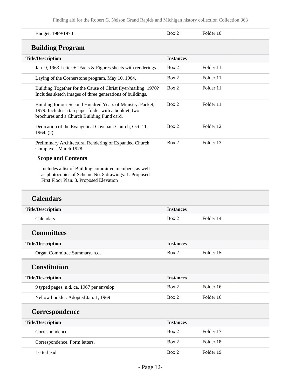Finding aid for the Robert G. Nelson Grand Rapids and Michigan history collection Collection 363

| Budget, 1969/1970                                                                                                                                                 | Box 2            | Folder 10 |  |
|-------------------------------------------------------------------------------------------------------------------------------------------------------------------|------------------|-----------|--|
| <b>Building Program</b>                                                                                                                                           |                  |           |  |
| <b>Title/Description</b>                                                                                                                                          | <b>Instances</b> |           |  |
| Jan. 9, 1963 Letter + "Facts $&$ Figures sheets with renderings                                                                                                   | Box 2            | Folder 11 |  |
| Laying of the Cornerstone program. May 10, 1964.                                                                                                                  | Box 2            | Folder 11 |  |
| Building Together for the Cause of Christ flyer/mailing. 1970?<br>Includes sketch images of three generations of buildings.                                       | Box 2            | Folder 11 |  |
| Building for our Second Hundred Years of Ministry. Packet,<br>1979. Includes a tan paper folder with a booklet, two<br>brochures and a Church Building Fund card. | Box 2            | Folder 11 |  |
| Dedication of the Evangelical Covenant Church, Oct. 11,<br>1964. (2)                                                                                              | Box 2            | Folder 12 |  |
| Preliminary Architectural Rendering of Expanded Church<br>Complex  March 1978.                                                                                    | Box 2            | Folder 13 |  |
| <b>Scope and Contents</b>                                                                                                                                         |                  |           |  |
| Includes a list of Building committee members, as well<br>as photocopies of Scheme No. 8 drawings: 1. Proposed<br>First Floor Plan. 3. Proposed Elevation         |                  |           |  |
| <b>Calendars</b>                                                                                                                                                  |                  |           |  |
| <b>Title/Description</b>                                                                                                                                          | <b>Instances</b> |           |  |
| Calendars                                                                                                                                                         | Box 2            | Folder 14 |  |
| <b>Committees</b>                                                                                                                                                 |                  |           |  |
| <b>Title/Description</b>                                                                                                                                          | <b>Instances</b> |           |  |
| Organ Committee Summary, n.d.                                                                                                                                     | Box 2            | Folder 15 |  |
| <b>Constitution</b>                                                                                                                                               |                  |           |  |
| <b>Title/Description</b>                                                                                                                                          | <b>Instances</b> |           |  |
| 9 typed pages, n.d. ca. 1967 per envelop                                                                                                                          | Box 2            | Folder 16 |  |
| Yellow booklet. Adopted Jan. 1, 1969                                                                                                                              | Box 2            | Folder 16 |  |
| Correspondence                                                                                                                                                    |                  |           |  |
| <b>Title/Description</b>                                                                                                                                          | <b>Instances</b> |           |  |
| Correspondence                                                                                                                                                    | Box 2            | Folder 17 |  |
| Correspondence. Form letters.                                                                                                                                     | Box 2            | Folder 18 |  |
| Letterhead                                                                                                                                                        | Box 2            | Folder 19 |  |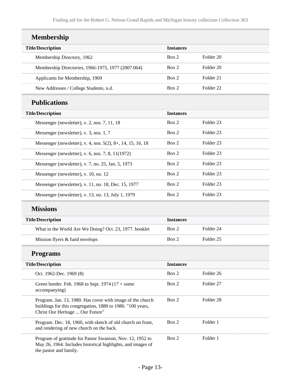| <b>Membership</b>                                                                                                                                            |                  |                      |  |
|--------------------------------------------------------------------------------------------------------------------------------------------------------------|------------------|----------------------|--|
| <b>Title/Description</b>                                                                                                                                     | <b>Instances</b> |                      |  |
| Membership Directory, 1962                                                                                                                                   | Box 2            | Folder <sub>20</sub> |  |
| Membership Directories, 1966-1975, 1977 (2007.064)                                                                                                           | Box 2            | Folder 20            |  |
| Applicants for Membership, 1969                                                                                                                              | Box 2            | Folder 21            |  |
| New Addresses / College Students, n.d.                                                                                                                       | Box 2            | Folder <sub>22</sub> |  |
| <b>Publications</b>                                                                                                                                          |                  |                      |  |
| <b>Title/Description</b>                                                                                                                                     | <b>Instances</b> |                      |  |
| Messenger (newsletter), v. 2, nos. 7, 11, 18                                                                                                                 | Box 2            | Folder 23            |  |
| Messenger (newsletter), v. 3, nos. 1, 7                                                                                                                      | Box 2            | Folder <sub>23</sub> |  |
| Messenger (newsletter), v. 4, nos. 5(2), 8+, 14, 15, 16, 18                                                                                                  | Box 2            | Folder 23            |  |
| Messenger (newsletter), v. 6, nos. 7, 8, 11(1972)                                                                                                            | Box 2            | Folder <sub>23</sub> |  |
| Messenger (newsletter), v. 7, no. 25, Jan. 5, 1973                                                                                                           | Box 2            | Folder 23            |  |
| Messenger (newsletter), v. 10, no. 12                                                                                                                        | Box 2            | Folder <sub>23</sub> |  |
| Messenger (newsletter), v. 11, no. 18, Dec. 15, 1977                                                                                                         | Box 2            | Folder 23            |  |
| Messenger (newsletter), v. 13, no. 13, July 1, 1979                                                                                                          | Box 2            | Folder 23            |  |
| <b>Missions</b>                                                                                                                                              |                  |                      |  |
| <b>Title/Description</b>                                                                                                                                     | <b>Instances</b> |                      |  |
| What in the World Are We Doing? Oct. 23, 1977. booklet                                                                                                       | Box 2            | Folder <sub>24</sub> |  |
| Mission flyers & fund envelops                                                                                                                               | Box 2            | Folder <sub>25</sub> |  |
| <b>Programs</b>                                                                                                                                              |                  |                      |  |
| <b>Title/Description</b>                                                                                                                                     | <b>Instances</b> |                      |  |
| Oct. 1962-Dec. 1969 (8)                                                                                                                                      | Box 2            | Folder 26            |  |
| Green border. Feb. 1968 to Sept. $1974$ ( $17 +$ some<br>accompanying)                                                                                       | Box 2            | Folder 27            |  |
| Program. Jan. 13, 1980. Has cover with image of the church<br>buildings for this congregation, 1880 to 1980. "100 years,<br>Christ Our Heritage  Our Future" | Box 2            | Folder 28            |  |
| Program. Dec. 18, 1960, with sketch of old church on front,<br>and rendering of new church on the back.                                                      | Box 2            | Folder 1             |  |
| Program of gratitude for Pastor Swanson, Nov. 12, 1952 to<br>May 26, 1964. Includes historical highlights, and images of<br>the pastor and family.           | Box 2            | Folder 1             |  |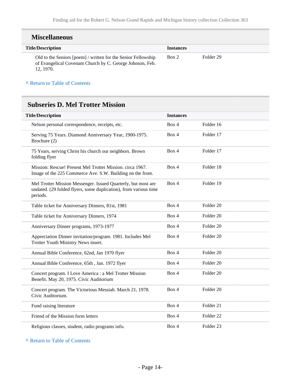| <b>Miscellaneous</b>                                                                                                                   |                  |           |
|----------------------------------------------------------------------------------------------------------------------------------------|------------------|-----------|
| <b>Title/Description</b>                                                                                                               | <b>Instances</b> |           |
| Old to the Seniors [poem] / written for the Senior Fellowship<br>of Evangelical Covenant Church by C. George Johnson, Feb.<br>12.1970. | Box 2            | Folder 29 |

**^** [Return to Table of Contents](#page-1-0)

# **Subseries D. Mel Trotter Mission**

| <b>Title/Description</b>                                                                                                                      | <b>Instances</b> |                      |
|-----------------------------------------------------------------------------------------------------------------------------------------------|------------------|----------------------|
| Nelson personal correspondence, receipts, etc.                                                                                                | Box 4            | Folder 16            |
| Serving 75 Years. Diamond Anniversary Year, 1900-1975.<br>Brochure (2)                                                                        | Box 4            | Folder 17            |
| 75 Years, serving Christ his church our neighbors. Brown<br>folding flyer                                                                     | Box 4            | Folder 17            |
| Mission: Rescue! Present Mel Trotter Mission. circa 1967.<br>Image of the 225 Commerce Ave. S.W. Building on the front.                       | Box 4            | Folder 18            |
| Mel Trotter Mission Messenger. Issued Quarterly, but most are<br>undated. (29 folded flyers, some duplication), from various time<br>periods. | Box 4            | Folder 19            |
| Table ticket for Anniversary Dinners, 81st, 1981                                                                                              | Box 4            | Folder <sub>20</sub> |
| Table ticket for Anniversary Dinners, 1974                                                                                                    | Box 4            | Folder <sub>20</sub> |
| Anniversary Dinner programs, 1973-1977                                                                                                        | Box 4            | Folder <sub>20</sub> |
| Appreciation Dinner invitation/program. 1981. Includes Mel<br>Trotter Youth Ministry News insert.                                             | Box 4            | Folder <sub>20</sub> |
| Annual Bible Conference, 62nd, Jan 1970 flyer                                                                                                 | Box 4            | Folder <sub>20</sub> |
| Annual Bible Conference, 65th, Jan. 1972 flyer                                                                                                | Box 4            | Folder 20            |
| Concert program. I Love America : a Mel Trotter Mission<br>Benefit. May 20, 1975. Civic Auditorium                                            | Box 4            | Folder <sub>20</sub> |
| Concert program. The Victorious Messiah. March 21, 1978.<br>Civic Auditorium.                                                                 | Box 4            | Folder <sub>20</sub> |
| Fund raising literature                                                                                                                       | Box 4            | Folder 21            |
| Friend of the Mission form letters                                                                                                            | Box 4            | Folder <sub>22</sub> |
| Religious classes, student, radio programs info.                                                                                              | Box 4            | Folder <sub>23</sub> |

**^** [Return to Table of Contents](#page-1-0)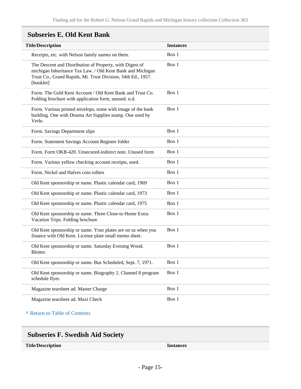| <b>Title/Description</b>                                                                                                                                                                            | <b>Instances</b> |
|-----------------------------------------------------------------------------------------------------------------------------------------------------------------------------------------------------|------------------|
| Receipts, etc. with Nelson family names on them.                                                                                                                                                    | Box 1            |
| The Descent and Distribution of Property, with Digest of<br>michigan Inheritance Tax Law. / Old Kent Bank and Michigan<br>Trust Co., Grand Rapids, Mi. Trust Division, 34th Ed., 1957.<br>[booklet] | Box 1            |
| Form. The Gold Kent Account / Old Kent Bank and Trust Co.<br>Folding brochure with application form, unused. n.d.                                                                                   | Box 1            |
| Form. Various printed envelops, some with image of the bank<br>building. One with Douma Art Supplies stamp. One used by<br>Verle.                                                                   | Box 1            |
| Form. Savings Department slips                                                                                                                                                                      | Box 1            |
| Form. Statement Savings Account Register folder                                                                                                                                                     | Box 1            |
| Form. Form OKB-420. Unsecured-indirect note. Unused form                                                                                                                                            | Box 1            |
| Form. Various yellow checking account receipts, used.                                                                                                                                               | Box 1            |
| Form. Nickel and Halves coin rollers                                                                                                                                                                | Box 1            |
| Old Kent sponsorship or name. Plastic calendar card, 1969                                                                                                                                           | Box 1            |
| Old Kent sponsorship or name. Plastic calendar card, 1973                                                                                                                                           | Box 1            |
| Old Kent sponsorship or name. Plastic calendar card, 1975                                                                                                                                           | Box 1            |
| Old Kent sponsorship or name. Three Close-to Home Extra<br>Vacation Trips. Folding brochure                                                                                                         | Box 1            |
| Old Kent sponsorship or name. Your plates are on us when you<br>finance with Old Kent. License plate small memo sheet.                                                                              | Box 1            |
| Old Kent sponsorship or name. Saturday Evening Wood.<br>Blotter.                                                                                                                                    | Box 1            |
| Old Kent sponsorship or name. Bus Scheduled, Sept. 7, 1971.                                                                                                                                         | Box 1            |
| Old Kent sponsorship or name. Biography 2. Channel 8 program<br>schedule flyer.                                                                                                                     | Box 1            |
| Magazine tearsheet ad. Master Charge                                                                                                                                                                | Box 1            |
| Magazine tearsheet ad. Maxi Check                                                                                                                                                                   | Box 1            |

# **Subseries E. Old Kent Bank**

#### **^** [Return to Table of Contents](#page-1-0)

| <b>Subseries F. Swedish Aid Society</b> |                  |
|-----------------------------------------|------------------|
| <b>Title/Description</b>                | <b>Instances</b> |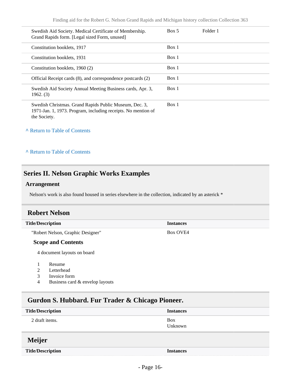Finding aid for the Robert G. Nelson Grand Rapids and Michigan history collection Collection 363

| Swedish Aid Society. Medical Certificate of Membership.<br>Grand Rapids form. [Legal sized Form, unused]                                | Box 5 | Folder 1 |  |
|-----------------------------------------------------------------------------------------------------------------------------------------|-------|----------|--|
| Constitution booklets, 1917                                                                                                             | Box 1 |          |  |
| Constitution booklets, 1931                                                                                                             | Box 1 |          |  |
| Constitution booklets, 1960 (2)                                                                                                         | Box 1 |          |  |
| Official Receipt cards (8), and correspondence postcards (2)                                                                            | Box 1 |          |  |
| Swedish Aid Society Annual Meeting Business cards, Apr. 3,<br>1962. (3)                                                                 | Box 1 |          |  |
| Swedish Christmas. Grand Rapids Public Museum, Dec. 3,<br>1971-Jan. 1, 1973. Program, including receipts. No mention of<br>the Society. | Box 1 |          |  |

**^** [Return to Table of Contents](#page-1-0)

**^** [Return to Table of Contents](#page-1-0)

## <span id="page-15-0"></span>**Series II. Nelson Graphic Works Examples**

#### **Arrangement**

Nelson's work is also found housed in series elsewhere in the collection, indicated by an asterick \*

### <span id="page-15-1"></span>**Robert Nelson**

**Title/Description Instances** "Robert Nelson, Graphic Designer" **Scope and Contents** Box OVE4

4 document layouts on board

- 1 Resume
- 2 Letterhead
- 3 Invoice form
- 4 Business card & envelop layouts

### <span id="page-15-2"></span>**Gurdon S. Hubbard. Fur Trader & Chicago Pioneer.**

<span id="page-15-3"></span>

| <b>Title/Description</b> | <b>Instances</b>      |
|--------------------------|-----------------------|
| 2 draft items.           | <b>Box</b><br>Unknown |
| <b>Meijer</b>            |                       |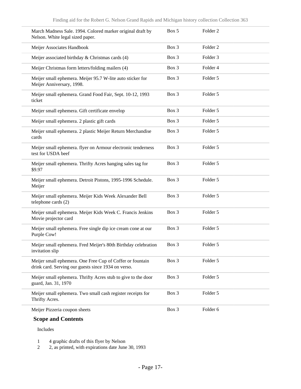| March Madness Sale. 1994. Colored marker original draft by<br>Nelson. White legal sized paper.                   | Box 5   | Folder <sub>2</sub> |
|------------------------------------------------------------------------------------------------------------------|---------|---------------------|
| Meijer Associates Handbook                                                                                       | Box 3   | Folder <sub>2</sub> |
| Meijer associated birthday & Christmas cards (4)                                                                 | Box 3   | Folder <sub>3</sub> |
| Meijer Christmas form letters/folding mailers (4)                                                                | Box 3   | Folder 4            |
| Meijer small ephemera. Meijer 95.7 W-lite auto sticker for<br>Meijer Anniversary, 1998.                          | Box 3   | Folder 5            |
| Meijer small ephemera. Grand Food Fair, Sept. 10-12, 1993<br>ticket                                              | Box 3   | Folder 5            |
| Meijer small ephemera. Gift certificate envelop                                                                  | Box 3   | Folder 5            |
| Meijer small ephemera. 2 plastic gift cards                                                                      | Box 3   | Folder 5            |
| Meijer small ephemera. 2 plastic Meijer Return Merchandise<br>cards                                              | Box 3   | Folder 5            |
| Meijer small ephemera. flyer on Armour electronic tenderness<br>test for USDA beef                               | Box 3   | Folder 5            |
| Meijer small ephemera. Thrifty Acres hanging sales tag for<br>\$9.97                                             | Box 3   | Folder 5            |
| Meijer small ephemera. Detroit Pistons, 1995-1996 Schedule.<br>Meijer                                            | Box 3   | Folder 5            |
| Meijer small ephemera. Meijer Kids Week Alexander Bell<br>telephone cards (2)                                    | Box 3   | Folder 5            |
| Meijer small ephemera. Meijer Kids Week C. Francis Jenkins<br>Movie projector card                               | Box 3   | Folder 5            |
| Meijer small ephemera. Free single dip ice cream cone at our<br>Purple Cow!                                      | $Box$ 3 | Folder 5            |
| Meijer small ephemera. Fred Meijer's 80th Birthday celebration<br>invitation slip                                | Box 3   | Folder 5            |
| Meijer small ephemera. One Free Cup of Coffer or fountain<br>drink card. Serving our guests since 1934 on verso. | Box 3   | Folder 5            |
| Meijer small ephemera. Thrifty Acres stub to give to the door<br>guard, Jan. 31, 1970                            | Box 3   | Folder 5            |
| Meijer small ephemera. Two small cash register receipts for<br>Thrifty Acres.                                    | Box 3   | Folder 5            |
| Meijer Pizzeria coupon sheets                                                                                    | Box 3   | Folder 6            |

### **Scope and Contents**

Includes

1 4 graphic drafts of this flyer by Nelson

2 2, as printed, with expirations date June 30, 1993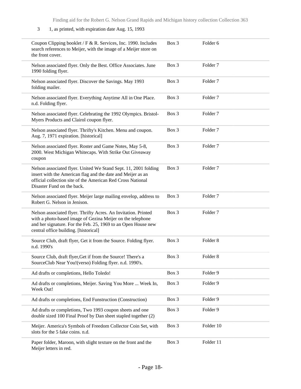#### 3 1, as printed, with expiration date Aug. 15, 1993

| Coupon Clipping booklet / F & R. Services, Inc. 1990. Includes<br>search references to Meijer, with the image of a Meijer store on<br>the front cover.                                                                                 | Box 3 | Folder <sub>6</sub> |
|----------------------------------------------------------------------------------------------------------------------------------------------------------------------------------------------------------------------------------------|-------|---------------------|
| Nelson associated flyer. Only the Best. Office Associates. June<br>1990 folding flyer.                                                                                                                                                 | Box 3 | Folder <sub>7</sub> |
| Nelson associated flyer. Discover the Savings. May 1993<br>folding mailer.                                                                                                                                                             | Box 3 | Folder <sub>7</sub> |
| Nelson associated flyer. Everything Anytime All in One Place.<br>n.d. Folding flyer.                                                                                                                                                   | Box 3 | Folder <sub>7</sub> |
| Nelson associated flyer. Celebrating the 1992 Olympics. Bristol-<br>Myers Products and Clairol coupon flyer.                                                                                                                           | Box 3 | Folder <sub>7</sub> |
| Nelson associated flyer. Thrifty's Kitchen. Menu and coupon.<br>Aug. 7, 1971 expiration. [historical]                                                                                                                                  | Box 3 | Folder <sub>7</sub> |
| Nelson associated flyer. Roster and Game Notes, May 5-8,<br>2000. West Michigan Whitecaps. With Strike Out Giveaway<br>coupon                                                                                                          | Box 3 | Folder <sub>7</sub> |
| Nelson associated flyer. United We Stand Sept. 11, 2001 folding<br>insert with the American flag and the date and Meijer as an<br>official collection site of the American Red Cross National<br>Disaster Fund on the back.            | Box 3 | Folder <sub>7</sub> |
| Nelson associated flyer. Meijer large mailing envelop, address to<br>Robert G. Nelson in Jenison.                                                                                                                                      | Box 3 | Folder <sub>7</sub> |
| Nelson associated flyer. Thrifty Acres. An Invitation. Printed<br>with a photo-based image of Gezina Meijer on the telephone<br>and her signature. For the Feb. 25, 1969 to an Open House new<br>central office building. [historical] | Box 3 | Folder <sub>7</sub> |
| Source Club, draft flyer, Get it from the Source. Folding flyer.<br>n.d. 1990's                                                                                                                                                        | Box 3 | Folder <sub>8</sub> |
| Source Club, draft flyer, Get if from the Source! There's a<br>SourceClub Near You!(verso) Folding flyer. n.d. 1990's.                                                                                                                 | Box 3 | Folder 8            |
| Ad drafts or completions, Hello Toledo!                                                                                                                                                                                                | Box 3 | Folder 9            |
| Ad drafts or completions, Meijer. Saving You More  Week In,<br>Week Out!                                                                                                                                                               | Box 3 | Folder 9            |
| Ad drafts or completions, End Funstruction (Construction)                                                                                                                                                                              | Box 3 | Folder 9            |
| Ad drafts or completions, Two 1993 coupon sheets and one<br>double sized 100 Final Proof by Dan sheet stapled together (2)                                                                                                             | Box 3 | Folder 9            |
| Meijer. America's Symbols of Freedom Collector Coin Set, with<br>slots for the 5 fake coins. n.d.                                                                                                                                      | Box 3 | Folder 10           |
| Paper folder, Maroon, with slight texture on the front and the<br>Meijer letters in red.                                                                                                                                               | Box 3 | Folder 11           |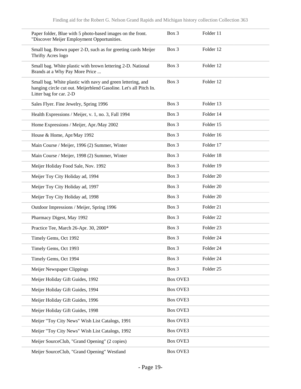| Paper folder, Blue with 5 photo-based images on the front.<br>"Discover Meijer Employment Opportunities.                                                    | Box 3           | Folder 11            |
|-------------------------------------------------------------------------------------------------------------------------------------------------------------|-----------------|----------------------|
| Small bag. Brown paper 2-D, such as for greeting cards Meijer<br>Thrifty Acres logo                                                                         | Box 3           | Folder 12            |
| Small bag. White plastic with brown lettering 2-D. National<br>Brands at a Why Pay More Price                                                               | Box 3           | Folder 12            |
| Small bag. White plastic with navy and green lettering, and<br>hanging circle cut out. Meijerblend Gasoline. Let's all Pitch In.<br>Litter bag for car. 2-D | Box 3           | Folder 12            |
| Sales Flyer. Fine Jewelry, Spring 1996                                                                                                                      | Box 3           | Folder 13            |
| Health Expressions / Meijer, v. 1, no. 3, Fall 1994                                                                                                         | Box 3           | Folder 14            |
| Home Expressions / Meijer, Apr./May 2002                                                                                                                    | Box 3           | Folder 15            |
| House & Home, Apr/May 1992                                                                                                                                  | Box 3           | Folder 16            |
| Main Course / Meijer, 1996 (2) Summer, Winter                                                                                                               | Box 3           | Folder 17            |
| Main Course / Meijer, 1998 (2) Summer, Winter                                                                                                               | Box 3           | Folder 18            |
| Meijer Holiday Food Sale, Nov. 1992                                                                                                                         | Box 3           | Folder 19            |
| Meijer Toy City Holiday ad, 1994                                                                                                                            | Box 3           | Folder 20            |
| Meijer Toy City Holiday ad, 1997                                                                                                                            | Box 3           | Folder 20            |
| Meijer Toy City Holiday ad, 1998                                                                                                                            | Box 3           | Folder 20            |
| Outdoor Impressions / Meijer, Spring 1996                                                                                                                   | Box 3           | Folder 21            |
| Pharmacy Digest, May 1992                                                                                                                                   | Box 3           | Folder <sub>22</sub> |
| Practice Tee, March 26-Apr. 30, 2000*                                                                                                                       | Box 3           | Folder <sub>23</sub> |
| Timely Gems, Oct 1992                                                                                                                                       | Box 3           | Folder <sub>24</sub> |
| Timely Gems, Oct 1993                                                                                                                                       | Box 3           | Folder 24            |
| Timely Gems, Oct 1994                                                                                                                                       | Box 3           | Folder 24            |
| Meijer Newspaper Clippings                                                                                                                                  | Box 3           | Folder 25            |
| Meijer Holiday Gift Guides, 1992                                                                                                                            | Box OVE3        |                      |
| Meijer Holiday Gift Guides, 1994                                                                                                                            | Box OVE3        |                      |
| Meijer Holiday Gift Guides, 1996                                                                                                                            | Box OVE3        |                      |
| Meijer Holiday Gift Guides, 1998                                                                                                                            | <b>Box OVE3</b> |                      |
| Meijer "Toy City News" Wish List Catalogs, 1991                                                                                                             | Box OVE3        |                      |
| Meijer "Toy City News" Wish List Catalogs, 1992                                                                                                             | Box OVE3        |                      |
| Meijer SourceClub, "Grand Opening" (2 copies)                                                                                                               | Box OVE3        |                      |
| Meijer SourceClub, "Grand Opening" Westland                                                                                                                 | Box OVE3        |                      |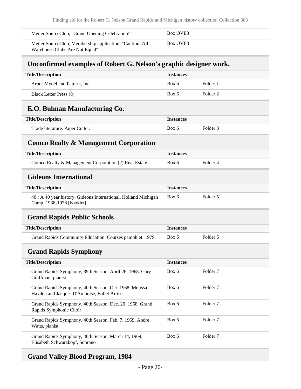| Meijer SourceClub, "Grand Opening Celebration!"                                             | Box OVE3 |
|---------------------------------------------------------------------------------------------|----------|
| Meijer Source Club, Membership application, "Caution: All<br>Warehouse Clubs Are Not Equal" | Box OVE3 |

# <span id="page-19-0"></span>**Unconfirmed examples of Robert G. Nelson's graphic designer work.**

<span id="page-19-3"></span><span id="page-19-2"></span><span id="page-19-1"></span>

| <b>Title/Description</b>                                                                                | <b>Instances</b> |                     |
|---------------------------------------------------------------------------------------------------------|------------------|---------------------|
| Arbor Model and Pattern, Inc.                                                                           | Box 6            | Folder 1            |
| <b>Black Letter Press (8)</b>                                                                           | Box 6            | Folder <sub>2</sub> |
| E.O. Bulman Manufacturing Co.                                                                           |                  |                     |
| <b>Title/Description</b>                                                                                | <b>Instances</b> |                     |
| Trade literature. Paper Cutter.                                                                         | Box 6            | Folder <sub>3</sub> |
| <b>Comco Realty &amp; Management Corporation</b>                                                        |                  |                     |
| <b>Title/Description</b>                                                                                | <b>Instances</b> |                     |
| Comco Realty & Management Corporation (2) Real Estate                                                   | Box 6            | Folder 4            |
| <b>Gideons International</b>                                                                            |                  |                     |
| <b>Title/Description</b>                                                                                | <b>Instances</b> |                     |
| 40 : A 40 year history, Gideons International, Holland Michigan<br>Camp, 1938-1978 [booklet]            | Box 6            | Folder 5            |
| <b>Grand Rapids Public Schools</b>                                                                      |                  |                     |
| <b>Title/Description</b>                                                                                | <b>Instances</b> |                     |
| Grand Rapids Community Education. Courses pamphlet. 1979.                                               | Box 6            | Folder <sub>6</sub> |
| <b>Grand Rapids Symphony</b>                                                                            |                  |                     |
| <b>Title/Description</b>                                                                                | <b>Instances</b> |                     |
| Grand Rapids Symphony, 39th Season. April 26, 1968. Gary<br>Graffman, pianist                           | Box 6            | Folder <sub>7</sub> |
| Grand Rapids Symphony, 40th Season, Oct. 1968. Melissa<br>Hayden and Jacques D'Amboise, Ballet Artists. | Box 6            | Folder <sub>7</sub> |
| Grand Rapids Symphony, 40th Season, Dec. 20, 1968. Grand<br>Rapids Symphonic Choir                      | Box 6            | Folder <sub>7</sub> |
|                                                                                                         |                  |                     |
| Grand Rapids Symphony, 40th Season, Feb. 7, 1969. Andre<br>Watts, pianist                               | Box 6            | Folder <sub>7</sub> |

# <span id="page-19-6"></span><span id="page-19-5"></span><span id="page-19-4"></span>**Grand Valley Blood Program, 1984**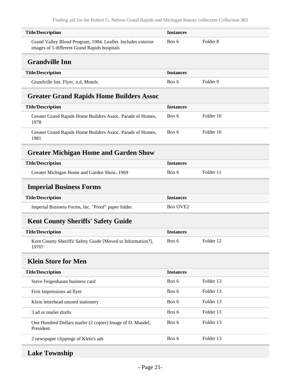<span id="page-20-2"></span><span id="page-20-1"></span><span id="page-20-0"></span>

| <b>Title/Description</b>                                                                                     | <b>Instances</b> |                     |
|--------------------------------------------------------------------------------------------------------------|------------------|---------------------|
| Grand Valley Blood Program, 1984. Leaflet. Includes exterior<br>images of 5 different Grand Rapids hospitals | Box 6            | Folder <sub>8</sub> |
| <b>Grandville Inn</b>                                                                                        |                  |                     |
| <b>Title/Description</b>                                                                                     | <b>Instances</b> |                     |
| Grandville Inn. Flyer, n.d. Motels.                                                                          | Box 6            | Folder <sub>9</sub> |
| <b>Greater Grand Rapids Home Builders Assoc</b>                                                              |                  |                     |
| <b>Title/Description</b>                                                                                     | <b>Instances</b> |                     |
| Greater Grand Rapids Home Builders Assoc. Parade of Homes,<br>1978                                           | Box 6            | Folder 10           |
| Greater Grand Rapids Home Builders Assoc. Parade of Homes,<br>1981                                           | Box 6            | Folder 10           |
| <b>Greater Michigan Home and Garden Show</b>                                                                 |                  |                     |
| <b>Title/Description</b>                                                                                     | <b>Instances</b> |                     |
| Greater Michigan Home and Garden Show, 1969                                                                  | Box 6            | Folder 11           |
| <b>Imperial Business Forms</b>                                                                               |                  |                     |
| <b>Title/Description</b>                                                                                     | <b>Instances</b> |                     |
| Imperial Business Forms, Inc. "Proof" paper folder.                                                          | <b>Box OVE2</b>  |                     |
| <b>Kent County Sheriffs' Safety Guide</b>                                                                    |                  |                     |
| <b>Title/Description</b>                                                                                     | <b>Instances</b> |                     |
| Kent County Sheriffs' Safety Guide [Moved to Information?],<br>1970?                                         | Box 6            | Folder 12           |
| <b>Klein Store for Men</b>                                                                                   |                  |                     |
| <b>Title/Description</b>                                                                                     | <b>Instances</b> |                     |
| Steve Feigenbaum business card                                                                               | Box 6            | Folder 13           |
| First Impressions ad flyer                                                                                   | Box 6            | Folder 13           |
| Klein letterhead unused stationery                                                                           | Box 6            | Folder 13           |
| 3 ad or mailer drafts                                                                                        | Box 6            | Folder 13           |
| One Hundred Dollars mailer (2 copies) Image of D. Mandel,<br>President.                                      | Box 6            | Folder 13           |

# <span id="page-20-6"></span>**Lake Township**

<span id="page-20-5"></span><span id="page-20-4"></span><span id="page-20-3"></span>2 newspaper clippings of Klein's ads Box 6 Folder 13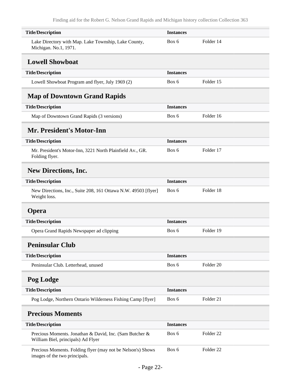<span id="page-21-7"></span><span id="page-21-6"></span><span id="page-21-5"></span><span id="page-21-4"></span><span id="page-21-3"></span><span id="page-21-2"></span><span id="page-21-1"></span><span id="page-21-0"></span>

| <b>Title/Description</b>                                                                      | <b>Instances</b> |                      |
|-----------------------------------------------------------------------------------------------|------------------|----------------------|
| Lake Directory with Map. Lake Township, Lake County,<br>Michigan. No.1, 1971.                 | Box 6            | Folder 14            |
| <b>Lowell Showboat</b>                                                                        |                  |                      |
| <b>Title/Description</b>                                                                      | <b>Instances</b> |                      |
| Lowell Showboat Program and flyer, July 1969 (2)                                              | Box 6            | Folder 15            |
| <b>Map of Downtown Grand Rapids</b>                                                           |                  |                      |
| <b>Title/Description</b>                                                                      | <b>Instances</b> |                      |
| Map of Downtown Grand Rapids (3 versions)                                                     | Box 6            | Folder 16            |
| <b>Mr. President's Motor-Inn</b>                                                              |                  |                      |
| <b>Title/Description</b>                                                                      | <b>Instances</b> |                      |
| Mr. President's Motor-Inn, 3221 North Plainfield Av., GR.<br>Folding flyer.                   | Box 6            | Folder 17            |
| <b>New Directions, Inc.</b>                                                                   |                  |                      |
| <b>Title/Description</b>                                                                      | <b>Instances</b> |                      |
| New Directions, Inc., Suite 208, 161 Ottawa N.W. 49503 [flyer]<br>Weight loss.                | Box 6            | Folder 18            |
| <b>Opera</b>                                                                                  |                  |                      |
| <b>Title/Description</b>                                                                      | <b>Instances</b> |                      |
| Opera Grand Rapids Newspaper ad clipping                                                      | Box 6            | Folder 19            |
| Peninsular Club                                                                               |                  |                      |
| <b>Title/Description</b>                                                                      | <b>Instances</b> |                      |
| Peninsular Club. Letterhead, unused                                                           | Box 6            | Folder <sub>20</sub> |
| Pog Lodge                                                                                     |                  |                      |
| <b>Title/Description</b>                                                                      | <b>Instances</b> |                      |
| Pog Lodge, Northern Ontario Wilderness Fishing Camp [flyer]                                   | Box 6            | Folder 21            |
| <b>Precious Moments</b>                                                                       |                  |                      |
| <b>Title/Description</b>                                                                      | <b>Instances</b> |                      |
| Precious Moments. Jonathan & David, Inc. (Sam Butcher &<br>William Biel, principals) Ad Flyer | Box 6            | Folder <sub>22</sub> |
| Precious Moments. Folding flyer (may not be Nelson's) Shows<br>images of the two principals.  | Box 6            | Folder <sub>22</sub> |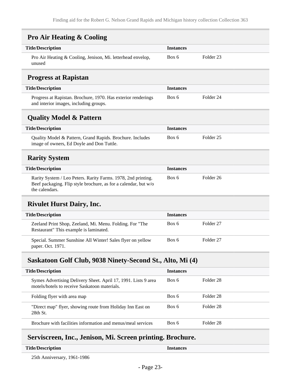<span id="page-22-3"></span><span id="page-22-2"></span><span id="page-22-1"></span><span id="page-22-0"></span>

| <b>Pro Air Heating &amp; Cooling</b>                                                                                                               |                  |                      |
|----------------------------------------------------------------------------------------------------------------------------------------------------|------------------|----------------------|
| <b>Title/Description</b>                                                                                                                           | <b>Instances</b> |                      |
| Pro Air Heating & Cooling, Jenison, Mi. letterhead envelop,<br>unused                                                                              | Box 6            | Folder <sub>23</sub> |
| <b>Progress at Rapistan</b>                                                                                                                        |                  |                      |
| <b>Title/Description</b>                                                                                                                           | <b>Instances</b> |                      |
| Progress at Rapistan. Brochure, 1970. Has exterior renderings<br>and interior images, including groups.                                            | Box 6            | Folder 24            |
| <b>Quality Model &amp; Pattern</b>                                                                                                                 |                  |                      |
| <b>Title/Description</b>                                                                                                                           | <b>Instances</b> |                      |
| Quality Model & Pattern, Grand Rapids. Brochure. Includes<br>image of owners, Ed Doyle and Don Tuttle.                                             | Box 6            | Folder <sub>25</sub> |
| <b>Rarity System</b>                                                                                                                               |                  |                      |
| <b>Title/Description</b>                                                                                                                           | <b>Instances</b> |                      |
| Rarity System / Leo Peters. Rarity Farms. 1978, 2nd printing.<br>Beef packaging. Flip style brochure, as for a calendar, but w/o<br>the calendars. | Box 6            | Folder 26            |
| <b>Rivulet Hurst Dairy, Inc.</b>                                                                                                                   |                  |                      |
| <b>Title/Description</b>                                                                                                                           | <b>Instances</b> |                      |
| Zeeland Print Shop, Zeeland, Mi. Menu. Folding. For "The<br>Restaurant" This example is laminated.                                                 | Box 6            | Folder <sub>27</sub> |
| Special. Summer Sunshine All Winter! Sales flyer on yellow<br>paper. Oct. 1971.                                                                    | Box 6            | Folder <sub>27</sub> |
| Saskatoon Golf Club, 9038 Ninety-Second St., Alto, Mi (4)                                                                                          |                  |                      |
| <b>Title/Description</b>                                                                                                                           | <b>Instances</b> |                      |
| Symes Advertising Delivery Sheet. April 17, 1991. Lists 9 area<br>motels/hotels to receive Saskatoon materials.                                    | Box 6            | Folder <sub>28</sub> |
| Folding flyer with area map                                                                                                                        | Box 6            | Folder 28            |

# 28th St. Brochure with facilities information and menus/meal services Box 6 Folder 28

# <span id="page-22-6"></span>**Serviscreen, Inc., Jenison, Mi. Screen printing. Brochure.**

<span id="page-22-5"></span><span id="page-22-4"></span>"Direct map" flyer, showing route from Holiday Inn East on

| <b>Title/Description</b> | Instances |
|--------------------------|-----------|
|                          |           |

25th Anniversary, 1961-1986

Box 6 Folder 28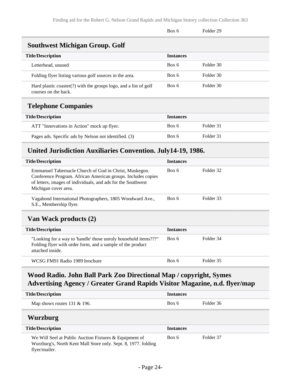<span id="page-23-0"></span>

|                                                                                             | Box 6            | Folder <sub>29</sub> |  |
|---------------------------------------------------------------------------------------------|------------------|----------------------|--|
| <b>Southwest Michigan Group. Golf</b>                                                       |                  |                      |  |
| <b>Title/Description</b>                                                                    | <b>Instances</b> |                      |  |
| Letterhead, unused                                                                          | Box 6            | Folder 30            |  |
| Folding flyer listing various golf sources in the area.                                     | Box 6            | Folder 30            |  |
| Hard plastic coaster $(?)$ with the groups logo, and a list of golf<br>courses on the back. | Box 6            | Folder 30            |  |
| <b>Telephone Companies</b>                                                                  |                  |                      |  |
| <b>Title/Description</b>                                                                    | <b>Instances</b> |                      |  |
| ATT "Innovations in Action" mock up flyer.                                                  | Box 6            | Folder 31            |  |
| Pages ads. Specific ads by Nelson not identified. (3)                                       | Box 6            | Folder 31            |  |
| United Jurisdiction Auxiliaries Convention. July14-19, 1986.                                |                  |                      |  |

<span id="page-23-2"></span><span id="page-23-1"></span>

| <b>Title/Description</b>                                                                                                                                                                                                                                                                                                                                                     | <b>Instances</b> |                              |
|------------------------------------------------------------------------------------------------------------------------------------------------------------------------------------------------------------------------------------------------------------------------------------------------------------------------------------------------------------------------------|------------------|------------------------------|
| Emmanuel Tabernacle Church of God in Christ, Muskegon.<br>Conference Program. African American groups. Includes copies<br>of letters, images of individuals, and ads for the Southwest<br>Michigan cover area.                                                                                                                                                               | Box 6            | Folder 32                    |
| Vagabond International Photographers, 1805 Woodward Ave.,<br>S.E., Membership flyer.                                                                                                                                                                                                                                                                                         | Box 6            | Folder 33                    |
| Van Wack products (2)                                                                                                                                                                                                                                                                                                                                                        |                  |                              |
| <b>Title/Description</b>                                                                                                                                                                                                                                                                                                                                                     | <b>Instances</b> |                              |
| $\mathbf{u}$ and $\mathbf{v}$ are $\mathbf{v}$ and $\mathbf{v}$ and $\mathbf{v}$ are $\mathbf{v}$ and $\mathbf{v}$ are $\mathbf{v}$ and $\mathbf{v}$ are $\mathbf{v}$ and $\mathbf{v}$ are $\mathbf{v}$ and $\mathbf{v}$ are $\mathbf{v}$ and $\mathbf{v}$ and $\mathbf{v}$ are $\mathbf{v}$ and<br>$\sim$ $\sim$ $\sim$ $\sim$ $\sim$ $\sim$<br>$\sim$ $\sim$ $\sim$ $\sim$ |                  | $\mathbf{r}$ 11 $\mathbf{r}$ |

<span id="page-23-3"></span>"Looking for a way to 'handle' those unruly household items???" Folding flyer with order form, and a sample of the product attached inside. Box 6 Folder 34 WCSG FM91 Radio 1989 brochure Box 6 Folder 35

# <span id="page-23-4"></span>**Wood Radio. John Ball Park Zoo Directional Map / copyright, Symes Advertising Agency / Greater Grand Rapids Visitor Magazine, n.d. flyer/map**

<span id="page-23-5"></span>

| <b>Title/Description</b>                                                                                                                  | <b>Instances</b> |           |
|-------------------------------------------------------------------------------------------------------------------------------------------|------------------|-----------|
| Map shows routes $131 \& 196$ .                                                                                                           | Box 6            | Folder 36 |
| Wurzburg                                                                                                                                  |                  |           |
| <b>Title/Description</b>                                                                                                                  | <b>Instances</b> |           |
| We Will Seel at Public Auction Fixtures & Equipment of<br>Wurzburg's, North Kent Mall Store only. Sept. 8, 1977. folding<br>flyer/mailer. | Box 6            | Folder 37 |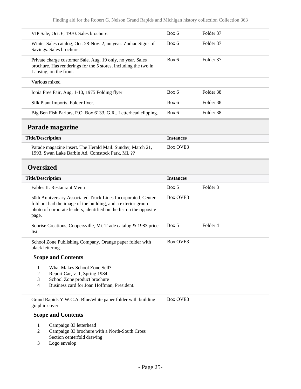| VIP Sale, Oct. 6, 1970. Sales brochure.                                                                                                                 | Box 6 | Folder 37 |
|---------------------------------------------------------------------------------------------------------------------------------------------------------|-------|-----------|
| Winter Sales catalog, Oct. 28-Nov. 2, no year. Zodiac Signs of<br>Savings. Sales brochure.                                                              | Box 6 | Folder 37 |
| Private charge customer Sale. Aug. 19 only, no year. Sales<br>brochure. Has renderings for the 5 stores, including the two in<br>Lansing, on the front. | Box 6 | Folder 37 |
| Various mixed                                                                                                                                           |       |           |
| Ionia Free Fair, Aug. 1-10, 1975 Folding flyer                                                                                                          | Box 6 | Folder 38 |
| Silk Plant Imports. Folder flyer.                                                                                                                       | Box 6 | Folder 38 |
| Big Ben Fish Parlors, P.O. Box 6133, G.R Letterhead clipping.                                                                                           | Box 6 | Folder 38 |
|                                                                                                                                                         |       |           |

#### <span id="page-24-0"></span>**Parade magazine**

| <b>Title/Description</b>                                                                                       | <b>Instances</b> |
|----------------------------------------------------------------------------------------------------------------|------------------|
| Parade magazine insert. The Herald Mail. Sunday, March 21,<br>1993. Swan Lake Barbie Ad. Comstock Park, Mi. ?? | Box OVE3         |

## <span id="page-24-1"></span>**Oversized**

| <b>Title/Description</b>                                                                                                                                                                                    | <b>Instances</b> |          |
|-------------------------------------------------------------------------------------------------------------------------------------------------------------------------------------------------------------|------------------|----------|
| Fables II. Restaurant Menu                                                                                                                                                                                  | Box 5            | Folder 3 |
| 50th Anniversary Associated Truck Lines Incorporated. Center<br>fold out had the image of the building, and a exterior group<br>photo of corporate leaders, identified on the list on the opposite<br>page. | Box OVE3         |          |
| Sonrise Creations, Coopersville, Mi. Trade catalog & 1983 price<br>list                                                                                                                                     | Box 5            | Folder 4 |
| School Zone Publishing Company. Orange paper folder with<br>black lettering.                                                                                                                                | Box OVE3         |          |

### **Scope and Contents**

- 1 What Makes School Zone Sell?<br>2 Report Car, v. 1, Spring 1984
- 2 Report Car, v. 1, Spring 1984<br>3 School Zone product brochure
- School Zone product brochure
- 4 Business card for Joan Hoffman, President.

Grand Rapids Y.W.C.A. Blue/white paper folder with building graphic cover. Box OVE3

#### **Scope and Contents**

- 1 Campaign 83 letterhead
- 2 Campaign 83 brochure with a North-South Cross Section centerfold drawing
- 3 Logo envelop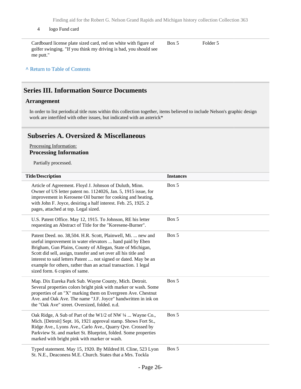Finding aid for the Robert G. Nelson Grand Rapids and Michigan history collection Collection 363

#### 4 logo Fund card

Cardboard license plate sized card, red on white with figure of golfer swinging. "If you think my driving is bad, you should see me putt." Box 5 Folder 5

#### **^** [Return to Table of Contents](#page-1-0)

### <span id="page-25-0"></span>**Series III. Information Source Documents**

#### **Arrangement**

In order to list periodical title runs within this collection together, items believed to include Nelson's graphic design work are interfiled with other issues, but indicated with an asterick\*

### <span id="page-25-1"></span>**Subseries A. Oversized & Miscellaneous**

#### Processing Information: **Processing Information**

Partially processed.

| <b>Title/Description</b>                                                                                                                                                                                                                                                                                                                                                                                                        | <b>Instances</b> |
|---------------------------------------------------------------------------------------------------------------------------------------------------------------------------------------------------------------------------------------------------------------------------------------------------------------------------------------------------------------------------------------------------------------------------------|------------------|
| Article of Agreement. Floyd J. Johnson of Duluth, Minn.<br>Owner of US letter patent no. 1124026, Jan. 5, 1915 issue, for<br>improvement in Kerosene Oil burner for cooking and heating,<br>with John F. Joyce, desiring a half interest. Feb. 25, 1925. 2<br>pages, attached at top. Legal sized.                                                                                                                              | Box 5            |
| U.S. Patent Office. May 12, 1915. To Johnson, RE his letter<br>requesting an Abstract of Title for the "Koresene-Burner".                                                                                                                                                                                                                                                                                                       | Box 5            |
| Patent Deed. no. 38,504. H.R. Scott, Plainwell, Mi.  new and<br>useful improvement in water elevators  hand paid by Eben<br>Brigham, Gun Plains, County of Allegan, State of Michigan,<br>Scott did sell, assign, transfer and set over all his title and<br>interest to said letters Patent  not signed or dated. May be an<br>example for others, rather than an actual transaction. 1 legal<br>sized form. 6 copies of same. | Box 5            |
| Map. Dix Eureka Park Sub. Wayne County, Mich. Detroit.<br>Several properties colors bright pink with marker or wash. Some<br>properties of an "X" marking them on Evergreen Ave. Chestnut<br>Ave. and Oak Ave. The name "J.F. Joyce" handwritten in ink on<br>the "Oak Ave" street. Oversized, folded. n.d.                                                                                                                     | Box 5            |
| Oak Ridge, A Sub of Part of the W1/2 of NW 1/4  Wayne Co.,<br>Mich. [Detroit] Sept. 16, 1921 approval stamp. Shows Fort St.,<br>Ridge Ave., Lyons Ave., Carlo Ave., Quarry Qve. Crossed by<br>Parkview St. and market St. Blueprint, folded. Some properties<br>marked with bright pink with marker or wash.                                                                                                                    | Box 5            |
| Typed statement. May 15, 1920. By Mildred H. Cline, 523 Lyon<br>St. N.E., Deaconess M.E. Church. States that a Mrs. Tockla                                                                                                                                                                                                                                                                                                      | Box 5            |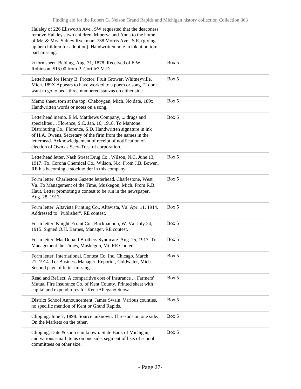| Halaley of 226 Ellsworth Ave., SW requested that the deaconess<br>remove Halaley's two children, Minerva and Anna to the home<br>of Mr. & Mrs. Sidney Ryckman, 738 Morris Ave., S.E. (giving<br>up her children for adoption). Handwritten note in ink at bottom,<br>part missing.                                                                       |       |
|----------------------------------------------------------------------------------------------------------------------------------------------------------------------------------------------------------------------------------------------------------------------------------------------------------------------------------------------------------|-------|
| 1/2 torn sheet. Belding, Aug. 31, 1878. Received of E.W.<br>Robinson, \$15.00 from P. Corille? M.D.                                                                                                                                                                                                                                                      | Box 5 |
| Letterhead for Henry B. Proctor, Fruit Grower, Whitneyville,<br>Mich. 189X Appears to have worked to a poem or song. "I don't<br>want to go to bed" three numbered stanzas on either side.                                                                                                                                                               | Box 5 |
| Memo sheet, torn at the top. Cheboygan, Mich. No date, 189x.<br>Handwritten words or notes on a song.                                                                                                                                                                                                                                                    | Box 5 |
| Letterhead memo. E.M. Matthews Company,  drugs and<br>specialites  Florence, S.C. Jan. 16, 1918. To Mantone<br>Distributing Co., Florence, S.D. Handwritten signature in ink<br>of H.A. Owens, Secretary of the firm from the names in the<br>letterhead. Acknowledgement of receipt of notification of<br>election of Own as Secy-Tres. of corporation. | Box 5 |
| Letterhead letter. Nash Street Drug Co., Wilson, N.C. June 13,<br>1917. To. Corona Chemical Co., Wilson, N.c. From J.B. Bowen.<br>RE his becoming a stockholder in this company.                                                                                                                                                                         | Box 5 |
| Form letter. Charleston Gazette letterhead. Charlestone, West<br>Va. To Management of the Time, Muskegon, Mich. From R.B.<br>Haut. Letter promoting a contest to be run in the newspaper.<br>Aug. 28, 1913.                                                                                                                                              | Box 5 |
| Form letter. Altavista Printing Co., Altavista, Va. Apr. 11, 1914.<br>Addressed to "Publisher". RE contest.                                                                                                                                                                                                                                              | Box 5 |
| Form letter. Knight-Errant Co., Buckhannon, W. Va. July 24,<br>1915. Signed O.H. Barnes, Manager. RE contest.                                                                                                                                                                                                                                            | Box 5 |
| Form letter. MacDonald Brothers Syndicate. Aug. 25, 1913. To<br>Management the Times, Muskegon, Mi. RE Content.                                                                                                                                                                                                                                          | Box 5 |
| Form letter. International. Contest Co. Inc. Chicago, March<br>21, 1914. To: Business Manager, Reporter, Coldwater, Mich.<br>Second page of letter missing.                                                                                                                                                                                              | Box 5 |
| Read and Reflect. A comparitive cost of Insurance  Farmers'<br>Mutual Fire Insurance Co. of Kent County. Printed sheet with<br>capital and expenditures for Kent/Allegan/Ottawa                                                                                                                                                                          | Box 5 |
| District School Announcement. James Swain. Various counties,<br>no specific mention of Kent or Grand Rapids.                                                                                                                                                                                                                                             | Box 5 |
| Clipping. June 7, 1898. Source unknown. Three ads on one side.<br>On the Markets on the other.                                                                                                                                                                                                                                                           | Box 5 |
| Clipping, Date & source unknown. State Bank of Michigan,<br>and various small items on one side, segment of lists of school<br>committees on other size.                                                                                                                                                                                                 | Box 5 |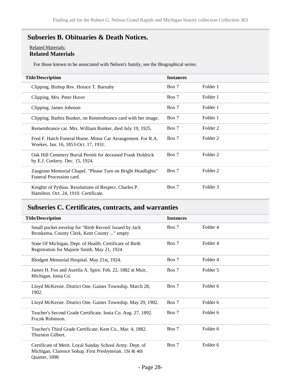# <span id="page-27-0"></span>**Subseries B. Obituaries & Death Notices.**

#### Related Materials: **Related Materials**

For those known to be associated with Nelson's family, see the Biographical series.

| <b>Title/Description</b>                                                                            | <b>Instances</b> |          |
|-----------------------------------------------------------------------------------------------------|------------------|----------|
| Clipping. Bishop Rev. Horace T. Barnaby                                                             | Box 7            | Folder 1 |
| Clipping. Mrs. Peter Huver                                                                          | Box 7            | Folder 1 |
| Clipping. James Johnson                                                                             | Box 7            | Folder 1 |
| Clipping. Barbra Bunker, on Remembrance card with her image.                                        | Box 7            | Folder 1 |
| Remembrance car. Mrs. William Bunker, died July 19, 1925.                                           | Box 7            | Folder 2 |
| Fred F. Hatch Funeral Home. Motor Car Arrangement. For R.A.<br>Weekes. Jan. 16, 1853-Oct. 17, 1931. | Box 7            | Folder 2 |
| Oak Hill Cemetery Burial Permit for deceased Frank Holdrick<br>by E.J. Corkery. Dec. 15, 1924.      | Box 7            | Folder 2 |
| Zaagman Memorial Chapel. "Please Turn on Bright Headlights"<br>Funeral Procession card.             | Box 7            | Folder 2 |
| Knights of Pythias. Resolutions of Respect. Charles P.<br>Hamilton. Oct. 24, 1910. Certificate.     | Box 7            | Folder 3 |

## <span id="page-27-1"></span>**Subseries C. Certificates, contracts, and warranties**

| <b>Title/Description</b>                                                                                                             | <b>Instances</b> |                     |
|--------------------------------------------------------------------------------------------------------------------------------------|------------------|---------------------|
| Small pocket envelop for "Birth Record. Issued by Jack<br>Bronkema, County Clerk, Kent County " empty                                | Box 7            | Folder 4            |
| State Of Michigan, Dept. of Health. Certificate of Birth<br>Registration for Majorie Smith. May 21, 1924                             | Box 7            | Folder <sub>4</sub> |
| Blodgett Memorial Hospital. May 21st, 1924.                                                                                          | Box 7            | Folder <sub>4</sub> |
| James H. Fox and Aurelia A. Spire. Feb. 22, 1882 at Muir,<br>Michigan. Ionia Co.                                                     | Box 7            | Folder 5            |
| Lloyd McKersie. District One. Gaines Township. March 28,<br>1902.                                                                    | Box 7            | Folder <sub>6</sub> |
| Lloyd McKersie. District One. Gaines Township. May 29, 1902.                                                                         | Box 7            | Folder 6            |
| Teacher's Second Grade Certificate. Ionia Co. Aug. 27, 1892.<br>Fra;nk Robinson.                                                     | Box 7            | Folder <sub>6</sub> |
| Teacher's Third Grade Certificate. Kent Co., Mar. 4, 1882.<br>Thurston Gilbert.                                                      | Box 7            | Folder <sub>6</sub> |
| Certificate of Merit. Loyal Sunday School Army. Dept. of<br>Michigan. Clarence Sokup. First Presbyterian. 1St & 4th<br>Quarter, 1898 | Box 7            | Folder 6            |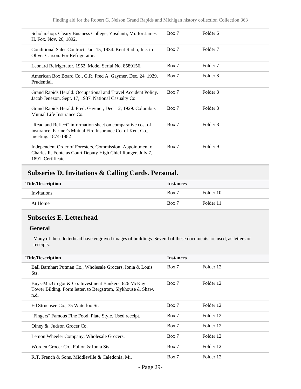| Scholarshop. Cleary Business College, Ypsilanti, Mi. for James<br>H. Fox. Nov. 26, 1892.                                                        | Box 7 | Folder <sub>6</sub> |
|-------------------------------------------------------------------------------------------------------------------------------------------------|-------|---------------------|
| Conditional Sales Contract, Jan. 15, 1934. Kent Radio, Inc. to<br>Oliver Carson. For Refrigerator.                                              | Box 7 | Folder <sub>7</sub> |
| Leonard Refrigerator, 1952. Model Serial No. 8589156.                                                                                           | Box 7 | Folder <sub>7</sub> |
| American Box Board Co., G.R. Fred A. Gaymer. Dec. 24, 1929.<br>Prudential.                                                                      | Box 7 | Folder 8            |
| Grand Rapids Herald. Occupational and Travel Accident Policy.<br>Jacob Jenezon. Sept. 17, 1937. National Casualty Co.                           | Box 7 | Folder 8            |
| Grand Rapids Herald. Fred. Gaymer, Dec. 12, 1929. Columbus<br>Mutual Life Insurance Co.                                                         | Box 7 | Folder 8            |
| "Read and Reflect" information sheet on comparative cost of<br>insurance. Farmer's Mutual Fire Insurance Co. of Kent Co.,<br>meeting. 1874-1882 | Box 7 | Folder 8            |
| Independent Order of Foresters. Commission. Appointment of<br>Charles R. Foote as Court Deputy High Chief Ranger. July 7,<br>1891. Certificate. | Box 7 | Folder 9            |

# <span id="page-28-0"></span>**Subseries D. Invitations & Calling Cards. Personal.**

| <b>Title/Description</b> | <b>Instances</b> |           |
|--------------------------|------------------|-----------|
| Invitations              | Box 7            | Folder 10 |
| At Home                  | Box 7            | Folder 11 |

## <span id="page-28-1"></span>**Subseries E. Letterhead**

#### **General**

Many of these letterhead have engraved images of buildings. Several of these documents are used, as letters or receipts.

| <b>Title/Description</b>                                                                                                  | <b>Instances</b> |           |
|---------------------------------------------------------------------------------------------------------------------------|------------------|-----------|
| Ball Barnhart Putman Co., Wholesale Grocers, Ionia & Louis<br>Sts.                                                        | Box 7            | Folder 12 |
| Buys-MacGregor & Co. Investment Bankers, 626 McKay<br>Tower Bilding. Form letter, to Bergstrom, Slykhouse & Shaw.<br>n.d. | Box 7            | Folder 12 |
| Ed Struensee Co., 75 Waterloo St.                                                                                         | Box 7            | Folder 12 |
| "Fingers" Famous Fine Food. Plate Style. Used receipt.                                                                    | Box 7            | Folder 12 |
| Olney &. Judson Grocer Co.                                                                                                | Box 7            | Folder 12 |
| Lemon Wheeler Company, Wholesale Grocers.                                                                                 | Box 7            | Folder 12 |
| Worden Grocer Co., Fulton & Ionia Sts.                                                                                    | Box 7            | Folder 12 |
| R.T. French & Sons, Middleville & Caledonia, Mi.                                                                          | Box 7            | Folder 12 |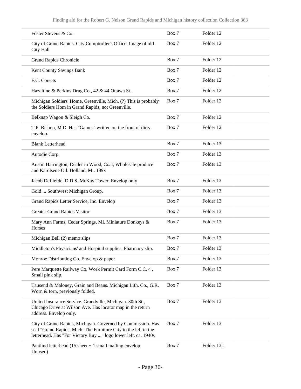| Foster Stevens & Co.                                                                                                                                                                            | Box 7 | Folder 12   |
|-------------------------------------------------------------------------------------------------------------------------------------------------------------------------------------------------|-------|-------------|
| City of Grand Rapids. City Comptroller's Office. Image of old<br>City Hall                                                                                                                      | Box 7 | Folder 12   |
| <b>Grand Rapids Chronicle</b>                                                                                                                                                                   | Box 7 | Folder 12   |
| Kent County Savings Bank                                                                                                                                                                        | Box 7 | Folder 12   |
| F.C. Corsets                                                                                                                                                                                    | Box 7 | Folder 12   |
| Hazeltine & Perkins Drug Co., 42 & 44 Ottawa St.                                                                                                                                                | Box 7 | Folder 12   |
| Michigan Soldiers' Home, Greenville, Mich. (?) This is probably<br>the Soldiers Hom in Grand Rapids, not Greenville.                                                                            | Box 7 | Folder 12   |
| Belknap Wagon & Sleigh Co.                                                                                                                                                                      | Box 7 | Folder 12   |
| T.P. Bishop, M.D. Has "Games" written on the front of dirty<br>envelop.                                                                                                                         | Box 7 | Folder 12   |
| Blank Letterhead.                                                                                                                                                                               | Box 7 | Folder 13   |
| Autodie Corp.                                                                                                                                                                                   | Box 7 | Folder 13   |
| Austin Harrington, Dealer in Wood, Coal, Wholesale produce<br>and Karolsene Oil. Holland, Mi. 189x                                                                                              | Box 7 | Folder 13   |
| Jacob DeLiefde, D.D.S. McKay Tower. Envelop only                                                                                                                                                | Box 7 | Folder 13   |
| Gold  Southwest Michigan Group.                                                                                                                                                                 | Box 7 | Folder 13   |
| Grand Rapids Letter Service, Inc. Envelop                                                                                                                                                       | Box 7 | Folder 13   |
| Greater Grand Rapids Visitor                                                                                                                                                                    | Box 7 | Folder 13   |
| Mary Ann Farms, Cedar Springs, Mi. Miniature Donkeys &<br>Horses                                                                                                                                | Box 7 | Folder 13   |
| Michigan Bell (2) memo slips                                                                                                                                                                    | Box 7 | Folder 13   |
| Middleton's Physicians' and Hospital supplies. Pharmacy slip.                                                                                                                                   | Box 7 | Folder 13   |
| Monroe Distributing Co. Envelop & paper                                                                                                                                                         | Box 7 | Folder 13   |
| Pere Marquette Railway Co. Work Permit Card Form C.C. 4.<br>Small pink slip.                                                                                                                    | Box 7 | Folder 13   |
| Tausend & Maloney, Grain and Beans. Michigan Lith. Co., G.R.<br>Worn & torn, previously folded.                                                                                                 | Box 7 | Folder 13   |
| United Insurance Service. Grandville, Michigan. 30th St.,<br>Chicago Drive at Wilson Ave. Has locator map in the return<br>address. Envelop only.                                               | Box 7 | Folder 13   |
| City of Grand Rapids, Michigan. Governed by Commission. Has<br>seal "Grand Rapids, Mich. The Furniture City to the left in the<br>letterhead. Has "For Victory Buy " logo lower left. ca. 1940s | Box 7 | Folder 13   |
| Pantlind letterhead $(15 \text{ sheet} + 1 \text{ small mailing envelope})$ .<br>Unused)                                                                                                        | Box 7 | Folder 13.1 |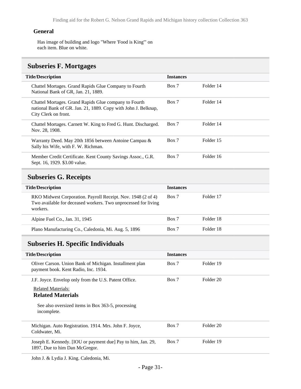#### **General**

Has image of building and logo "Where 'Food is King'" on each item. Blue on white.

# <span id="page-30-0"></span>**Subseries F. Mortgages**

| <b>Title/Description</b>                                                                                                                        | <b>Instances</b> |           |
|-------------------------------------------------------------------------------------------------------------------------------------------------|------------------|-----------|
| Chattel Mortages. Grand Rapids Glue Company to Fourth<br>National Bank of GR, Jan. 21, 1889.                                                    | Box 7            | Folder 14 |
| Chattel Mortages. Grand Rapids Glue company to Fourth<br>national Bank of GR. Jan. 21, 1889. Copy with John J. Belknap,<br>City Clerk on front. | Box 7            | Folder 14 |
| Chattel Mortages. Carnett W. King to Fred G. Hunt. Discharged.<br>Nov. 28, 1908.                                                                | Box 7            | Folder 14 |
| Warranty Deed. May 20th 1856 between Antoine Campau &<br>Sally his Wife, with F. W. Richman.                                                    | Box 7            | Folder 15 |
| Member Credit Certificate. Kent County Savings Assoc., G.R.<br>Sept. 16, 1929. \$3.00 value.                                                    | Box 7            | Folder 16 |
| <b>Subseries G. Receipts</b>                                                                                                                    |                  |           |
| <b>Title/Description</b>                                                                                                                        | <b>Instances</b> |           |

<span id="page-30-1"></span>

| RKO Midwest Corporation. Payroll Receipt. Nov. 1948 (2 of 4)<br>Two available for deceased workers. Two unprocessed for living<br>workers. | Box 7 | Folder 17 |
|--------------------------------------------------------------------------------------------------------------------------------------------|-------|-----------|
| Alpine Fuel Co., Jan. 31, 1945                                                                                                             | Box 7 | Folder 18 |
| Plano Manufacturing Co., Caledonia, Mi. Aug. 5, 1896                                                                                       | Box 7 | Folder 18 |

# <span id="page-30-2"></span>**Subseries H. Specific Individuals**

| <b>Title/Description</b>                                                                        | <b>Instances</b> |           |
|-------------------------------------------------------------------------------------------------|------------------|-----------|
| Oliver Carson. Union Bank of Michigan. Installment plan<br>payment book. Kent Radio, Inc. 1934. | Box 7            | Folder 19 |
| J.F. Joyce. Envelop only from the U.S. Patent Office.                                           | Box 7            | Folder 20 |
| <b>Related Materials:</b>                                                                       |                  |           |
| <b>Related Materials</b>                                                                        |                  |           |
|                                                                                                 |                  |           |
| See also oversized items in Box 363-5, processing<br>incomplete.                                |                  |           |
| Michigan. Auto Registration. 1914. Mrs. John F. Joyce,<br>Coldwater, Mi.                        | Box 7            | Folder 20 |
| Joseph E. Kennedy. [IOU or payment due] Pay to him, Jan. 29,<br>1897, Due to him Dan McGregor.  | Box 7            | Folder 19 |

John J. & Lydia J. King. Caledonia, Mi.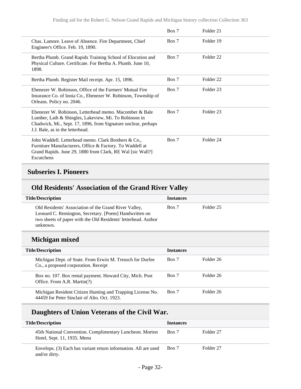|                                                                                                                                                                                                                       | Box 7 | Folder <sub>21</sub> |
|-----------------------------------------------------------------------------------------------------------------------------------------------------------------------------------------------------------------------|-------|----------------------|
| Chas. Lamore. Leave of Absence. Fire Department, Chief<br>Engineer's Office. Feb. 19, 1890.                                                                                                                           | Box 7 | Folder 19            |
| Bertha Plumb. Grand Rapids Training School of Elocution and<br>Physical Culture. Certificate. For Bertha A. Plumb. June 10,<br>1898.                                                                                  | Box 7 | Folder <sub>22</sub> |
| Bertha Plumb. Register Mail receipt. Apr. 15, 1896.                                                                                                                                                                   | Box 7 | Folder <sub>22</sub> |
| Ebenezer W. Robinson, Office of the Farmers' Mutual Fire<br>Insurance Co. of Ionia Co., Ebenezer W. Robinson, Township of<br>Orleans. Policy no. 2046.                                                                | Box 7 | Folder 23            |
| Ebenezer W. Robinson, Letterhead memo. Macomber & Bale<br>Lumber, Lath & Shingles, Lakeview, Mi. To Robinson in<br>Chadwick, Mi., Sept. 17, 1896, from Signature unclear, perhaps<br>J.J. Bale, as in the letterhead. | Box 7 | Folder <sub>23</sub> |
| John Waddell. Letterhead memo. Clark Brothers & Co.,<br>Furniture Manufacturers, Office & Factory. To Waddell at<br>Grand Rapids. June 29, 1880 from Clark, RE Wal [sic Wall?]<br>Escutchens                          | Box 7 | Folder <sub>24</sub> |

# **Subseries I. Pioneers**

# **Old Residents' Association of the Grand River Valley**

| <b>Title/Description</b>                                                                                                                                                                      | <b>Instances</b> |           |
|-----------------------------------------------------------------------------------------------------------------------------------------------------------------------------------------------|------------------|-----------|
| Old Residents' Association of the Grand River Valley,<br>Leonard C. Remington, Secretary. [Poem] Handwritten on<br>two sheets of paper with the Old Residents' letterhead. Author<br>unknown. | Box 7            | Folder 25 |

# **Michigan mixed**

| <b>Title/Description</b>                                                                                   | <b>Instances</b> |           |
|------------------------------------------------------------------------------------------------------------|------------------|-----------|
| Michigan Dept. of State. From Erwin M. Treusch for Durfee<br>Co., a proposed corporation. Receipt          | Box 7            | Folder 26 |
| Box no. 107. Box rental payment. Howard City, Mich. Post<br>Office. From A.R. Martin(?)                    | Box 7            | Folder 26 |
| Michigan Resident Citizen Hunting and Trapping License No.<br>44459 for Peter Sinclair of Alto. Oct. 1923. | Box 7            | Folder 26 |

# **Daughters of Union Veterans of the Civil War.**

| <b>Title/Description</b>                                                                | <b>Instances</b> |           |
|-----------------------------------------------------------------------------------------|------------------|-----------|
| 45th National Convention. Complimentary Luncheon. Morton<br>Hotel, Sept. 11, 1935. Menu | Box 7            | Folder 27 |
| Envelops. (3) Each has variant return information. All are used<br>and/or dirty.        | Box 7            | Folder 27 |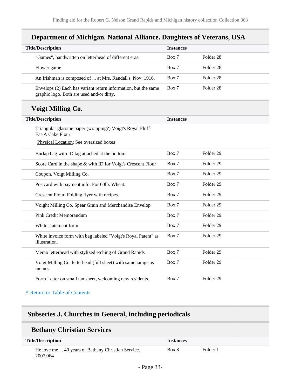# **Department of Michigan. National Alliance. Daughters of Veterans, USA**

| <b>Title/Description</b> |                                                                                                             | <b>Instances</b> |           |
|--------------------------|-------------------------------------------------------------------------------------------------------------|------------------|-----------|
|                          | "Games", handwritten on letterhead of different eras.                                                       | Box 7            | Folder 28 |
|                          | Flower game.                                                                                                | Box 7            | Folder 28 |
|                          | An Irishman is composed of  at Mrs. Randall's, Nov. 1916.                                                   | Box 7            | Folder 28 |
|                          | Envelops (2) Each has variant return information, but the same<br>graphic logo. Both are used and/or dirty. | Box 7            | Folder 28 |

# **Voigt Milling Co.**

| <b>Title/Description</b>                                                       | <b>Instances</b> |                      |
|--------------------------------------------------------------------------------|------------------|----------------------|
| Triangular glassine paper (wrapping?) Voigt's Royal Fluff-<br>Eat-A Cake Flour |                  |                      |
| Physical Location: See oversized boxes                                         |                  |                      |
| Burlap bag with ID tag attached at the bottom.                                 | Box 7            | Folder <sub>29</sub> |
| Score Card in the shape & with ID for Voigt's Crescent Flour                   | Box 7            | Folder <sub>29</sub> |
| Coupon. Voigt Milling Co.                                                      | Box 7            | Folder <sub>29</sub> |
| Postcard with payment info. For 60lb. Wheat.                                   | Box 7            | Folder <sub>29</sub> |
| Crescent Flour. Folding flyer with recipes.                                    | Box 7            | Folder 29            |
| Voight Milling Co. Spear Grain and Merchandise Envelop                         | Box 7            | Folder 29            |
| Pink Credit Memorandum                                                         | Box 7            | Folder <sub>29</sub> |
| White statement form                                                           | Box 7            | Folder <sub>29</sub> |
| White invoice form with bag labeled "Voigt's Royal Patent" as<br>illustration. | Box 7            | Folder <sub>29</sub> |
| Memo letterhead with stylized etching of Grand Rapids                          | Box 7            | Folder <sub>29</sub> |
| Voigt Milling Co. letterhead (full sheet) with same iamge as<br>memo.          | Box 7            | Folder <sub>29</sub> |
| Form Letter on small tan sheet, welcoming new residents.                       | Box 7            | Folder <sub>29</sub> |

### **^** [Return to Table of Contents](#page-1-0)

# **Subseries J. Churches in General, including periodicals**

## **Bethany Christian Services**

| <b>Title/Description</b>                                       | Instances |          |
|----------------------------------------------------------------|-----------|----------|
| He love me  40 years of Bethany Christian Service.<br>2007.064 | Box 8     | Folder 1 |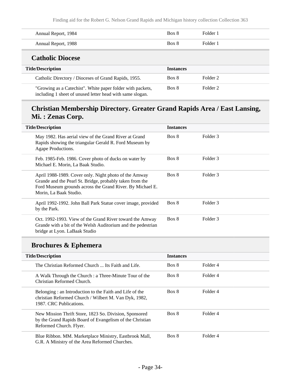Finding aid for the Robert G. Nelson Grand Rapids and Michigan history collection Collection 363

| Annual Report, 1984 | Box 8 | Folder 1 |
|---------------------|-------|----------|
| Annual Report, 1988 | Box 8 | Folder 1 |
| Cotholic Diocess    |       |          |

### **Catholic Diocese**

| <b>Title/Description</b>                                                                                                | <b>Instances</b> |          |  |
|-------------------------------------------------------------------------------------------------------------------------|------------------|----------|--|
| Catholic Directory / Dioceses of Grand Rapids, 1955.                                                                    | Box 8            | Folder 2 |  |
| "Growing as a Catechist". White paper folder with packets,<br>including 1 sheet of unused letter head with same slogan. | Box 8            | Folder 2 |  |

# **Christian Membership Directory. Greater Grand Rapids Area / East Lansing, Mi. : Zenas Corp.**

| <b>Title/Description</b>                                                                                                                                                                                 | <b>Instances</b> |          |
|----------------------------------------------------------------------------------------------------------------------------------------------------------------------------------------------------------|------------------|----------|
| May 1982. Has aerial view of the Grand River at Grand<br>Rapids showing the triangular Gerald R. Ford Museum by<br>Agape Productions.                                                                    | Box 8            | Folder 3 |
| Feb. 1985-Feb. 1986. Cover photo of ducks on water by<br>Michael E. Morin, La Baak Studio.                                                                                                               | Box 8            | Folder 3 |
| April 1988-1989. Cover only. Night photo of the Amway<br>Grande and the Pearl St. Bridge, probably taken from the<br>Ford Museum grounds across the Grand River. By Michael E.<br>Morin, La Baak Studio. | Box 8            | Folder 3 |
| April 1992-1992. John Ball Park Statue cover image, provided<br>by the Park.                                                                                                                             | Box 8            | Folder 3 |
| Oct. 1992-1993. View of the Grand River toward the Amway<br>Grande with a bit of the Welsh Auditorium and the pedestrian<br>bridge at Lyon. LaBaak Studio                                                | Box 8            | Folder 3 |

# **Brochures & Ephemera**

| <b>Title/Description</b>                                                                                                                      | <b>Instances</b> |          |  |
|-----------------------------------------------------------------------------------------------------------------------------------------------|------------------|----------|--|
| The Christian Reformed Church  Its Faith and Life.                                                                                            | Box 8            | Folder 4 |  |
| A Walk Through the Church : a Three-Minute Tour of the<br>Christian Reformed Church.                                                          | Box 8            | Folder 4 |  |
| Belonging: an Introduction to the Faith and Life of the<br>christian Reformed Church / Wilbert M. Van Dyk, 1982,<br>1987. CRC Publications.   | Box 8            | Folder 4 |  |
| New Mission Thrift Store, 1823 So. Division, Sponsored<br>by the Grand Rapids Board of Evangelism of the Christian<br>Reformed Church. Flyer. | Box 8            | Folder 4 |  |
| Blue Ribbon. MM. Marketplace Ministry, Eastbrook Mall,<br>G.R. A Ministry of the Area Reformed Churches.                                      | Box 8            | Folder 4 |  |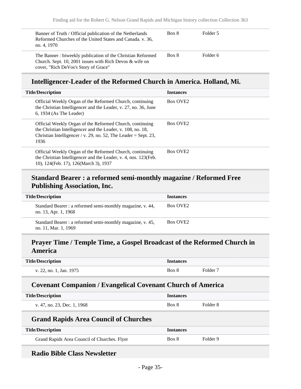| Banner of Truth / Official publication of the Netherlands  | Box 8 | Folder 5 |
|------------------------------------------------------------|-------|----------|
| Reformed Churches of the United States and Canada. v. 36,  |       |          |
| no. 4, 1970                                                |       |          |
| The Banner: biweekly publication of the Christian Reformed | Box 8 | Folder 6 |
| Church. Sept. 10, 2001 issues with Rich Devos & wife on    |       |          |
| cover, "Rich DeVos's Story of Grace"                       |       |          |

## **Intelligencer-Leader of the Reformed Church in America. Holland, Mi.**

| <b>Title/Description</b>                                                                                                                                                                           | <b>Instances</b>     |
|----------------------------------------------------------------------------------------------------------------------------------------------------------------------------------------------------|----------------------|
| Official Weekly Organ of the Reformed Church, continuing<br>the Christian Intelligencer and the Leader, v. 27, no. 36, June<br>$6, 1934$ (As The Leader)                                           | Box OVE <sub>2</sub> |
| Official Weekly Organ of the Reformed Church, continuing<br>the Christian Intelligencer and the Leader, v. 108, no. 18,<br>Christian Intelligencer / v. 29, no. 52, The Leader = Sept. 23,<br>1936 | Box OVE <sub>2</sub> |
| Official Weekly Organ of the Reformed Church, continuing<br>the Christian Intelligencer and the Leader, v. 4, nos. 123(Feb.<br>10), 124(Feb. 17), 126(March 3), 1937                               | Box OVE <sub>2</sub> |

## **Standard Bearer : a reformed semi-monthly magazine / Reformed Free Publishing Association, Inc.**

| <b>Title/Description</b>                                                           | <b>Instances</b>     |
|------------------------------------------------------------------------------------|----------------------|
| Standard Bearer : a reformed semi-monthly magazine, v. 44,<br>no. 13, Apr. 1, 1968 | Box OVE <sub>2</sub> |
| Standard Bearer : a reformed semi-monthly magazine, v. 45,<br>no. 11, Mar. 1, 1969 | Box OVE <sub>2</sub> |

# **Prayer Time / Temple Time, a Gospel Broadcast of the Reformed Church in America**

| <b>Title/Description</b> | <b>Instances</b> |          |
|--------------------------|------------------|----------|
| v. 22, no. 1, Jan. 1975  | Box 8            | Folder 7 |

### **Covenant Companion / Evangelical Covenant Church of America**

| <b>Title/Description</b>                     | <b>Instances</b> |          |
|----------------------------------------------|------------------|----------|
| v. 47, no. 23, Dec. 1, 1968                  | Box 8            | Folder 8 |
| <b>Grand Rapids Area Council of Churches</b> |                  |          |
| <b>Title/Description</b>                     | <b>Instances</b> |          |
| Grand Rapids Area Council of Churches. Flyer | Box 8            | Folder 9 |

## **Radio Bible Class Newsletter**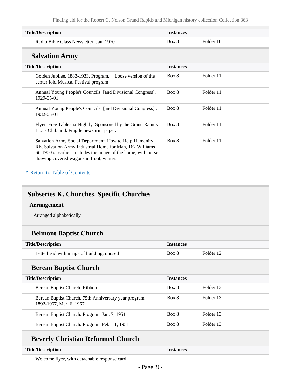| <b>Title/Description</b>                                                                                                                                                                                                           | <b>Instances</b> |           |
|------------------------------------------------------------------------------------------------------------------------------------------------------------------------------------------------------------------------------------|------------------|-----------|
| Radio Bible Class Newsletter, Jan. 1970                                                                                                                                                                                            | Box 8            | Folder 10 |
| <b>Salvation Army</b>                                                                                                                                                                                                              |                  |           |
| <b>Title/Description</b>                                                                                                                                                                                                           | <b>Instances</b> |           |
| Golden Jubilee, 1883-1933. Program. $+$ Loose version of the<br>center fold Musical Festival program                                                                                                                               | Box 8            | Folder 11 |
| Annual Young People's Councils. [and Divisional Congress],<br>1929-05-01                                                                                                                                                           | Box 8            | Folder 11 |
| Annual Young People's Councils. [and Divisional Congress],<br>1932-05-01                                                                                                                                                           | Box 8            | Folder 11 |
| Flyer. Free Tableaux Nightly. Sponsored by the Grand Rapids<br>Lions Club, n.d. Fragile newsprint paper.                                                                                                                           | Box 8            | Folder 11 |
| Salvation Army Social Department. How to Help Humanity.<br>RE. Salvation Army Industrial Home for Man, 167 Williams<br>St. 1900 or earlier. Includes the image of the home, with horse<br>drawing covered wagons in front, winter. | Box 8            | Folder 11 |

#### **^** [Return to Table of Contents](#page-1-0)

## **Subseries K. Churches. Specific Churches**

#### **Arrangement**

Arranged alphabetically

# **Belmont Baptist Church**

| <b>Title/Description</b>                  | <i>Instances</i> |           |
|-------------------------------------------|------------------|-----------|
| Letterhead with image of building, unused | Box 8            | Folder 12 |

## **Berean Baptist Church**

| <b>Title/Description</b>                                                         | <b>Instances</b> |           |
|----------------------------------------------------------------------------------|------------------|-----------|
| Berean Baptist Church. Ribbon                                                    | Box 8            | Folder 13 |
| Berean Baptist Church. 75th Anniversary year program,<br>1892-1967, Mar. 6, 1967 | Box 8            | Folder 13 |
| Berean Baptist Church. Program. Jan. 7, 1951                                     | Box 8            | Folder 13 |
| Berean Baptist Church. Program. Feb. 11, 1951                                    | Box 8            | Folder 13 |

# **Beverly Christian Reformed Church**

#### **Title/Description Instances**

Welcome flyer, with detachable response card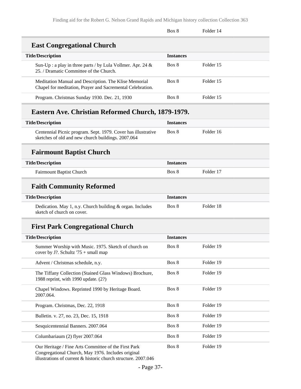|                                                                                                                     | Box 8            | Folder 14 |
|---------------------------------------------------------------------------------------------------------------------|------------------|-----------|
| <b>East Congregational Church</b>                                                                                   |                  |           |
| <b>Title/Description</b>                                                                                            | <b>Instances</b> |           |
| Sun-Up : a play in three parts / by Lula Vollmer. Apr. 24 $\&$<br>25. / Dramatic Committee of the Church.           | Box 8            | Folder 15 |
| Meditation Manual and Description. The Klise Memorial<br>Chapel for meditation, Prayer and Sacremental Celebration. | Box 8            | Folder 15 |
| Program. Christmas Sunday 1930. Dec. 21, 1930                                                                       | Box 8            | Folder 15 |
| Eastern Ave. Christian Reformed Church, 1879-1979.                                                                  |                  |           |
| <b>Title/Description</b>                                                                                            | <b>Instances</b> |           |
| Centennial Picnic program. Sept. 1979. Cover has illustrative<br>sketches of old and new church buildings. 2007.064 | Box 8            | Folder 16 |
| <b>Fairmount Baptist Church</b>                                                                                     |                  |           |
| <b>Title/Description</b>                                                                                            | <b>Instances</b> |           |
| Fairmount Baptist Church                                                                                            | Box 8            | Folder 17 |
| <b>Faith Community Reformed</b>                                                                                     |                  |           |
| <b>Title/Description</b>                                                                                            | <b>Instances</b> |           |
| Dedication. May 1, n.y. Church building & organ. Includes<br>sketch of church on cover.                             | Box 8            | Folder 18 |
| <b>First Park Congregational Church</b>                                                                             |                  |           |
| <b>Title/Description</b>                                                                                            | <b>Instances</b> |           |
| Summer Worship with Music. 1975. Sketch of church on<br>cover by J?. Schultz '75 + small map                        | Box 8            | Folder 19 |
| Advent / Christmas schedule, n.y.                                                                                   | Box 8            | Folder 19 |
| The Tiffany Collection (Stained Glass Windows) Brochure,<br>1988 reprint, with 1990 update. (2?)                    | Box 8            | Folder 19 |
| Chapel Windows. Reprinted 1990 by Heritage Board.<br>2007.064.                                                      | Box 8            | Folder 19 |
| Program. Christmas, Dec. 22, 1918                                                                                   | Box 8            | Folder 19 |
| Bulletin. v. 27, no. 23, Dec. 15, 1918                                                                              | Box 8            | Folder 19 |
| Sesquicentennial Banners. 2007.064                                                                                  | Box 8            | Folder 19 |
| Columbariaum (2) flyer 2007.064                                                                                     | Box 8            | Folder 19 |
| Our Heritage / Fine Arts Committee of the First Park<br>grapping Church May 1076 Includes evident                   | Box 8            | Folder 19 |

Congregational Church, May 1976. Includes original illustrations of current & historic church structure. 2007.046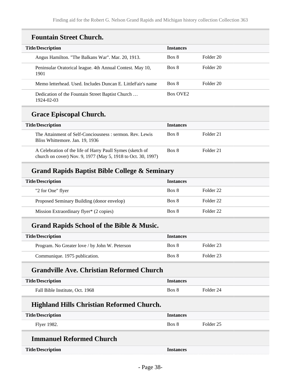### **Fountain Street Church.**

| <b>Title/Description</b>                                          | <b>Instances</b>     |           |
|-------------------------------------------------------------------|----------------------|-----------|
| Angus Hamilton. "The Balkans War". Mar. 20, 1913.                 | Box 8                | Folder 20 |
| Peninsular Oratorical league. 4th Annual Contest. May 10,<br>1901 | Box 8                | Folder 20 |
| Memo letterhead. Used. Includes Duncan E. LittleFair's name       | Box 8                | Folder 20 |
| Dedication of the Fountain Street Baptist Church<br>1924-02-03    | Box OVE <sub>2</sub> |           |

# **Grace Episcopal Church.**

| <b>Title/Description</b>                                                                                                  | <b>Instances</b> |           |
|---------------------------------------------------------------------------------------------------------------------------|------------------|-----------|
| The Attainment of Self-Conciousness : sermon. Rev. Lewis<br>Bliss Whittemore. Jan. 19, 1936                               | Box 8            | Folder 21 |
| A Celebration of the life of Harry Paull Symes (sketch of<br>church on cover) Nov. 9, 1977 (May 5, 1918 to Oct. 30, 1997) | Box 8            | Folder 21 |

### **Grand Rapids Baptist Bible College & Seminary**

| <b>Title/Description</b>                   | <b>Instances</b> |           |
|--------------------------------------------|------------------|-----------|
| "2 for One" flyer                          | Box 8            | Folder 22 |
| Proposed Seminary Building (donor envelop) | Box 8            | Folder 22 |
| Mission Extraordinary flyer* (2 copies)    | Box 8            | Folder 22 |

#### **Grand Rapids School of the Bible & Music.**

| <b>Title/Description</b>                       | <b>Instances</b> |           |
|------------------------------------------------|------------------|-----------|
| Program. No Greater love / by John W. Peterson | Box 8            | Folder 23 |
| Communique. 1975 publication.                  | Box 8            | Folder 23 |

#### **Grandville Ave. Christian Reformed Church**

| <b>Title/Description</b>        | Instances |           |
|---------------------------------|-----------|-----------|
| Fall Bible Institute, Oct. 1968 | Box 8     | Folder 24 |

#### **Highland Hills Christian Reformed Church.**

| <b>Title/Description</b> | Instances |           |
|--------------------------|-----------|-----------|
| Flyer 1982.              | Box 8     | Folder 25 |

### **Immanuel Reformed Church**

| e/Description |  |
|---------------|--|
|               |  |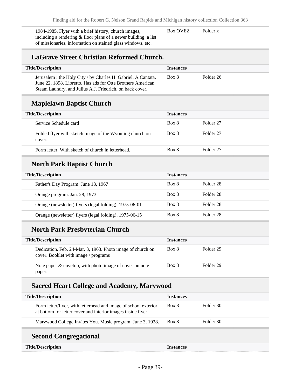1984-1985. Flyer with a brief history, church images, including a rendering & floor plans of a newer building, a list of missionaries, information on stained glass windows, etc.

Box OVE2 Folder x

## **LaGrave Street Christian Reformed Church.**

| <b>Title/Description</b>                                                                                                                                                                 | <b>Instances</b> |           |
|------------------------------------------------------------------------------------------------------------------------------------------------------------------------------------------|------------------|-----------|
| Jerusalem : the Holy City / by Charles H. Gabriel. A Cantata.<br>June 22, 1898. Libretto. Has ads for Otte Brothers American<br>Steam Laundry, and Julius A.J. Friedrich, on back cover. | Box 8            | Folder 26 |

#### **Maplelawn Baptist Church**

| <b>Title/Description</b>                                          | <b>Instances</b> |           |
|-------------------------------------------------------------------|------------------|-----------|
| Service Schedule card                                             | Box 8            | Folder 27 |
| Folded flyer with sketch image of the Wyoming church on<br>cover. | Box 8            | Folder 27 |
| Form letter. With sketch of church in letterhead.                 | Box 8            | Folder 27 |

## **North Park Baptist Church**

| <b>Title/Description</b>                               | <i>Instances</i> |           |
|--------------------------------------------------------|------------------|-----------|
| Father's Day Program. June 18, 1967                    | Box 8            | Folder 28 |
| Orange program. Jan. 28, 1973                          | Box 8            | Folder 28 |
| Orange (newsletter) flyers (legal folding), 1975-06-01 | Box 8            | Folder 28 |
| Orange (newsletter) flyers (legal folding), 1975-06-15 | Box 8            | Folder 28 |

# **North Park Presbyterian Church**

| <b>Title/Description</b>                                                                           | <b>Instances</b> |           |
|----------------------------------------------------------------------------------------------------|------------------|-----------|
| Dedication. Feb. 24-Mar. 3, 1963. Photo image of church on<br>cover. Booklet with image / programs | Box 8            | Folder 29 |
| Note paper $\&$ envelop, with photo image of cover on note<br>paper.                               | Box 8            | Folder 29 |

## **Sacred Heart College and Academy, Marywood**

| <b>Title/Description</b>                                                                                                        | <b>Instances</b> |           |
|---------------------------------------------------------------------------------------------------------------------------------|------------------|-----------|
| Form letter/flyer, with letterhead and image of school exterior<br>at bottom for letter cover and interior images inside flyer. | Box 8            | Folder 30 |
| Marywood College Invites You. Music program. June 3, 1928.                                                                      | Box 8            | Folder 30 |

# **Second Congregational**

| <b>Title/Description</b> | <b>Instances</b> |
|--------------------------|------------------|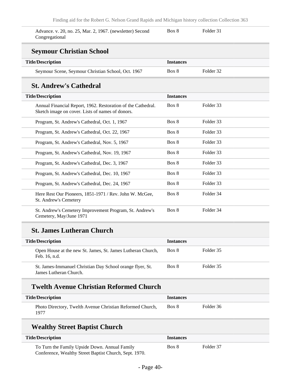| Advance. v. 20, no. 25, Mar. 2, 1967. (newsletter) Second | Box 8 | Folder 31 |  |
|-----------------------------------------------------------|-------|-----------|--|
| Congregational                                            |       |           |  |

#### **Seymour Christian School**

| <b>Title/Description</b>                           | <b>Instances</b> |           |
|----------------------------------------------------|------------------|-----------|
| Seymour Scene, Seymour Christian School, Oct. 1967 | Box 8            | Folder 32 |

### **St. Andrew's Cathedral**

| <b>Title/Description</b>                                                                                         | <b>Instances</b> |           |  |
|------------------------------------------------------------------------------------------------------------------|------------------|-----------|--|
| Annual Financial Report, 1962. Restoration of the Cathedral.<br>Sketch image on cover. Lists of names of donors. | Box 8            | Folder 33 |  |
| Program, St. Andrew's Cathedral, Oct. 1, 1967                                                                    | Box 8            | Folder 33 |  |
| Program, St. Andrew's Cathedral, Oct. 22, 1967                                                                   | Box 8            | Folder 33 |  |
| Program, St. Andrew's Cathedral, Nov. 5, 1967                                                                    | Box 8            | Folder 33 |  |
| Program, St. Andrew's Cathedral, Nov. 19, 1967                                                                   | Box 8            | Folder 33 |  |
| Program, St. Andrew's Cathedral, Dec. 3, 1967                                                                    | Box 8            | Folder 33 |  |
| Program, St. Andrew's Cathedral, Dec. 10, 1967                                                                   | Box 8            | Folder 33 |  |
| Program, St. Andrew's Cathedral, Dec. 24, 1967                                                                   | Box 8            | Folder 33 |  |
| Here Rest Our Pioneers, 1851-1971 / Rev. John W. McGee,<br>St. Andrew's Cemetery                                 | Box 8            | Folder 34 |  |
| St. Andrew's Cemetery Improvement Program, St. Andrew's<br>Cemetery, May/June 1971                               | Box 8            | Folder 34 |  |

#### **St. James Lutheran Church**

| <b>Title/Description</b>                                                            | <b>Instances</b> |           |
|-------------------------------------------------------------------------------------|------------------|-----------|
| Open House at the new St. James, St. James Lutheran Church,<br>Feb. 16, n.d.        | Box 8            | Folder 35 |
| St. James-Immanuel Christian Day School orange flyer, St.<br>James Lutheran Church. | Box 8            | Folder 35 |

### **Twelth Avenue Christian Reformed Church**

| <b>Title/Description</b>                                          | <b>Instances</b> |           |
|-------------------------------------------------------------------|------------------|-----------|
| Photo Directory, Twelth Avenue Christian Reformed Church,<br>1977 | Box 8            | Folder 36 |

### **Wealthy Street Baptist Church**

| <b>Title/Description</b>                               | <i><u><b>Instances</b></u></i> |           |
|--------------------------------------------------------|--------------------------------|-----------|
| To Turn the Family Upside Down. Annual Family          | Box 8                          | Folder 37 |
| Conference, Wealthy Street Baptist Church, Sept. 1970. |                                |           |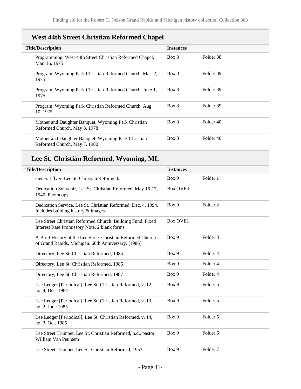## **West 44th Street Christian Reformed Chapel**

| <b>Title/Description</b>                                                            | <b>Instances</b> |           |
|-------------------------------------------------------------------------------------|------------------|-----------|
| Programming, West 44th Street Christian Reformed Chapel,<br>Mar. 16, 1975           | Box 8            | Folder 38 |
| Program, Wyoming Park Christian Reformed Church, Mar. 2,<br>1975                    | Box 8            | Folder 39 |
| Program, Wyoming Park Christian Reformed Church, June 1,<br>1975                    | Box 8            | Folder 39 |
| Program, Wyoming Park Christian Reformed Church, Aug.<br>10, 1975                   | Box 8            | Folder 39 |
| Mother and Daughter Banquet, Wyoming Park Christian<br>Reformed Church, May 3, 1978 | Box 8            | Folder 40 |
| Mother and Daughter Banquet, Wyoming Park Christian<br>Reformed Church, May 7, 1980 | Box 8            | Folder 40 |

## **Lee St. Christian Reformed, Wyoming, MI.**

| <b>Title/Description</b>                                                                                           | <b>Instances</b> |                     |
|--------------------------------------------------------------------------------------------------------------------|------------------|---------------------|
| General flyer, Lee St. Christian Reformed.                                                                         | Box 9            | Folder 1            |
| Dedication Souvenir, Lee St. Christian Reformed, May 16-17,<br>1940. Photocopy.                                    | <b>Box OVE4</b>  |                     |
| Dedication Service, Lee St. Christian Reformed, Dec. 4, 1994.<br>Includes building history & images.               | Box 9            | Folder <sub>2</sub> |
| Lee Street Christian Reformed Church. Building Fund. Fixed<br>Interest Rate Promissory Note. 2 blank forms.        | <b>Box OVE1</b>  |                     |
| A Brief History of the Lee Street Christian Reformed Church<br>of Grand Rapids, Michigan. 60th Anniversary. [1986] | Box 9            | Folder <sub>3</sub> |
| Directory, Lee St. Christian Reformed, 1984                                                                        | Box 9            | Folder 4            |
| Directory, Lee St. Christian Reformed, 1985                                                                        | Box 9            | Folder 4            |
| Directory, Lee St. Christian Reformed, 1987                                                                        | Box 9            | Folder 4            |
| Lee Ledger [Periodical], Lee St. Christian Reformed, v. 12,<br>no. 4, Dec. 1984                                    | Box 9            | Folder 5            |
| Lee Ledger [Periodical], Lee St. Christian Reformed, v. 13,<br>no. 2, June 1985                                    | Box 9            | Folder 5            |
| Lee Ledger [Periodical], Lee St. Christian Reformed, v. 14,<br>no. 3, Oct. 1985                                    | Box 9            | Folder 5            |
| Lee Street Trumpet, Lee St. Christian Reformed, n.d., pastor<br>William Van Peursem                                | Box 9            | Folder <sub>6</sub> |
| Lee Street Trumpet, Lee St. Christian Reformed, 1953                                                               | Box 9            | Folder <sub>7</sub> |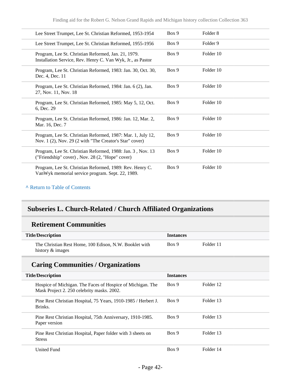| Lee Street Trumpet, Lee St. Christian Reformed, 1953-1954                                                              | Box 9 | Folder <sub>8</sub> |  |
|------------------------------------------------------------------------------------------------------------------------|-------|---------------------|--|
| Lee Street Trumpet, Lee St. Christian Reformed, 1955-1956                                                              | Box 9 | Folder 9            |  |
| Program, Lee St. Christian Reformed, Jan. 21, 1979.<br>Installation Service, Rev. Henry C. Van Wyk, Jr., as Pastor     | Box 9 | Folder 10           |  |
| Program, Lee St. Christian Reformed, 1983: Jan. 30, Oct. 30,<br>Dec. 4, Dec. 11                                        | Box 9 | Folder 10           |  |
| Program, Lee St. Christian Reformed, 1984: Jan. 6 (2), Jan.<br>27, Nov. 11, Nov. 18                                    | Box 9 | Folder 10           |  |
| Program, Lee St. Christian Reformed, 1985: May 5, 12, Oct.<br>6, Dec. 29                                               | Box 9 | Folder 10           |  |
| Program, Lee St. Christian Reformed, 1986: Jan. 12, Mar. 2,<br>Mar. 16, Dec. 7                                         | Box 9 | Folder 10           |  |
| Program, Lee St. Christian Reformed, 1987: Mar. 1, July 12,<br>Nov. 1 (2), Nov. 29 (2 with "The Creator's Star" cover) | Box 9 | Folder 10           |  |
| Program, Lee St. Christian Reformed, 1988: Jan. 3, Nov. 13<br>("Friendship" cover), Nov. 28 (2, "Hope" cover)          | Box 9 | Folder 10           |  |
| Program, Lee St. Christian Reformed, 1989: Rev. Henry C.<br>VanWyk memorial service program. Sept. 22, 1989.           | Box 9 | Folder 10           |  |

#### **^** [Return to Table of Contents](#page-1-0)

### **Subseries L. Church-Related / Church Affiliated Organizations**

#### **Retirement Communities**

| <b>Title/Description</b>                                                   | <b>Instances</b> |           |
|----------------------------------------------------------------------------|------------------|-----------|
| The Christian Rest Home, 100 Edison, N.W. Booklet with<br>history & images | Box 9            | Folder 11 |

### **Caring Communities / Organizations**

| <b>Title/Description</b>                                                                                 | <b>Instances</b> |           |
|----------------------------------------------------------------------------------------------------------|------------------|-----------|
| Hospice of Michigan. The Faces of Hospice of Michigan. The<br>Mask Project 2. 250 celebrity masks. 2002. | Box 9            | Folder 12 |
| Pine Rest Christian Hospital, 75 Years, 1910-1985 / Herbert J.<br>Brinks.                                | Box 9            | Folder 13 |
| Pine Rest Christian Hospital, 75th Anniversary, 1910-1985.<br>Paper version                              | Box 9            | Folder 13 |
| Pine Rest Christian Hospital, Paper folder with 3 sheets on<br><b>Stress</b>                             | Box 9            | Folder 13 |
| <b>United Fund</b>                                                                                       | Box 9            | Folder 14 |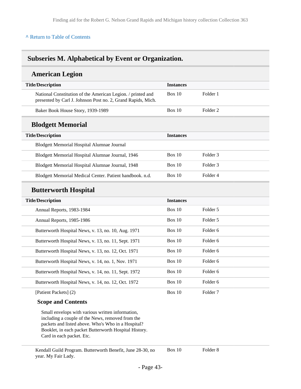#### **^** [Return to Table of Contents](#page-1-0)

#### **Subseries M. Alphabetical by Event or Organization.**

#### **American Legion**

| <b>Title/Description</b>                                                                                                    | <b>Instances</b> |                     |  |
|-----------------------------------------------------------------------------------------------------------------------------|------------------|---------------------|--|
| National Constitution of the American Legion. / printed and<br>presented by Carl J. Johnson Post no. 2, Grand Rapids, Mich. | Box $10$         | Folder 1            |  |
| Baker Book House Story, 1939-1989                                                                                           | <b>Box 10</b>    | Folder <sub>2</sub> |  |
| <b>Blodgett Memorial</b>                                                                                                    |                  |                     |  |
| <b>Title/Description</b>                                                                                                    | <b>Instances</b> |                     |  |
| Blodgett Memorial Hospital Alumnae Journal                                                                                  |                  |                     |  |
| Blodgett Memorial Hospital Alumnae Journal, 1946                                                                            | Box $10$         | Folder <sub>3</sub> |  |
| Blodgett Memorial Hospital Alumnae Journal, 1948                                                                            | Box 10           | Folder <sub>3</sub> |  |
| Blodgett Memorial Medical Center. Patient handbook. n.d.                                                                    | Box $10$         | Folder 4            |  |
| <b>Butterworth Hospital</b>                                                                                                 |                  |                     |  |
| <b>Title/Description</b>                                                                                                    | <b>Instances</b> |                     |  |
| Annual Reports, 1983-1984                                                                                                   | Box $10$         | Folder 5            |  |
| Annual Reports, 1985-1986                                                                                                   | <b>Box 10</b>    | Folder 5            |  |
| Butterworth Hospital News, v. 13, no. 10, Aug. 1971                                                                         | <b>Box 10</b>    | Folder <sub>6</sub> |  |
| Butterworth Hospital News, v. 13, no. 11, Sept. 1971                                                                        | <b>Box 10</b>    | Folder <sub>6</sub> |  |
| Butterworth Hospital News, v. 13, no. 12, Oct. 1971                                                                         | Box $10$         | Folder <sub>6</sub> |  |
| Butterworth Hospital News, v. 14, no. 1, Nov. 1971                                                                          | <b>Box 10</b>    | Folder 6            |  |
| Butterworth Hospital News, v. 14, no. 11, Sept. 1972                                                                        | Box $10$         | Folder <sub>6</sub> |  |

Butterworth Hospital News, v. 14, no. 12, Oct. 1972 Box 10 Folder 6

[Patient Packets] (2)

#### **Scope and Contents**

Small envelops with various written information, including a couple of the News, removed from the packets and listed above. Who's Who in a Hospital? Booklet, in each packet Butterworth Hospital History. Card in each packet. Etc.

Kendall Guild Program. Butterworth Benefit, June 28-30, no year. My Fair Lady.

Box 10 Folder 8

Box 10 Folder 7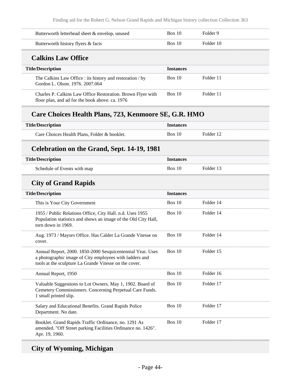Finding aid for the Robert G. Nelson Grand Rapids and Michigan history collection Collection 363

| Butterworth letterhead sheet & envelop, unused                                                                                                                                  | Box 10           | Folder <sub>9</sub> |  |
|---------------------------------------------------------------------------------------------------------------------------------------------------------------------------------|------------------|---------------------|--|
| Butterworth history flyers & facts                                                                                                                                              | Box $10$         | Folder 10           |  |
| <b>Calkins Law Office</b>                                                                                                                                                       |                  |                     |  |
| <b>Title/Description</b>                                                                                                                                                        | <b>Instances</b> |                     |  |
| The Calkins Law Office : its history and restoration / by<br>Gordon L. Olson. 1976. 2007.064                                                                                    | Box 10           | Folder 11           |  |
| Charles P. Calkins Law Office Restoration. Brown Flyer with<br>floor plan, and ad for the book above. ca. 1976                                                                  | Box 10           | Folder 11           |  |
| Care Choices Health Plans, 723, Kenmoore SE, G.R. HMO                                                                                                                           |                  |                     |  |
| <b>Title/Description</b>                                                                                                                                                        | <b>Instances</b> |                     |  |
| Care Choices Health Plans, Folder & booklet.                                                                                                                                    | Box 10           | Folder 12           |  |
| Celebration on the Grand, Sept. 14-19, 1981                                                                                                                                     |                  |                     |  |
| <b>Title/Description</b>                                                                                                                                                        | <b>Instances</b> |                     |  |
| Schedule of Events with map                                                                                                                                                     | Box 10           | Folder 13           |  |
| <b>City of Grand Rapids</b>                                                                                                                                                     |                  |                     |  |
| <b>Title/Description</b>                                                                                                                                                        | <b>Instances</b> |                     |  |
| This is Your City Government                                                                                                                                                    | Box 10           | Folder 14           |  |
| 1955 / Public Relations Office, City Hall. n.d. Uses 1955<br>Population statistics and shows an image of the Old City Hall,<br>torn down in 1969.                               | <b>Box 10</b>    | Folder 14           |  |
| Aug. 1973 / Mayors Office. Has Calder La Grande Vitesse on<br>cover.                                                                                                            | Box 10           | Folder 14           |  |
| Annual Report, 2000. 1850-2000 Sesquicentennial Year. Uses<br>a photographic image of City employees with ladders and<br>tools at the sculpture La Grande Vitesse on the cover. | Box 10           | Folder 15           |  |
| Annual Report, 1950                                                                                                                                                             | Box 10           | Folder 16           |  |
| Valuable Suggestions to Lot Owners. May 1, 1902. Board of<br>Cemetery Commissioners. Concerning Perpetual Care Funds.<br>1 small printed slip.                                  | Box 10           | Folder 17           |  |
| Salary and Educational Benefits. Grand Rapids Police<br>Department. No date.                                                                                                    | Box 10           | Folder 17           |  |
| Booklet. Grand Rapids Traffic Ordinance, no. 1291 As<br>amended. "Off Street parking Facilities Ordinance no. 1426".<br>Apr. 19, 1960.                                          | Box 10           | Folder 17           |  |

# **City of Wyoming, Michigan**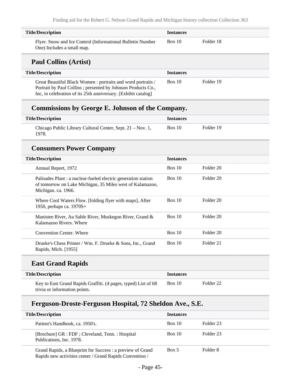| <b>Title/Description</b>                                                                 | <i><u><b>Instances</b></u></i> |           |
|------------------------------------------------------------------------------------------|--------------------------------|-----------|
| Flyer. Snow and Ice Control (Informational Bulletin Number<br>One) Includes a small map. | Box 10                         | Folder 18 |

#### **Paul Collins (Artist)**

| <b>Title/Description</b>                                                                                                                                                                      | <b>Instances</b> |           |
|-----------------------------------------------------------------------------------------------------------------------------------------------------------------------------------------------|------------------|-----------|
| Great Beautiful Black Women: portraits and word portraits /<br>Portrait by Paul Collins; presented by Johnson Products Co.,<br>Inc, in celebration of its 25th anniversary. [Exhibit catalog] | Box 10           | Folder 19 |

### **Commissions by George E. Johnson of the Company.**

| <b>Title/Description</b>                                            | <i><u><b>Instances</b></u></i> |           |
|---------------------------------------------------------------------|--------------------------------|-----------|
| Chicago Public Library Cultural Center, Sept. 21 – Nov. 1,<br>1978. | Box 10                         | Folder 19 |

#### **Consumers Power Company**

| <b>Title/Description</b>                                                                                                                           | <b>Instances</b> |           |  |
|----------------------------------------------------------------------------------------------------------------------------------------------------|------------------|-----------|--|
| Annual Report, 1972                                                                                                                                | Box 10           | Folder 20 |  |
| Palisades Plant : a nuclear-fueled electric generation station<br>of tomorrow on Lake Michigan, 35 Miles west of Kalamazoo,<br>Michigan. ca. 1966. | Box 10           | Folder 20 |  |
| Where Cool Waters Flow. [folding flyer with maps], After<br>1950, perhaps ca. $1970S+$                                                             | Box 10           | Folder 20 |  |
| Manistee River, Au Sable River, Muskegon River, Grand &<br>Kalamazoo Rivers, Where                                                                 | Box 10           | Folder 20 |  |
| Convention Center. Where                                                                                                                           | Box 10           | Folder 20 |  |
| Drueke's Chess Primer / Wm. F. Drueke & Sons, Inc., Grand<br>Rapids, Mich. [1955]                                                                  | Box 10           | Folder 21 |  |

## **East Grand Rapids**

| <b>Title/Description</b>                                       | <b>Instances</b> |           |  |
|----------------------------------------------------------------|------------------|-----------|--|
| Key to East Grand Rapids Graffiti. (4 pages, typed) List of 68 | Box 10           | Folder 22 |  |
| trivia or information points.                                  |                  |           |  |

### **Ferguson-Droste-Ferguson Hospital, 72 Sheldon Ave., S.E.**

| <b>Title/Description</b>                                                                                              | <b>Instances</b> |           |
|-----------------------------------------------------------------------------------------------------------------------|------------------|-----------|
| Patient's Handbook, ca. 1950's.                                                                                       | Box 10           | Folder 23 |
| [Brochure] GR : FDF ; Cleveland, Tenn. : Hospital<br>Publications, Inc. 1978.                                         | Box 10           | Folder 23 |
| Grand Rapids, a Blueprint for Success: a preview of Grand<br>Rapids new activities center / Grand Rapids Convention / | Box 5            | Folder 8  |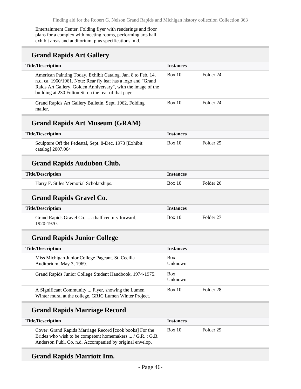Entertainment Center. Folding flyer with renderings and floor plans for a complex with meeting rooms, performing arts hall, exhibit areas and auditorium, plus specifications. n.d.

### **Grand Rapids Art Gallery**

| <b>Title/Description</b>                                                                                                                                                                                                                               | <b>Instances</b> |           |
|--------------------------------------------------------------------------------------------------------------------------------------------------------------------------------------------------------------------------------------------------------|------------------|-----------|
| American Painting Today. Exhibit Catalog. Jan. 8 to Feb. 14,<br>n.d. ca. 1960/1961. Note: Rear fly leaf has a logo and "Grand<br>Raids Art Gallery. Golden Anniversary", with the image of the<br>building at 230 Fulton St. on the rear of that page. | Box 10           | Folder 24 |
| Grand Rapids Art Gallery Bulletin, Sept. 1962. Folding<br>mailer.                                                                                                                                                                                      | Box 10           | Folder 24 |
| <b>Grand Rapids Art Museum (GRAM)</b>                                                                                                                                                                                                                  |                  |           |
| <b>Title/Description</b>                                                                                                                                                                                                                               | <b>Instances</b> |           |
| Sculpture Off the Pedestal, Sept. 8-Dec. 1973 [Exhibit]<br>catalog] 2007.064                                                                                                                                                                           | Box 10           | Folder 25 |
| <b>Grand Rapids Audubon Club.</b>                                                                                                                                                                                                                      |                  |           |
| <b>Title/Description</b>                                                                                                                                                                                                                               | <b>Instances</b> |           |
| Harry F. Stiles Memorial Scholarships.                                                                                                                                                                                                                 | Box 10           | Folder 26 |
| <b>Grand Rapids Gravel Co.</b>                                                                                                                                                                                                                         |                  |           |

# **Title/Description Instances** Box 10 Folder 27

Grand Rapids Gravel Co. ... a half century forward, 1920-1970.

#### **Grand Rapids Junior College**

| <b>Title/Description</b>                                                                                     | <b>Instances</b>      |           |
|--------------------------------------------------------------------------------------------------------------|-----------------------|-----------|
| Miss Michigan Junior College Pageant. St. Cecilia<br>Auditorium, May 3, 1969.                                | <b>Box</b><br>Unknown |           |
| Grand Rapids Junior College Student Handbook, 1974-1975.                                                     | <b>Box</b><br>Unknown |           |
| A Significant Community  Flyer, showing the Lumen<br>Winter mural at the college, GRJC Lumen Winter Project. | Box 10                | Folder 28 |

## **Grand Rapids Marriage Record**

| <b>Title/Description</b>                                                                                                                                                                 | <b>Instances</b> |           |
|------------------------------------------------------------------------------------------------------------------------------------------------------------------------------------------|------------------|-----------|
| Cover: Grand Rapids Marriage Record [cook books] For the<br>Brides who wish to be competent homemakers $\dots / G.R. : G.B.$<br>Anderson Publ. Co. n.d. Accompanied by original envelop. | Box 10           | Folder 29 |

#### **Grand Rapids Marriott Inn.**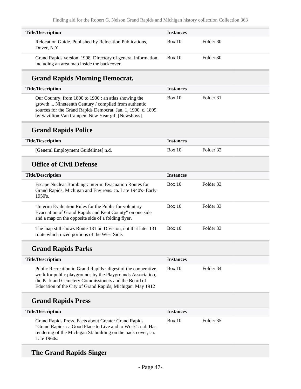| <b>Title/Description</b>                                                                                     | <b>Instances</b> |           |
|--------------------------------------------------------------------------------------------------------------|------------------|-----------|
| Relocation Guide. Published by Relocation Publications,<br>Dover, N.Y.                                       | Box 10           | Folder 30 |
| Grand Rapids version. 1998. Directory of general information,<br>including an area map inside the backcover. | <b>Box 10</b>    | Folder 30 |

### **Grand Rapids Morning Democrat.**

| <b>Title/Description</b>                                                                                                                                                                                                            | <b>Instances</b> |           |
|-------------------------------------------------------------------------------------------------------------------------------------------------------------------------------------------------------------------------------------|------------------|-----------|
| Our Country, from 1800 to 1900 : an atlas showing the<br>growth  Nineteenth Century / compiled from authentic<br>sources for the Grand Rapids Democrat. Jan. 1, 1900. c. 1899<br>by Savillion Van Campen. New Year gift [Newsboys]. | Box 10           | Folder 31 |

### **Grand Rapids Police**

| <b>Title/Description</b>             | <b>Instances</b> |           |
|--------------------------------------|------------------|-----------|
| [General Employment Guidelines] n.d. | Box 10           | Folder 32 |

#### **Office of Civil Defense**

| <b>Title/Description</b>                                                                                                                                                 | <b>Instances</b> |           |
|--------------------------------------------------------------------------------------------------------------------------------------------------------------------------|------------------|-----------|
| Escape Nuclear Bombing: interim Evacuation Routes for<br>Grand Rapids, Michigan and Environs. ca. Late 1940's- Early<br>1950's.                                          | Box 10           | Folder 33 |
| "Interim Evaluation Rules for the Public for voluntary"<br>Evacuation of Grand Rapids and Kent County" on one side<br>and a map on the opposite side of a folding flyer. | Box 10           | Folder 33 |
| The map still shows Route 131 on Division, not that later 131<br>route which razed portions of the West Side.                                                            | Box 10           | Folder 33 |

### **Grand Rapids Parks**

| <b>Title/Description</b>                                                                                                                                                                                                                          | <b>Instances</b> |           |
|---------------------------------------------------------------------------------------------------------------------------------------------------------------------------------------------------------------------------------------------------|------------------|-----------|
| Public Recreation in Grand Rapids : digest of the cooperative<br>work for public playgrounds by the Playgrounds Association,<br>the Park and Cemetery Commissioners and the Board of<br>Education of the City of Grand Rapids, Michigan. May 1912 | Box 10           | Folder 34 |

## **Grand Rapids Press**

| <b>Title/Description</b>                                                                                                                                                                             | <b>Instances</b> |           |
|------------------------------------------------------------------------------------------------------------------------------------------------------------------------------------------------------|------------------|-----------|
| Grand Rapids Press. Facts about Greater Grand Rapids.<br>"Grand Rapids : a Good Place to Live and to Work". n.d. Has<br>rendering of the Michigan St. building on the back cover, ca.<br>Late 1960s. | Box 10           | Folder 35 |

## **The Grand Rapids Singer**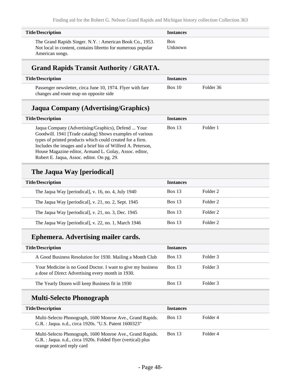| <b>Title/Description</b>                                                                                                 | <b>Instances</b>      |
|--------------------------------------------------------------------------------------------------------------------------|-----------------------|
| The Grand Rapids Singer. N.Y. : American Book Co., 1953.<br>Not local in content, contains libretto for numerous popular | <b>Box</b><br>Unknown |
| American songs.                                                                                                          |                       |

### **Grand Rapids Transit Authority / GRATA.**

| <b>Title/Description</b>                                   | <i><u><b>Instances</b></u></i> |           |
|------------------------------------------------------------|--------------------------------|-----------|
| Passenger newsletter, circa June 10, 1974. Flyer with fare | Box 10                         | Folder 36 |
| changes and route map on opposite side                     |                                |           |

#### **Jaqua Company (Advertising/Graphics)**

| <b>Title/Description</b>                                                                                                                                                                                                                                                                                                                           | <b>Instances</b> |          |
|----------------------------------------------------------------------------------------------------------------------------------------------------------------------------------------------------------------------------------------------------------------------------------------------------------------------------------------------------|------------------|----------|
| Jaqua Company (Advertising/Graphics), Defend  Your<br>Goodwill. 1941 [Trade catalog] Shows examples of various<br>types of printed products which could created for a firm.<br>Includes the images and a brief bio of Wilferd A. Peterson,<br>House Magazine editor, Armand L. Golay, Assoc. editor,<br>Robert E. Jaqua, Assoc. editor. On pg. 29. | Box 13           | Folder 1 |

## **The Jaqua Way [periodical]**

| <b>Title/Description</b>                              | <b>Instances</b> |          |
|-------------------------------------------------------|------------------|----------|
| The Jaqua Way [periodical], v. 16, no. 4, July 1940   | <b>Box 13</b>    | Folder 2 |
| The Jaqua Way [periodical], v. 21, no. 2, Sept. 1945  | <b>Box 13</b>    | Folder 2 |
| The Jaqua Way [periodical], v. 21, no. 3, Dec. $1945$ | Box 13           | Folder 2 |
| The Jaqua Way [periodical], v. 22, no. 1, March 1946  | <b>Box 13</b>    | Folder 2 |
|                                                       |                  |          |

## **Ephemera. Advertising mailer cards.**

| <b>Title/Description</b>                                                                                         | <b>Instances</b> |          |
|------------------------------------------------------------------------------------------------------------------|------------------|----------|
| A Good Business Resolution for 1930. Mailing a Month Club                                                        | <b>Box 13</b>    | Folder 3 |
| Your Medicine is no Good Doctor. I want to give my business<br>a dose of Direct Advertising every month in 1930. | <b>Box 13</b>    | Folder 3 |
| The Yearly Dozen will keep Business fit in 1930                                                                  | Box 13           | Folder 3 |

### **Multi-Selecto Phonograph**

| <b>Title/Description</b>                                                                                                                                 | <b>Instances</b> |          |
|----------------------------------------------------------------------------------------------------------------------------------------------------------|------------------|----------|
| Multi-Selecto Phonograph, 1600 Monroe Ave., Grand Rapids.<br>G.R.: Jaqua. n.d., circa 1920s. "U.S. Patent 1600323"                                       | Box 13           | Folder 4 |
| Multi-Selecto Phonograph, 1600 Monroe Ave., Grand Rapids.<br>G.R. : Jaqua. n.d., circa 1920s. Folded flyer (vertical) plus<br>orange postcard reply card | Box 13           | Folder 4 |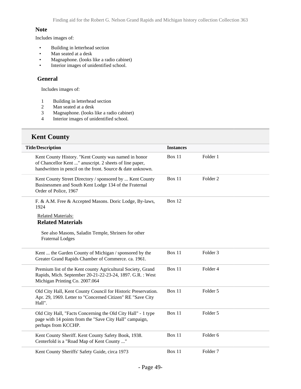#### **Note**

Includes images of:

- Building in letterhead section
- Man seated at a desk
- Magnaphone. (looks like a radio cabinet)
- Interior images of unidentified school.

#### **General**

Includes images of:

- 1 Building in letterhead section
- 2 Man seated at a desk
- 3 Magnaphone. (looks like a radio cabinet)
- 4 Interior images of unidentified school.

#### **Kent County**

| <b>Title/Description</b>                                                                                                                                                      | <b>Instances</b> |                     |  |
|-------------------------------------------------------------------------------------------------------------------------------------------------------------------------------|------------------|---------------------|--|
| Kent County History. "Kent County was named in honor<br>of Chancellor Kent " anuscript. 2 sheets of line paper,<br>handwritten in pencil on the front. Source & date unknown. | Box 11           | Folder 1            |  |
| Kent County Street Directory / sponsored by  Kent County<br>Businessmen and South Kent Lodge 134 of the Fraternal<br>Order of Police, 1967                                    | <b>Box 11</b>    | Folder <sub>2</sub> |  |
| F. & A.M. Free & Accepted Masons. Doric Lodge, By-laws,<br>1924                                                                                                               | <b>Box 12</b>    |                     |  |
| <b>Related Materials:</b>                                                                                                                                                     |                  |                     |  |
| <b>Related Materials</b>                                                                                                                                                      |                  |                     |  |
| See also Masons, Saladin Temple, Shriners for other<br><b>Fraternal Lodges</b>                                                                                                |                  |                     |  |
| Kent  the Garden County of Michigan / sponsored by the<br>Greater Grand Rapids Chamber of Commerce. ca. 1961.                                                                 | Box 11           | Folder <sub>3</sub> |  |
| Premium list of the Kent county Agricultural Society, Grand<br>Rapids, Mich. September 20-21-22-23-24, 1897. G.R. : West<br>Michigan Printing Co. 2007.064                    | Box 11           | Folder 4            |  |
| Old City Hall, Kent County Council for Historic Preservation.<br>Apr. 29, 1969. Letter to "Concerned Citizen" RE "Save City<br>Hall".                                         | Box 11           | Folder 5            |  |
| Old City Hall, "Facts Concerning the Old City Hall" - 1 type<br>page with 14 points from the "Save City Hall" campaign,<br>perhaps from KCCHP.                                | Box 11           | Folder 5            |  |
| Kent County Sheriff. Kent County Safety Book, 1938.<br>Centerfold is a "Road Map of Kent County "                                                                             | Box 11           | Folder <sub>6</sub> |  |
| Kent County Sheriffs' Safety Guide, circa 1973                                                                                                                                | <b>Box 11</b>    | Folder <sub>7</sub> |  |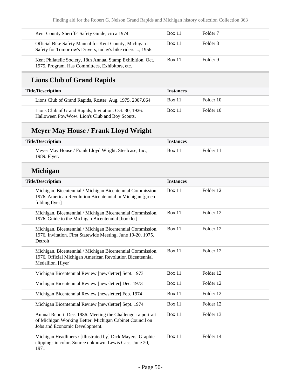| Kent County Sheriffs' Safety Guide, circa 1974                                                                       | <b>Box 11</b> | Folder <sub>7</sub> |
|----------------------------------------------------------------------------------------------------------------------|---------------|---------------------|
| Official Bike Safety Manual for Kent County, Michigan:<br>Safety for Tomorrow's Drivers, today's bike riders , 1956. | <b>Box 11</b> | Folder 8            |
| Kent Philatelic Society, 18th Annual Stamp Exhibition, Oct.<br>1975. Program. Has Committees, Exhibitors, etc.       | <b>Box 11</b> | Folder 9            |

## **Lions Club of Grand Rapids**

| <b>Title/Description</b>                                                                                | <b>Instances</b> |           |
|---------------------------------------------------------------------------------------------------------|------------------|-----------|
| Lions Club of Grand Rapids, Roster. Aug. 1975. 2007.064                                                 | <b>Box 11</b>    | Folder 10 |
| Lions Club of Grand Rapids, Invitation. Oct. 30, 1926.<br>Halloween PowWow. Lion's Club and Boy Scouts. | <b>Box 11</b>    | Folder 10 |

## **Meyer May House / Frank Lloyd Wright**

| <b>Title/Description</b>                                               | <b>Instances</b> |           |
|------------------------------------------------------------------------|------------------|-----------|
| Meyer May House / Frank Lloyd Wright. Steelcase, Inc.,<br>1989. Flyer. | <b>Box 11</b>    | Folder 11 |

### **Michigan**

| <b>Title/Description</b>                                                                                                                                  | <b>Instances</b> |           |  |
|-----------------------------------------------------------------------------------------------------------------------------------------------------------|------------------|-----------|--|
| Michigan. Bicentennial / Michigan Bicentennial Commission.<br>1976. American Revolution Bicentennial in Michigan [green]<br>folding flyer]                | Box 11           | Folder 12 |  |
| Michigan. Bicentennial / Michigan Bicentennial Commission.<br>1976. Guide to the Michigan Bicentennial [booklet]                                          | Box 11           | Folder 12 |  |
| Michigan. Bicentennial / Michigan Bicentennial Commission.<br>1976. Invitation. First Statewide Meeting, June 19-20, 1975.<br>Detroit                     | Box 11           | Folder 12 |  |
| Michigan. Bicentennial / Michigan Bicentennial Commission.<br>1976. Official Michigan American Revolution Bicentennial<br>Medallion. [flyer]              | Box 11           | Folder 12 |  |
| Michigan Bicentennial Review [newsletter] Sept. 1973                                                                                                      | Box 11           | Folder 12 |  |
| Michigan Bicentennial Review [newsletter] Dec. 1973                                                                                                       | Box 11           | Folder 12 |  |
| Michigan Bicentennial Review [newsletter] Feb. 1974                                                                                                       | Box 11           | Folder 12 |  |
| Michigan Bicentennial Review [newsletter] Sept. 1974                                                                                                      | Box $11$         | Folder 12 |  |
| Annual Report. Dec. 1986. Meeting the Challenge : a portrait<br>of Michigan Working Better. Michigan Cabinet Council on<br>Jobs and Economic Development. | Box $11$         | Folder 13 |  |
| Michigan Headliners / [illustrated by] Dick Mayers. Graphic<br>clippings in color. Source unknown. Lewis Cass, June 20,<br>1971                           | Box $11$         | Folder 14 |  |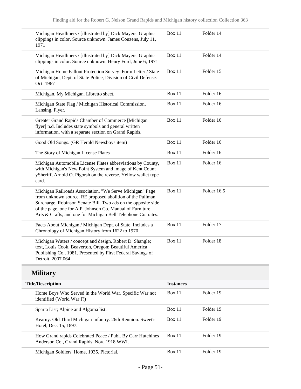| Michigan Headliners / [illustrated by] Dick Mayers. Graphic<br>clippings in color. Source unknown. James Couzens, July 11,<br>1971                                                                                                                                                                                   | Box 11           | Folder 14   |
|----------------------------------------------------------------------------------------------------------------------------------------------------------------------------------------------------------------------------------------------------------------------------------------------------------------------|------------------|-------------|
| Michigan Headliners / [illustrated by] Dick Mayers. Graphic<br>clippings in color. Source unknown. Henry Ford, June 6, 1971                                                                                                                                                                                          | <b>Box 11</b>    | Folder 14   |
| Michigan Home Fallout Protection Survey. Form Letter / State<br>of Michigan, Dept. of State Police, Division of Civil Defense.<br>Oct. 1967                                                                                                                                                                          | <b>Box 11</b>    | Folder 15   |
| Michigan, My Michigan. Libretto sheet.                                                                                                                                                                                                                                                                               | <b>Box 11</b>    | Folder 16   |
| Michigan State Flag / Michigan Historical Commission,<br>Lansing. Flyer.                                                                                                                                                                                                                                             | <b>Box 11</b>    | Folder 16   |
| Greater Grand Rapids Chamber of Commerce [Michigan<br>flyer] n.d. Includes state symbols and general written<br>information, with a separate section on Grand Rapids.                                                                                                                                                | <b>Box 11</b>    | Folder 16   |
| Good Old Songs. (GR Herald Newsboys item)                                                                                                                                                                                                                                                                            | Box 11           | Folder 16   |
| The Story of Michigan License Plates                                                                                                                                                                                                                                                                                 | <b>Box 11</b>    | Folder 16   |
| Michigan Automobile License Plates abbreviations by County,<br>with Michigan's New Point System and image of Kent Count<br>ySheriff, Arnold O. Pigorsh on the reverse. Yellow wallet type<br>card.                                                                                                                   | <b>Box 11</b>    | Folder 16   |
| Michigan Railroads Association. "We Serve Michigan" Page<br>from unknown source. RE proposed abolition of the Pullman<br>Surcharge. Robinson Senate Bill. Two ads on the opposite side<br>of the page, one for A.P. Johnson Co. Manual of Furniture<br>Arts & Crafts, and one for Michigan Bell Telephone Co. rates. | <b>Box 11</b>    | Folder 16.5 |
| Facts About Michigan / Michigan Dept. of State. Includes a<br>Chronology of Michigan History from 1622 to 1970                                                                                                                                                                                                       | <b>Box 11</b>    | Folder 17   |
| Michigan Waters / concept and design, Robert D. Shangle;<br>text, Louis Cook. Beaverton, Oregon: Beautiful America<br>Publishing Co., 1981. Presented by First Federal Savings of<br>Detroit. 2007.064                                                                                                               | <b>Box 11</b>    | Folder 18   |
| <b>Military</b>                                                                                                                                                                                                                                                                                                      |                  |             |
| <b>Title/Description</b>                                                                                                                                                                                                                                                                                             | <b>Instances</b> |             |
| Home Boys Who Served in the World War. Specific War not<br>identified (World War I?)                                                                                                                                                                                                                                 | Box 11           | Folder 19   |
| Sparta List; Alpine and Algoma list.                                                                                                                                                                                                                                                                                 | Box 11           | Folder 19   |
| Kearny. Old Third Michigan Infantry. 26th Reunion. Sweet's<br>Hotel, Dec. 15, 1897.                                                                                                                                                                                                                                  | Box 11           | Folder 19   |

Box 11 Folder 19

- Page 51-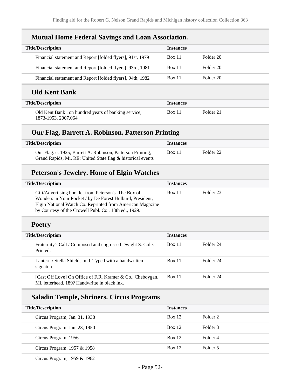| <b>Title/Description</b>                                   | <b>Instances</b> |           |
|------------------------------------------------------------|------------------|-----------|
| Financial statement and Report [folded flyers], 91st, 1979 | <b>Box 11</b>    | Folder 20 |
| Financial statement and Report [folded flyers], 93rd, 1981 | Box 11           | Folder 20 |
| Financial statement and Report [folded flyers], 94th, 1982 | <b>Box 11</b>    | Folder 20 |
| <b>Old Kent Bank</b>                                       |                  |           |

|  |  |  |  | <b>Mutual Home Federal Savings and Loan Association.</b> |
|--|--|--|--|----------------------------------------------------------|
|--|--|--|--|----------------------------------------------------------|

| <b>Title/Description</b>                                                   | <b>Instances</b> |           |
|----------------------------------------------------------------------------|------------------|-----------|
| Old Kent Bank: on hundred years of banking service,<br>1873-1953, 2007.064 | Box 11           | Folder 21 |

### **Our Flag, Barrett A. Robinson, Patterson Printing**

| Title/Description                                                                                                          | <i>Instances</i> |           |
|----------------------------------------------------------------------------------------------------------------------------|------------------|-----------|
| Our Flag. c. 1925, Barrett A. Robinson, Patterson Printing,<br>Grand Rapids, Mi. RE: United State flag & historical events | <b>Box 11</b>    | Folder 22 |

# **Peterson's Jewelry. Home of Elgin Watches**

| <b>Title/Description</b>                                                                                                                                                                                                                | <b>Instances</b> |           |
|-----------------------------------------------------------------------------------------------------------------------------------------------------------------------------------------------------------------------------------------|------------------|-----------|
| Gift/Advertising booklet from Peterson's. The Box of<br>Wonders in Your Pocket / by De Forest Hulburd, President,<br>Elgin National Watch Co. Reprinted from American Magazine<br>by Courtesy of the Crowell Publ. Co., 13th ed., 1929. | Box 11           | Folder 23 |

### **Poetry**

| <b>Title/Description</b> |                                                                                                             | <b>Instances</b> |           |
|--------------------------|-------------------------------------------------------------------------------------------------------------|------------------|-----------|
|                          | Fraternity's Call / Composed and engrossed Dwight S. Cole.<br>Printed.                                      | <b>Box 11</b>    | Folder 24 |
|                          | Lantern / Stella Shields. n.d. Typed with a handwritten<br>signature.                                       | Box 11           | Folder 24 |
|                          | [Cast Off Love] On Office of F.R. Kramer & Co., Cheboygan,<br>Mi. letterhead. 189? Handwritte in black ink. | Box 11           | Folder 24 |

# **Saladin Temple, Shriners. Circus Programs**

| <b>Title/Description</b>      | <b>Instances</b> |          |
|-------------------------------|------------------|----------|
| Circus Program, Jan. 31, 1938 | Box 12           | Folder 2 |
| Circus Program, Jan. 23, 1950 | Box 12           | Folder 3 |
| Circus Program, 1956          | Box 12           | Folder 4 |
| Circus Program, 1957 & 1958   | Box 12           | Folder 5 |

Circus Program, 1959 & 1962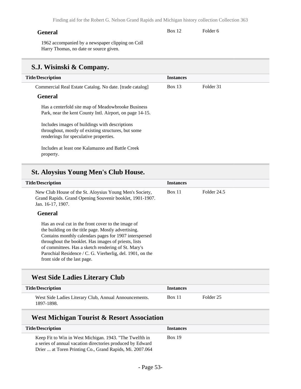#### **General**

Box 12 Folder 6

1962 accompanied by a newspaper clipping on Coll Harry Thomas, no date or source given.

### **S.J. Wisinski & Company.**

| <b>Title/Description</b>                                                                                                                        | <b>Instances</b> |           |
|-------------------------------------------------------------------------------------------------------------------------------------------------|------------------|-----------|
| Commercial Real Estate Catalog. No date. [trade catalog]                                                                                        | <b>Box 13</b>    | Folder 31 |
| <b>General</b>                                                                                                                                  |                  |           |
| Has a centerfold site map of Meadowbrooke Business<br>Park, near the kent County Intl. Airport, on page 14-15.                                  |                  |           |
| Includes images of buildings with descriptions<br>throughout, mostly of existing structures, but some<br>renderings for speculative properties. |                  |           |
| Includes at least one Kalamazoo and Battle Creek<br>property.                                                                                   |                  |           |

#### **St. Aloysius Young Men's Club House.**

| <b>Title/Description</b>                                                                                                                                                                                                                                                                                                                                                        | <b>Instances</b> |             |
|---------------------------------------------------------------------------------------------------------------------------------------------------------------------------------------------------------------------------------------------------------------------------------------------------------------------------------------------------------------------------------|------------------|-------------|
| New Club House of the St. Aloysius Young Men's Society,<br>Grand Rapids. Grand Opening Souvenir booklet, 1901-1907.<br>Jan. 16-17, 1907.                                                                                                                                                                                                                                        | Box 11           | Folder 24.5 |
| General                                                                                                                                                                                                                                                                                                                                                                         |                  |             |
| Has an oval cut in the front cover to the image of<br>the building on the title page. Mostly advertising.<br>Contains monthly calendars pages for 1907 interspersed<br>throughout the booklet. Has images of priests, lists<br>of committees. Has a sketch rendering of St. Mary's<br>Parochial Residence / C. G. Vierherlig, del. 1901, on the<br>front side of the last page. |                  |             |

#### **West Side Ladies Literary Club**

| <b>Title/Description</b>                                            | Instances     |           |
|---------------------------------------------------------------------|---------------|-----------|
| West Side Ladies Literary Club, Annual Announcements.<br>1897-1898. | <b>Box 11</b> | Folder 25 |

### **West Michigan Tourist & Resort Association**

| <b>Title/Description</b>                                                                                              | <b>Instances</b> |
|-----------------------------------------------------------------------------------------------------------------------|------------------|
| Keep Fit to Win in West Michigan. 1943. "The Twelfth in<br>a series of annual vacation directories produced by Edward | <b>Box 19</b>    |
| Drier  at Toren Printing Co., Grand Rapids, Mi. 2007.064                                                              |                  |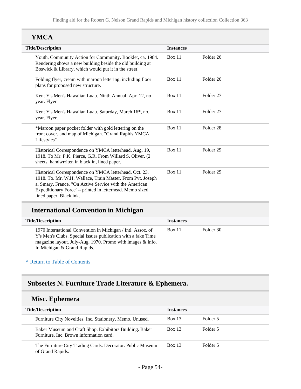### **YMCA**

| <b>Title/Description</b>                                                                                                                                                                                                                                              | <b>Instances</b> |                      |
|-----------------------------------------------------------------------------------------------------------------------------------------------------------------------------------------------------------------------------------------------------------------------|------------------|----------------------|
| Youth, Community Action for Community. Booklet, ca. 1984.<br>Rendering shows a new building beside the old building at<br>Boswick & Library, which would put it in the street!                                                                                        | Box 11           | Folder 26            |
| Folding flyer, cream with maroon lettering, including floor<br>plans for proposed new structure.                                                                                                                                                                      | Box 11           | Folder 26            |
| Kent Y's Men's Hawaiian Luau. Ninth Annual. Apr. 12, no<br>year. Flyer                                                                                                                                                                                                | Box 11           | Folder <sub>27</sub> |
| Kent Y's Men's Hawaiian Luau. Saturday, March 16*, no.<br>year. Flyer.                                                                                                                                                                                                | <b>Box 11</b>    | Folder <sub>27</sub> |
| *Maroon paper pocket folder with gold lettering on the<br>front cover, and map of Michigan. "Grand Rapids YMCA.<br>Lifestyles"                                                                                                                                        | Box 11           | Folder <sub>28</sub> |
| Historical Correspondence on YMCA letterhead. Aug. 19,<br>1918. To Mr. P.K. Pierce, G.R. From Willard S. Oliver. (2)<br>sheets, handwrriten in black in, lined paper.                                                                                                 | Box 11           | Folder <sub>29</sub> |
| Historical Correspondence on YMCA letterhead. Oct. 23,<br>1918. To. Mr. W.H. Wallace, Train Master. From Pvt. Joseph<br>a. Smary. France. "On Active Service with the American<br>Expeditionary Force"-- printed in letterhead. Memo sized<br>lined paper. Black ink. | <b>Box 11</b>    | Folder <sub>29</sub> |

## **International Convention in Michigan**

| <b>Title/Description</b>                                                                                                                                                                                                 | <b>Instances</b> |           |
|--------------------------------------------------------------------------------------------------------------------------------------------------------------------------------------------------------------------------|------------------|-----------|
| 1970 International Convention in Michigan / Intl. Assoc. of<br>Y's Men's Clubs. Special Issues publication with a fake Time<br>magazine layout. July-Aug. 1970. Promo with images & info.<br>In Michigan & Grand Rapids. | <b>Box 11</b>    | Folder 30 |

#### **^** [Return to Table of Contents](#page-1-0)

## **Subseries N. Furniture Trade Literature & Ephemera.**

#### **Misc. Ephemera**

| <b>Title/Description</b>                                                                           | <b>Instances</b> |          |
|----------------------------------------------------------------------------------------------------|------------------|----------|
| Furniture City Novelties, Inc. Stationery. Memo. Unused.                                           | <b>Box 13</b>    | Folder 5 |
| Baker Museum and Craft Shop. Exhibitors Building. Baker<br>Furniture, Inc. Brown information card. | <b>Box 13</b>    | Folder 5 |
| The Furniture City Trading Cards. Decorator. Public Museum<br>of Grand Rapids.                     | <b>Box 13</b>    | Folder 5 |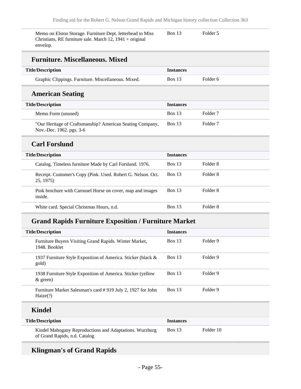| Memo on Elston Storage. Furniture Dept. letterhead to Miss<br>Christians, RE furniture sale. March $12$ , $1941 + original$<br>envelop. | Box 13           | Folder 5            |
|-----------------------------------------------------------------------------------------------------------------------------------------|------------------|---------------------|
| <b>Furniture. Miscellaneous. Mixed</b>                                                                                                  |                  |                     |
| <b>Title/Description</b>                                                                                                                | <b>Instances</b> |                     |
| Graphic Clippings. Furniture. Miscellaneous. Mixed.                                                                                     | <b>Box 13</b>    | Folder <sub>6</sub> |
| <b>American Seating</b>                                                                                                                 |                  |                     |
| <b>Title/Description</b>                                                                                                                | <b>Instances</b> |                     |
| Memo Form (unused)                                                                                                                      | <b>Box 13</b>    | Folder <sub>7</sub> |
| "Our Heritage of Craftsmanship? American Seating Company,<br>Nov.-Dec. 1962. pgs. 3-6                                                   | <b>Box 13</b>    | Folder <sub>7</sub> |
| <b>Carl Forslund</b>                                                                                                                    |                  |                     |
| <b>Title/Description</b>                                                                                                                | <b>Instances</b> |                     |
| Catalog. Timeless furniture Made by Carl Forslund. 1976.                                                                                | <b>Box 13</b>    | Folder <sub>8</sub> |
| Receipt. Customer's Copy (Pink. Used. Robert G. Nelson. Oct.<br>25, 1975)                                                               | <b>Box 13</b>    | Folder <sub>8</sub> |
| Pink brochure with Carousel Horse on cover, map and images<br>inside.                                                                   | <b>Box 13</b>    | Folder <sub>8</sub> |
| White card. Special Christmas Hours, n.d.                                                                                               | <b>Box 13</b>    | Folder <sub>8</sub> |

### **Grand Rapids Furniture Exposition / Furniture Market**

| <b>Title/Description</b>                                                   | <b>Instances</b> |                     |
|----------------------------------------------------------------------------|------------------|---------------------|
| Furniture Buyers Visiting Grand Rapids. Winter Market,<br>1948. Booklet    | Box 13           | Folder 9            |
| 1937 Furniture Style Exposition of America. Sticker (black &<br>gold)      | Box 13           | Folder 9            |
| 1938 Furniture Style Exposition of America. Sticker (yellow<br>$\&$ green) | Box 13           | Folder <sub>9</sub> |
| Furniture Market Salesman's card #919 July 2, 1927 for John<br>Haize(?)    | Box 13           | Folder 9            |
| <b>Kindel</b>                                                              |                  |                     |
| <b>Title/Description</b>                                                   | <b>Instances</b> |                     |

Kindel Mahogany Reproductions and Adaptations. Wurzburg of Grand Rapids, n.d. Catalog Box 13 Folder 10

### **Klingman's of Grand Rapids**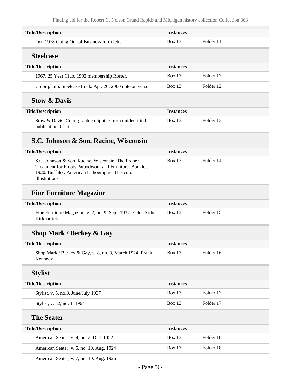| <b>Title/Description</b>                                                                                                                                                         | <b>Instances</b> |           |
|----------------------------------------------------------------------------------------------------------------------------------------------------------------------------------|------------------|-----------|
| Oct. 1978 Going Our of Business form letter.                                                                                                                                     | <b>Box 13</b>    | Folder 11 |
| <b>Steelcase</b>                                                                                                                                                                 |                  |           |
| <b>Title/Description</b>                                                                                                                                                         | <b>Instances</b> |           |
| 1967. 25 Year Club. 1992 membership Roster.                                                                                                                                      | <b>Box 13</b>    | Folder 12 |
| Color photo. Steelcase truck. Apr. 26, 2000 note on verso.                                                                                                                       | <b>Box 13</b>    | Folder 12 |
| <b>Stow &amp; Davis</b>                                                                                                                                                          |                  |           |
| <b>Title/Description</b>                                                                                                                                                         | <b>Instances</b> |           |
| Stow & Davis, Color graphic clipping from unidentified<br>publication. Chair.                                                                                                    | <b>Box 13</b>    | Folder 13 |
| S.C. Johnson & Son. Racine, Wisconsin                                                                                                                                            |                  |           |
| <b>Title/Description</b>                                                                                                                                                         | <b>Instances</b> |           |
| S.C. Johnson & Son. Racine, Wisconsin, The Proper<br>Treatment for Floors, Woodwork and Furniture. Booklet.<br>1920. Buffalo: American Lithographic. Has color<br>illustrations. | <b>Box 13</b>    | Folder 14 |
| <b>Fine Furniture Magazine</b>                                                                                                                                                   |                  |           |
| <b>Title/Description</b>                                                                                                                                                         | <b>Instances</b> |           |
| Fine Furniture Magazine, v. 2, no. 9, Sept. 1937. Elder Arthur<br>Kirkpatrick                                                                                                    | Box 13           | Folder 15 |
| <b>Shop Mark / Berkey &amp; Gay</b>                                                                                                                                              |                  |           |
| <b>Title/Description</b>                                                                                                                                                         | <b>Instances</b> |           |
| Shop Mark / Berkey & Gay, v. 8, no. 3, March 1924. Frank<br>Kennedy                                                                                                              | <b>Box 13</b>    | Folder 16 |
| <b>Stylist</b>                                                                                                                                                                   |                  |           |
| <b>Title/Description</b>                                                                                                                                                         | <b>Instances</b> |           |
| Stylist, v. 5, no.3, June/July 1937                                                                                                                                              | Box 13           | Folder 17 |
| Stylist, v. 32, no. 1, 1964                                                                                                                                                      | Box 13           | Folder 17 |
| <b>The Seater</b>                                                                                                                                                                |                  |           |
| <b>Title/Description</b>                                                                                                                                                         | <b>Instances</b> |           |
| American Seater, v. 4, no. 2, Dec. 1922                                                                                                                                          | Box 13           | Folder 18 |
| American Seater, v. 5, no. 10, Aug. 1924                                                                                                                                         | Box 13           | Folder 18 |
|                                                                                                                                                                                  |                  |           |

American Seater, v. 7, no. 10, Aug. 1926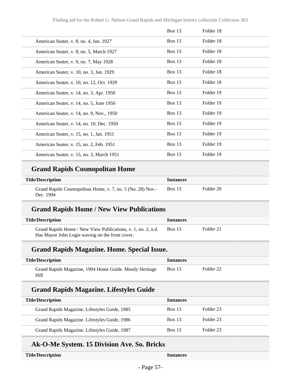|                                           | <b>Box 13</b> | Folder 18 |
|-------------------------------------------|---------------|-----------|
| American Seater, v. 8, no. 4, Jan. 1927   | <b>Box 13</b> | Folder 18 |
| American Seater, v. 8, no. 5, March 1927  | <b>Box 13</b> | Folder 18 |
| American Seater, v. 9, no. 7, May 1928    | <b>Box 13</b> | Folder 18 |
| American Seater, v. 10, no. 3, Jan. 1929  | <b>Box 13</b> | Folder 18 |
| American Seater, v. 10, no. 12, Oct. 1929 | <b>Box 13</b> | Folder 18 |
| American Seater, v. 14, no. 3, Apr. 1950  | Box $13$      | Folder 19 |
| American Seater, v. 14, no. 5, June 1950  | <b>Box 13</b> | Folder 19 |
| American Seater, v. 14, no. 9, Nov., 1950 | <b>Box 13</b> | Folder 19 |
| American Seater, v. 14, no. 10, Dec. 1950 | Box 13        | Folder 19 |
| American Seater, v. 15, no. 1, Jan. 1951  | <b>Box 13</b> | Folder 19 |
| American Seater, v. 15, no. 2, Feb. 1951  | Box $13$      | Folder 19 |
| American Seater, v. 15, no. 3, March 1951 | Box $13$      | Folder 19 |

## **Grand Rapids Cosmopolitan Home**

| <b>Title/Description</b>                                                | <i>Instances</i> |           |
|-------------------------------------------------------------------------|------------------|-----------|
| Grand Rapids Cosmopolitan Home, v. 7, no. 5 (No. 28) Nov.-<br>Dec. 1994 | <b>Box 13</b>    | Folder 20 |

### **Grand Rapids Home / New View Publications**

| <b>Title/Description</b>                                     | <i><u><b>Instances</b></u></i> |           |  |
|--------------------------------------------------------------|--------------------------------|-----------|--|
| Grand Rapids Home / New View Publications, v. 1, no. 2, n.d. | <b>Box 13</b>                  | Folder 21 |  |
| Has Mayor John Logie waving on the front cover.              |                                |           |  |

#### **Grand Rapids Magazine. Home. Special Issue.**

| <b>Title/Description</b>                                        | <b>Instances</b> |           |
|-----------------------------------------------------------------|------------------|-----------|
| Grand Rapids Magazine, 1994 Home Guide. Mostly Heritage<br>Hill | <b>Box 13</b>    | Folder 22 |

#### **Grand Rapids Magazine. Lifestyles Guide**

| <b>Title/Description</b>                      | <b>Instances</b> |           |
|-----------------------------------------------|------------------|-----------|
| Grand Rapids Magazine. Lifestyles Guide, 1985 | <b>Box 13</b>    | Folder 23 |
| Grand Rapids Magazine. Lifestyles Guide, 1986 | Box 13           | Folder 23 |
| Grand Rapids Magazine. Lifestyles Guide, 1987 | <b>Box 13</b>    | Folder 23 |

### **Ak-O-Me System. 15 Division Ave. So. Bricks**

| <b>Title/Description</b> | <b>Instances</b> |
|--------------------------|------------------|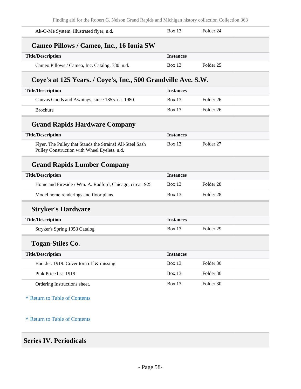Finding aid for the Robert G. Nelson Grand Rapids and Michigan history collection Collection 363

| and for the reducted, reducted crame reapplies and michigan mistory concertoir concertoir 500             |                  |                      |
|-----------------------------------------------------------------------------------------------------------|------------------|----------------------|
| Ak-O-Me System, Illustrated flyer, n.d.                                                                   | <b>Box 13</b>    | Folder 24            |
| Cameo Pillows / Cameo, Inc., 16 Ionia SW                                                                  |                  |                      |
| <b>Title/Description</b>                                                                                  | <b>Instances</b> |                      |
| Cameo Pillows / Cameo, Inc. Catalog. 780. n.d.                                                            | <b>Box 13</b>    | Folder <sub>25</sub> |
| Coye's at 125 Years. / Coye's, Inc., 500 Grandville Ave. S.W.                                             |                  |                      |
| <b>Title/Description</b>                                                                                  | <b>Instances</b> |                      |
| Canvas Goods and Awnings, since 1855. ca. 1980.                                                           | Box 13           | Folder <sub>26</sub> |
| <b>Brochure</b>                                                                                           | <b>Box 13</b>    | Folder <sub>26</sub> |
| <b>Grand Rapids Hardware Company</b>                                                                      |                  |                      |
| <b>Title/Description</b>                                                                                  | <b>Instances</b> |                      |
| Flyer. The Pulley that Stands the Strains! All-Steel Sash<br>Pulley Construction with Wheel Eyelets. n.d. | <b>Box 13</b>    | Folder <sub>27</sub> |
| <b>Grand Rapids Lumber Company</b>                                                                        |                  |                      |
| <b>Title/Description</b>                                                                                  | <b>Instances</b> |                      |
| Home and Fireside / Wm. A. Radford, Chicago, circa 1925                                                   | <b>Box 13</b>    | Folder <sub>28</sub> |
| Model home renderings and floor plans                                                                     | <b>Box 13</b>    | Folder <sub>28</sub> |
| <b>Stryker's Hardware</b>                                                                                 |                  |                      |
| <b>Title/Description</b>                                                                                  | <b>Instances</b> |                      |
| Stryker's Spring 1953 Catalog                                                                             | Box $13$         | Folder <sub>29</sub> |
| <b>Togan-Stiles Co.</b>                                                                                   |                  |                      |
| <b>Title/Description</b>                                                                                  | <b>Instances</b> |                      |
| Booklet. 1919. Cover torn off & missing.                                                                  | Box 13           | Folder 30            |
| Pink Price list. 1919                                                                                     | <b>Box 13</b>    | Folder 30            |
| Ordering Instructions sheet.                                                                              | Box 13           | Folder 30            |
| A Return to Table of Contents                                                                             |                  |                      |

**^** [Return to Table of Contents](#page-1-0)

### **Series IV. Periodicals**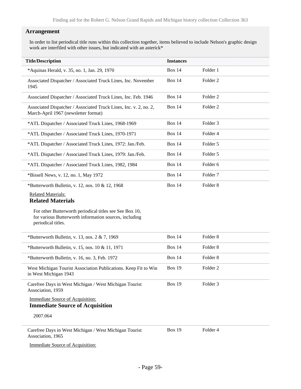#### **Arrangement**

In order to list periodical title runs within this collection together, items believed to include Nelson's graphic design work are interfiled with other issues, but indicated with an asterick\*

| <b>Title/Description</b>                                                                                                                | <b>Instances</b> |                     |
|-----------------------------------------------------------------------------------------------------------------------------------------|------------------|---------------------|
| *Aquinas Herald, v. 35, no. 1, Jan. 29, 1970                                                                                            | Box 14           | Folder 1            |
| Associated Dispatcher / Associated Truck Lines, Inc. November<br>1945                                                                   | <b>Box 14</b>    | Folder <sub>2</sub> |
| Associated Dispatcher / Associated Truck Lines, Inc. Feb. 1946                                                                          | Box 14           | Folder <sub>2</sub> |
| Associated Dispatcher / Associated Truck Lines, Inc. v. 2, no. 2,<br>March-April 1967 (newsletter format)                               | Box 14           | Folder <sub>2</sub> |
| *ATL Dispatcher / Associated Truck Lines, 1968-1969                                                                                     | <b>Box 14</b>    | Folder 3            |
| *ATL Dispatcher / Associated Truck Lines, 1970-1971                                                                                     | <b>Box 14</b>    | Folder 4            |
| *ATL Dispatcher / Associated Truck Lines, 1972: Jan./Feb.                                                                               | Box 14           | Folder 5            |
| *ATL Dispatcher / Associated Truck Lines, 1979: Jan./Feb.                                                                               | <b>Box 14</b>    | Folder 5            |
| *ATL Dispatcher / Associated Truck Lines, 1982, 1984                                                                                    | Box 14           | Folder 6            |
| *Bissell News, v. 12, no. 1, May 1972                                                                                                   | <b>Box 14</b>    | Folder <sub>7</sub> |
| *Butterworth Bulletin, v. 12, nos. 10 & 12, 1968                                                                                        | Box 14           | Folder <sub>8</sub> |
| <b>Related Materials:</b><br><b>Related Materials</b>                                                                                   |                  |                     |
| For other Butterworth periodical titles see See Box 10,<br>for various Butterworth information sources, including<br>periodical titles. |                  |                     |
| *Butterworth Bulletin, v. 13, nos. $2 \& 7$ , 1969                                                                                      | Box 14           | Folder <sub>8</sub> |
| *Butterworth Bulletin, v. 15, nos. 10 & 11, 1971                                                                                        | <b>Box 14</b>    | Folder <sub>8</sub> |
| *Butterworth Bulletin, v. 16, no. 3, Feb. 1972                                                                                          | <b>Box 14</b>    | Folder <sub>8</sub> |
| West Michigan Tourist Association Publications. Keep Fit to Win<br>in West Michigan 1943                                                | <b>Box 19</b>    | Folder <sub>2</sub> |
| Carefree Days in West Michigan / West Michigan Tourist<br>Association, 1959                                                             | <b>Box 19</b>    | Folder <sub>3</sub> |
| <b>Immediate Source of Acquisition:</b><br><b>Immediate Source of Acquisition</b>                                                       |                  |                     |
| 2007.064                                                                                                                                |                  |                     |
| Carefree Days in West Michigan / West Michigan Tourist<br>Association, 1965                                                             | <b>Box 19</b>    | Folder 4            |

Immediate Source of Acquisition: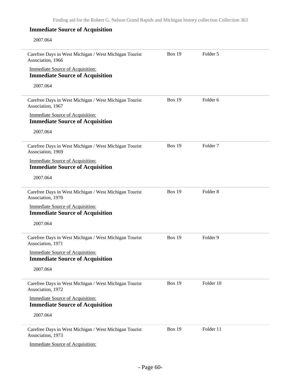2007.064

| Carefree Days in West Michigan / West Michigan Tourist<br>Association, 1966       | <b>Box 19</b> | Folder 5            |  |
|-----------------------------------------------------------------------------------|---------------|---------------------|--|
| <b>Immediate Source of Acquisition:</b>                                           |               |                     |  |
| <b>Immediate Source of Acquisition</b>                                            |               |                     |  |
| 2007.064                                                                          |               |                     |  |
| Carefree Days in West Michigan / West Michigan Tourist<br>Association, 1967       | <b>Box 19</b> | Folder <sub>6</sub> |  |
| <b>Immediate Source of Acquisition:</b><br><b>Immediate Source of Acquisition</b> |               |                     |  |
| 2007.064                                                                          |               |                     |  |
| Carefree Days in West Michigan / West Michigan Tourist<br>Association, 1969       | <b>Box 19</b> | Folder <sub>7</sub> |  |
| <b>Immediate Source of Acquisition:</b><br><b>Immediate Source of Acquisition</b> |               |                     |  |
| 2007.064                                                                          |               |                     |  |
| Carefree Days in West Michigan / West Michigan Tourist<br>Association, 1970       | <b>Box 19</b> | Folder <sub>8</sub> |  |
| <b>Immediate Source of Acquisition:</b>                                           |               |                     |  |
| <b>Immediate Source of Acquisition</b>                                            |               |                     |  |
| 2007.064                                                                          |               |                     |  |
| Carefree Days in West Michigan / West Michigan Tourist<br>Association, 1971       | <b>Box 19</b> | Folder 9            |  |
| <b>Immediate Source of Acquisition:</b><br><b>Immediate Source of Acquisition</b> |               |                     |  |
| 2007.064                                                                          |               |                     |  |
| Carefree Days in West Michigan / West Michigan Tourist<br>Association, 1972       | <b>Box 19</b> | Folder 10           |  |
| <b>Immediate Source of Acquisition:</b><br><b>Immediate Source of Acquisition</b> |               |                     |  |
| 2007.064                                                                          |               |                     |  |
| Carefree Days in West Michigan / West Michigan Tourist<br>Association, 1973       | <b>Box 19</b> | Folder 11           |  |
| <b>Immediate Source of Acquisition:</b>                                           |               |                     |  |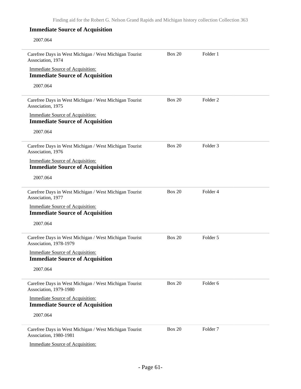#### 2007.064

| Carefree Days in West Michigan / West Michigan Tourist<br>Association, 1974       | <b>Box 20</b> | Folder 1            |  |
|-----------------------------------------------------------------------------------|---------------|---------------------|--|
| <b>Immediate Source of Acquisition:</b><br><b>Immediate Source of Acquisition</b> |               |                     |  |
| 2007.064                                                                          |               |                     |  |
| Carefree Days in West Michigan / West Michigan Tourist<br>Association, 1975       | <b>Box 20</b> | Folder <sub>2</sub> |  |
| <b>Immediate Source of Acquisition:</b><br><b>Immediate Source of Acquisition</b> |               |                     |  |
| 2007.064                                                                          |               |                     |  |
| Carefree Days in West Michigan / West Michigan Tourist<br>Association, 1976       | <b>Box 20</b> | Folder <sub>3</sub> |  |
| <b>Immediate Source of Acquisition:</b><br><b>Immediate Source of Acquisition</b> |               |                     |  |
| 2007.064                                                                          |               |                     |  |
| Carefree Days in West Michigan / West Michigan Tourist<br>Association, 1977       | <b>Box 20</b> | Folder 4            |  |
| <b>Immediate Source of Acquisition:</b>                                           |               |                     |  |
| <b>Immediate Source of Acquisition</b>                                            |               |                     |  |
| 2007.064                                                                          |               |                     |  |
| Carefree Days in West Michigan / West Michigan Tourist<br>Association, 1978-1979  | <b>Box 20</b> | Folder 5            |  |
| <b>Immediate Source of Acquisition:</b><br><b>Immediate Source of Acquisition</b> |               |                     |  |
| 2007.064                                                                          |               |                     |  |
| Carefree Days in West Michigan / West Michigan Tourist<br>Association, 1979-1980  | <b>Box 20</b> | Folder 6            |  |
| <b>Immediate Source of Acquisition:</b><br><b>Immediate Source of Acquisition</b> |               |                     |  |
| 2007.064                                                                          |               |                     |  |
| Carefree Days in West Michigan / West Michigan Tourist<br>Association, 1980-1981  | <b>Box 20</b> | Folder <sub>7</sub> |  |
| <b>Immediate Source of Acquisition:</b>                                           |               |                     |  |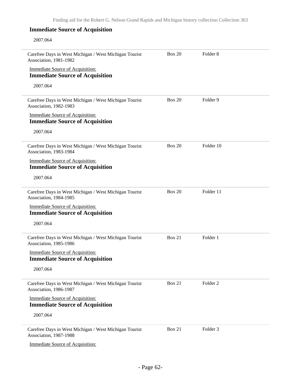#### 2007.064

| Carefree Days in West Michigan / West Michigan Tourist<br>Association, 1981-1982  | <b>Box 20</b> | Folder <sub>8</sub> |  |
|-----------------------------------------------------------------------------------|---------------|---------------------|--|
| <b>Immediate Source of Acquisition:</b><br><b>Immediate Source of Acquisition</b> |               |                     |  |
| 2007.064                                                                          |               |                     |  |
| Carefree Days in West Michigan / West Michigan Tourist<br>Association, 1982-1983  | <b>Box 20</b> | Folder 9            |  |
| <b>Immediate Source of Acquisition:</b><br><b>Immediate Source of Acquisition</b> |               |                     |  |
| 2007.064                                                                          |               |                     |  |
| Carefree Days in West Michigan / West Michigan Tourist<br>Association, 1983-1984  | <b>Box 20</b> | Folder 10           |  |
| <b>Immediate Source of Acquisition:</b><br><b>Immediate Source of Acquisition</b> |               |                     |  |
| 2007.064                                                                          |               |                     |  |
| Carefree Days in West Michigan / West Michigan Tourist<br>Association, 1984-1985  | <b>Box 20</b> | Folder 11           |  |
| <b>Immediate Source of Acquisition:</b>                                           |               |                     |  |
| <b>Immediate Source of Acquisition</b>                                            |               |                     |  |
| 2007.064                                                                          |               |                     |  |
| Carefree Days in West Michigan / West Michigan Tourist<br>Association, 1985-1986  | <b>Box 21</b> | Folder 1            |  |
| <b>Immediate Source of Acquisition:</b><br><b>Immediate Source of Acquisition</b> |               |                     |  |
| 2007.064                                                                          |               |                     |  |
| Carefree Days in West Michigan / West Michigan Tourist<br>Association, 1986-1987  | <b>Box 21</b> | Folder <sub>2</sub> |  |
| <b>Immediate Source of Acquisition:</b><br><b>Immediate Source of Acquisition</b> |               |                     |  |
| 2007.064                                                                          |               |                     |  |
| Carefree Days in West Michigan / West Michigan Tourist<br>Association, 1987-1988  | <b>Box 21</b> | Folder 3            |  |
| <b>Immediate Source of Acquisition:</b>                                           |               |                     |  |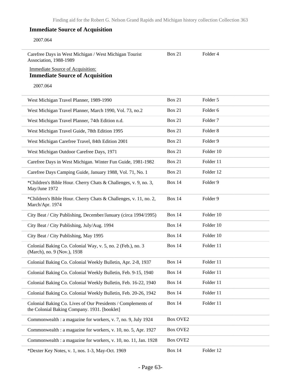#### 2007.064

| Carefree Days in West Michigan / West Michigan Tourist<br>Association, 1988-1989                             | <b>Box 21</b>   | Folder 4            |
|--------------------------------------------------------------------------------------------------------------|-----------------|---------------------|
| <b>Immediate Source of Acquisition:</b><br><b>Immediate Source of Acquisition</b>                            |                 |                     |
| 2007.064                                                                                                     |                 |                     |
| West Michigan Travel Planner, 1989-1990                                                                      | Box 21          | Folder 5            |
| West Michigan Travel Planner, March 1990, Vol. 73, no.2                                                      | Box 21          | Folder <sub>6</sub> |
| West Michigan Travel Planner, 74th Edition n.d.                                                              | <b>Box 21</b>   | Folder <sub>7</sub> |
| West Michigan Travel Guide, 78th Edition 1995                                                                | Box 21          | Folder <sub>8</sub> |
| West Michigan Carefree Travel, 84th Edition 2001                                                             | Box 21          | Folder 9            |
| West Michigan Outdoor Carefree Days, 1971                                                                    | <b>Box 21</b>   | Folder 10           |
| Carefree Days in West Michigan. Winter Fun Guide, 1981-1982                                                  | <b>Box 21</b>   | Folder 11           |
| Carefree Days Camping Guide, January 1988, Vol. 71, No. 1                                                    | <b>Box 21</b>   | Folder 12           |
| *Children's Bible Hour. Cherry Chats & Challenges, v. 9, no. 3,<br>May/June 1972                             | <b>Box 14</b>   | Folder 9            |
| *Children's Bible Hour. Cherry Chats & Challenges, v. 11, no. 2,<br>March/Apr. 1974                          | <b>Box 14</b>   | Folder 9            |
| City Beat / City Publishing, December/January (circa 1994/1995)                                              | <b>Box 14</b>   | Folder 10           |
| City Beat / City Publishing, July/Aug. 1994                                                                  | <b>Box 14</b>   | Folder 10           |
| City Beat / City Publishing, May 1995                                                                        | <b>Box 14</b>   | Folder 10           |
| Colonial Baking Co. Colonial Way, v. 5, no. 2 (Feb.), no. 3<br>(March), no. 9 (Nov.), 1938                   | <b>Box 14</b>   | Folder 11           |
| Colonial Baking Co. Colonial Weekly Bulletin, Apr. 2-8, 1937                                                 | <b>Box 14</b>   | Folder 11           |
| Colonial Baking Co. Colonial Weekly Bulletin, Feb. 9-15, 1940                                                | <b>Box 14</b>   | Folder 11           |
| Colonial Baking Co. Colonial Weekly Bulletin, Feb. 16-22, 1940                                               | <b>Box 14</b>   | Folder 11           |
| Colonial Baking Co. Colonial Weekly Bulletin, Feb. 20-26, 1942                                               | <b>Box 14</b>   | Folder 11           |
| Colonial Baking Co. Lives of Our Presidents / Complements of<br>the Colonial Baking Company. 1931. [booklet] | <b>Box 14</b>   | Folder 11           |
| Commonwealth : a magazine for workers, v. 7, no. 9, July 1924                                                | <b>Box OVE2</b> |                     |
| Commonwealth : a magazine for workers, v. 10, no. 5, Apr. 1927                                               | <b>Box OVE2</b> |                     |
| Commonwealth : a magazine for workers, v. 10, no. 11, Jan. 1928                                              | <b>Box OVE2</b> |                     |
| *Dexter Key Notes, v. 1, nos. 1-3, May-Oct. 1969                                                             | <b>Box 14</b>   | Folder 12           |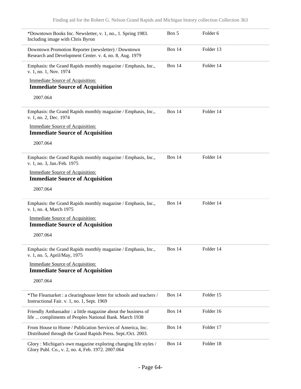| *Downtown Books Inc. Newsletter, v. 1, no., 1. Spring 1983.<br>Including image with Chris Byron                            | Box 5         | Folder 6  |  |
|----------------------------------------------------------------------------------------------------------------------------|---------------|-----------|--|
| Downtown Promotion Reporter (newsletter) / Downtown<br>Research and Development Center. v. 4, no. 8, Aug. 1979             | <b>Box 14</b> | Folder 13 |  |
| Emphasis: the Grand Rapids monthly magazine / Emphasis, Inc.,<br>v. 1, no. 1, Nov. 1974                                    | Box $14$      | Folder 14 |  |
| Immediate Source of Acquisition:                                                                                           |               |           |  |
| <b>Immediate Source of Acquisition</b>                                                                                     |               |           |  |
| 2007.064                                                                                                                   |               |           |  |
| Emphasis: the Grand Rapids monthly magazine / Emphasis, Inc.,<br>v. 1, no. 2, Dec. 1974                                    | <b>Box 14</b> | Folder 14 |  |
| Immediate Source of Acquisition:                                                                                           |               |           |  |
| <b>Immediate Source of Acquisition</b>                                                                                     |               |           |  |
| 2007.064                                                                                                                   |               |           |  |
| Emphasis: the Grand Rapids monthly magazine / Emphasis, Inc.,<br>v. 1, no. 3, Jan./Feb. 1975                               | <b>Box 14</b> | Folder 14 |  |
| Immediate Source of Acquisition:<br><b>Immediate Source of Acquisition</b>                                                 |               |           |  |
| 2007.064                                                                                                                   |               |           |  |
| Emphasis: the Grand Rapids monthly magazine / Emphasis, Inc.,<br>v. 1, no. 4, March 1975                                   | <b>Box 14</b> | Folder 14 |  |
| <b>Immediate Source of Acquisition:</b><br><b>Immediate Source of Acquisition</b>                                          |               |           |  |
| 2007.064                                                                                                                   |               |           |  |
| Emphasis: the Grand Rapids monthly magazine / Emphasis, Inc.,<br>v. 1, no. 5, April/May, 1975                              | <b>Box 14</b> | Folder 14 |  |
| <b>Immediate Source of Acquisition:</b><br><b>Immediate Source of Acquisition</b>                                          |               |           |  |
| 2007.064                                                                                                                   |               |           |  |
| *The Fleamarket : a clearinghouse letter for schools and teachers /<br>Instructional Fair. v. 1, no. 1, Sept. 1969         | <b>Box 14</b> | Folder 15 |  |
| Friendly Ambassador: a little magazine about the business of<br>life  compliments of Peoples National Bank. March 1938     | <b>Box 14</b> | Folder 16 |  |
| From House to Home / Publication Services of America, Inc.<br>Distributed through the Grand Rapids Press. Sept./Oct. 2003. | <b>Box 14</b> | Folder 17 |  |
| Glory: Michigan's own magazine exploring changing life styles /<br>Glory Publ. Co., v. 2, no. 4, Feb. 1972. 2007.064       | <b>Box 14</b> | Folder 18 |  |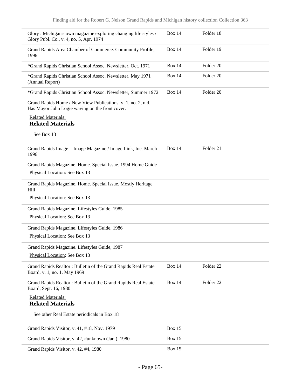| Glory: Michigan's own magazine exploring changing life styles /<br>Glory Publ. Co., v. 4, no. 5, Apr. 1974      | <b>Box 14</b> | Folder 18            |  |
|-----------------------------------------------------------------------------------------------------------------|---------------|----------------------|--|
| Grand Rapids Area Chamber of Commerce. Community Profile,<br>1996                                               | <b>Box 14</b> | Folder 19            |  |
| *Grand Rapids Christian School Assoc. Newsletter, Oct. 1971                                                     | <b>Box 14</b> | Folder 20            |  |
| *Grand Rapids Christian School Assoc. Newsletter, May 1971<br>(Annual Report)                                   | <b>Box 14</b> | Folder <sub>20</sub> |  |
| *Grand Rapids Christian School Assoc. Newsletter, Summer 1972                                                   | <b>Box 14</b> | Folder 20            |  |
| Grand Rapids Home / New View Publications. v. 1, no. 2, n.d.<br>Has Mayor John Logie waving on the front cover. |               |                      |  |
| <b>Related Materials:</b><br><b>Related Materials</b>                                                           |               |                      |  |
| See Box 13                                                                                                      |               |                      |  |
| Grand Rapids Image = Image Magazine / Image Link, Inc. March<br>1996                                            | <b>Box 14</b> | Folder 21            |  |
| Grand Rapids Magazine. Home. Special Issue. 1994 Home Guide                                                     |               |                      |  |
| Physical Location: See Box 13                                                                                   |               |                      |  |
| Grand Rapids Magazine. Home. Special Issue. Mostly Heritage<br>Hill                                             |               |                      |  |
| Physical Location: See Box 13                                                                                   |               |                      |  |
| Grand Rapids Magazine. Lifestyles Guide, 1985                                                                   |               |                      |  |
| Physical Location: See Box 13                                                                                   |               |                      |  |
| Grand Rapids Magazine. Lifestyles Guide, 1986                                                                   |               |                      |  |
| Physical Location: See Box 13                                                                                   |               |                      |  |
| Grand Rapids Magazine. Lifestyles Guide, 1987                                                                   |               |                      |  |
| Physical Location: See Box 13                                                                                   |               |                      |  |
| Grand Rapids Realtor: Bulletin of the Grand Rapids Real Estate<br>Board, v. 1, no. 1, May 1969                  | <b>Box 14</b> | Folder <sub>22</sub> |  |
| Grand Rapids Realtor: Bulletin of the Grand Rapids Real Estate<br>Board, Sept. 16, 1980                         | <b>Box 14</b> | Folder <sub>22</sub> |  |
| <b>Related Materials:</b>                                                                                       |               |                      |  |
| <b>Related Materials</b>                                                                                        |               |                      |  |
| See other Real Estate periodicals in Box 18                                                                     |               |                      |  |
| Grand Rapids Visitor, v. 41, #18, Nov. 1979                                                                     | <b>Box 15</b> |                      |  |
| Grand Rapids Visitor, v. 42, #unknown (Jan.), 1980                                                              | <b>Box 15</b> |                      |  |
| Grand Rapids Visitor, v. 42, #4, 1980                                                                           | <b>Box 15</b> |                      |  |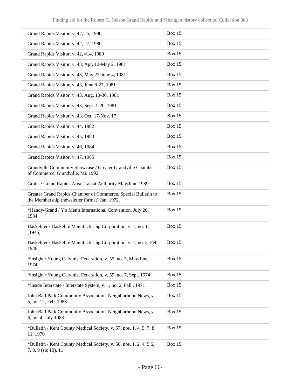| Grand Rapids Visitor, v. 42, #5, 1980                                                                          | <b>Box 15</b> |
|----------------------------------------------------------------------------------------------------------------|---------------|
| Grand Rapids Visitor, v. 42, #7, 1980                                                                          | <b>Box 15</b> |
| Grand Rapids Visitor, v. 42, #14, 1980                                                                         | <b>Box 15</b> |
| Grand Rapids Visitor, v. 43, Apr. 12-May 2, 1981                                                               | <b>Box 15</b> |
| Grand Rapids Visitor, v. 43, May 22-June 4, 1981                                                               | <b>Box 15</b> |
| Grand Rapids Visitor, v. 43, June 8-27, 1981                                                                   | <b>Box 15</b> |
| Grand Rapids Visitor, v. 43, Aug. 10-30, 1981                                                                  | <b>Box 15</b> |
| Grand Rapids Visitor, v. 43, Sept. 1-20, 1981                                                                  | <b>Box 15</b> |
| Grand Rapids Visitor, v. 43, Oct. 17-Nov. 17                                                                   | <b>Box 15</b> |
| Grand Rapids Visitor, v. 44, 1982                                                                              | <b>Box 15</b> |
| Grand Rapids Visitor, v. 45, 1983                                                                              | <b>Box 15</b> |
| Grand Rapids Visitor, v. 46, 1984                                                                              | <b>Box 15</b> |
| Grand Rapids Visitor, v. 47, 1985                                                                              | <b>Box 15</b> |
| Grandville Community Showcase / Greater Grandville Chamber<br>of Commerce, Grandville, Mi. 1992                | Box 15        |
| Gratis / Grand Rapids Area Transit Authority May/June 1989                                                     | <b>Box 15</b> |
| Greater Grand Rapids Chamber of Commerce. Special Bulletin to<br>the Membership (newsletter format) Jan. 1972. | <b>Box 15</b> |
| *Handy-Grand / Y's Men's International Convention. July 26,<br>1984                                            | <b>Box 15</b> |
| Haskeliter / Haskelite Manufacturing Corporation, v. 1, no. 1,<br>[1946]                                       | <b>Box 15</b> |
| Haskeliter / Haskelite Manufacturing Corporation, v. 1, no. 2, Feb.<br>1946                                    | <b>Box 15</b> |
| *Insight / Young Calvinist Federation, v. 55, no. 5, May/June<br>1974                                          | <b>Box 15</b> |
| *Insight / Young Calvinist Federation, v. 55, no. 7, Sept. 1974                                                | <b>Box 15</b> |
| *Inside Interstate / Interstate System, v. 1, no. 2, Fall., 1971                                               | <b>Box 15</b> |
| John Ball Park Community Association. Neighborhood News, v.<br>5, no. 12, Feb. 1983                            | <b>Box 15</b> |
| John Ball Park Community Association. Neighborhood News, v.<br>6, no. 4, July 1983                             | <b>Box 15</b> |
| *Bulletin / Kent County Medical Society, v. 57, nos. 1, 4, 5, 7, 8,<br>11, 1970                                | <b>Box 15</b> |
| *Bulletin / Kent County Medical Society, v. 58, nos. 1, 2, 4, 56,<br>7, 8, 9 (sic 10), 11                      | <b>Box 15</b> |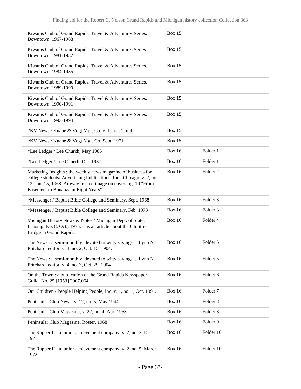| Kiwanis Club of Grand Rapids. Travel & Adventures Series.<br>Downtown. 1967-1968                                                                                                                                                               | <b>Box 15</b> |                     |
|------------------------------------------------------------------------------------------------------------------------------------------------------------------------------------------------------------------------------------------------|---------------|---------------------|
| Kiwanis Club of Grand Rapids. Travel & Adventures Series.<br>Downtown. 1981-1982                                                                                                                                                               | <b>Box 15</b> |                     |
| Kiwanis Club of Grand Rapids. Travel & Adventures Series.<br>Downtown. 1984-1985                                                                                                                                                               | <b>Box 15</b> |                     |
| Kiwanis Club of Grand Rapids. Travel & Adventures Series.<br>Downtown. 1989-1990                                                                                                                                                               | <b>Box 15</b> |                     |
| Kiwanis Club of Grand Rapids. Travel & Adventures Series.<br>Downtown. 1990-1991                                                                                                                                                               | <b>Box 15</b> |                     |
| Kiwanis Club of Grand Rapids. Travel & Adventures Series.<br>Downtown. 1993-1994                                                                                                                                                               | <b>Box 15</b> |                     |
| *KV News / Knape & Vogt Mgf. Co. v. 1, no., 1, n.d.                                                                                                                                                                                            | <b>Box 15</b> |                     |
| *KV News / Knape & Vogt Mgf. Co. Sept. 1971                                                                                                                                                                                                    | <b>Box 15</b> |                     |
| *Lee Ledger / Lee Church, May 1986                                                                                                                                                                                                             | <b>Box 16</b> | Folder 1            |
| *Lee Ledger / Lee Church, Oct. 1987                                                                                                                                                                                                            | <b>Box 16</b> | Folder 1            |
| Marketing Insights : the weekly news magazine of business for<br>college students/ Advertising Publications, Inc., Chicago. v. 2, no.<br>12, Jan. 15, 1968. Amway related image on cover. pg. 10 "From<br>Basement to Bonanza in Eight Years". | <b>Box 16</b> | Folder <sub>2</sub> |
| *Messenger / Baptist Bible College and Seminary, Sept. 1968                                                                                                                                                                                    | <b>Box 16</b> | Folder <sub>3</sub> |
| *Messenger / Baptist Bible College and Seminary, Feb. 1973                                                                                                                                                                                     | <b>Box 16</b> | Folder 3            |
| Michigan History News & Notes / Michigan Dept. of State,<br>Lansing. No. 8, Oct., 1975. Has an article about the 6th Street<br>Bridge in Grand Rapids.                                                                                         | <b>Box 16</b> | Folder 4            |
| The News : a semi-monthly, devoted to witty sayings  Lynn N.<br>Pritchard, editor. v. 4, no. 2, Oct. 15, 1904.                                                                                                                                 | <b>Box 16</b> | Folder 5            |
| The News : a semi-monthly, devoted to witty sayings  Lynn N.<br>Pritchard, editor. v. 4, no. 3, Oct. 29, 1904                                                                                                                                  | <b>Box 16</b> | Folder 5            |
| On the Town: a publication of the Grand Rapids Newspaper<br>Guild. No. 25 [1953] 2007.064                                                                                                                                                      | <b>Box 16</b> | Folder 6            |
| Our Children / People Helping People, Inc. v. 1, no. 1, Oct. 1991.                                                                                                                                                                             | <b>Box 16</b> | Folder <sub>7</sub> |
| Peninsular Club News, v. 12, no. 5, May 1944                                                                                                                                                                                                   | <b>Box 16</b> | Folder <sub>8</sub> |
| Peninsular Club Magazine, v. 22, no. 4, Apr. 1953                                                                                                                                                                                              | <b>Box 16</b> | Folder <sub>8</sub> |
| Peninsular Club Magazine. Roster, 1968                                                                                                                                                                                                         | <b>Box 16</b> | Folder 9            |
| The Rapper II : a junior achievement company, v. 2, no. 2, Dec.<br>1971                                                                                                                                                                        | <b>Box 16</b> | Folder 10           |
| The Rapper II : a junior achievement company, v. 2, no. 5, March<br>1972                                                                                                                                                                       | <b>Box 16</b> | Folder 10           |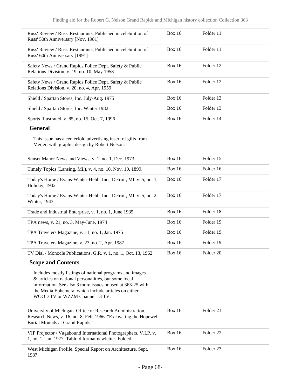| Russ' Review / Russ' Restaurants, Published in celebration of<br>Russ' 50th Anniversary [Nov. 1981]                                                                                                                                                                     | <b>Box 16</b> | Folder 11            |  |
|-------------------------------------------------------------------------------------------------------------------------------------------------------------------------------------------------------------------------------------------------------------------------|---------------|----------------------|--|
| Russ' Review / Russ' Restaurants, Published in celebration of<br>Russ' 60th Anniversary [1991]                                                                                                                                                                          | <b>Box 16</b> | Folder 11            |  |
| Safety News / Grand Rapids Police Dept. Safety & Public<br>Relations Division, v. 19, no. 10, May 1958                                                                                                                                                                  | <b>Box 16</b> | Folder 12            |  |
| Safety News / Grand Rapids Police Dept. Safety & Public<br>Relations Division, v. 20, no. 4, Apr. 1959                                                                                                                                                                  | <b>Box 16</b> | Folder 12            |  |
| Shield / Spartan Stores, Inc. July-Aug. 1975                                                                                                                                                                                                                            | <b>Box 16</b> | Folder 13            |  |
| Shield / Spartan Stores, Inc. Winter 1982                                                                                                                                                                                                                               | <b>Box 16</b> | Folder 13            |  |
| Sports Illustrated, v. 85, no. 15, Oct. 7, 1996                                                                                                                                                                                                                         | <b>Box 16</b> | Folder 14            |  |
| <b>General</b>                                                                                                                                                                                                                                                          |               |                      |  |
| This issue has a centerfold advertising insert of gifts from<br>Meijer, with graphic design by Robert Nelson.                                                                                                                                                           |               |                      |  |
| Sunset Manor News and Views, v. 1, no. 1, Dec. 1973                                                                                                                                                                                                                     | <b>Box 16</b> | Folder 15            |  |
| Timely Topics (Lansing, Mi.), v. 4, no. 10, Nov. 10, 1899.                                                                                                                                                                                                              | <b>Box 16</b> | Folder 16            |  |
| Today's Home / Evans-Winter-Hebb, Inc., Detroit, MI. v. 5, no. 1,<br>Holiday, 1942                                                                                                                                                                                      | <b>Box 16</b> | Folder 17            |  |
| Today's Home / Evans-Winter-Hebb, Inc., Detroit, MI. v. 5, no. 2,<br>Winter, 1943                                                                                                                                                                                       | <b>Box 16</b> | Folder 17            |  |
| Trade and Industrial Enterprise, v. 1, no. 1, June 1935                                                                                                                                                                                                                 | <b>Box 16</b> | Folder 18            |  |
| TPA news, v. 21, no. 3, May-June, 1974                                                                                                                                                                                                                                  | <b>Box 16</b> | Folder 19            |  |
| TPA Travelers Magazine, v. 11, no. 1, Jan. 1975                                                                                                                                                                                                                         | <b>Box 16</b> | Folder 19            |  |
| TPA Travelers Magazine, v. 23, no. 2, Apr. 1987                                                                                                                                                                                                                         | <b>Box 16</b> | Folder 19            |  |
| TV Dial / Monocle Publications, G.R. v. 1, no. 1, Oct. 13, 1962                                                                                                                                                                                                         | <b>Box 16</b> | Folder 20            |  |
| <b>Scope and Contents</b>                                                                                                                                                                                                                                               |               |                      |  |
| Includes mostly listings of national programs and images<br>& articles on national personalities, but some local<br>information. See also 3 more issues housed at 363-25 with<br>the Media Ephemera, which include articles on either<br>WOOD TV or WZZM Channel 13 TV. |               |                      |  |
| University of Michigan. Office of Research Administration.<br>Research News, v. 16, no. 8, Feb. 1966. "Excavating the Hopewell<br>Burial Mounds at Grand Rapids."                                                                                                       | <b>Box 16</b> | Folder 21            |  |
| VIP Projector / Vagabound International Photographers. V.I.P. v.<br>1, no. 1, Jan. 1977. Tabloid format newletter. Folded.                                                                                                                                              | <b>Box 16</b> | Folder <sub>22</sub> |  |
| West Michigan Profile. Special Report on Architecture. Sept.<br>1987                                                                                                                                                                                                    | <b>Box 16</b> | Folder <sub>23</sub> |  |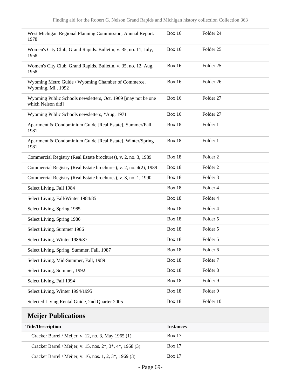| West Michigan Regional Planning Commission, Annual Report.<br>1978                 | <b>Box 16</b> | Folder 24           |
|------------------------------------------------------------------------------------|---------------|---------------------|
| Women's City Club, Grand Rapids. Bulletin, v. 35, no. 11, July,<br>1958            | <b>Box 16</b> | Folder 25           |
| Women's City Club, Grand Rapids. Bulletin, v. 35, no. 12, Aug.<br>1958             | <b>Box 16</b> | Folder 25           |
| Wyoming Metro Guide / Wyoming Chamber of Commerce,<br>Wyoming, Mi., 1992           | <b>Box 16</b> | Folder 26           |
| Wyoming Public Schools newsletters, Oct. 1969 [may not be one<br>which Nelson did] | <b>Box 16</b> | Folder 27           |
| Wyoming Public Schools newsletters, *Aug. 1971                                     | <b>Box 16</b> | Folder 27           |
| Apartment & Condominium Guide [Real Estate], Summer/Fall<br>1981                   | Box 18        | Folder 1            |
| Apartment & Condominium Guide [Real Estate], Winter/Spring<br>1981                 | Box 18        | Folder 1            |
| Commercial Registry (Real Estate brochures), v. 2, no. 3, 1989                     | <b>Box 18</b> | Folder <sub>2</sub> |
| Commercial Registry (Real Estate brochures), v. 2, no. 4(2), 1989                  | <b>Box 18</b> | Folder <sub>2</sub> |
| Commercial Registry (Real Estate brochures), v. 3, no. 1, 1990                     | Box 18        | Folder <sub>3</sub> |
| Select Living, Fall 1984                                                           | Box 18        | Folder 4            |
| Select Living, Fall/Winter 1984/85                                                 | Box 18        | Folder 4            |
| Select Living, Spring 1985                                                         | Box 18        | Folder 4            |
| Select Living, Spring 1986                                                         | Box 18        | Folder 5            |
| Select Living, Summer 1986                                                         | Box 18        | Folder 5            |
| Select Living, Winter 1986/87                                                      | Box 18        | Folder 5            |
| Select Living, Spring, Summer, Fall, 1987                                          | Box 18        | Folder 6            |
| Select Living, Mid-Summer, Fall, 1989                                              | <b>Box 18</b> | Folder <sub>7</sub> |
| Select Living, Summer, 1992                                                        | Box 18        | Folder <sub>8</sub> |
| Select Living, Fall 1994                                                           | <b>Box 18</b> | Folder 9            |
| Select Living, Winter 1994/1995                                                    | <b>Box 18</b> | Folder 9            |
| Selected Living Rental Guide, 2nd Quarter 2005                                     | <b>Box 18</b> | Folder 10           |
| Mojiar Publications                                                                |               |                     |

#### **Meijer Publications**

| <b>Title/Description</b>                                                                         | <b>Instances</b> |  |
|--------------------------------------------------------------------------------------------------|------------------|--|
| Cracker Barrel / Meijer, v. 12, no. 3, May 1965 (1)                                              | <b>Box 17</b>    |  |
| Cracker Barrel / Meijer, v. 15, nos. 2 <sup>*</sup> , 3 <sup>*</sup> , 4 <sup>*</sup> , 1968 (3) | <b>Box 17</b>    |  |
| Cracker Barrel / Meijer, v. 16, nos. 1, 2, 3 <sup>*</sup> , 1969 (3)                             | <b>Box 17</b>    |  |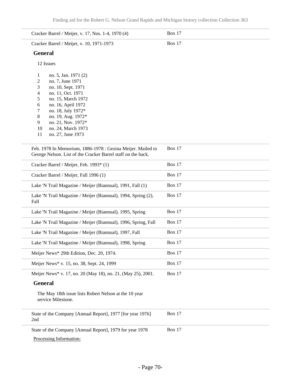| Cracker Barrel / Meijer, v. 17, Nos. 1-4, 1970 (4)                                                                                                                                                                                                                                                    | <b>Box 17</b> |
|-------------------------------------------------------------------------------------------------------------------------------------------------------------------------------------------------------------------------------------------------------------------------------------------------------|---------------|
| Cracker Barrel / Meijer, v. 10, 1971-1973                                                                                                                                                                                                                                                             | <b>Box 17</b> |
| <b>General</b>                                                                                                                                                                                                                                                                                        |               |
| 12 Issues                                                                                                                                                                                                                                                                                             |               |
| no. 5, Jan. 1971 (2)<br>1<br>2<br>no. 7, June 1971<br>3<br>no. 10, Sept. 1971<br>4<br>no. 11, Oct. 1971<br>5<br>no. 15, March 1972<br>6<br>no. 16, April 1972<br>no. 18, July 1972*<br>7<br>8<br>no. 19, Aug. 1972*<br>no. 21, Nov. 1972*<br>9<br>no. 24, March 1973<br>10<br>no. 27, June 1973<br>11 |               |
| Feb. 1978 In Memorium, 1886-1978 : Gezina Meijer. Mailed to<br>George Nelson. List of the Cracker Barrel staff on the back.                                                                                                                                                                           | <b>Box 17</b> |
| Cracker Barrel / Meijer, Feb. 1993* (1)                                                                                                                                                                                                                                                               | <b>Box 17</b> |
| Cracker Barrel / Meijer, Fall 1996 (1)                                                                                                                                                                                                                                                                | <b>Box 17</b> |
| Lake 'N Trail Magazine / Meijer (Biannual), 1991, Fall (1)                                                                                                                                                                                                                                            | <b>Box 17</b> |
| Lake 'N Trail Magazine / Meijer (Biannual), 1994, Spring (2),<br>Fall                                                                                                                                                                                                                                 | <b>Box 17</b> |
| Lake 'N Trail Magazine / Meijer (Biannual), 1995, Spring                                                                                                                                                                                                                                              | <b>Box 17</b> |
| Lake 'N Trail Magazine / Meijer (Biannual), 1996, Spring, Fall                                                                                                                                                                                                                                        | <b>Box 17</b> |
| Lake 'N Trail Magazine / Meijer (Biannual), 1997, Fall                                                                                                                                                                                                                                                | Box 17        |
| Lake 'N Trail Magazine / Meijer (Biannual), 1998, Spring                                                                                                                                                                                                                                              | <b>Box 17</b> |
| Meijer News* 29th Edition, Dec. 20, 1974.                                                                                                                                                                                                                                                             | Box 17        |
| Meijer News* v. 15, no. 38, Sept. 24, 1999                                                                                                                                                                                                                                                            | <b>Box 17</b> |
| Meijer News* v. 17, no. 20 (May 18), no. 21, (May 25), 2001.                                                                                                                                                                                                                                          | Box 17        |
| <b>General</b>                                                                                                                                                                                                                                                                                        |               |
| The May 18th issue lists Robert Nelson at the 10 year<br>service Milestone.                                                                                                                                                                                                                           |               |
| State of the Company [Annual Report], 1977 [for year 1976]<br>2nd                                                                                                                                                                                                                                     | <b>Box 17</b> |
| State of the Company [Annual Report], 1979 for year 1978                                                                                                                                                                                                                                              | <b>Box 17</b> |
| Processing Information:                                                                                                                                                                                                                                                                               |               |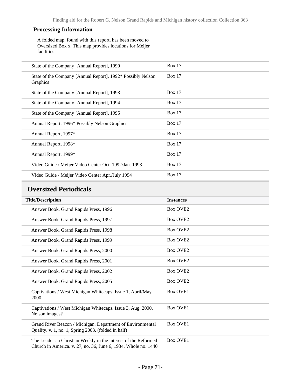#### **Processing Information**

A folded map, found with this report, has been moved to Oversized Box x. This map provides locations for Meijer facilities.

| State of the Company [Annual Report], 1990                              | <b>Box 17</b> |
|-------------------------------------------------------------------------|---------------|
| State of the Company [Annual Report], 1992* Possibly Nelson<br>Graphics | Box 17        |
| State of the Company [Annual Report], 1993                              | Box 17        |
| State of the Company [Annual Report], 1994                              | Box 17        |
| State of the Company [Annual Report], 1995                              | Box 17        |
| Annual Report, 1996* Possibly Nelson Graphics                           | Box 17        |
| Annual Report, 1997*                                                    | Box 17        |
| Annual Report, 1998*                                                    | Box $17$      |
| Annual Report, 1999*                                                    | Box 17        |
| Video Guide / Meijer Video Center Oct. 1992/Jan. 1993                   | Box 17        |
| Video Guide / Meijer Video Center Apr./July 1994                        | Box 17        |

#### **Oversized Periodicals**

| <b>Title/Description</b>                                                                                                         | <b>Instances</b>     |
|----------------------------------------------------------------------------------------------------------------------------------|----------------------|
| Answer Book. Grand Rapids Press, 1996                                                                                            | <b>Box OVE2</b>      |
| Answer Book. Grand Rapids Press, 1997                                                                                            | <b>Box OVE2</b>      |
| Answer Book. Grand Rapids Press, 1998                                                                                            | Box OVE <sub>2</sub> |
| Answer Book. Grand Rapids Press, 1999                                                                                            | <b>Box OVE2</b>      |
| Answer Book. Grand Rapids Press, 2000                                                                                            | <b>Box OVE2</b>      |
| Answer Book. Grand Rapids Press, 2001                                                                                            | Box OVE <sub>2</sub> |
| Answer Book. Grand Rapids Press, 2002                                                                                            | Box OVE <sub>2</sub> |
| Answer Book. Grand Rapids Press, 2005                                                                                            | <b>Box OVE2</b>      |
| Captivations / West Michigan Whitecaps. Issue 1, April/May<br>2000.                                                              | <b>Box OVE1</b>      |
| Captivations / West Michigan Whitecaps. Issue 3, Aug. 2000.<br>Nelson images?                                                    | <b>Box OVE1</b>      |
| Grand River Beacon / Michigan. Department of Environmental<br>Quality. v. 1, no. 1, Spring 2003. (folded in half)                | <b>Box OVE1</b>      |
| The Leader: a Christian Weekly in the interest of the Reformed<br>Church in America. v. 27, no. 36, June 6, 1934. Whole no. 1440 | <b>Box OVE1</b>      |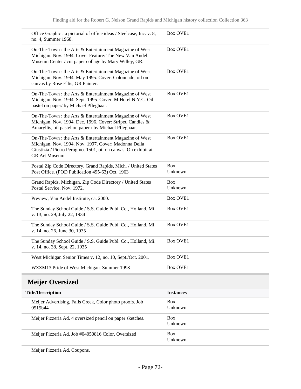| <b>Title/Description</b>                                                                                                                                                                             | <b>Instances</b>      |
|------------------------------------------------------------------------------------------------------------------------------------------------------------------------------------------------------|-----------------------|
| <b>Meijer Oversized</b>                                                                                                                                                                              |                       |
| WZZM13 Pride of West Michigan. Summer 1998                                                                                                                                                           | <b>Box OVE1</b>       |
| West Michigan Senior Times v. 12, no. 10, Sept./Oct. 2001.                                                                                                                                           | <b>Box OVE1</b>       |
| The Sunday School Guide / S.S. Guide Publ. Co., Holland, Mi.<br>v. 14, no. 38, Sept. 22, 1935                                                                                                        | <b>Box OVE1</b>       |
| The Sunday School Guide / S.S. Guide Publ. Co., Holland, Mi.<br>v. 14, no. 26, June 30, 1935                                                                                                         | <b>Box OVE1</b>       |
| The Sunday School Guide / S.S. Guide Publ. Co., Holland, Mi.<br>v. 13, no. 29, July 22, 1934                                                                                                         | <b>Box OVE1</b>       |
| Preview, Van Andel Institute, ca. 2000.                                                                                                                                                              | <b>Box OVE1</b>       |
| Grand Rapids, Michigan. Zip Code Directory / United States<br>Postal Service. Nov. 1972.                                                                                                             | <b>Box</b><br>Unknown |
| Postal Zip Code Directory, Grand Rapids, Mich. / United States<br>Post Office. (POD Publication 495-63) Oct. 1963                                                                                    | Box<br>Unknown        |
| On-The-Town : the Arts & Entertainment Magazine of West<br>Michigan. Nov. 1994. Nov. 1997. Cover: Madonna Della<br>Giustizia / Pietro Perugino. 1501, oil on canvas. On exhibit at<br>GR Art Museum. | <b>Box OVE1</b>       |
| On-The-Town : the Arts & Entertainment Magazine of West<br>Michigan. Nov. 1994. Dec. 1996. Cover: Striped Candles &<br>Amaryllis, oil pastel on paper / by Michael Pfleghaar.                        | <b>Box OVE1</b>       |
| On-The-Town : the Arts & Entertainment Magazine of West<br>Michigan. Nov. 1994. Sept. 1995. Cover: M Hotel N.Y.C. Oil<br>pastel on paper/ by Michael Pfleghaar.                                      | <b>Box OVE1</b>       |
| On-The-Town : the Arts & Entertainment Magazine of West<br>Michigan. Nov. 1994. May 1995. Cover: Colonnade, oil on<br>canvas by Rose Ellis, GR Painter.                                              | <b>Box OVE1</b>       |
| On-The-Town : the Arts & Entertainment Magazine of West<br>Michigan. Nov. 1994. Cover Feature: The New Van Andel<br>Museum Center / cut paper collage by Mary Willey, GR.                            | <b>Box OVE1</b>       |
| Office Graphic: a pictorial of office ideas / Steelcase, Inc. v. 8,<br>no. 4, Summer 1968.                                                                                                           | <b>Box OVE1</b>       |

| <i><u><b>Instances</b></u></i> |
|--------------------------------|
| <b>Box</b><br>Unknown          |
| <b>Box</b><br>Unknown          |
| <b>Box</b><br>Unknown          |
|                                |

Meijer Pizzeria Ad. Coupons.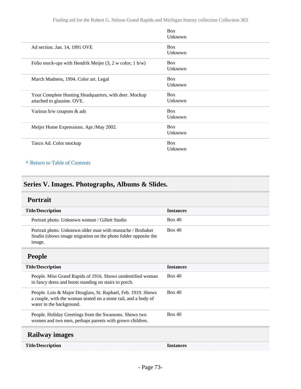|                                                                                     | <b>Box</b><br>Unknown |
|-------------------------------------------------------------------------------------|-----------------------|
| Ad section. Jan. 14, 1991 OVE                                                       | <b>Box</b><br>Unknown |
| Folio mock-ups with Hendrik Meijer $(3, 2 \text{ w color}; 1 \text{ b/w})$          | <b>Box</b><br>Unknown |
| March Madness, 1994. Color art. Legal                                               | <b>Box</b><br>Unknown |
| Your Complete Hunting Headquarters, with deer. Mockup<br>attached to glassine. OVE. | <b>Box</b><br>Unknown |
| Various $b/w$ coupons $\&$ ads                                                      | <b>Box</b><br>Unknown |
| Meijer Home Expressions. Apr./May 2002.                                             | <b>Box</b><br>Unknown |
| Tasco Ad. Color mockup                                                              | <b>Box</b><br>Unknown |

#### **^** [Return to Table of Contents](#page-1-0)

# **Series V. Images. Photographs, Albums & Slides.**

#### **Portrait**

| <b>Title/Description</b>                                                                                                                                   | <b>Instances</b> |
|------------------------------------------------------------------------------------------------------------------------------------------------------------|------------------|
| Portrait photo. Unknown woman / Gillett Studio                                                                                                             | Box 40           |
| Portrait photo. Unknown older man with mustache / Brubaker<br>Studio (shows image migration on the photo folder opposite the<br>image.                     | Box 40           |
| <b>People</b>                                                                                                                                              |                  |
| <b>Title/Description</b>                                                                                                                                   | <b>Instances</b> |
| People. Miss Grand Rapids of 1916. Shows unidentified woman<br>in fancy dress and boots standing on stairs to porch.                                       | Box 40           |
| People. Lois & Major Douglass, St. Raphael, Feb. 1919. Shows<br>a couple, with the woman seated on a stone rail, and a body of<br>water in the background. | Box 40           |
| People. Holiday Greetings from the Swansons. Shows two<br>women and two men, perhaps parents with grown children.                                          | Box 40           |
|                                                                                                                                                            |                  |

## **Railway images**

**Title/Description Instances**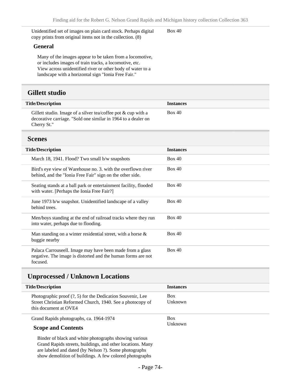Unidentified set of images on plain card stock. Perhaps digital copy prints from original items not in the collection. (8)

#### Box 40

#### **General**

Many of the images appear to be taken from a locomotive, or includes images of train tracks, a locomotive, etc. View across unidentified river or other body of water to a landscape with a horizontal sign "Ionia Free Fair."

#### **Gillett studio**

| <b>Title/Description</b>                                                                                                                         | <b>Instances</b> |
|--------------------------------------------------------------------------------------------------------------------------------------------------|------------------|
| Gillett studio. Image of a silver tea/coffee pot $\&$ cup with a<br>decorative carriage. "Sold one similar in 1964 to a dealer on<br>Cherry St." | Box 40           |

#### **Scenes**

| <b>Title/Description</b>                                                                                                              | <b>Instances</b> |
|---------------------------------------------------------------------------------------------------------------------------------------|------------------|
| March 18, 1941. Flood? Two small b/w snapshots                                                                                        | Box 40           |
| Bird's eye view of Warehouse no. 3. with the overflown river<br>behind, and the "Ionia Free Fair" sign on the other side.             | Box 40           |
| Seating stands at a ball park or entertainment facility, flooded<br>with water. [Perhaps the Ionia Free Fair?]                        | Box 40           |
| June 1973 b/w snapshot. Unidentified landscape of a valley<br>behind trees.                                                           | Box 40           |
| Men/boys standing at the end of railroad tracks where they run<br>into water, perhaps due to flooding.                                | Box 40           |
| Man standing on a winter residential street, with a horse $\&$<br>buggie nearby                                                       | Box 40           |
| Palaca Carrouseell. Image may have been made from a glass<br>negative. The image is distorted and the human forms are not<br>focused. | Box 40           |

#### **Unprocessed / Unknown Locations**

| <b>Title/Description</b>                                                                                                                            | <b>Instances</b>      |
|-----------------------------------------------------------------------------------------------------------------------------------------------------|-----------------------|
| Photographic proof $(?, 5)$ for the Dedication Souvenir, Lee<br>Street Christian Reformed Church, 1940. See a photocopy of<br>this document at OVE4 | <b>Box</b><br>Unknown |
| Grand Rapids photographs, ca. 1964-1974<br><b>Scope and Contents</b>                                                                                | <b>Box</b><br>Unknown |

Binder of black and white photographs showing various Grand Rapids streets, buildings, and other locations. Many are labeled and dated (by Nelson ?). Some photographs show demolition of buildings. A few colored photographs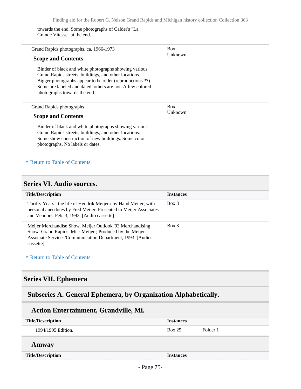towards the end. Some photographs of Calder's "La Grande Vitesse" at the end.

| Grand Rapids photographs, ca. 1966-1973<br><b>Scope and Contents</b>                                                                                                                                                                                                     | <b>Box</b><br>Unknown |
|--------------------------------------------------------------------------------------------------------------------------------------------------------------------------------------------------------------------------------------------------------------------------|-----------------------|
| Binder of black and white photographs showing various<br>Grand Rapids streets, buildings, and other locations.<br>Bigger photographs appear to be older (reproductions ??).<br>Some are labeled and dated, others are not. A few colored<br>photographs towards the end. |                       |
| Grand Rapids photographs                                                                                                                                                                                                                                                 | <b>Box</b><br>Unknown |
| <b>Scope and Contents</b><br>Binder of black and white photographs showing various<br>Grand Rapids streets, buildings, and other locations.<br>Some show construction of new buildings. Some color<br>photographs. No labels or dates.                                   |                       |
| A Return to Table of Contents                                                                                                                                                                                                                                            |                       |

#### **Series VI. Audio sources.**

| <b>Title/Description</b>                                                                                                                                                                        | <b>Instances</b> |
|-------------------------------------------------------------------------------------------------------------------------------------------------------------------------------------------------|------------------|
| Thrifty Years: the life of Hendrik Meijer / by Hand Meijer, with<br>personal anecdotes by Fred Meijer. Presented to Meijer Associates<br>and Vendors, Feb. 3, 1993. [Audio cassette]            | Box 3            |
| Meijer Merchandise Show. Meijer Outlook '93 Merchandising<br>Show. Grand Rapids, Mi.: Meijer; Produced by the Meijer<br>Associate Services/Communication Department, 1993. [Audio]<br>cassette] | Box 3            |

#### **^** [Return to Table of Contents](#page-1-0)

## **Series VII. Ephemera**

# **Subseries A. General Ephemera, by Organization Alphabetically.**

### **Action Entertainment, Grandville, Mi.**

| <b>Title/Description</b> | <b>Instances</b> |          |
|--------------------------|------------------|----------|
| 1994/1995 Edition.       | Box 25           | Folder 1 |
| Amway                    |                  |          |
| <b>Title/Description</b> | <b>Instances</b> |          |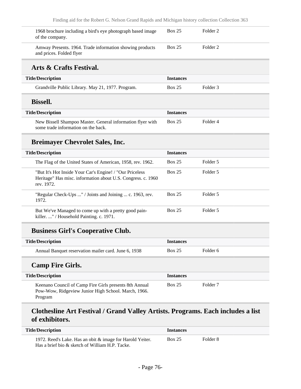| 1968 brochure including a bird's eye photograph based image<br>of the company.                                                          | Box 25           | Folder <sub>2</sub> |  |
|-----------------------------------------------------------------------------------------------------------------------------------------|------------------|---------------------|--|
| Amway Presents. 1964. Trade information showing products<br>and prices. Folded flyer                                                    | Box 25           | Folder <sub>2</sub> |  |
| Arts & Crafts Festival.                                                                                                                 |                  |                     |  |
| <b>Title/Description</b>                                                                                                                | <b>Instances</b> |                     |  |
| Grandville Public Library. May 21, 1977. Program.                                                                                       | <b>Box 25</b>    | Folder <sub>3</sub> |  |
| <b>Bissell.</b>                                                                                                                         |                  |                     |  |
| <b>Title/Description</b>                                                                                                                | <b>Instances</b> |                     |  |
| New Bissell Shampoo Master. General information flyer with<br>some trade information on the back.                                       | <b>Box 25</b>    | Folder <sub>4</sub> |  |
| <b>Breimayer Chevrolet Sales, Inc.</b>                                                                                                  |                  |                     |  |
| <b>Title/Description</b>                                                                                                                | <b>Instances</b> |                     |  |
| The Flag of the United States of American, 1958, rev. 1962.                                                                             | Box 25           | Folder 5            |  |
| "But It's Hot Inside Your Car's Engine! / "Our Priceless"<br>Heritage" Has misc. information about U.S. Congress. c. 1960<br>rev. 1972. | Box 25           | Folder 5            |  |
| "Regular Check-Ups " / Joints and Joining  c. 1963, rev.<br>1972.                                                                       | <b>Box 25</b>    | Folder 5            |  |
| But We've Managed to come up with a pretty good pain-<br>killer. " / Household Painting. c. 1971.                                       | <b>Box 25</b>    | Folder 5            |  |
| <b>Business Girl's Cooperative Club.</b>                                                                                                |                  |                     |  |
| <b>Title/Description</b>                                                                                                                | <b>Instances</b> |                     |  |
| Annual Banquet reservation mailer card. June 6, 1938                                                                                    | <b>Box 25</b>    | Folder <sub>6</sub> |  |
| <b>Camp Fire Girls.</b>                                                                                                                 |                  |                     |  |
| <b>Title/Description</b>                                                                                                                | <b>Instances</b> |                     |  |
| Keenano Council of Camp Fire Girls presents 8th Annual<br>Pow-Wow, Ridgeview Junior High School. March, 1966.<br>Program                | <b>Box 25</b>    | Folder <sub>7</sub> |  |

# **Clothesline Art Festival / Grand Valley Artists. Programs. Each includes a list of exhibitors.**

| <b>Title/Description</b>                                                                                     | <b>Instances</b> |          |
|--------------------------------------------------------------------------------------------------------------|------------------|----------|
| 1972. Reed's Lake. Has an obit & image for Harold Yeiter.<br>Has a brief bio & sketch of William H.P. Tacke. | <b>Box 25</b>    | Folder 8 |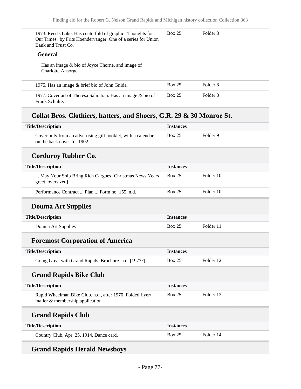| 1973. Reed's Lake. Has centerfold of graphic "Thoughts for<br>Our Times" by Frits Hoendervanger. One of a series for Union<br>Bank and Trust Co. | <b>Box 25</b>    | Folder <sub>8</sub> |
|--------------------------------------------------------------------------------------------------------------------------------------------------|------------------|---------------------|
| <b>General</b>                                                                                                                                   |                  |                     |
| Has an image $& bio of Joyce Thorne, and image of$<br>Charlotte Ansorge.                                                                         |                  |                     |
| 1975. Has an image & brief bio of John Gnida.                                                                                                    | <b>Box 25</b>    | Folder <sub>8</sub> |
| 1977. Cover art of Theresa Sahratian. Has an image & bio of<br>Frank Schulte.                                                                    | <b>Box 25</b>    | Folder <sub>8</sub> |
| Collat Bros. Clothiers, hatters, and Shoers, G.R. 29 & 30 Monroe St.                                                                             |                  |                     |
|                                                                                                                                                  | <b>Instances</b> |                     |
| Cover only from an advertising gift booklet, with a calendar<br>on the back cover for 1902.                                                      | <b>Box 25</b>    | Folder <sub>9</sub> |
| <b>Corduroy Rubber Co.</b>                                                                                                                       |                  |                     |
|                                                                                                                                                  | <b>Instances</b> |                     |
| May Your Ship Bring Rich Cargoes [Christmas News Years]<br>greet, oversized]                                                                     | <b>Box 25</b>    | Folder 10           |
| <b>Title/Description</b><br><b>Title/Description</b><br>Performance Contract  Plan  Form no. 155, n.d.                                           | <b>Box 25</b>    | Folder 10           |
| <b>Douma Art Supplies</b>                                                                                                                        |                  |                     |

| <b>Title/Description</b> | <i><u><b>Instances</b></u></i> |           |
|--------------------------|--------------------------------|-----------|
| Douma Art Supplies       | <b>Box 25</b>                  | Folder 11 |
|                          |                                |           |

# **Foremost Corporation of America**

| <b>Title/Description</b>                              | <i><u><b>Instances</b></u></i> |           |
|-------------------------------------------------------|--------------------------------|-----------|
| Going Great with Grand Rapids. Brochure. n.d. [1973?] | <b>Box 25</b>                  | Folder 12 |

# **Grand Rapids Bike Club**

I

| <b>Title/Description</b>                                                                      | <b>Instances</b> |           |  |
|-----------------------------------------------------------------------------------------------|------------------|-----------|--|
| Rapid Wheelman Bike Club. n.d., after 1970. Folded flyer/<br>mailer & membership application. | <b>Box 25</b>    | Folder 13 |  |
| <b>Grand Rapids Club</b>                                                                      |                  |           |  |
| <b>Title/Description</b>                                                                      | <b>Instances</b> |           |  |
| Country Club, Apr. 25, 1914. Dance card.                                                      | <b>Box 25</b>    | Folder 14 |  |

# **Grand Rapids Herald Newsboys**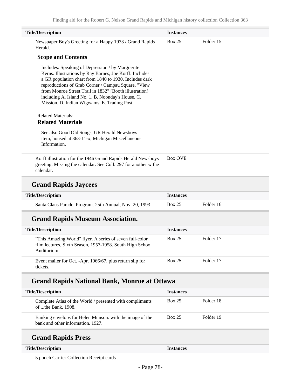| <b>Title/Description</b>                                                                                                                                                                                                                                                                                                                                                                    | <b>Instances</b> |           |  |
|---------------------------------------------------------------------------------------------------------------------------------------------------------------------------------------------------------------------------------------------------------------------------------------------------------------------------------------------------------------------------------------------|------------------|-----------|--|
| Newspaper Boy's Greeting for a Happy 1933 / Grand Rapids<br>Herald.                                                                                                                                                                                                                                                                                                                         | <b>Box 25</b>    | Folder 15 |  |
| <b>Scope and Contents</b>                                                                                                                                                                                                                                                                                                                                                                   |                  |           |  |
| Includes: Speaking of Depression / by Marguerite<br>Kerns. Illustrations by Ray Barnes, Joe Korff. Includes<br>a GR population chart from 1840 to 1930. Includes dark<br>reproductions of Grab Corner / Campau Square, "View<br>from Monroe Street Trail in 1832" [Booth illustration]<br>including A. Island No. 1. B. Noonday's House. C.<br>Mission. D. Indian Wigwams. E. Trading Post. |                  |           |  |
| <b>Related Materials:</b><br><b>Related Materials</b>                                                                                                                                                                                                                                                                                                                                       |                  |           |  |
| See also Good Old Songs, GR Herald Newsboys<br>item, housed at 363-11-x, Michigan Miscellaneous<br>Information.                                                                                                                                                                                                                                                                             |                  |           |  |
| Korff illustration for the 1946 Grand Rapids Herald Newsboys<br>greeting. Missing the calendar. See Coll. 297 for another w the<br>calendar.                                                                                                                                                                                                                                                | <b>Box OVE</b>   |           |  |
| <b>Grand Rapids Jaycees</b>                                                                                                                                                                                                                                                                                                                                                                 |                  |           |  |
| <b>Title/Description</b>                                                                                                                                                                                                                                                                                                                                                                    | <b>Instances</b> |           |  |
| Santa Claus Parade. Program. 25th Annual, Nov. 20, 1993                                                                                                                                                                                                                                                                                                                                     | <b>Box 25</b>    | Folder 16 |  |
| <b>Grand Rapids Museum Association.</b>                                                                                                                                                                                                                                                                                                                                                     |                  |           |  |
| <b>Title/Description</b>                                                                                                                                                                                                                                                                                                                                                                    | <b>Instances</b> |           |  |
| "This Amazing World" flyer. A series of seven full-color<br>film lectures, Sixth Season, 1957-1958. South High School<br>Auditorium.                                                                                                                                                                                                                                                        | <b>Box 25</b>    | Folder 17 |  |
| Event mailer for Oct. -Apr. 1966/67, plus return slip for<br>tickets.                                                                                                                                                                                                                                                                                                                       | <b>Box 25</b>    | Folder 17 |  |
| <b>Grand Rapids National Bank, Monroe at Ottawa</b>                                                                                                                                                                                                                                                                                                                                         |                  |           |  |
| <b>Title/Description</b>                                                                                                                                                                                                                                                                                                                                                                    | <b>Instances</b> |           |  |
| Complete Atlas of the World / presented with compliments<br>of the Bank. 1908.                                                                                                                                                                                                                                                                                                              | <b>Box 25</b>    | Folder 18 |  |
| Banking envelops for Helen Munson. with the image of the<br>bank and other information. 1927.                                                                                                                                                                                                                                                                                               | <b>Box 25</b>    | Folder 19 |  |

# **Grand Rapids Press**

#### **Title/Description Instances**

5 punch Carrier Collection Receipt cards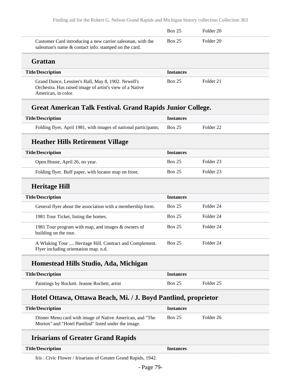|                                                                                                                                        | Box 25           | Folder 20 |  |
|----------------------------------------------------------------------------------------------------------------------------------------|------------------|-----------|--|
| Customer Card introducing a new carrier salesman, with the<br>salesman's name & contact info. stamped on the card.                     | Box 25           | Folder 20 |  |
| Grattan                                                                                                                                |                  |           |  |
| <b>Title/Description</b>                                                                                                               | <b>Instances</b> |           |  |
| Grand Dance, Lessiter's Hall, May 8, 1902. Newell's<br>Orchestra. Has raised image of artist's view of a Native<br>American, in color. | Box 25           | Folder 21 |  |

### **Great American Talk Festival. Grand Rapids Junior College.**

| <b>Title/Description</b>                                                | <b>Instances</b> |           |
|-------------------------------------------------------------------------|------------------|-----------|
| Folding flyer, April 1981, with images of national participants. Box 25 |                  | Folder 22 |

## **Heather Hills Retirement Village**

| <b>Title/Description</b>                              | <b>Instances</b> |           |
|-------------------------------------------------------|------------------|-----------|
| Open House, April 26, no year.                        | <b>Box 25</b>    | Folder 23 |
| Folding flyer. Buff paper, with locator map on front. | <b>Box 25</b>    | Folder 23 |

### **Heritage Hill**

| <b>Title/Description</b>                                                                         | <b>Instances</b> |           |
|--------------------------------------------------------------------------------------------------|------------------|-----------|
| General flyer about the association with a membership form.                                      | <b>Box 25</b>    | Folder 24 |
| 1981 Tour Ticket, listing the homes.                                                             | <b>Box 25</b>    | Folder 24 |
| 1981 Tour program with map, and images & owners of<br>building on the tour.                      | <b>Box 25</b>    | Folder 24 |
| A Wlaking Tour  Heritage Hill. Contract and Complement.<br>Flyer including orientation map. n.d. | <b>Box 25</b>    | Folder 24 |

## **Homestead Hills Studio, Ada, Michigan**

| <b>Title/Description</b>                     | <i><u><b>Instances</b></u></i> |           |
|----------------------------------------------|--------------------------------|-----------|
| Paintings by Rockett. Jeanne Rochett, artist | <b>Box 25</b>                  | Folder 25 |

### **Hotel Ottawa, Ottawa Beach, Mi. / J. Boyd Pantlind, proprietor**

| <b>Title/Description</b>                                 | <b>Instances</b> |           |
|----------------------------------------------------------|------------------|-----------|
| Dinner Menu card with image of Native American, and "The | Box 25           | Folder 26 |
| Morton" and "Hotel Pantlind" listed under the image.     |                  |           |

## **Irisarians of Greater Grand Rapids**

#### **Title/Description Instances**

Iris : Civic Flower / Irisarians of Greater Grand Rapids, 1942.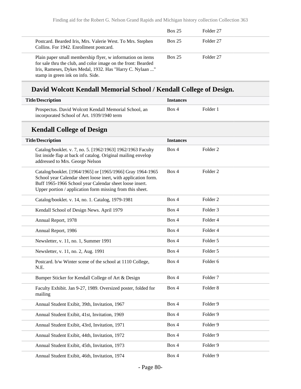|                                                                                                                                                                                                                              | <b>Box 25</b> | Folder 27 |  |
|------------------------------------------------------------------------------------------------------------------------------------------------------------------------------------------------------------------------------|---------------|-----------|--|
| Postcard. Bearded Iris, Mrs. Valerie West. To Mrs. Stephen<br>Collins. For 1942. Enrollment postcard.                                                                                                                        | <b>Box 25</b> | Folder 27 |  |
| Plain paper small membership flyer, w information on items<br>for sale thru the club, and color image on the front: Bearded<br>Iris, Rameses, Dykes Medal, 1932. Has "Harry C. Nylaan "<br>stamp in green ink on info. Side. | <b>Box 25</b> | Folder 27 |  |

# **David Wolcott Kendall Memorial School / Kendall College of Design.**

| <b>Title/Description</b>                                                                                                                                                                                                                             | <b>Instances</b> |                     |  |
|------------------------------------------------------------------------------------------------------------------------------------------------------------------------------------------------------------------------------------------------------|------------------|---------------------|--|
| Prospectus. David Wolcott Kendall Memorial School, an<br>incorporated School of Art. 1939/1940 term                                                                                                                                                  | Box 4            | Folder 1            |  |
| <b>Kendall College of Design</b>                                                                                                                                                                                                                     |                  |                     |  |
| <b>Title/Description</b>                                                                                                                                                                                                                             | <b>Instances</b> |                     |  |
| Catalog/booklet. v. 7, no. 5. [1962/1963] 1962/1963 Faculty<br>list inside flap at back of catalog. Original mailing envelop<br>addressed to Mrs. George Nelson                                                                                      | Box 4            | Folder 2            |  |
| Catalog/booklet. [1964/1965] or [1965/1966] Gray 1964-1965<br>School year Calendar sheet loose inert, with application form.<br>Buff 1965-1966 School year Calendar sheet loose insert.<br>Upper portion / application form missing from this sheet. | Box 4            | Folder 2            |  |
| Catalog/booklet. v. 14, no. 1. Catalog, 1979-1981                                                                                                                                                                                                    | Box 4            | Folder <sub>2</sub> |  |
| Kendall School of Design News. April 1979                                                                                                                                                                                                            | Box 4            | Folder 3            |  |
| Annual Report, 1978                                                                                                                                                                                                                                  | Box 4            | Folder 4            |  |
| Annual Report, 1986                                                                                                                                                                                                                                  | Box 4            | Folder 4            |  |
| Newsletter, v. 11, no. 1, Summer 1991                                                                                                                                                                                                                | Box 4            | Folder 5            |  |
| Newsletter, v. 11, no. 2, Aug. 1991                                                                                                                                                                                                                  | Box 4            | Folder 5            |  |
| Postcard. b/w Winter scene of the school at 1110 College,<br>N.E.                                                                                                                                                                                    | Box 4            | Folder 6            |  |
| Bumper Sticker for Kendall College of Art & Design                                                                                                                                                                                                   | Box 4            | Folder <sub>7</sub> |  |
| Faculty Exhibit. Jan 9-27, 1989. Oversized poster, folded for<br>mailing                                                                                                                                                                             | Box 4            | Folder <sub>8</sub> |  |
| Annual Student Exibit, 39th, Invitation, 1967                                                                                                                                                                                                        | Box 4            | Folder 9            |  |
| Annual Student Exibit, 41st, Invitation, 1969                                                                                                                                                                                                        | Box 4            | Folder 9            |  |
| Annual Student Exibit, 43rd, Invitation, 1971                                                                                                                                                                                                        | Box 4            | Folder 9            |  |
| Annual Student Exibit, 44th, Invitation, 1972                                                                                                                                                                                                        | Box 4            | Folder 9            |  |
| Annual Student Exibit, 45th, Invitation, 1973                                                                                                                                                                                                        | Box 4            | Folder 9            |  |
| Annual Student Exibit, 46th, Invitation, 1974                                                                                                                                                                                                        | Box 4            | Folder 9            |  |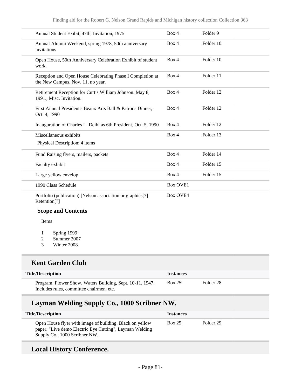| Annual Student Exibit, 47th, Invitation, 1975                                                   | Box 4           | Folder <sub>9</sub> |
|-------------------------------------------------------------------------------------------------|-----------------|---------------------|
| Annual Alumni Weekend, spring 1978, 50th anniversary<br>invitations                             | Box 4           | Folder 10           |
| Open House, 50th Anniversary Celebration Exhibit of student<br>work.                            | Box 4           | Folder 10           |
| Reception and Open House Celebrating Phase I Completion at<br>the New Campus, Nov. 11, no year. | Box 4           | Folder 11           |
| Retirement Reception for Curtis William Johnson. May 8,<br>1991., Misc. Invitation.             | Box 4           | Folder 12           |
| First Annual President's Beaux Arts Ball & Patrons Dinner,<br>Oct. 4, 1990                      | Box 4           | Folder 12           |
| Inauguration of Charles L. Deihl as 6th President, Oct. 5, 1990                                 | Box 4           | Folder 12           |
| Miscellaneous exhibits                                                                          | Box 4           | Folder 13           |
| Physical Description: 4 items                                                                   |                 |                     |
| Fund Raising flyers, mailers, packets                                                           | Box 4           | Folder 14           |
| Faculty exhibit                                                                                 | Box 4           | Folder 15           |
| Large yellow envelop                                                                            | Box 4           | Folder 15           |
| 1990 Class Schedule                                                                             | <b>Box OVE1</b> |                     |
| Portfolio (publication) [Nelson association or graphics[?]<br>Retention <sup>[?]</sup>          | <b>Box OVE4</b> |                     |
| <b>Scope and Contents</b>                                                                       |                 |                     |

Items

- 1 Spring 1999
- 2 Summer 2007
- 3 Winter 2008

### **Kent Garden Club**

| <b>Title/Description</b>                                                                              | <i>Instances</i> |           |
|-------------------------------------------------------------------------------------------------------|------------------|-----------|
| Program. Flower Show. Waters Building, Sept. 10-11, 1947.<br>Includes rules, committee chairmen, etc. | Box 25           | Folder 28 |

## **Layman Welding Supply Co., 1000 Scribner NW.**

| <b>Title/Description</b>                                                                                                                             | <b>Instances</b> |           |
|------------------------------------------------------------------------------------------------------------------------------------------------------|------------------|-----------|
| Open House flyer with image of building. Black on yellow<br>paper. "Live demo Electric Eye Cutting", Layman Welding<br>Supply Co., 1000 Scribner NW. | <b>Box 25</b>    | Folder 29 |

## **Local History Conference.**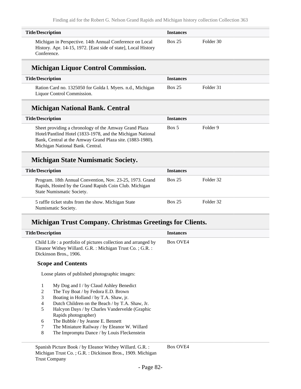| <b>Title/Description</b>                                                                                                                  | <i><u><b>Instances</b></u></i> |           |
|-------------------------------------------------------------------------------------------------------------------------------------------|--------------------------------|-----------|
| Michigan in Perspective. 14th Annual Conference on Local<br>History. Apr. 14-15, 1972. [East side of state], Local History<br>Conference. | <b>Box 25</b>                  | Folder 30 |

## **Michigan Liquor Control Commission.**

| <b>Title/Description</b>                                   | <b>Instances</b> |           |  |
|------------------------------------------------------------|------------------|-----------|--|
| Ration Card no. 1325050 for Golda I. Myers. n.d., Michigan | <b>Box 25</b>    | Folder 31 |  |
| Liquor Control Commission.                                 |                  |           |  |

### **Michigan National Bank. Central**

| <b>Title/Description</b>                                                                                                                                                                                             | <b>Instances</b> |          |
|----------------------------------------------------------------------------------------------------------------------------------------------------------------------------------------------------------------------|------------------|----------|
| Sheet providing a chronology of the Amway Grand Plaza<br>Hotel/Pantlind Hotel (1833-1978, and the Michigan National<br>Bank, Central at the Amway Grand Plaza site. (1883-1980).<br>Michigan National Bank. Central. | Box 5            | Folder 9 |

## **Michigan State Numismatic Society.**

| <b>Title/Description</b>                                                                                                                        | <b>Instances</b> |           |
|-------------------------------------------------------------------------------------------------------------------------------------------------|------------------|-----------|
| Program. 18th Annual Convention, Nov. 23-25, 1973. Grand<br>Rapids, Hosted by the Grand Rapids Coin Club. Michigan<br>State Numismatic Society. | <b>Box 25</b>    | Folder 32 |
| 5 raffle ticket stubs from the show. Michigan State<br>Numismatic Society.                                                                      | <b>Box 25</b>    | Folder 32 |

## **Michigan Trust Company. Christmas Greetings for Clients.**

| <b>Title/Description</b> |                                                                                                                                                         | <b>Instances</b> |
|--------------------------|---------------------------------------------------------------------------------------------------------------------------------------------------------|------------------|
|                          | Child Life : a portfolio of pictures collection and arranged by<br>Eleanor Withey Willard. G.R. : Michigan Trust Co. ; G.R. :<br>Dickinson Bros., 1906. | <b>Box OVE4</b>  |
|                          | <b>Scope and Contents</b>                                                                                                                               |                  |
|                          | Loose plates of published photographic images:                                                                                                          |                  |
| 1                        | $My$ Dog and I / by Claud Ashley Benedict                                                                                                               |                  |
| 2                        | The Toy Boat / by Fedora E.D. Brown                                                                                                                     |                  |
| 3                        | Boating in Holland / by T.A. Shaw, jr.                                                                                                                  |                  |
| 4                        | Dutch Children on the Beach / by T.A. Shaw, Jr.                                                                                                         |                  |
| 5                        | Halcyon Days / by Charles Vandervelde (Graphic                                                                                                          |                  |
|                          | Rapids photographer)                                                                                                                                    |                  |
| 6                        | The Bubble / by Jeanne E. Bennett                                                                                                                       |                  |
| 7                        | The Miniature Railway / by Eleanor W. Willard                                                                                                           |                  |
| 8                        | The Impromptu Dance / by Louis Fleckenstein                                                                                                             |                  |

Box OVE4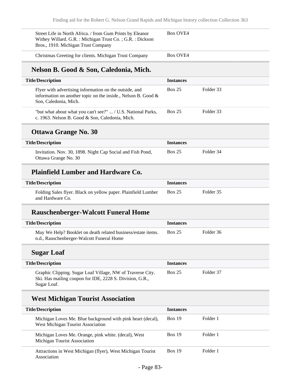| Street Life in North Africa. / from Gum Prints by Eleanor<br>Withey Willard. G.R. : Michigan Trust Co. ; G.R. : Dickson<br>Bros., 1910. Michigan Trust Company | Box OVE4 |
|----------------------------------------------------------------------------------------------------------------------------------------------------------------|----------|
| Christmas Greeting for clients. Michigan Trust Company                                                                                                         | Box OVE4 |

# **Nelson B. Good & Son, Caledonia, Mich.**

| <b>Title/Description</b>                                                                                                                            | <b>Instances</b> |           |
|-----------------------------------------------------------------------------------------------------------------------------------------------------|------------------|-----------|
| Flyer with advertising information on the outside, and<br>information on another topic on the inside., Nelson B. Good $\&$<br>Son, Caledonia, Mich. | <b>Box 25</b>    | Folder 33 |
| "but what about what you can't see?"  / U.S. National Parks,<br>c. 1963. Nelson B. Good & Son, Caledonia, Mich.                                     | <b>Box 25</b>    | Folder 33 |

#### **Ottawa Grange No. 30**

| <b>Title/Description</b>                                   | <b>Instances</b> |           |
|------------------------------------------------------------|------------------|-----------|
| Invitation. Nov. 30, 1898. Night Cap Social and Fish Pond, | <b>Box 25</b>    | Folder 34 |
| Ottawa Grange No. 30                                       |                  |           |

## **Plainfield Lumber and Hardware Co.**

| <b>Title/Description</b>                                                          | <i><u><b>Instances</b></u></i> |           |
|-----------------------------------------------------------------------------------|--------------------------------|-----------|
| Folding Sales flyer. Black on yellow paper. Plainfield Lumber<br>and Hardware Co. | <b>Box 25</b>                  | Folder 35 |

### **Rauschenberger-Walcott Funeral Home**

| <b>Title/Description</b>                                                                                  | <b>Instances</b> |           |
|-----------------------------------------------------------------------------------------------------------|------------------|-----------|
| May We Help? Booklet on death related business/estate items.<br>n.d., Rauschenberger-Walcott Funeral Home | <b>Box 25</b>    | Folder 36 |

## **Sugar Loaf**

| <b>Title/Description</b>                                                                                                              | <b>Instances</b> |           |
|---------------------------------------------------------------------------------------------------------------------------------------|------------------|-----------|
| Graphic Clipping. Sugar Loaf Village, NW of Traverse City.<br>Ski. Has mailing coupon for IDE, 2228 S. Division, G.R.,<br>Sugar Loaf. | <b>Box 25</b>    | Folder 37 |

## **West Michigan Tourist Association**

| <b>Title/Description</b>                                                                         | <b>Instances</b> |          |
|--------------------------------------------------------------------------------------------------|------------------|----------|
| Michigan Loves Me. Blue background with pink heart (decal),<br>West Michigan Tourist Association | <b>Box 19</b>    | Folder 1 |
| Michigan Loves Me. Orange, pink white. (decal), West<br>Michigan Tourist Association             | Box 19           | Folder 1 |
| Attractions in West Michigan (flyer), West Michigan Tourist<br>Association                       | Box 19           | Folder 1 |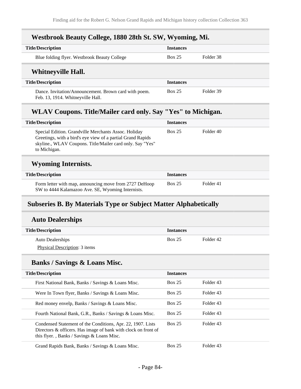## **Westbrook Beauty College, 1880 28th St. SW, Wyoming, Mi.**

| <b>Title/Description</b>                                                                   | <b>Instances</b> |           |
|--------------------------------------------------------------------------------------------|------------------|-----------|
| Blue folding flyer. Westbrook Beauty College                                               | <b>Box 25</b>    | Folder 38 |
| <b>Whitneyville Hall.</b>                                                                  |                  |           |
| <b>Title/Description</b>                                                                   | <b>Instances</b> |           |
| Dance. Invitation/Announcement. Brown card with poem.<br>Feb. 13, 1914. Whitneyville Hall. | <b>Box 25</b>    | Folder 39 |

## **WLAV Coupons. Title/Mailer card only. Say "Yes" to Michigan.**

| <b>Title/Description</b>                                                                                                                                                                         | <b>Instances</b> |           |  |
|--------------------------------------------------------------------------------------------------------------------------------------------------------------------------------------------------|------------------|-----------|--|
| Special Edition. Grandville Merchants Assoc. Holiday<br>Greetings, with a bird's eye view of a partial Grand Rapids<br>skyline., WLAV Coupons. Title/Mailer card only. Say "Yes"<br>to Michigan. | <b>Box 25</b>    | Folder 40 |  |
|                                                                                                                                                                                                  |                  |           |  |
|                                                                                                                                                                                                  |                  |           |  |

## **Wyoming Internists.**

| <b>Title/Description</b>                                                                                    | <i><u><b>Instances</b></u></i> |           |
|-------------------------------------------------------------------------------------------------------------|--------------------------------|-----------|
| Form letter with map, announcing move from 2727 DeHoop<br>SW to 4444 Kalamazoo Ave. SE, Wyoming Internists. | <b>Box 25</b>                  | Folder 41 |

# **Subseries B. By Materials Type or Subject Matter Alphabetically**

#### **Auto Dealerships**

| <b>Title/Description</b>             | <b>Instances</b> |           |  |
|--------------------------------------|------------------|-----------|--|
| <b>Auto Dealerships</b>              | <b>Box 25</b>    | Folder 42 |  |
| <b>Physical Description: 3 items</b> |                  |           |  |

#### **Banks / Savings & Loans Misc.**

| <b>Title/Description</b>                                                                                                                                                      | <b>Instances</b> |           |
|-------------------------------------------------------------------------------------------------------------------------------------------------------------------------------|------------------|-----------|
| First National Bank, Banks / Savings & Loans Misc.                                                                                                                            | <b>Box 25</b>    | Folder 43 |
| Were In Town flyer, Banks / Savings & Loans Misc.                                                                                                                             | <b>Box 25</b>    | Folder 43 |
| Red money envelp, Banks / Savings & Loans Misc.                                                                                                                               | <b>Box 25</b>    | Folder 43 |
| Fourth National Bank, G.R., Banks / Savings & Loans Misc.                                                                                                                     | <b>Box 25</b>    | Folder 43 |
| Condensed Statement of the Conditions, Apr. 22, 1907. Lists<br>Directors & officers. Has image of bank with clock on front of<br>this flyer., Banks / Savings $&$ Loans Misc. | <b>Box 25</b>    | Folder 43 |
| Grand Rapids Bank, Banks / Savings & Loans Misc.                                                                                                                              | <b>Box 25</b>    | Folder 43 |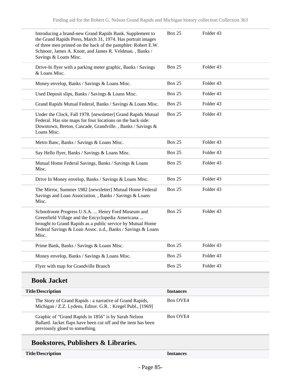| Introducing a brand-new Grand Rapids Bank. Supplement to<br>the Grand Rapids Press, March 31, 1974. Has portrait images<br>of three men printed on the back of the pamphlet: Robert E.W.<br>Schnoor, James A. Knott, and James R. Veldman., Banks /<br>Savings & Loans Misc. | <b>Box 25</b>    | Folder 43 |
|------------------------------------------------------------------------------------------------------------------------------------------------------------------------------------------------------------------------------------------------------------------------------|------------------|-----------|
| Drive-In flyer with a parking meter graphic, Banks / Savings<br>& Loans Misc.                                                                                                                                                                                                | <b>Box 25</b>    | Folder 43 |
| Money envelop, Banks / Savings & Loans Misc.                                                                                                                                                                                                                                 | <b>Box 25</b>    | Folder 43 |
| Used Deposit slips, Banks / Savings & Loans Misc.                                                                                                                                                                                                                            | <b>Box 25</b>    | Folder 43 |
| Grand Rapids Mutual Federal, Banks / Savings & Loans Misc.                                                                                                                                                                                                                   | <b>Box 25</b>    | Folder 43 |
| Under the Clock, Fall 1978. [newsletter] Grand Rapids Mutual<br>Federal. Has site maps for four locations on the back side:<br>Downtown, Breton, Cascade, Grandville., Banks / Savings &<br>Loans Misc.                                                                      | <b>Box 25</b>    | Folder 43 |
| Metro Banc, Banks / Savings & Loans Misc.                                                                                                                                                                                                                                    | <b>Box 25</b>    | Folder 43 |
| Say Hello flyer, Banks / Savings & Loans Misc.                                                                                                                                                                                                                               | <b>Box 25</b>    | Folder 43 |
| Mutual Home Federal Savings, Banks / Savings & Loans<br>Misc.                                                                                                                                                                                                                | <b>Box 25</b>    | Folder 43 |
| Drive In Money envelop, Banks / Savings & Loans Misc.                                                                                                                                                                                                                        | <b>Box 25</b>    | Folder 43 |
| The Mirror, Summer 1982 [newsletter] Mutual Home Federal<br>Savings and Loan Association., Banks / Savings & Loans<br>Misc.                                                                                                                                                  | Box 25           | Folder 43 |
| Schoolroom Progress U.S.A.  Henry Ford Museum and<br>Greenfield Village and the Encyclopedia Americana<br>brought to Grand Rapids as a public service by Mutual Home<br>Federal Savings & Loan Assoc. n.d., Banks / Savings & Loans<br>Misc.                                 | <b>Box 25</b>    | Folder 43 |
| Prime Bank, Banks / Savings & Loans Misc.                                                                                                                                                                                                                                    | <b>Box 25</b>    | Folder 43 |
| Money envelop, Banks / Savings & Loans Misc.                                                                                                                                                                                                                                 | <b>Box 25</b>    | Folder 43 |
| Flyer with map for Grandville Branch                                                                                                                                                                                                                                         | <b>Box 25</b>    | Folder 43 |
| <b>Book Jacket</b>                                                                                                                                                                                                                                                           |                  |           |
| <b>Title/Description</b>                                                                                                                                                                                                                                                     | <b>Instances</b> |           |
| The Story of Grand Rapids: a narrative of Grand Rapids,<br>Michigan / Z.Z. Lydens, Editor. G.R. : Kregel Publ., [1969]                                                                                                                                                       | <b>Box OVE4</b>  |           |
| Graphic of "Grand Rapids in 1856" is by Sarah Nelson<br>Ballard. Jacket flaps have been cut off and the item has been<br>previously glued to something.                                                                                                                      | <b>Box OVE4</b>  |           |

# **Bookstores, Publishers & Libraries.**

| <b>Title/Description</b> |  |
|--------------------------|--|
|--------------------------|--|

Instances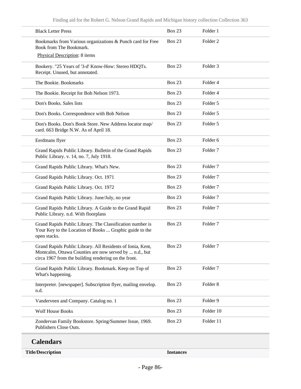| <b>Title/Description</b>                                                                                                                                                     | <b>Instances</b> |                     |
|------------------------------------------------------------------------------------------------------------------------------------------------------------------------------|------------------|---------------------|
| <b>Calendars</b>                                                                                                                                                             |                  |                     |
| Zondervan Family Bookstore. Spring/Summer Issue, 1969.<br>Publishers Close Outs.                                                                                             | <b>Box 23</b>    | Folder 11           |
| <b>Wolf House Books</b>                                                                                                                                                      | <b>Box 23</b>    | Folder 10           |
| Vanderveen and Company. Catalog no. 1                                                                                                                                        | <b>Box 23</b>    | Folder 9            |
| Interpreter. [newspaper]. Subscription flyer, mailing envelop.<br>n.d.                                                                                                       | <b>Box 23</b>    | Folder <sub>8</sub> |
| Grand Rapids Public Library. Bookmark. Keep on Top of<br>What's happening.                                                                                                   | <b>Box 23</b>    | Folder <sub>7</sub> |
| Grand Rapids Public Library. All Residents of Ionia, Kent,<br>Montcalm, Ottawa Counties are now served by  n.d., but<br>circa 1967 from the building rendering on the front. | Box 23           | Folder <sub>7</sub> |
| Grand Rapids Public Library. The Classification number is<br>Your Key to the Location of Books  Graphic guide to the<br>open stacks.                                         | <b>Box 23</b>    | Folder <sub>7</sub> |
| Grand Rapids Public Library. A Guide to the Grand Rapid<br>Public Library. n.d. With floorplans                                                                              | <b>Box 23</b>    | Folder <sub>7</sub> |
| Grand Rapids Public Library. June/July, no year                                                                                                                              | <b>Box 23</b>    | Folder <sub>7</sub> |
| Grand Rapids Public Library. Oct. 1972                                                                                                                                       | <b>Box 23</b>    | Folder <sub>7</sub> |
| Grand Rapids Public Library. Oct. 1971                                                                                                                                       | <b>Box 23</b>    | Folder <sub>7</sub> |
| Grand Rapids Public Library. What's New.                                                                                                                                     | <b>Box 23</b>    | Folder <sub>7</sub> |
| Grand Rapids Public Library. Bulletin of the Grand Rapids<br>Public Library. v. 14, no. 7, July 1918.                                                                        | <b>Box 23</b>    | Folder <sub>7</sub> |
| Eerdmans flyer                                                                                                                                                               | <b>Box 23</b>    | Folder <sub>6</sub> |
| Don's Books. Don's Book Store. New Address locator map/<br>card. 663 Bridge N.W. As of April 18.                                                                             | <b>Box 23</b>    | Folder 5            |
| Don's Books. Correspondence with Bob Nelson                                                                                                                                  | <b>Box 23</b>    | Folder 5            |
| Don's Books. Sales lists                                                                                                                                                     | <b>Box 23</b>    | Folder 5            |
| The Bookie. Receipt for Bob Nelson 1973.                                                                                                                                     | <b>Box 23</b>    | Folder <sub>4</sub> |
| The Bookie. Bookmarks                                                                                                                                                        | <b>Box 23</b>    | Folder <sub>4</sub> |
| Bookery. "25 Years of '3-d' Know-How: Stereo HDQTs.<br>Receipt. Unused, but annotated.                                                                                       | <b>Box 23</b>    | Folder <sub>3</sub> |
| Book from The Bookmark.<br>Physical Description: 8 items                                                                                                                     |                  |                     |
| Bookmarks from Various organizations & Punch card for Free                                                                                                                   | <b>Box 23</b>    | Folder <sub>2</sub> |
| <b>Black Letter Press</b>                                                                                                                                                    | <b>Box 23</b>    | Folder 1            |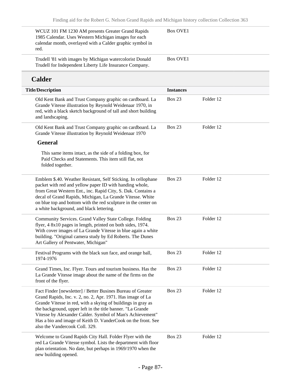| WCUZ 101 FM 1230 AM presents Greater Grand Rapids<br>1985 Calendar. Uses Western Michigan images for each<br>calendar month, overlayed with a Calder graphic symbol in<br>red.                                                                                                                                                                                                                                         | <b>Box OVE1</b>  |           |  |
|------------------------------------------------------------------------------------------------------------------------------------------------------------------------------------------------------------------------------------------------------------------------------------------------------------------------------------------------------------------------------------------------------------------------|------------------|-----------|--|
| Trudell '81 with images by Michigan watercolorist Donald<br>Trudell for Independent Liberty Life Insurance Company.                                                                                                                                                                                                                                                                                                    | <b>Box OVE1</b>  |           |  |
| <b>Calder</b>                                                                                                                                                                                                                                                                                                                                                                                                          |                  |           |  |
| <b>Title/Description</b>                                                                                                                                                                                                                                                                                                                                                                                               | <b>Instances</b> |           |  |
| Old Kent Bank and Trust Company graphic on cardboard. La<br>Grande Vitesse illustration by Reynold Weidenaar 1970, in<br>red, with a black sketch background of tall and short building<br>and landscaping.                                                                                                                                                                                                            | <b>Box 23</b>    | Folder 12 |  |
| Old Kent Bank and Trust Company graphic on cardboard. La<br>Grande Vitesse illustration by Reynold Weidenaar 1970                                                                                                                                                                                                                                                                                                      | <b>Box 23</b>    | Folder 12 |  |
| <b>General</b>                                                                                                                                                                                                                                                                                                                                                                                                         |                  |           |  |
| This same items intact, as the side of a folding box, for<br>Paid Checks and Statements. This item still flat, not<br>folded together.                                                                                                                                                                                                                                                                                 |                  |           |  |
| Emblem \$.40. Weather Resistant, Self Sticking. In cellophane<br>packet with red and yellow paper ID with handing whole,<br>from Great Western Ent., inc. Rapid City, S. Dak. Contains a<br>decal of Grand Rapids, Michigan, La Grande Vitesse. White<br>on blue top and bottom with the red sculpture in the center on<br>a white background, and black lettering.                                                    | <b>Box 23</b>    | Folder 12 |  |
| Community Services. Grand Valley State College. Folding<br>flyer, 4 8x10 pages in length, printed on both sides, 1974.<br>With cover images of La Grande Vitesse in blue again a white<br>building. "Original camera study by Ed Roberts. The Dunes<br>Art Gallery of Pentwater, Michigan"                                                                                                                             | <b>Box 23</b>    | Folder 12 |  |
| Festival Programs with the black sun face, and orange ball,<br>1974-1976                                                                                                                                                                                                                                                                                                                                               | <b>Box 23</b>    | Folder 12 |  |
| Grand Times, Inc. Flyer. Tours and tourism business. Has the<br>La Grande Vitesse image about the name of the firms on the<br>front of the flyer.                                                                                                                                                                                                                                                                      | <b>Box 23</b>    | Folder 12 |  |
| Fact Finder [newsletter] / Better Busines Bureau of Greater<br>Grand Rapids, Inc. v. 2, no. 2, Apr. 1971. Has image of La<br>Grande Vitesse in red, with a skying of buildings in gray as<br>the background, upper left in the title banner. "La Grande<br>Vitesse by Alexander Calder. Symbol of Man's Achievement"<br>Has a bio and image of Keith D. VanderCook on the front. See<br>also the Vandercook Coll. 329. | <b>Box 23</b>    | Folder 12 |  |
| Welcome to Grand Rapids City Hall. Folder Flyer with the<br>red La Grande Vitesse symbol. Lists the department with floor<br>plan orientation. No date, but perhaps in 1969/1970 when the<br>new building opened.                                                                                                                                                                                                      | <b>Box 23</b>    | Folder 12 |  |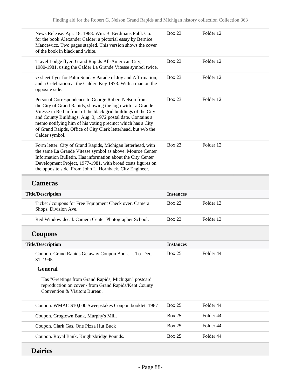| News Release. Apr. 18, 1968. Wm. B. Eerdmans Publ. Co.<br>for the book Alexander Calder: a pictorial essay by Bernice<br>Mancewicz. Two pages stapled. This version shows the cover<br>of the book in black and white.                                                                                                                                                                              | <b>Box 23</b>    | Folder 12 |  |
|-----------------------------------------------------------------------------------------------------------------------------------------------------------------------------------------------------------------------------------------------------------------------------------------------------------------------------------------------------------------------------------------------------|------------------|-----------|--|
| Travel Lodge flyer. Grand Rapids All-American City,<br>1980-1981, using the Calder La Grande Vitesse symbol twice.                                                                                                                                                                                                                                                                                  | <b>Box 23</b>    | Folder 12 |  |
| 1/2 sheet flyer for Palm Sunday Parade of Joy and Affirmation,<br>and a Celebration at the Calder. Key 1973. With a man on the<br>opposite side.                                                                                                                                                                                                                                                    | <b>Box 23</b>    | Folder 12 |  |
| Personal Correspondence to George Robert Nelson from<br>the City of Grand Rapids, showing the logo with La Grande<br>Vitesse in Red in front of the black grid buildings of the City<br>and County Buildings. Aug. 3, 1972 postal date. Contains a<br>memo notifying him of his voting precinct which has a City<br>of Grand Raipds, Office of City Clerk letterhead, but w/o the<br>Calder symbol. | <b>Box 23</b>    | Folder 12 |  |
| Form letter. City of Grand Rapids, Michigan letterhead, with<br>the same La Grande Vitesse symbol as above. Monroe Center<br>Information Bulletin. Has information about the City Center<br>Development Project, 1977-1981, with broad costs figures on<br>the opposite side. From John L. Hornback, City Engineer.                                                                                 | <b>Box 23</b>    | Folder 12 |  |
| <b>Cameras</b>                                                                                                                                                                                                                                                                                                                                                                                      |                  |           |  |
| <b>Title/Description</b>                                                                                                                                                                                                                                                                                                                                                                            | <b>Instances</b> |           |  |
|                                                                                                                                                                                                                                                                                                                                                                                                     |                  |           |  |
| Ticket / coupons for Free Equipment Check over. Camera<br>Shops, Division Ave.                                                                                                                                                                                                                                                                                                                      | <b>Box 23</b>    | Folder 13 |  |
| Red Window decal. Camera Center Photographer School.                                                                                                                                                                                                                                                                                                                                                | <b>Box 23</b>    | Folder 13 |  |
| <b>Coupons</b>                                                                                                                                                                                                                                                                                                                                                                                      |                  |           |  |
| <b>Title/Description</b>                                                                                                                                                                                                                                                                                                                                                                            | <b>Instances</b> |           |  |
| Coupon. Grand Rapids Getaway Coupon Book.  To. Dec.<br>31, 1995                                                                                                                                                                                                                                                                                                                                     | <b>Box 25</b>    | Folder 44 |  |
| <b>General</b>                                                                                                                                                                                                                                                                                                                                                                                      |                  |           |  |
| Has "Greetings from Grand Rapids, Michigan" postcard<br>reproduction on cover / from Grand Rapids/Kent County<br>Convention & Visitors Bureau.                                                                                                                                                                                                                                                      |                  |           |  |
| Coupon. WMAC \$10,000 Sweepstakes Coupon booklet. 1967                                                                                                                                                                                                                                                                                                                                              | <b>Box 25</b>    | Folder 44 |  |
| Coupon. Grogtown Bank, Murphy's Mill.                                                                                                                                                                                                                                                                                                                                                               | <b>Box 25</b>    | Folder 44 |  |
| Coupon. Clark Gas. One Pizza Hut Buck                                                                                                                                                                                                                                                                                                                                                               | <b>Box 25</b>    | Folder 44 |  |

# **Dairies**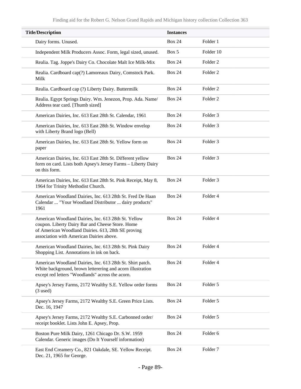| <b>Title/Description</b>                                                                                                                                                                                  | <b>Instances</b> |                     |
|-----------------------------------------------------------------------------------------------------------------------------------------------------------------------------------------------------------|------------------|---------------------|
| Dairy forms. Unused.                                                                                                                                                                                      | <b>Box 24</b>    | Folder 1            |
| Independent Milk Producers Assoc. Form, legal sized, unused.                                                                                                                                              | Box 5            | Folder 10           |
| Realia. Tag. Joppe's Dairy Co. Chocolate Malt Ice Milk-Mix                                                                                                                                                | <b>Box 24</b>    | Folder <sub>2</sub> |
| Realia. Cardboard cap(?) Lamoreaux Dairy, Comstock Park.<br>Milk                                                                                                                                          | <b>Box 24</b>    | Folder <sub>2</sub> |
| Realia. Cardboard cap (?) Liberty Dairy. Buttermilk                                                                                                                                                       | <b>Box 24</b>    | Folder <sub>2</sub> |
| Realia. Egypt Springs Dairy. Wm. Jenezon, Prop. Ada. Name/<br>Address tear card. [Thumb sized]                                                                                                            | <b>Box 24</b>    | Folder <sub>2</sub> |
| American Dairies, Inc. 613 East 28th St. Calendar, 1961                                                                                                                                                   | <b>Box 24</b>    | Folder <sub>3</sub> |
| American Dairies, Inc. 613 East 28th St. Window envelop<br>with Liberty Brand logo (Bell)                                                                                                                 | <b>Box 24</b>    | Folder <sub>3</sub> |
| American Dairies, Inc. 613 East 28th St. Yellow form on<br>paper                                                                                                                                          | <b>Box 24</b>    | Folder <sub>3</sub> |
| American Dairies, Inc. 613 East 28th St. Different yellow<br>form on card. Lists both Apsey's Jersey Farms - Liberty Dairy<br>on this form.                                                               | <b>Box 24</b>    | Folder <sub>3</sub> |
| American Dairies, Inc. 613 East 28th St. Pink Receipt, May 8,<br>1964 for Trinity Methodist Church.                                                                                                       | <b>Box 24</b>    | Folder <sub>3</sub> |
| American Woodland Dairies, Inc. 613 28th St. Fred De Haan<br>Calendar  "Your Woodland Distributor  dairy products"<br>1961                                                                                | <b>Box 24</b>    | Folder 4            |
| American Woodland Dairies, Inc. 613 28th St. Yellow<br>coupon. Liberty Dairy Bar and Cheese Store. Home<br>of American Woodland Dairies. 613, 28th SE proving<br>association with American Dairies above. | <b>Box 24</b>    | Folder 4            |
| American Woodland Dairies. Inc. 613 28th St. Pink Dairy<br>Shopping List. Annotations in ink on back.                                                                                                     | <b>Box 24</b>    | Folder 4            |
| American Woodland Dairies, Inc. 613 28th St. Shirt patch.<br>White background, brown letterering and acorn illustration<br>except red letters "Woodlands" across the acorn.                               | <b>Box 24</b>    | Folder 4            |
| Apsey's Jersey Farms, 2172 Wealthy S.E. Yellow order forms<br>$(3$ used)                                                                                                                                  | <b>Box 24</b>    | Folder 5            |
| Apsey's Jersey Farms, 2172 Wealthy S.E. Green Price Lists.<br>Dec. 16, 1947                                                                                                                               | <b>Box 24</b>    | Folder 5            |
| Apsey's Jersey Farms, 2172 Wealthy S.E. Carbonned order/<br>receipt booklet. Lists John E. Apsey, Prop.                                                                                                   | <b>Box 24</b>    | Folder 5            |
| Boston Pure Milk Dairy, 1261 Chicago Dr. S.W. 1959<br>Calendar. Generic images (Do It Yourself information)                                                                                               | <b>Box 24</b>    | Folder 6            |
| East End Creamery Co., 821 Oakdale, SE. Yellow Receipt.<br>Dec. 21, 1965 for George.                                                                                                                      | <b>Box 24</b>    | Folder <sub>7</sub> |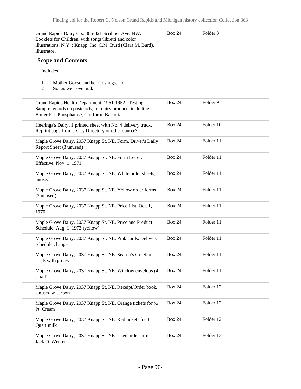| illustrator.                    | Grand Rapids Dairy Co., 305-321 Scribner Ave. NW.<br>Booklets for Children, with songs/libretti and color<br>illustrations. N.Y.: Knapp, Inc. C.M. Burd (Clara M. Burd), | <b>Box 24</b> | Folder <sub>8</sub> |  |
|---------------------------------|--------------------------------------------------------------------------------------------------------------------------------------------------------------------------|---------------|---------------------|--|
| <b>Scope and Contents</b>       |                                                                                                                                                                          |               |                     |  |
| Includes                        |                                                                                                                                                                          |               |                     |  |
| 1<br>2                          | Mother Goose and her Goslings, n.d.<br>Songs we Love, n.d.                                                                                                               |               |                     |  |
|                                 | Grand Rapids Health Department. 1951-1952. Testing<br>Sample records on postcards, for dairy products including:<br>Butter Fat, Phosphatase, Coliform, Bactoria.         | <b>Box 24</b> | Folder 9            |  |
|                                 | Heeringa's Dairy. 1 printed sheet with No. 4 delivery truck.<br>Reprint page from a City Directory or other source?                                                      | <b>Box 24</b> | Folder 10           |  |
| Report Sheet (3 unused)         | Maple Grove Dairy, 2037 Knapp St. NE. Form. Driver's Daily                                                                                                               | <b>Box 24</b> | Folder 11           |  |
| Effective, Nov. 1, 1971         | Maple Grove Dairy, 2037 Knapp St. NE. Form Letter.                                                                                                                       | <b>Box 24</b> | Folder 11           |  |
| unused                          | Maple Grove Dairy, 2037 Knapp St. NE. White order sheets,                                                                                                                | <b>Box 24</b> | Folder 11           |  |
| (3 unused)                      | Maple Grove Dairy, 2037 Knapp St. NE. Yellow order forms                                                                                                                 | <b>Box 24</b> | Folder 11           |  |
| 1970                            | Maple Grove Dairy, 2037 Knapp St. NE. Price List, Oct. 1,                                                                                                                | <b>Box 24</b> | Folder 11           |  |
| Schedule, Aug. 1, 1973 (yellow) | Maple Grove Dairy, 2037 Knapp St. NE. Price and Product                                                                                                                  | <b>Box 24</b> | Folder 11           |  |
| schedule change                 | Maple Grove Dairy, 2037 Knapp St. NE. Pink cards. Delivery                                                                                                               | <b>Box 24</b> | Folder 11           |  |
| cards with prices               | Maple Grove Dairy, 2037 Knapp St. NE. Season's Greetings                                                                                                                 | <b>Box 24</b> | Folder 11           |  |
| small)                          | Maple Grove Dairy, 2037 Knapp St. NE. Window envelops (4                                                                                                                 | <b>Box 24</b> | Folder 11           |  |
| Unused w carbon                 | Maple Grove Dairy, 2037 Knapp St. NE. Receipt/Order book.                                                                                                                | <b>Box 24</b> | Folder 12           |  |
| Pt. Cream                       | Maple Grove Dairy, 2037 Knapp St. NE. Orange tickets for 1/2                                                                                                             | <b>Box 24</b> | Folder 12           |  |
| Quart milk                      | Maple Grove Dairy, 2037 Knapp St. NE. Red tickets for 1                                                                                                                  | <b>Box 24</b> | Folder 12           |  |
| Jack D. Wenter                  | Maple Grove Dairy, 2037 Knapp St. NE. Used order form.                                                                                                                   | <b>Box 24</b> | Folder 13           |  |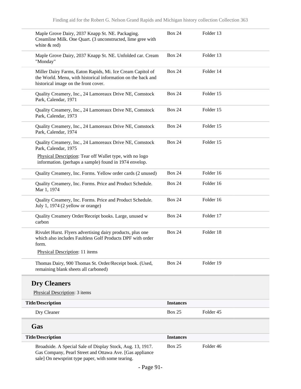| Maple Grove Dairy, 2037 Knapp St. NE. Packaging.<br>Creamline Milk. One Quart. (3 unconstructed, lime gree with<br>white & red)                                             | <b>Box 24</b>    | Folder 13 |
|-----------------------------------------------------------------------------------------------------------------------------------------------------------------------------|------------------|-----------|
| Maple Grove Dairy, 2037 Knapp St. NE. Unfolded car. Cream<br>"Monday"                                                                                                       | <b>Box 24</b>    | Folder 13 |
| Miller Dairy Farms, Eaton Rapids, Mi. Ice Cream Capitol of<br>the World. Menu, with historical information on the back and<br>historical image on the front cover.          | <b>Box 24</b>    | Folder 14 |
| Quality Creamery, Inc., 24 Lamoreaux Drive NE, Comstock<br>Park, Calendar, 1971                                                                                             | <b>Box 24</b>    | Folder 15 |
| Quality Creamery, Inc., 24 Lamoreaux Drive NE, Comstock<br>Park, Calendar, 1973                                                                                             | <b>Box 24</b>    | Folder 15 |
| Quality Creamery, Inc., 24 Lamoreaux Drive NE, Comstock<br>Park, Calendar, 1974                                                                                             | <b>Box 24</b>    | Folder 15 |
| Quality Creamery, Inc., 24 Lamoreaux Drive NE, Comstock<br>Park, Calendar, 1975                                                                                             | <b>Box 24</b>    | Folder 15 |
| Physical Description: Tear off Wallet type, with no logo<br>information. (perhaps a sample) found in 1974 envelop.                                                          |                  |           |
| Quality Creamery, Inc. Forms. Yellow order cards (2 unused)                                                                                                                 | <b>Box 24</b>    | Folder 16 |
| Quality Creamery, Inc. Forms. Price and Product Schedule.<br>Mar 1, 1974                                                                                                    | <b>Box 24</b>    | Folder 16 |
| Quality Creamery, Inc. Forms. Price and Product Schedule.<br>July 1, 1974 (2 yellow or orange)                                                                              | <b>Box 24</b>    | Folder 16 |
| Quality Creamery Order/Receipt books. Large, unused w<br>carbon                                                                                                             | <b>Box 24</b>    | Folder 17 |
| Rivulet Hurst. Flyers advertising dairy products, plus one<br>which also includes Faultless Golf Products DPF with order<br>form.                                           | <b>Box 24</b>    | Folder 18 |
| Physical Description: 11 items                                                                                                                                              |                  |           |
| Thomas Dairy, 900 Thomas St. Order/Receipt book. (Used,<br>remaining blank sheets all carboned)                                                                             | <b>Box 24</b>    | Folder 19 |
| <b>Dry Cleaners</b>                                                                                                                                                         |                  |           |
| Physical Description: 3 items                                                                                                                                               |                  |           |
| <b>Title/Description</b>                                                                                                                                                    | <b>Instances</b> |           |
| Dry Cleaner                                                                                                                                                                 | <b>Box 25</b>    | Folder 45 |
| Gas                                                                                                                                                                         |                  |           |
| <b>Title/Description</b>                                                                                                                                                    | <b>Instances</b> |           |
| Broadside. A Special Sale of Display Stock, Aug. 13, 1917.<br>Gas Company, Pearl Street and Ottawa Ave. [Gas appliance<br>sale] On newsprint type paper, with some tearing. | <b>Box 25</b>    | Folder 46 |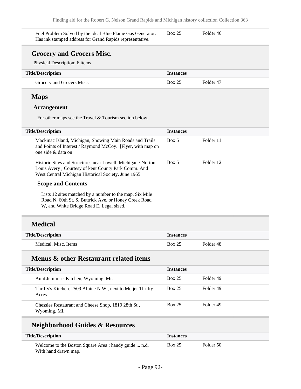| Fuel Problem Solved by the ideal Blue Flame Gas Generator.<br>Has ink stamped address for Grand Rapids representative. | <b>Box 25</b> | Folder 46 |  |
|------------------------------------------------------------------------------------------------------------------------|---------------|-----------|--|
|                                                                                                                        |               |           |  |

#### **Grocery and Grocers Misc.**

Physical Description: 6 items

| <b>Title/Description</b>  | <i>Instances</i> |           |
|---------------------------|------------------|-----------|
| Grocery and Grocers Misc. | <b>Box 25</b>    | Folder 47 |

#### **Maps**

#### **Arrangement**

For other maps see the Travel & Tourism section below.

| <b>Title/Description</b>                                                                                                                                                    | <b>Instances</b> |           |
|-----------------------------------------------------------------------------------------------------------------------------------------------------------------------------|------------------|-----------|
| Mackinac Island, Michigan, Showing Main Roads and Trails<br>and Points of Interest / Raymond McCoy [Flyer, with map on<br>one side & data on                                | Box 5            | Folder 11 |
| Historic Sites and Structures near Lowell, Michigan / Norton<br>Louis Avery; Courtesy of kent County Park Comm. And<br>West Central Michigan Historical Society, June 1965. | Box 5            | Folder 12 |
| <b>Scope and Contents</b>                                                                                                                                                   |                  |           |
| Lists 12 sites matched by a number to the map. Six Mile<br>Road N, 60th St. S, Buttrick Ave. or Honey Creek Road<br>W, and White Bridge Road E. Legal sized.                |                  |           |
| <b>Medical</b>                                                                                                                                                              |                  |           |

| <b>Title/Description</b> | <i><u><b>Instances</b></u></i> |           |
|--------------------------|--------------------------------|-----------|
| Medical, Misc. Items     | <b>Box 25</b>                  | Folder 48 |

## **Menus & other Restaurant related items**

| <b>Title/Description</b>                                              | <b>Instances</b> |           |
|-----------------------------------------------------------------------|------------------|-----------|
| Aunt Jemima's Kitchen, Wyoming, Mi.                                   | <b>Box 25</b>    | Folder 49 |
| Thrifty's Kitchen. 2509 Alpine N.W., next to Meijer Thrifty<br>Acres. | <b>Box 25</b>    | Folder 49 |
| Chessies Restaurant and Cheese Shop, 1819 28th St.,<br>Wyoming, Mi.   | <b>Box 25</b>    | Folder 49 |

# **Neighborhood Guides & Resources**

| <b>Title/Description</b>                              | <i>Instances</i> |           |  |
|-------------------------------------------------------|------------------|-----------|--|
| Welcome to the Boston Square Area : handy guide  n.d. | <b>Box 25</b>    | Folder 50 |  |
| With hand drawn map.                                  |                  |           |  |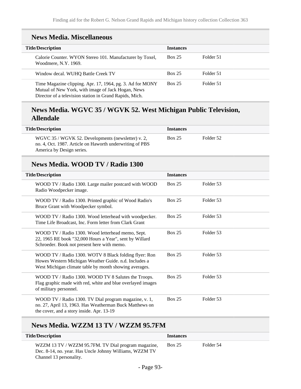## **News Media. Miscellaneous**

| <b>Title/Description</b>                                                                                                                                                   | <b>Instances</b> |           |
|----------------------------------------------------------------------------------------------------------------------------------------------------------------------------|------------------|-----------|
| Calorie Counter. WYON Stereo 101. Manufacturer by Toxel,<br>Woodmere, N.Y. 1969.                                                                                           | <b>Box 25</b>    | Folder 51 |
| Window decal. WUHO Battle Creek TV                                                                                                                                         | <b>Box 25</b>    | Folder 51 |
| Time Magazine clipping. Apr. 17, 1964, pg. 3. Ad for MONY<br>Mutual of New York, with image of Jack Hogan, News<br>Director of a television station in Grand Rapids, Mich. | <b>Box 25</b>    | Folder 51 |

### **News Media. WGVC 35 / WGVK 52. West Michigan Public Television, Allendale**

| <b>Title/Description</b>                                                                                                                    | <b>Instances</b> |           |
|---------------------------------------------------------------------------------------------------------------------------------------------|------------------|-----------|
| WGVC 35 / WGVK 52. Developments (newsletter) v. 2,<br>no. 4, Oct. 1987. Article on Haworth underwriting of PBS<br>America by Design series. | <b>Box 25</b>    | Folder 52 |

### **News Media. WOOD TV / Radio 1300**

| <b>Title/Description</b>                                                                                                                                                 | <b>Instances</b> |           |
|--------------------------------------------------------------------------------------------------------------------------------------------------------------------------|------------------|-----------|
| WOOD TV / Radio 1300. Large mailer postcard with WOOD<br>Radio Woodpecker image.                                                                                         | <b>Box 25</b>    | Folder 53 |
| WOOD TV / Radio 1300. Printed graphic of Wood Radio's<br>Bruce Grant with Woodpecker symbol.                                                                             | <b>Box 25</b>    | Folder 53 |
| WOOD TV / Radio 1300. Wood letterhead with woodpecker.<br>Time Life Broadcast, Inc. Form letter from Clark Grant                                                         | <b>Box 25</b>    | Folder 53 |
| WOOD TV / Radio 1300. Wood letterhead memo, Sept.<br>22, 1965 RE book "32,000 Hours a Year", sent by Willard<br>Schroeder. Book not present here with memo.              | <b>Box 25</b>    | Folder 53 |
| WOOD TV / Radio 1300. WOTV 8 Black folding flyer: Ron<br>Howes Western Michigan Weather Guide. n.d. Includes a<br>West Michigan climate table by month showing averages. | <b>Box 25</b>    | Folder 53 |
| WOOD TV / Radio 1300. WOOD TV 8 Salutes the Troops.<br>Flag graphic made with red, white and blue overlayed images<br>of military personnel.                             | <b>Box 25</b>    | Folder 53 |
| WOOD TV / Radio 1300. TV Dial program magazine, v. 1,<br>no. 27, April 13, 1963. Has Weatherman Buck Matthews on<br>the cover, and a story inside. Apr. 13-19            | <b>Box 25</b>    | Folder 53 |

# **News Media. WZZM 13 TV / WZZM 95.7FM**

| <b>Title/Description</b>                                                                                                                  | <b>Instances</b> |           |
|-------------------------------------------------------------------------------------------------------------------------------------------|------------------|-----------|
| WZZM 13 TV / WZZM 95.7FM. TV Dial program magazine,<br>Dec. 8-14, no. year. Has Uncle Johnny Williams, WZZM TV<br>Channel 13 personality. | <b>Box 25</b>    | Folder 54 |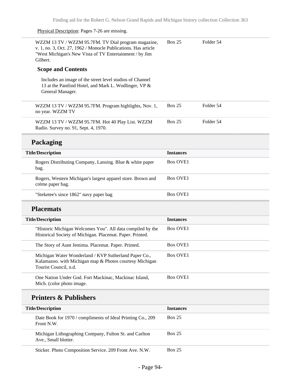#### Physical Description: Pages 7-26 are missing.

 $\overline{\phantom{0}}$ 

| WZZM 13 TV / WZZM 95.7FM. TV Dial program magazine,<br>v. 1, no. 3, Oct. 27, 1962 / Monocle Publications. Has article<br>"West Michigan's New Vista of TV Entertainment / by Jim<br>Gilbert. | <b>Box 25</b>    | Folder 54 |
|----------------------------------------------------------------------------------------------------------------------------------------------------------------------------------------------|------------------|-----------|
| <b>Scope and Contents</b>                                                                                                                                                                    |                  |           |
| Includes an image of the street level studios of Channel<br>13 at the Pantlind Hotel, and Mark L. Wodlinger, VP &<br>General Manager.                                                        |                  |           |
| WZZM 13 TV / WZZM 95.7FM. Program highlights, Nov. 1,<br>no year. WZZM TV                                                                                                                    | <b>Box 25</b>    | Folder 54 |
| WZZM 13 TV / WZZM 95.7FM. Hot 40 Play List. WZZM<br>Radio. Survey no. 91, Sept. 4, 1970.                                                                                                     | <b>Box 25</b>    | Folder 54 |
| Packaging                                                                                                                                                                                    |                  |           |
| <b>Title/Description</b>                                                                                                                                                                     | <b>Instances</b> |           |
| Rogers Distributing Company, Lansing. Blue & white paper<br>bag.                                                                                                                             | <b>Box OVE1</b>  |           |
| Rogers, Western Michigan's largest apparel store. Brown and<br>crème paper bag.                                                                                                              | <b>Box OVE1</b>  |           |
| "Steketee's since 1862" navy paper bag                                                                                                                                                       | <b>Box OVE1</b>  |           |
| <b>Placemats</b>                                                                                                                                                                             |                  |           |
| <b>Title/Description</b>                                                                                                                                                                     | <b>Instances</b> |           |
| "Historic Michigan Welcomes You". All data compiled by the<br>Historical Society of Michigan. Placemat. Paper. Printed.                                                                      | <b>Box OVE1</b>  |           |
| The Story of Aunt Jemima. Placemat. Paper. Printed.                                                                                                                                          | <b>Box OVE1</b>  |           |
| Michigan Water Wonderland / KVP Sutherland Paper Co.,<br>Kalamazoo. with Michigan map & Photos courtesy Michigan<br>Tourist Council, n.d.                                                    | <b>Box OVE1</b>  |           |
| One Nation Under God. Fort Mackinac, Mackinac Island,<br>Mich. (color photo image.                                                                                                           | <b>Box OVE1</b>  |           |
| <b>Printers &amp; Publishers</b>                                                                                                                                                             |                  |           |
| <b>Title/Description</b>                                                                                                                                                                     | <b>Instances</b> |           |
| Date Book for 1970 / compliments of Ideal Printing Co., 209<br>Front N.W.                                                                                                                    | <b>Box 25</b>    |           |
| Michigan Lithographing Company, Fulton St. and Carlton<br>Ave., Small blotter.                                                                                                               | <b>Box 25</b>    |           |
| Sticker. Photo Composition Service. 209 Front Ave. N.W.                                                                                                                                      | <b>Box 25</b>    |           |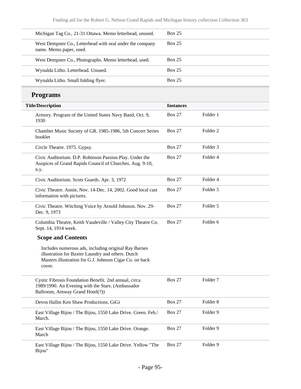| Michigan Tag Co., 21-31 Ottawa. Memo letterhead, unused.                                                                                                                       | <b>Box 25</b>    |                     |  |
|--------------------------------------------------------------------------------------------------------------------------------------------------------------------------------|------------------|---------------------|--|
| West Dempster Co., Letterhead with seal under the company<br>name. Memo paper, used.                                                                                           | <b>Box 25</b>    |                     |  |
| West Dempster Co., Photographs. Memo letterhead, used.                                                                                                                         | <b>Box 25</b>    |                     |  |
| Wynalda Litho. Letterhead. Unused.                                                                                                                                             | <b>Box 25</b>    |                     |  |
| Wynalda Litho. Small folding flyer.                                                                                                                                            | <b>Box 25</b>    |                     |  |
| <b>Programs</b>                                                                                                                                                                |                  |                     |  |
| <b>Title/Description</b>                                                                                                                                                       | <b>Instances</b> |                     |  |
| Armory. Program of the United States Navy Band, Oct. 9,<br>1930                                                                                                                | <b>Box 27</b>    | Folder 1            |  |
| Chamber Music Society of GR. 1985-1986, 5th Concert Series<br>booklet                                                                                                          | <b>Box 27</b>    | Folder <sub>2</sub> |  |
| Circle Theatre. 1975. Gypsy.                                                                                                                                                   | <b>Box 27</b>    | Folder <sub>3</sub> |  |
| Civic Auditorium. D.P. Robinson Passion Play. Under the<br>Auspices of Grand Rapids Council of Churches. Aug. 9-10,<br>n.y.                                                    | <b>Box 27</b>    | Folder 4            |  |
| Civic Auditorium. Scots Guards. Apr. 3, 1972                                                                                                                                   | <b>Box 27</b>    | Folder 4            |  |
| Civic Theatre. Annie, Nov. 14-Dec. 14, 2002. Good local cast<br>information with pictures.                                                                                     | <b>Box 27</b>    | Folder 5            |  |
| Civic Theatre. Witching Voice by Arnold Johnson. Nov. 29-<br>Dec. 9, 1973                                                                                                      | <b>Box 27</b>    | Folder 5            |  |
| Columbia Theatre, Keith Vaudeville / Valley City Theatre Co.<br>Sept. 14, 1914 week.                                                                                           | <b>Box 27</b>    | Folder <sub>6</sub> |  |
| <b>Scope and Contents</b>                                                                                                                                                      |                  |                     |  |
| Includes numerous ads, including original Ray Barnes<br>illustration for Baxter Laundry and others. Dutch<br>Masters illustration for G.J. Johnson Cigar Co. on back<br>cover. |                  |                     |  |
| Cystic Fibrosis Foundation Benefit. 2nd annual, circa<br>1989/1990. An Evening with the Stars. (Ambassador<br>Ballroom, Amway Grand Hotel(?))                                  | <b>Box 27</b>    | Folder <sub>7</sub> |  |
| Devos Hallm Ken Shaw Productions. GiGi                                                                                                                                         | <b>Box 27</b>    | Folder <sub>8</sub> |  |
| East Village Bijou / The Bijou, 1550 Lake Drive. Green. Feb./<br>March.                                                                                                        | <b>Box 27</b>    | Folder 9            |  |
| East Village Bijou / The Bijou, 1550 Lake Drive. Orange.<br>March                                                                                                              | <b>Box 27</b>    | Folder 9            |  |
| East Village Bijou / The Bijou, 1550 Lake Drive. Yellow "The<br>Bijou"                                                                                                         | <b>Box 27</b>    | Folder 9            |  |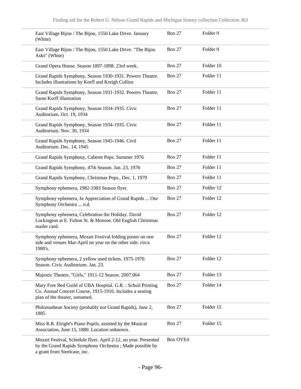| (White)                            | East Village Bijou / The Bijou, 1550 Lake Drive. January                                                                     | <b>Box 27</b>   | Folder 9  |
|------------------------------------|------------------------------------------------------------------------------------------------------------------------------|-----------------|-----------|
| Asks" (White)                      | East Village Bijou / The Bijou, 1550 Lake Drive. "The Bijou                                                                  | <b>Box 27</b>   | Folder 9  |
|                                    | Grand Opera House. Season 1897-1898. 23rd week.                                                                              | <b>Box 27</b>   | Folder 10 |
|                                    | Grand Rapids Symphony, Season 1930-1931. Powers Theatre.<br>Includes illustrations by Korff and Kreigh Collins               | <b>Box 27</b>   | Folder 11 |
| Same Korff illustration            | Grand Rapids Symphony, Season 1931-1932. Powers Theatre.                                                                     | <b>Box 27</b>   | Folder 11 |
| Auditorium. Oct. 19, 1934          | Grand Rapids Symphony, Season 1934-1935. Civic                                                                               | <b>Box 27</b>   | Folder 11 |
| Auditorium. Nov. 30, 1934          | Grand Rapids Symphony, Season 1934-1935. Civic                                                                               | <b>Box 27</b>   | Folder 11 |
| Auditorium. Dec. 14, 1945          | Grand Rapids Symphony, Season 1945-1946. Civil                                                                               | <b>Box 27</b>   | Folder 11 |
|                                    | Grand Rapids Symphony, Caberet Pops. Summer 1976                                                                             | <b>Box 27</b>   | Folder 11 |
|                                    | Grand Rapids Symphony, 47th Season. Jan. 23, 1976                                                                            | <b>Box 27</b>   | Folder 11 |
|                                    | Grand Rapids Symphony, Christmas Pops., Dec. 1, 1979                                                                         | <b>Box 27</b>   | Folder 11 |
|                                    | Symphony ephemera, 1982-1983 Season flyer.                                                                                   | <b>Box 27</b>   | Folder 12 |
| Symphony Orchestra  n.d.           | Symphony ephemera, In Appreciation of Grand Rapids  Our                                                                      | <b>Box 27</b>   | Folder 12 |
| mailer card.                       | Symphony ephemera, Celebration the Holiday. David<br>Lockington at E. Fulton St. & Monroe. Old English Christmas             | <b>Box 27</b>   | Folder 12 |
| 1980's.                            | Symphony ephemera, Mozart Festival folding poster on one<br>side and venues Mar-April no year on the other side. circa       | <b>Box 27</b>   | Folder 12 |
| Season. Civic Auditorium. Jan. 23. | Symphony ephemera, 2 yellow used tickets. 1975-1976                                                                          | <b>Box 27</b>   | Folder 12 |
|                                    | Majestic Theatre, "Girls," 1911-12 Season. 2007.064                                                                          | <b>Box 27</b>   | Folder 13 |
| plan of the theater, unnamed.      | Mary Free Bed Guild of UBA Hospital. G.R. : Schuil Printing<br>Co. Annual Concert Course, 1915-1916. Includes a seating      | <b>Box 27</b>   | Folder 14 |
| 1885                               | Philomathean Society (probably not Grand Rapids), June 2,                                                                    | <b>Box 27</b>   | Folder 15 |
|                                    | Miss R.R. Elright's Piano Pupils, assisted by the Musical<br>Association, June 15, 1880. Location unknown.                   | <b>Box 27</b>   | Folder 15 |
| a grant from Steelcase, inc.       | Mozart Festival, Schedule flyer. April 2-12, no year. Presented<br>by the Grand Rapids Symphony Orchestra ; Made possible by | <b>Box OVE4</b> |           |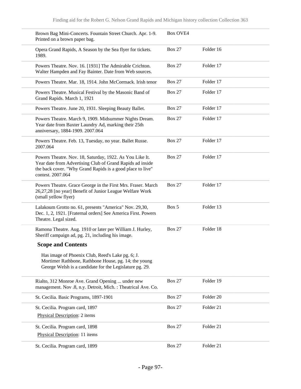| Brown Bag Mini-Concerts. Fountain Street Church. Apr. 1-9.<br>Printed on a brown paper bag.                                                                                                              | <b>Box OVE4</b> |           |
|----------------------------------------------------------------------------------------------------------------------------------------------------------------------------------------------------------|-----------------|-----------|
| Opera Grand Rapids, A Season by the Sea flyer for tickets.<br>1989.                                                                                                                                      | <b>Box 27</b>   | Folder 16 |
| Powers Theatre. Nov. 16. [1931] The Admirable Crichton.<br>Walter Hampden and Fay Bainter. Date from Web sources.                                                                                        | <b>Box 27</b>   | Folder 17 |
| Powers Theatre. Mar. 18, 1914. John McCormack. Irish tenor                                                                                                                                               | <b>Box 27</b>   | Folder 17 |
| Powers Theatre. Musical Festival by the Masonic Band of<br>Grand Rapids. March 1, 1921                                                                                                                   | <b>Box 27</b>   | Folder 17 |
| Powers Theatre. June 20, 1931. Sleeping Beauty Ballet.                                                                                                                                                   | <b>Box 27</b>   | Folder 17 |
| Powers Theatre. March 9, 1909. Midsummer Nights Dream.<br>Year date from Baxter Laundry Ad, marking their 25th<br>anniversary, 1884-1909. 2007.064                                                       | <b>Box 27</b>   | Folder 17 |
| Powers Theatre. Feb. 13, Tuesday, no year. Ballet Russe.<br>2007.064                                                                                                                                     | <b>Box 27</b>   | Folder 17 |
| Powers Theatre. Nov. 18, Saturday, 1922. As You Like It.<br>Year date from Advertising Club of Grand Rapids ad inside<br>the back cover. "Why Grand Rapids is a good place to live"<br>contest. 2007.064 | <b>Box 27</b>   | Folder 17 |
| Powers Theatre. Grace George in the First Mrs. Fraser. March<br>26,27,28 [no year] Benefit of Junior League Welfare Work<br>(small yellow flyer)                                                         | <b>Box 27</b>   | Folder 17 |
| Lalakoum Grotto no. 61, presents "America" Nov. 29,30,<br>Dec. 1, 2, 1921. [Fraternal orders] See America First. Powers<br>Theatre. Legal sized.                                                         | Box 5           | Folder 13 |
| Ramona Theatre. Aug. 1910 or later per William J. Hurley,<br>Sheriff campaign ad, pg. 21, including his image.                                                                                           | <b>Box 27</b>   | Folder 18 |
| <b>Scope and Contents</b>                                                                                                                                                                                |                 |           |
| Has image of Phoenix Club, Reed's Lake pg. 6; J.<br>Mortimer Rathbone, Rathbone House, pg. 14; the young<br>George Welsh is a candidate for the Legislature pg. 29.                                      |                 |           |
| Rialto, 312 Monroe Ave. Grand Opening  under new<br>management. Nov .8, n.y. Detroit, Mich. : Theatrical Ave. Co.                                                                                        | <b>Box 27</b>   | Folder 19 |
| St. Cecilia. Basic Programs, 1897-1901                                                                                                                                                                   | <b>Box 27</b>   | Folder 20 |
| St. Cecilia. Program card, 1897                                                                                                                                                                          | <b>Box 27</b>   | Folder 21 |
| Physical Description: 2 items                                                                                                                                                                            |                 |           |
| St. Cecilia. Program card, 1898                                                                                                                                                                          | <b>Box 27</b>   | Folder 21 |
| Physical Description: 11 items                                                                                                                                                                           |                 |           |
| St. Cecilia. Program card, 1899                                                                                                                                                                          | <b>Box 27</b>   | Folder 21 |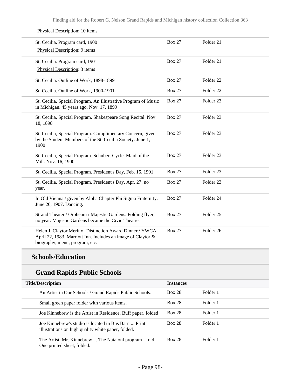Finding aid for the Robert G. Nelson Grand Rapids and Michigan history collection Collection 363

| St. Cecilia. Program card, 1900<br>Physical Description: 9 items                                                                                             | <b>Box 27</b> | Folder 21            |  |
|--------------------------------------------------------------------------------------------------------------------------------------------------------------|---------------|----------------------|--|
| St. Cecilia. Program card, 1901<br>Physical Description: 3 items                                                                                             | <b>Box 27</b> | Folder 21            |  |
| St. Cecilia. Outline of Work, 1898-1899                                                                                                                      | <b>Box 27</b> | Folder <sub>22</sub> |  |
| St. Cecilia. Outline of Work, 1900-1901                                                                                                                      | <b>Box 27</b> | Folder <sub>22</sub> |  |
| St. Cecilia, Special Program. An Illustrative Program of Music<br>in Michigan. 45 years ago. Nov. 17, 1899                                                   | <b>Box 27</b> | Folder <sub>23</sub> |  |
| St. Cecilia, Special Program. Shakespeare Song Recital. Nov<br>18, 1898                                                                                      | <b>Box 27</b> | Folder <sub>23</sub> |  |
| St. Cecilia, Special Program. Complimentary Concern, given<br>by the Student Members of the St. Cecilia Society. June 1,<br>1900                             | <b>Box 27</b> | Folder 23            |  |
| St. Cecilia, Special Program. Schubert Cycle, Maid of the<br>Mill. Nov. 16, 1900                                                                             | <b>Box 27</b> | Folder <sub>23</sub> |  |
| St. Cecilia, Special Program. President's Day, Feb. 15, 1901                                                                                                 | <b>Box 27</b> | Folder <sub>23</sub> |  |
| St. Cecilia, Special Program. President's Day, Apr. 27, no<br>year.                                                                                          | <b>Box 27</b> | Folder <sub>23</sub> |  |
| In Old Vienna / given by Alpha Chapter Phi Sigma Fraternity.<br>June 20, 1907. Dancing.                                                                      | <b>Box 27</b> | Folder 24            |  |
| Strand Theater / Orpheum / Majestic Gardens. Folding flyer,<br>no year. Majestic Gardens became the Civic Theatre.                                           | <b>Box 27</b> | Folder <sub>25</sub> |  |
| Helen J. Claytor Merit of Distinction Award Dinner / YWCA.<br>April 22, 1983. Marriott Inn. Includes an image of Claytor &<br>biography, menu, program, etc. | <b>Box 27</b> | Folder 26            |  |

# **Schools/Education**

# **Grand Rapids Public Schools**

| <b>Title/Description</b>                                                                                   | <b>Instances</b> |          |
|------------------------------------------------------------------------------------------------------------|------------------|----------|
| An Artist in Our Schools / Grand Rapids Public Schools.                                                    | <b>Box 28</b>    | Folder 1 |
| Small green paper folder with various items.                                                               | <b>Box 28</b>    | Folder 1 |
| Joe Kinnebrew is the Artist in Residence. Buff paper, folded                                               | <b>Box 28</b>    | Folder 1 |
| Joe Kinnebrew's studio is located in Bus Barn  Print<br>illustrations on high quality white paper, folded. | <b>Box 28</b>    | Folder 1 |
| The Artist. Mr. Kinnebrew  The Nataionl program  n.d.<br>One printed sheet, folded.                        | <b>Box 28</b>    | Folder 1 |

#### Physical Description: 10 items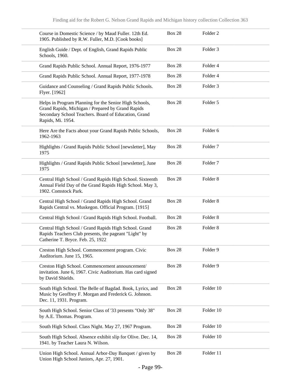| Course in Domestic Science / by Maud Fuller. 12th Ed.<br>1905. Published by R.W. Fuller, M.D. [Cook books]                                                                               | <b>Box 28</b> | Folder <sub>2</sub> |
|------------------------------------------------------------------------------------------------------------------------------------------------------------------------------------------|---------------|---------------------|
| English Guide / Dept. of English, Grand Rapids Public<br>Schools, 1960.                                                                                                                  | <b>Box 28</b> | Folder 3            |
| Grand Rapids Public School. Annual Report, 1976-1977                                                                                                                                     | <b>Box 28</b> | Folder 4            |
| Grand Rapids Public School. Annual Report, 1977-1978                                                                                                                                     | <b>Box 28</b> | Folder 4            |
| Guidance and Counseling / Grand Rapids Public Schools.<br>Flyer. [1962]                                                                                                                  | <b>Box 28</b> | Folder 3            |
| Helps in Program Planning for the Senior High Schools,<br>Grand Rapids, Michigan / Prepared by Grand Rapids<br>Secondary School Teachers. Board of Education, Grand<br>Rapids, Mi. 1954. | <b>Box 28</b> | Folder 5            |
| Here Are the Facts about your Grand Rapids Public Schools,<br>1962-1963                                                                                                                  | <b>Box 28</b> | Folder 6            |
| Highlights / Grand Rapids Public School [newsletter], May<br>1975                                                                                                                        | <b>Box 28</b> | Folder <sub>7</sub> |
| Highlights / Grand Rapids Public School [newsletter], June<br>1975                                                                                                                       | <b>Box 28</b> | Folder <sub>7</sub> |
| Central High School / Grand Rapids High School. Sixteenth<br>Annual Field Day of the Grand Rapids High School. May 3,<br>1902. Comstock Park.                                            | <b>Box 28</b> | Folder <sub>8</sub> |
| Central High School / Grand Rapids High School. Grand<br>Rapids Central vs. Muskegon. Official Program. [1915]                                                                           | <b>Box 28</b> | Folder <sub>8</sub> |
| Central High School / Grand Rapids High School. Football.                                                                                                                                | <b>Box 28</b> | Folder <sub>8</sub> |
| Central High School / Grand Rapids High School. Grand<br>Rapids Teachers Club presents, the pageant "Light" by<br>Catherine T. Bryce. Feb. 25, 1922                                      | <b>Box 28</b> | Folder <sub>8</sub> |
| Creston High School. Commencement program. Civic<br>Auditorium. June 15, 1965.                                                                                                           | <b>Box 28</b> | Folder 9            |
| Creston High School. Commencement announcement/<br>invitation. June 6, 1967. Civic Auditorium. Has card signed<br>by David Shields.                                                      | <b>Box 28</b> | Folder 9            |
| South High School. The Belle of Bagdad. Book, Lyrics, and<br>Music by Geoffrey F. Morgan and Frederick G. Johnson.<br>Dec. 11, 1931. Program.                                            | <b>Box 28</b> | Folder 10           |
| South High School. Senior Class of '33 presents "Only 38"<br>by A.E. Thomas. Program.                                                                                                    | <b>Box 28</b> | Folder 10           |
| South High School. Class Night. May 27, 1967 Program.                                                                                                                                    | <b>Box 28</b> | Folder 10           |
| South High School. Absence exhibit slip for Olive. Dec. 14,<br>1941. by Teacher Laura N. Wilson.                                                                                         | <b>Box 28</b> | Folder 10           |
| Union High School. Annual Arbor-Day Banquet / given by<br>Union High School Juniors, Apr. 27, 1901.                                                                                      | <b>Box 28</b> | Folder 11           |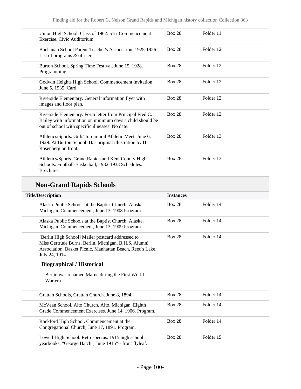| Union High School. Class of 1962. 51st Commencement<br>Exercise. Civic Auditorium                                                                                        | <b>Box 28</b> | Folder 11 |
|--------------------------------------------------------------------------------------------------------------------------------------------------------------------------|---------------|-----------|
| Buchanan School Parent-Teacher's Association, 1925-1926<br>List of programs & officers.                                                                                  | <b>Box 28</b> | Folder 12 |
| Burton School. Spring Time Festival. June 15, 1928.<br>Programming                                                                                                       | <b>Box 28</b> | Folder 12 |
| Godwin Heights High School. Commencement invitation.<br>June 5, 1935. Card.                                                                                              | <b>Box 28</b> | Folder 12 |
| Riverside Elementary. General information flyer with<br>images and floor plan.                                                                                           | <b>Box 28</b> | Folder 12 |
| Riverside Elementary. Form letter from Principal Fred C.<br>Bailey with information on minimum days a child should be<br>out of school with specific illnesses. No date. | <b>Box 28</b> | Folder 12 |
| Athletics/Sports. Girls' Intramural Athletic Meet. June 6,<br>1929. At Burton School. Has original illustration by H.<br>Rosenberg on front.                             | <b>Box 28</b> | Folder 13 |
| Athletics/Sports. Grand Rapids and Kent County High<br>Schools. Football-Basketball, 1932-1933 Schedules.<br>Brochure.                                                   | <b>Box 28</b> | Folder 13 |

# **Non-Grand Rapids Schools**

| <b>Title/Description</b>                                                                                                                                                                 | <b>Instances</b> |           |  |
|------------------------------------------------------------------------------------------------------------------------------------------------------------------------------------------|------------------|-----------|--|
| Alaska Public Schools at the Baptist Church, Alaska,<br>Michigan. Commencement, June 13, 1908 Program.                                                                                   | <b>Box 28</b>    | Folder 14 |  |
| Alaska Public Schools at the Baptist Church, Alaska,<br>Michigan. Commencement, June 13, 1909 Program.                                                                                   | <b>Box 28</b>    | Folder 14 |  |
| [Berlin High School] Mailer postcard addressed to<br>Miss Gertrude Burns, Berlin, Michigan. B.H.S. Alumni<br>Association, Basket Picnic, Manhattan Beach, Reed's Lake,<br>July 24, 1914. | <b>Box 28</b>    | Folder 14 |  |
| <b>Biographical / Historical</b>                                                                                                                                                         |                  |           |  |
| Berlin was renamed Marne during the First World<br>War era                                                                                                                               |                  |           |  |
| Grattan Schools, Grattan Church. June 8, 1894.                                                                                                                                           | <b>Box 28</b>    | Folder 14 |  |
| McVean School, Alto Church, Alto, Michigan. Eighth<br>Grade Commencement Exercises. June 14, 1906. Program.                                                                              | <b>Box 28</b>    | Folder 14 |  |
| Rockford High School. Commencement at the<br>Congregational Church, June 17, 1891. Program.                                                                                              | <b>Box 28</b>    | Folder 14 |  |
| Lowell High School. Retrospectus. 1915 high school<br>yearbooks. "George Hatch", June 1915"-- front flyleaf.                                                                             | <b>Box 28</b>    | Folder 15 |  |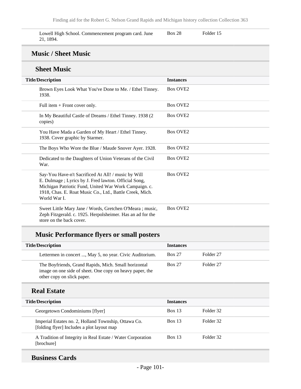Lowell High School. Commencement program card. June 21, 1894.

Box 28 Folder 15

#### **Music / Sheet Music**

#### **Sheet Music**

| DIILLI ITTUDIL                                                                                                                                                                                                                                    |                  |
|---------------------------------------------------------------------------------------------------------------------------------------------------------------------------------------------------------------------------------------------------|------------------|
| <b>Title/Description</b>                                                                                                                                                                                                                          | <b>Instances</b> |
| Brown Eyes Look What You've Done to Me. / Ethel Tinney.<br>1938.                                                                                                                                                                                  | <b>Box OVE2</b>  |
| Full item $+$ Front cover only.                                                                                                                                                                                                                   | <b>Box OVE2</b>  |
| In My Beautiful Castle of Dreams / Ethel Tinney. 1938 (2)<br>copies)                                                                                                                                                                              | <b>Box OVE2</b>  |
| You Have Mada a Garden of My Heart / Ethel Tinney.<br>1938. Cover graphic by Starmer.                                                                                                                                                             | <b>Box OVE2</b>  |
| The Boys Who Wore the Blue / Maude Snover Ayer. 1928.                                                                                                                                                                                             | <b>Box OVE2</b>  |
| Dedicated to the Daughters of Union Veterans of the Civil<br>War.                                                                                                                                                                                 | <b>Box OVE2</b>  |
| Say-You Have-n't Sacrificed At All! / music by Will<br>E. Dulmage ; Lyrics by J. Fred lawton. Official Song,<br>Michigan Patriotic Fund, United War Work Campaign. c.<br>1918, Chas. E. Roat Music Co., Ltd., Battle Creek, Mich.<br>World War I. | <b>Box OVE2</b>  |
| Sweet Little Mary Jane / Words, Gretchen O'Meara; music,<br>Zeph Fitzgerald. c. 1925. Herpolsheimer. Has an ad for the<br>store on the back cover.                                                                                                | <b>Box OVE2</b>  |

# **Music Performance flyers or small posters**

| <b>Title/Description</b>                                                                                                                       | <b>Instances</b> |           |
|------------------------------------------------------------------------------------------------------------------------------------------------|------------------|-----------|
| Lettermen in concert , May 5, no year. Civic Auditorium.                                                                                       | <b>Box 27</b>    | Folder 27 |
| The Boyfriends, Grand Rapids, Mich. Small horizontal<br>image on one side of sheet. One copy on heavy paper, the<br>other copy on slick paper. | <b>Box 27</b>    | Folder 27 |
| <b>Real Estate</b>                                                                                                                             |                  |           |
| <b>Title/Description</b>                                                                                                                       | <b>Instances</b> |           |
| Georgetown Condominiums [flyer]                                                                                                                | Box 13           | Folder 32 |
| Imperial Estates no. 2, Holland Township, Ottawa Co.<br>[folding flyer] Includes a plot layout map                                             | <b>Box 13</b>    | Folder 32 |
| A Tradition of Integrity in Real Estate / Water Corporation<br>[brochure]                                                                      | Box 13           | Folder 32 |

## **Business Cards**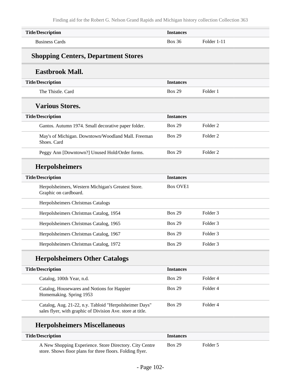| <b>Title/Description</b>                                                                                             | <b>Instances</b> |                     |
|----------------------------------------------------------------------------------------------------------------------|------------------|---------------------|
| <b>Business Cards</b>                                                                                                | <b>Box 36</b>    | Folder 1-11         |
| <b>Shopping Centers, Department Stores</b>                                                                           |                  |                     |
| <b>Eastbrook Mall.</b>                                                                                               |                  |                     |
| <b>Title/Description</b>                                                                                             | <b>Instances</b> |                     |
| The Thistle. Card                                                                                                    | <b>Box 29</b>    | Folder 1            |
| <b>Various Stores.</b>                                                                                               |                  |                     |
| <b>Title/Description</b>                                                                                             | <b>Instances</b> |                     |
| Gantos. Autumn 1974. Small decorative paper folder.                                                                  | <b>Box 29</b>    | Folder <sub>2</sub> |
| May's of Michigan. Downtown/Woodland Mall. Freeman<br>Shoes. Card                                                    | <b>Box 29</b>    | Folder <sub>2</sub> |
| Peggy Ann [Downtown?] Unused Hold/Order forms.                                                                       | <b>Box 29</b>    | Folder <sub>2</sub> |
| <b>Herpolsheimers</b>                                                                                                |                  |                     |
| <b>Title/Description</b>                                                                                             | <b>Instances</b> |                     |
| Herpolsheimers, Western Michigan's Greatest Store.<br>Graphic on cardboard.                                          | <b>Box OVE1</b>  |                     |
| Herpolsheimers Christmas Catalogs                                                                                    |                  |                     |
| Herpolsheimers Christmas Catalog, 1954                                                                               | <b>Box 29</b>    | Folder <sub>3</sub> |
| Herpolsheimers Christmas Catalog, 1965                                                                               | <b>Box 29</b>    | Folder <sub>3</sub> |
| Herpolsheimers Christmas Catalog, 1967                                                                               | <b>Box 29</b>    | Folder <sub>3</sub> |
| Herpolsheimers Christmas Catalog, 1972                                                                               | <b>Box 29</b>    | Folder 3            |
| <b>Herpolsheimers Other Catalogs</b>                                                                                 |                  |                     |
| <b>Title/Description</b>                                                                                             | <b>Instances</b> |                     |
| Catalog, 100th Year, n.d.                                                                                            | <b>Box 29</b>    | Folder 4            |
| Catalog, Housewares and Notions for Happier<br>Homemaking. Spring 1953                                               | <b>Box 29</b>    | Folder 4            |
| Catalog, Aug. 21-22, n.y. Tabloid "Herpolsheimer Days"<br>sales flyer, with graphic of Division Ave. store at title. | <b>Box 29</b>    | Folder 4            |

# **Herpolsheimers Miscellaneous**

| <b>Title/Description</b>                                                                                             | <i><u><b>Instances</b></u></i> |          |  |
|----------------------------------------------------------------------------------------------------------------------|--------------------------------|----------|--|
| A New Shopping Experience. Store Directory. City Centre<br>store. Shows floor plans for three floors. Folding flyer. | Box 29                         | Folder 5 |  |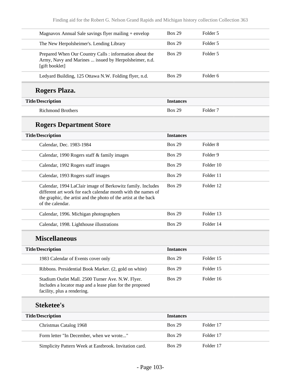| Magnavox Annual Sale savings flyer mailing + envelop                                                                                                                                                              | <b>Box 29</b>    | Folder 5            |  |
|-------------------------------------------------------------------------------------------------------------------------------------------------------------------------------------------------------------------|------------------|---------------------|--|
| The New Herpolsheimer's. Lending Library                                                                                                                                                                          | <b>Box 29</b>    | Folder 5            |  |
| Prepared When Our Country Calls : information about the<br>Army, Navy and Marines  issued by Herpolsheimer, n.d.<br>[gift booklet]                                                                                | <b>Box 29</b>    | Folder 5            |  |
| Ledyard Building, 125 Ottawa N.W. Folding flyer, n.d.                                                                                                                                                             | <b>Box 29</b>    | Folder <sub>6</sub> |  |
| Rogers Plaza.                                                                                                                                                                                                     |                  |                     |  |
| <b>Title/Description</b>                                                                                                                                                                                          | <b>Instances</b> |                     |  |
| <b>Richmond Brothers</b>                                                                                                                                                                                          | <b>Box 29</b>    | Folder <sub>7</sub> |  |
| <b>Rogers Department Store</b>                                                                                                                                                                                    |                  |                     |  |
| <b>Title/Description</b>                                                                                                                                                                                          | <b>Instances</b> |                     |  |
| Calendar, Dec. 1983-1984                                                                                                                                                                                          | <b>Box 29</b>    | Folder <sub>8</sub> |  |
| Calendar, 1990 Rogers staff & family images                                                                                                                                                                       | <b>Box 29</b>    | Folder 9            |  |
| Calendar, 1992 Rogers staff images                                                                                                                                                                                | <b>Box 29</b>    | Folder 10           |  |
| Calendar, 1993 Rogers staff images                                                                                                                                                                                | <b>Box 29</b>    | Folder 11           |  |
| Calendar, 1994 LaClair image of Berkowitz family. Includes<br>different art work for each calendar month with the names of<br>the graphic, the artist and the photo of the artist at the back<br>of the calendar. | <b>Box 29</b>    | Folder 12           |  |
| Calendar, 1996. Michigan photographers                                                                                                                                                                            | <b>Box 29</b>    | Folder 13           |  |
| Calendar, 1998. Lighthouse illustrations                                                                                                                                                                          | <b>Box 29</b>    | Folder 14           |  |
| <b>Miscellaneous</b>                                                                                                                                                                                              |                  |                     |  |
| <b>Title/Description</b>                                                                                                                                                                                          | <b>Instances</b> |                     |  |
| 1983 Calendar of Events cover only                                                                                                                                                                                | <b>Box 29</b>    | Folder 15           |  |
| Ribbons. Presidential Book Marker. (2, gold on white)                                                                                                                                                             | <b>Box 29</b>    | Folder 15           |  |
| Stadium Outlet Mall. 2500 Turner Ave. N.W. Flyer.<br>Includes a locator map and a lease plan for the proposed<br>facility, plus a rendering.                                                                      | <b>Box 29</b>    | Folder 16           |  |
| <b>Steketee's</b>                                                                                                                                                                                                 |                  |                     |  |
| <b>Title/Description</b>                                                                                                                                                                                          | <b>Instances</b> |                     |  |
| Christmas Catalog 1968                                                                                                                                                                                            | <b>Box 29</b>    | Folder 17           |  |
| Form letter "In December, when we wrote"                                                                                                                                                                          | <b>Box 29</b>    | Folder 17           |  |
| Simplicity Pattern Week at Eastbrook. Invitation card.                                                                                                                                                            | <b>Box 29</b>    | Folder 17           |  |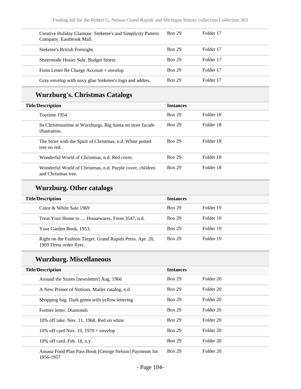| Creative Holiday Glamour. Steketee's and Simplicity Pattern<br>Company. Eastbrook Mall. | <b>Box 29</b> | Folder 17 |
|-----------------------------------------------------------------------------------------|---------------|-----------|
| Steketee's British Fortnight.                                                           | <b>Box 29</b> | Folder 17 |
| Sheermode Hosier Sale. Budget Stores                                                    | <b>Box 29</b> | Folder 17 |
| Form Letter Re Charge Account + envelop                                                 | <b>Box 29</b> | Folder 17 |
| Gray envelop with navy glue Steketee's logo and addres.                                 | <b>Box 29</b> | Folder 17 |

## **Wurzburg's. Christmas Catalogs**

| <b>Title/Description</b>                                                         | <b>Instances</b> |           |
|----------------------------------------------------------------------------------|------------------|-----------|
| Toytime 1954                                                                     | <b>Box 29</b>    | Folder 18 |
| Its Christmastime at Wurzburgs. Big Santa on store facade<br>illustration.       | <b>Box 29</b>    | Folder 18 |
| The Store with the Spirit of Christmas, n.d. White potted<br>tree on red.        | <b>Box 29</b>    | Folder 18 |
| Wonderful World of Christmas, n.d. Red cover.                                    | <b>Box 29</b>    | Folder 18 |
| Wonderful World of Christmas, n.d. Purple cover, children<br>and Christmas tree. | <b>Box 29</b>    | Folder 18 |

# **Wurzburg. Other catalogs**

| <b>Title/Description</b>                                                             | <b>Instances</b> |           |
|--------------------------------------------------------------------------------------|------------------|-----------|
| Color & White Sale 1969                                                              | <b>Box 29</b>    | Folder 19 |
| Treat Your Home to  Housewares. Form 3547, n.d.                                      | <b>Box 29</b>    | Folder 19 |
| Your Garden Book, 1953.                                                              | <b>Box 29</b>    | Folder 19 |
| Right on the Fashion Target. Grand Rapids Press. Apr. 20,<br>1969 Dress order flyer. | <b>Box 29</b>    | Folder 19 |

# **Wurzburg. Miscellaneous**

| <b>Title/Description</b>                                            | <b>Instances</b> |           |
|---------------------------------------------------------------------|------------------|-----------|
| Around the Stores [newsletter] Aug. 1966                            | <b>Box 29</b>    | Folder 20 |
| A New Primer of Notions. Mailer catalog, n.d.                       | <b>Box 29</b>    | Folder 20 |
| Shopping bag. Dark green with yellow lettering                      | <b>Box 29</b>    | Folder 20 |
| Former letter. Diamonds                                             | <b>Box 29</b>    | Folder 20 |
| 10% off take. Nov. 11, 1968. Red on white.                          | <b>Box 29</b>    | Folder 20 |
| 10% off card Nov. 10, $1970 +$ envelop                              | <b>Box 29</b>    | Folder 20 |
| 10% off card. Feb. 18, n.y.                                         | <b>Box 29</b>    | Folder 20 |
| Amana Food Plan Pass Book [George Nelson] Payments for<br>1956-1957 | <b>Box 29</b>    | Folder 20 |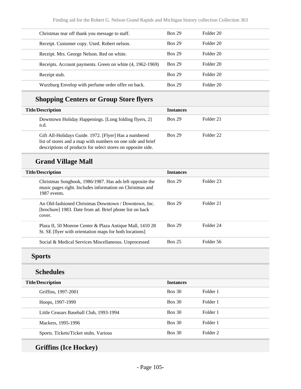| Christmas tear off thank you message to staff.            | <b>Box 29</b> | Folder 20 |
|-----------------------------------------------------------|---------------|-----------|
| Receipt. Customer copy. Used. Robert nelson.              | <b>Box 29</b> | Folder 20 |
| Receipt. Mrs. George Nelson. Red on white.                | <b>Box 29</b> | Folder 20 |
| Receipts. Account payments. Green on white (4, 1962-1969) | <b>Box 29</b> | Folder 20 |
| Receipt stub.                                             | <b>Box 29</b> | Folder 20 |
| Wurzburg Envelop with perfume order offer on back.        | <b>Box 29</b> | Folder 20 |

# **Shopping Centers or Group Store flyers**

| <b>Title/Description</b>                                                                                                                                                             | <b>Instances</b> |           |
|--------------------------------------------------------------------------------------------------------------------------------------------------------------------------------------|------------------|-----------|
| Downtown Holiday Happenings. [Long folding flyers, 2]<br>n.d.                                                                                                                        | <b>Box 29</b>    | Folder 21 |
| Gift All-Holidays Guide. 1972. [Flyer] Has a numbered<br>list of stores and a map with numbers on one side and brief<br>descriptions of products for select stores on opposite side. | <b>Box 29</b>    | Folder 22 |

# **Grand Village Mall**

| <b>Title/Description</b>                                                                                                             | <b>Instances</b> |           |
|--------------------------------------------------------------------------------------------------------------------------------------|------------------|-----------|
| Christmas Songbook, 1986/1987. Has ads left opposite the<br>music pages right. Includes information on Christmas and<br>1987 events. | <b>Box 29</b>    | Folder 23 |
| An Old-fashioned Christmas Downtown / Downtown, Inc.<br>[brochure] 1983. Date from ad. Brief phone list on back<br>cover.            | <b>Box 29</b>    | Folder 21 |
| Plaza II, 50 Monroe Center & Plaza Antique Mall, 1410 28<br>St. SE [flyer with orientation maps for both locations]                  | <b>Box 29</b>    | Folder 24 |
| Social & Medical Services Miscellaneous. Unprocessed                                                                                 | <b>Box 25</b>    | Folder 56 |

# **Sports**

## **Schedules**

| <b>Title/Description</b>                | <b>Instances</b> |          |
|-----------------------------------------|------------------|----------|
| Griffins, 1997-2001                     | Box 30           | Folder 1 |
| Hoops, 1997-1999                        | Box 30           | Folder 1 |
| Little Ceasars Baseball Club, 1993-1994 | Box 30           | Folder 1 |
| Mackers, 1995-1996                      | Box 30           | Folder 1 |
| Sports. Tickets/Ticket stubs. Various   | Box 30           | Folder 2 |

# **Griffins (Ice Hockey)**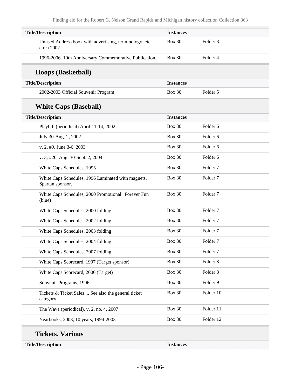| <b>Title/Description</b>                                               | <b>Instances</b> |                     |
|------------------------------------------------------------------------|------------------|---------------------|
| Unused Address book with advertising, terminology, etc.<br>circa 2002  | <b>Box 30</b>    | Folder <sub>3</sub> |
| 1996-2006. 10th Anniversary Commemorative Publication.                 | <b>Box 30</b>    | Folder 4            |
| <b>Hoops (Basketball)</b>                                              |                  |                     |
| <b>Title/Description</b>                                               | <b>Instances</b> |                     |
| 2002-2003 Official Souvenir Program                                    | <b>Box 30</b>    | Folder 5            |
| <b>White Caps (Baseball)</b>                                           |                  |                     |
| <b>Title/Description</b>                                               | <b>Instances</b> |                     |
| Playbill (periodical) April 11-14, 2002                                | <b>Box 30</b>    | Folder <sub>6</sub> |
| July 30-Aug. 2, 2002                                                   | <b>Box 30</b>    | Folder 6            |
| v. 2, #9, June 3-6, 2003                                               | <b>Box 30</b>    | Folder <sub>6</sub> |
| v. 3, #20, Aug. 30-Sept. 2, 2004                                       | <b>Box 30</b>    | Folder <sub>6</sub> |
| White Caps Schedules, 1995                                             | <b>Box 30</b>    | Folder <sub>7</sub> |
| White Caps Schedules, 1996 Laminated with magnets.<br>Spartan sponsor. | <b>Box 30</b>    | Folder <sub>7</sub> |
| White Caps Schedules, 2000 Promotional "Forever Fun<br>(blue)          | <b>Box 30</b>    | Folder <sub>7</sub> |
| White Caps Schedules, 2000 folding                                     | <b>Box 30</b>    | Folder <sub>7</sub> |
| White Caps Schedules, 2002 folding                                     | <b>Box 30</b>    | Folder <sub>7</sub> |
| White Caps Schedules, 2003 folding                                     | <b>Box 30</b>    | Folder <sub>7</sub> |
| White Caps Schedules, 2004 folding                                     | <b>Box 30</b>    | Folder <sub>7</sub> |
| White Caps Schedules, 2007 folding                                     | <b>Box 30</b>    | Folder <sub>7</sub> |
| White Caps Scorecard, 1997 (Target sponsor)                            | <b>Box 30</b>    | Folder 8            |
| White Caps Scorecard, 2000 (Target)                                    | <b>Box 30</b>    | Folder 8            |
| Souvenir Programs, 1996                                                | <b>Box 30</b>    | Folder 9            |
| Tickets & Ticket Sales  See also the general ticket<br>category.       | <b>Box 30</b>    | Folder 10           |
| The Wave (periodical), v. 2, no. 4, 2007                               | <b>Box 30</b>    | Folder 11           |
| Yearbooks, 2003, 10 years, 1994-2003                                   | <b>Box 30</b>    | Folder 12           |

#### **Tickets. Various**

**Title/Description Instances**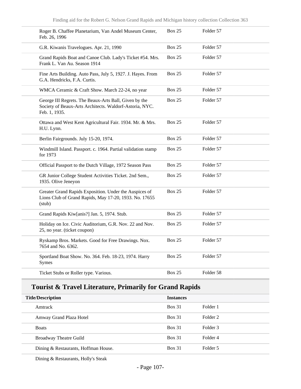| Roger B. Chaffee Planetarium, Van Andel Museum Center,<br>Feb. 26, 1996                                                           | <b>Box 25</b> | Folder 57 |
|-----------------------------------------------------------------------------------------------------------------------------------|---------------|-----------|
| G.R. Kiwanis Travelogues. Apr. 21, 1990                                                                                           | <b>Box 25</b> | Folder 57 |
| Grand Rapids Boat and Canoe Club. Lady's Ticket #54. Mrs.<br>Frank L. Van Au. Season 1914                                         | <b>Box 25</b> | Folder 57 |
| Fine Arts Building. Auto Pass, July 5, 1927. J. Hayes. From<br>G.A. Hendricks, F.A. Curtis.                                       | <b>Box 25</b> | Folder 57 |
| WMCA Ceramic & Craft Show. March 22-24, no year                                                                                   | <b>Box 25</b> | Folder 57 |
| George III Regrets. The Beaux-Arts Ball, Given by the<br>Society of Beaux-Arts Architects. Waldorf-Astoria, NYC.<br>Feb. 1, 1935. | <b>Box 25</b> | Folder 57 |
| Ottawa and West Kent Agricultural Fair. 1934. Mr. & Mrs.<br>H.U. Lynn.                                                            | <b>Box 25</b> | Folder 57 |
| Berlin Fairgrounds. July 15-20, 1974.                                                                                             | <b>Box 25</b> | Folder 57 |
| Windmill Island. Passport. c. 1964. Partial validation stamp<br>for 1973                                                          | <b>Box 25</b> | Folder 57 |
| Official Passport to the Dutch Village, 1972 Season Pass                                                                          | <b>Box 25</b> | Folder 57 |
| GR Junior College Student Activities Ticket. 2nd Sem.,<br>1935. Olive Jeneyon                                                     | <b>Box 25</b> | Folder 57 |
| Greater Grand Rapids Exposition. Under the Auspices of<br>Lions Club of Grand Rapids, May 17-20, 1933. No. 17655<br>(stub)        | <b>Box 25</b> | Folder 57 |
| Grand Rapids Kiw[anis?] Jan. 5, 1974. Stub.                                                                                       | <b>Box 25</b> | Folder 57 |
| Holiday on Ice. Civic Auditorium, G.R. Nov. 22 and Nov.<br>25, no year. (ticket coupon)                                           | Box 25        | Folder 57 |
| Ryskamp Bros. Markets. Good for Free Drawings. Nox.<br>7654 and No. 6362.                                                         | <b>Box 25</b> | Folder 57 |
| Sportland Boat Show. No. 364. Feb. 18-23, 1974. Harry<br>Symes                                                                    | <b>Box 25</b> | Folder 57 |
| Ticket Stubs or Roller type. Various.                                                                                             | <b>Box 25</b> | Folder 58 |

## **Tourist & Travel Literature, Primarily for Grand Rapids**

| <b>Title/Description</b>             | <b>Instances</b> |          |
|--------------------------------------|------------------|----------|
| Amtrack                              | <b>Box 31</b>    | Folder 1 |
| Amway Grand Plaza Hotel              | Box 31           | Folder 2 |
| <b>Boats</b>                         | $Box\ 31$        | Folder 3 |
| <b>Broadway Theatre Guild</b>        | <b>Box 31</b>    | Folder 4 |
| Dining & Restaurants, Hoffman House. | <b>Box 31</b>    | Folder 5 |

Dining & Restaurants, Holly's Steak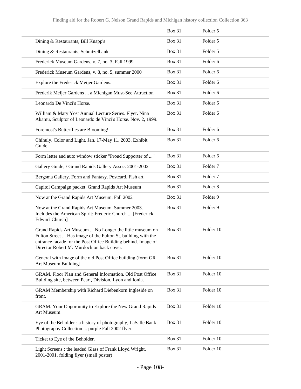|                                                                                                                                                                                                                                       | <b>Box 31</b> | Folder 5            |
|---------------------------------------------------------------------------------------------------------------------------------------------------------------------------------------------------------------------------------------|---------------|---------------------|
| Dining & Restaurants, Bill Knapp's                                                                                                                                                                                                    | <b>Box 31</b> | Folder 5            |
| Dining & Restaurants, Schnitzelbank.                                                                                                                                                                                                  | <b>Box 31</b> | Folder 5            |
| Frederick Museum Gardens, v. 7, no. 3, Fall 1999                                                                                                                                                                                      | <b>Box 31</b> | Folder 6            |
| Frederick Museum Gardens, v. 8, no. 5, summer 2000                                                                                                                                                                                    | <b>Box 31</b> | Folder 6            |
| Explore the Frederick Meijer Gardens.                                                                                                                                                                                                 | <b>Box 31</b> | Folder <sub>6</sub> |
| Frederik Meijer Gardens  a Michigan Must-See Attraction                                                                                                                                                                               | <b>Box 31</b> | Folder 6            |
| Leonardo De Vinci's Horse.                                                                                                                                                                                                            | <b>Box 31</b> | Folder <sub>6</sub> |
| William & Mary Yost Annual Lecture Series. Flyer. Nina<br>Akamu, Sculptor of Leonardo de Vinci's Horse. Nov. 2, 1999.                                                                                                                 | <b>Box 31</b> | Folder <sub>6</sub> |
| Foremost's Butterflies are Blooming!                                                                                                                                                                                                  | <b>Box 31</b> | Folder 6            |
| Chihuly. Color and Light. Jan. 17-May 11, 2003. Exhibit<br>Guide                                                                                                                                                                      | <b>Box 31</b> | Folder 6            |
| Form letter and auto window sticker "Proud Supporter of "                                                                                                                                                                             | <b>Box 31</b> | Folder <sub>6</sub> |
| Gallery Guide, / Grand Rapids Gallery Assoc. 2001-2002                                                                                                                                                                                | <b>Box 31</b> | Folder <sub>7</sub> |
| Bergsma Gallery. Form and Fantasy. Postcard. Fish art                                                                                                                                                                                 | <b>Box 31</b> | Folder <sub>7</sub> |
| Capitol Campaign packet. Grand Rapids Art Museum                                                                                                                                                                                      | <b>Box 31</b> | Folder <sub>8</sub> |
| Now at the Grand Rapids Art Museum. Fall 2002                                                                                                                                                                                         | <b>Box 31</b> | Folder 9            |
| Now at the Grand Rapids Art Museum. Summer 2003.<br>Includes the American Spirit: Frederic Church  [Frederick]<br>Edwin? Church]                                                                                                      | <b>Box 31</b> | Folder 9            |
| Grand Rapids Art Museum  No Longer the little museum on<br>Fulton Street  Has image of the Fulton St. building with the<br>entrance facade for the Post Office Building behind. Image of<br>Director Robert M. Murdock on back cover. | <b>Box 31</b> | Folder 10           |
| General with image of the old Post Office building (form GR<br>Art Museum Building]                                                                                                                                                   | <b>Box 31</b> | Folder 10           |
| GRAM. Floor Plan and General Information. Old Post Office<br>Building site, between Pearl, Division, Lyon and Ionia.                                                                                                                  | <b>Box 31</b> | Folder 10           |
| GRAM Membership with Richard Diebenkorn Ingleside on<br>front.                                                                                                                                                                        | <b>Box 31</b> | Folder 10           |
| GRAM. Your Opportunity to Explore the New Grand Rapids<br>Art Museum                                                                                                                                                                  | <b>Box 31</b> | Folder 10           |
| Eye of the Beholder: a history of photography, LaSalle Bank<br>Photography Collection  purple Fall 2002 flyer.                                                                                                                        | <b>Box 31</b> | Folder 10           |
| Ticket to Eye of the Beholder.                                                                                                                                                                                                        | <b>Box 31</b> | Folder 10           |
| Light Screens : the leaded Glass of Frank Lloyd Wright,<br>2001-2001. folding flyer (small poster)                                                                                                                                    | <b>Box 31</b> | Folder 10           |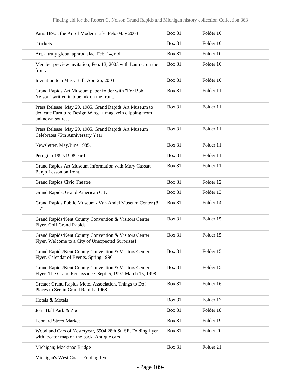| Paris 1890 : the Art of Modern Life, Feb.-May 2003                                                                                     | <b>Box 31</b> | Folder 10 |
|----------------------------------------------------------------------------------------------------------------------------------------|---------------|-----------|
| 2 tickets                                                                                                                              | <b>Box 31</b> | Folder 10 |
| Art, a truly global aphrodisiac. Feb. 14, n.d.                                                                                         | <b>Box 31</b> | Folder 10 |
| Member preview invitation, Feb. 13, 2003 with Lautrec on the<br>front.                                                                 | <b>Box 31</b> | Folder 10 |
| Invitation to a Mask Ball, Apr. 26, 2003                                                                                               | <b>Box 31</b> | Folder 10 |
| Grand Rapids Art Museum paper folder with "For Bob<br>Nelson" written in blue ink on the front.                                        | <b>Box 31</b> | Folder 11 |
| Press Release. May 29, 1985. Grand Rapids Art Museum to<br>dedicate Furniture Design Wing. + magazein clipping from<br>unknown source. | <b>Box 31</b> | Folder 11 |
| Press Release. May 29, 1985. Grand Rapids Art Museum<br>Celebrates 75th Anniversary Year                                               | <b>Box 31</b> | Folder 11 |
| Newsletter, May/June 1985.                                                                                                             | <b>Box 31</b> | Folder 11 |
| Perugino 1997/1998 card                                                                                                                | <b>Box 31</b> | Folder 11 |
| Grand Rapids Art Museum Information with Mary Cassatt<br>Banjo Lesson on front.                                                        | <b>Box 31</b> | Folder 11 |
| Grand Rapids Civic Theatre                                                                                                             | <b>Box 31</b> | Folder 12 |
| Grand Rapids. Grand American City.                                                                                                     | <b>Box 31</b> | Folder 13 |
| Grand Rapids Public Museum / Van Andel Museum Center (8<br>$+7)$                                                                       | <b>Box 31</b> | Folder 14 |
| Grand Rapids/Kent County Convention & Visitors Center.<br>Flyer. Golf Grand Rapids                                                     | <b>Box 31</b> | Folder 15 |
| Grand Rapids/Kent County Convention & Visitors Center.<br>Flyer. Welcome to a City of Unexpected Surprises!                            | <b>Box 31</b> | Folder 15 |
| Grand Rapids/Kent County Convention & Visitors Center.<br>Flyer. Calendar of Events, Spring 1996                                       | <b>Box 31</b> | Folder 15 |
| Grand Rapids/Kent County Convention & Visitors Center.<br>Flyer. The Grand Renaissance. Sept. 5, 1997-March 15, 1998.                  | <b>Box 31</b> | Folder 15 |
| Greater Grand Rapids Motel Association. Things to Do!<br>Places to See in Grand Rapids. 1968.                                          | <b>Box 31</b> | Folder 16 |
| Hotels & Motels                                                                                                                        | <b>Box 31</b> | Folder 17 |
| John Ball Park & Zoo                                                                                                                   | <b>Box 31</b> | Folder 18 |
| <b>Leonard Street Market</b>                                                                                                           | <b>Box 31</b> | Folder 19 |
| Woodland Cars of Yesteryear, 6504 28th St. SE. Folding flyer<br>with locator map on the back. Antique cars                             | <b>Box 31</b> | Folder 20 |
| Michigan; Mackinac Bridge                                                                                                              | <b>Box 31</b> | Folder 21 |

Michigan's West Coast. Folding flyer.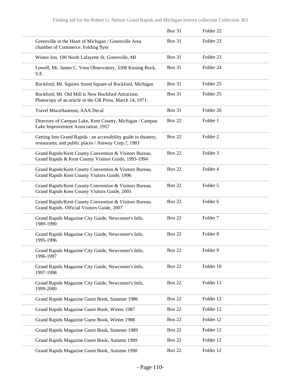|                                                                                                                        | <b>Box 31</b> | Folder <sub>22</sub> |
|------------------------------------------------------------------------------------------------------------------------|---------------|----------------------|
| Greenville in the Heart of Michigan / Greenville Area<br>chamber of Commerce. Folding flyer                            | <b>Box 31</b> | Folder <sub>23</sub> |
| Winter Inn, 100 North Lafayette St. Greenville, MI                                                                     | <b>Box 31</b> | Folder <sub>23</sub> |
| Lowell, Mi. James C. Veen Observatory, 3308 Kissing Rock,<br>S.E.                                                      | <b>Box 31</b> | Folder <sub>24</sub> |
| Rockford, Mi. Squires Street Square of Rockford, Michigan                                                              | <b>Box 31</b> | Folder <sub>25</sub> |
| Rockford, Mi. Old Mill is New Rockford Attraction.<br>Photocopy of an article in the GR Press, March 14, 1971.         | <b>Box 31</b> | Folder <sub>25</sub> |
| Travel Miscellaneous, AAA Decal                                                                                        | Box 31        | Folder 26            |
| Directory of Campau Lake, Kent County, Michigan / Campau<br>Lake Improvement Association, 1957                         | <b>Box 22</b> | Folder 1             |
| Getting Into Grand Rapids : an accessibility guide to theaters,<br>restaurants, and public places / Amway Corp.?, 1983 | <b>Box 22</b> | Folder <sub>2</sub>  |
| Grand Rapids/Kent County Convention & Visitors Bureau.<br>Grand Rapids & Kent County Visitors Guide, 1993-1994         | <b>Box 22</b> | Folder <sub>3</sub>  |
| Grand Rapids/Kent County Convention & Visitors Bureau.<br>Grand Rapids Kent County Visitors Guide, 1996                | <b>Box 22</b> | Folder 4             |
| Grand Rapids/Kent County Convention & Visitors Bureau.<br>Grand Rapids Kent County Visitors Guide, 2003                | <b>Box 22</b> | Folder 5             |
| Grand Rapids/Kent County Convention & Visitors Bureau.<br>Grand Rapids. Official Visitors Guide, 2007                  | <b>Box 22</b> | Folder 6             |
| Grand Rapids Magazine City Guide, Newcomer's Info,<br>1989-1990                                                        | <b>Box 22</b> | Folder <sub>7</sub>  |
| Grand Rapids Magazine City Guide, Newcomer's Info,<br>1995-1996                                                        | <b>Box 22</b> | Folder <sub>8</sub>  |
| Grand Rapids Magazine City Guide, Newcomer's Info,<br>1996-1997                                                        | <b>Box 22</b> | Folder 9             |
| Grand Rapids Magazine City Guide, Newcomer's Info,<br>1997-1998                                                        | <b>Box 22</b> | Folder 10            |
| Grand Rapids Magazine City Guide, Newcomer's Info,<br>1999-2000                                                        | <b>Box 22</b> | Folder 11            |
| Grand Rapids Magazine Guest Book, Summer 1986                                                                          | <b>Box 22</b> | Folder 12            |
| Grand Rapids Magazine Guest Book, Winter 1987                                                                          | <b>Box 22</b> | Folder 12            |
| Grand Rapids Magazine Guest Book, Winter 1988                                                                          | <b>Box 22</b> | Folder 12            |
| Grand Rapids Magazine Guest Book, Summer 1989                                                                          | <b>Box 22</b> | Folder 12            |
| Grand Rapids Magazine Guest Book, Autumn 1989                                                                          | <b>Box 22</b> | Folder 12            |
| Grand Rapids Magazine Guest Book, Autumn 1990                                                                          | <b>Box 22</b> | Folder 12            |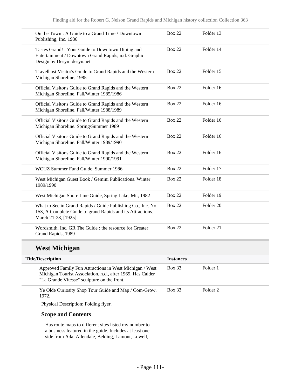| On the Town : A Guide to a Grand Time / Downtown<br>Publishing, Inc. 1986                                                                         | <b>Box 22</b> | Folder 13            |
|---------------------------------------------------------------------------------------------------------------------------------------------------|---------------|----------------------|
| Tastes Grand!: Your Guide to Downtown Dining and<br>Entertainment / Downtown Grand Rapids, n.d. Graphic<br>Design by Desyn idesyn.net             | <b>Box 22</b> | Folder 14            |
| Travelhost Visitor's Guide to Grand Rapids and the Western<br>Michigan Shoreline, 1985                                                            | <b>Box 22</b> | Folder 15            |
| Official Visitor's Guide to Grand Rapids and the Western<br>Michigan Shoreline. Fall/Winter 1985/1986                                             | <b>Box 22</b> | Folder 16            |
| Official Visitor's Guide to Grand Rapids and the Western<br>Michigan Shoreline. Fall/Winter 1988/1989                                             | <b>Box 22</b> | Folder 16            |
| Official Visitor's Guide to Grand Rapids and the Western<br>Michigan Shoreline. Spring/Summer 1989                                                | <b>Box 22</b> | Folder 16            |
| Official Visitor's Guide to Grand Rapids and the Western<br>Michigan Shoreline. Fall/Winter 1989/1990                                             | <b>Box 22</b> | Folder 16            |
| Official Visitor's Guide to Grand Rapids and the Western<br>Michigan Shoreline. Fall/Winter 1990/1991                                             | <b>Box 22</b> | Folder 16            |
| WCUZ Summer Fund Guide, Summer 1986                                                                                                               | <b>Box 22</b> | Folder 17            |
| West Michigan Guest Book / Gemini Publications. Winter<br>1989/1990                                                                               | <b>Box 22</b> | Folder 18            |
| West Michigan Shore Line Guide, Spring Lake, Mi., 1982                                                                                            | <b>Box 22</b> | Folder 19            |
| What to See in Grand Rapids / Guide Publishing Co., Inc. No.<br>153, A Complete Guide to grand Rapids and its Attractions.<br>March 21-28, [1925] | <b>Box 22</b> | Folder <sub>20</sub> |
| Wordsmith, Inc. GR The Guide: the resource for Greater<br>Grand Rapids, 1989                                                                      | <b>Box 22</b> | Folder 21            |

## **West Michigan**

| <b>Title/Description</b>                                                                                                                                             | <b>Instances</b> |          |
|----------------------------------------------------------------------------------------------------------------------------------------------------------------------|------------------|----------|
| Approved Family Fun Attractions in West Michigan / West<br>Michigan Tourist Association. n.d., after 1969. Has Calder<br>"La Grande Vitesse" sculpture on the front. | <b>Box 33</b>    | Folder 1 |
| Ye Olde Curiosity Shop Tour Guide and Map / Com-Grow.<br>1972.                                                                                                       | <b>Box 33</b>    | Folder 2 |
| <b>Physical Description: Folding flyer.</b>                                                                                                                          |                  |          |

### **Scope and Contents**

Has route maps to different sites listed my number to a business featured in the guide. Includes at least one side from Ada, Allendale, Belding, Lamont, Lowell,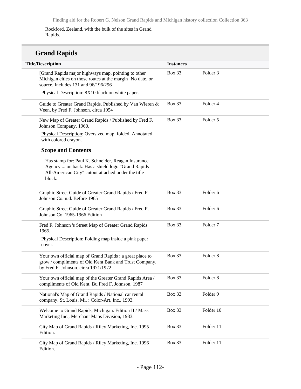Rockford, Zeeland, with the bulk of the sites in Grand Rapids.

# **Grand Rapids**

| <b>Title/Description</b>                                                                                                                                               | <b>Instances</b> |                     |
|------------------------------------------------------------------------------------------------------------------------------------------------------------------------|------------------|---------------------|
| [Grand Rapids major highways map, pointing to other<br>Michigan cities on those routes at the margin] No date, or<br>source. Includes 131 and 96/196/296               | <b>Box 33</b>    | Folder <sub>3</sub> |
| Physical Description: 8X10 black on white paper.                                                                                                                       |                  |                     |
| Guide to Greater Grand Rapids. Published by Van Wieren &<br>Veen, by Fred F. Johnson. circa 1954                                                                       | Box 33           | Folder 4            |
| New Map of Greater Grand Rapids / Published by Fred F.<br>Johnson Company. 1960.                                                                                       | <b>Box 33</b>    | Folder 5            |
| Physical Description: Oversized map, folded. Annotated<br>with colored crayon.                                                                                         |                  |                     |
| <b>Scope and Contents</b>                                                                                                                                              |                  |                     |
| Has stamp for: Paul K. Schneider, Reagan Insurance<br>Agency  on back. Has a shield logo "Grand Rapids<br>All-American City" cutout attached under the title<br>block. |                  |                     |
| Graphic Street Guide of Greater Grand Rapids / Fred F.<br>Johnson Co. n.d. Before 1965                                                                                 | Box 33           | Folder 6            |
| Graphic Street Guide of Greater Grand Rapids / Fred F.<br>Johnson Co. 1965-1966 Edition                                                                                | <b>Box 33</b>    | Folder 6            |
| Fred F. Johnson 's Street Map of Greater Grand Rapids<br>1965.                                                                                                         | <b>Box 33</b>    | Folder <sub>7</sub> |
| Physical Description: Folding map inside a pink paper<br>cover.                                                                                                        |                  |                     |
| Your own official map of Grand Rapids : a great place to<br>grow / compliments of Old Kent Bank and Trust Company,<br>by Fred F. Johnson. circa 1971/1972              | <b>Box 33</b>    | Folder <sub>8</sub> |
| Your own official map of the Greater Grand Rapids Area /<br>compliments of Old Kent. Bu Fred F. Johnson, 1987                                                          | Box 33           | Folder <sub>8</sub> |
| National's Map of Grand Rapids / National car rental<br>company. St. Louis, Mi.: Color-Art, Inc., 1993.                                                                | <b>Box 33</b>    | Folder 9            |
| Welcome to Grand Rapids, Michigan. Edition II / Mass<br>Marketing Inc., Merchant Maps Division, 1983.                                                                  | Box 33           | Folder 10           |
| City Map of Grand Rapids / Riley Marketing, Inc. 1995<br>Edition.                                                                                                      | <b>Box 33</b>    | Folder 11           |
| City Map of Grand Rapids / Riley Marketing, Inc. 1996<br>Edition.                                                                                                      | <b>Box 33</b>    | Folder 11           |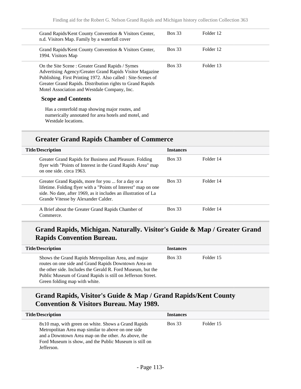| Grand Rapids/Kent County Convention & Visitors Center,<br>n.d. Visitors Map. Family by a waterfall cover                                                                                                                                                                                  | <b>Box 33</b> | Folder 12 |  |
|-------------------------------------------------------------------------------------------------------------------------------------------------------------------------------------------------------------------------------------------------------------------------------------------|---------------|-----------|--|
| Grand Rapids/Kent County Convention & Visitors Center,<br>1994. Visitors Map                                                                                                                                                                                                              | <b>Box 33</b> | Folder 12 |  |
| On the Site Scene: Greater Grand Rapids / Symes<br>Advertising Agency/Greater Grand Rapids Visitor Magazine<br>Publishing. First Printing 1972. Also called : Site-Scenes of<br>Greater Grand Rapids. Distribution rights to Grand Rapids<br>Motel Association and Westdale Company, Inc. | <b>Box 33</b> | Folder 13 |  |
| <b>Scope and Contents</b>                                                                                                                                                                                                                                                                 |               |           |  |
| Has a centerfold map showing major routes, and<br>numerically annotated for area hotels and motel, and<br>Westdale locations.                                                                                                                                                             |               |           |  |

## **Greater Grand Rapids Chamber of Commerce**

| <b>Title/Description</b>                                                                                                                                                                                                       | <b>Instances</b> |           |
|--------------------------------------------------------------------------------------------------------------------------------------------------------------------------------------------------------------------------------|------------------|-----------|
| Greater Grand Rapids for Business and Pleasure. Folding<br>flyer with "Points of Interest in the Grand Rapids Area" map<br>on one side, circa 1963.                                                                            | Box 33           | Folder 14 |
| Greater Grand Rapids, more for you  for a day or a<br>lifetime. Folding flyer with a "Points of Interest" map on one<br>side. No date, after 1969, as it includes an illustration of La<br>Grande Vitesse by Alexander Calder. | Box 33           | Folder 14 |
| A Brief about the Greater Grand Rapids Chamber of<br>Commerce.                                                                                                                                                                 | <b>Box 33</b>    | Folder 14 |

## **Grand Rapids, Michigan. Naturally. Visitor's Guide & Map / Greater Grand Rapids Convention Bureau.**

| <b>Title/Description</b>                                                                                                                                                                                                                                                   | <b>Instances</b> |           |
|----------------------------------------------------------------------------------------------------------------------------------------------------------------------------------------------------------------------------------------------------------------------------|------------------|-----------|
| Shows the Grand Rapids Metropolitan Area, and major<br>routes on one side and Grand Rapids Downtown Area on<br>the other side. Includes the Gerald R. Ford Museum, but the<br>Public Museum of Grand Rapids is still on Jefferson Street.<br>Green folding map with white. | <b>Box 33</b>    | Folder 15 |

## **Grand Rapids, Visitor's Guide & Map / Grand Rapids/Kent County Convention & Visitors Bureau. May 1989.**

| <b>Title/Description</b>                                                                                                                                                                                                                 | <b>Instances</b> |           |
|------------------------------------------------------------------------------------------------------------------------------------------------------------------------------------------------------------------------------------------|------------------|-----------|
| 8x10 map, with green on white. Shows a Grand Rapids<br>Metropolitan Area map similar to above on one side<br>and a Downtown Area map on the other. As above, the<br>Ford Museum is show, and the Public Museum is still on<br>Jefferson. | <b>Box 33</b>    | Folder 15 |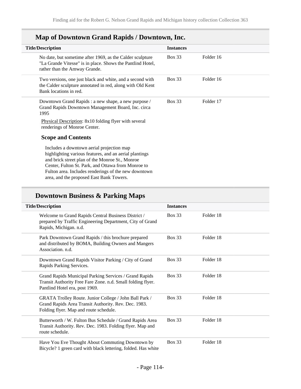| <b>Title/Description</b>                                                                                                                                                                                                                                                                                         | <b>Instances</b> |           |
|------------------------------------------------------------------------------------------------------------------------------------------------------------------------------------------------------------------------------------------------------------------------------------------------------------------|------------------|-----------|
| No date, but sometime after 1969, as the Calder sculpture<br>"La Grande Vitesse" is in place. Shows the Pantlind Hotel,<br>rather than the Amway Grande.                                                                                                                                                         | <b>Box 33</b>    | Folder 16 |
| Two versions, one just black and white, and a second with<br>the Calder sculpture annotated in red, along with Old Kent<br>Bank locations in red.                                                                                                                                                                | <b>Box 33</b>    | Folder 16 |
| Downtown Grand Rapids : a new shape, a new purpose /<br>Grand Rapids Downtown Management Board, Inc. circa<br>1995                                                                                                                                                                                               | <b>Box 33</b>    | Folder 17 |
| Physical Description: 8x10 folding flyer with several<br>renderings of Monroe Center.                                                                                                                                                                                                                            |                  |           |
| <b>Scope and Contents</b>                                                                                                                                                                                                                                                                                        |                  |           |
| Includes a downtown aerial projection map<br>highlighting various features, and an aerial plantings<br>and brick street plan of the Monroe St., Monroe<br>Center, Fulton St. Park, and Ottawa from Monroe to<br>Fulton area. Includes renderings of the new downtown<br>area, and the proposed East Bank Towers. |                  |           |

# **Map of Downtown Grand Rapids / Downtown, Inc.**

# **Downtown Business & Parking Maps**

| <b>Title/Description</b>                                                                                                                                 | <b>Instances</b> |           |
|----------------------------------------------------------------------------------------------------------------------------------------------------------|------------------|-----------|
| Welcome to Grand Rapids Central Business District /<br>prepared by Traffic Engineering Department, City of Grand<br>Rapids, Michigan. n.d.               | <b>Box 33</b>    | Folder 18 |
| Park Downtown Grand Rapids / this brochure prepared<br>and distributed by BOMA, Building Owners and Mangers<br>Association, n.d.                         | <b>Box 33</b>    | Folder 18 |
| Downtown Grand Rapids Visitor Parking / City of Grand<br>Rapids Parking Services.                                                                        | <b>Box 33</b>    | Folder 18 |
| Grand Rapids Municipal Parking Services / Grand Rapids<br>Transit Authority Free Fare Zone. n.d. Small folding flyer.<br>Pantlind Hotel era, post 1969.  | <b>Box 33</b>    | Folder 18 |
| GRATA Trolley Route. Junior College / John Ball Park /<br>Grand Rapids Area Transit Authority. Rev. Dec. 1983.<br>Folding flyer. Map and route schedule. | <b>Box 33</b>    | Folder 18 |
| Butterworth / W. Fulton Bus Schedule / Grand Rapids Area<br>Transit Authority. Rev. Dec. 1983. Folding flyer. Map and<br>route schedule.                 | <b>Box 33</b>    | Folder 18 |
| Have You Eve Thought About Commuting Downtown by<br>Bicycle? 1 green card with black lettering, folded. Has white                                        | <b>Box 33</b>    | Folder 18 |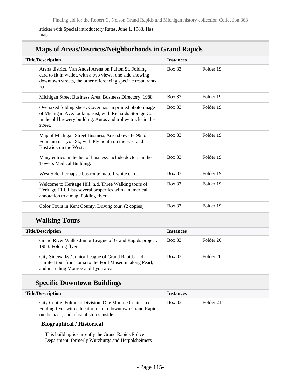sticker with Special introductory Rates, June 1, 1983. Has map

## **Maps of Areas/Districts/Neighborhoods in Grand Rapids**

| <b>Title/Description</b>                                                                                                                                                                          | <b>Instances</b> |           |
|---------------------------------------------------------------------------------------------------------------------------------------------------------------------------------------------------|------------------|-----------|
| Arena district. Van Andel Arena on Fulton St. Folding<br>card to fit in wallet, with a two views, one side showing<br>downtown streets, the other referencing specific restaurants.<br>n.d.       | <b>Box 33</b>    | Folder 19 |
| Michigan Street Business Area. Business Directory, 1988                                                                                                                                           | <b>Box 33</b>    | Folder 19 |
| Oversized folding sheet. Cover has an printed photo image<br>of Michigan Ave. looking east, with Richards Storage Co.,<br>in the old brewery building. Autos and trolley tracks in the<br>street. | <b>Box 33</b>    | Folder 19 |
| Map of Michigan Street Business Area shows I-196 to<br>Fountain or Lyon St., with Plymouth on the East and<br>Bostwick on the West.                                                               | <b>Box 33</b>    | Folder 19 |
| Many entries in the list of business include doctors in the<br>Towers Medical Building.                                                                                                           | <b>Box 33</b>    | Folder 19 |
| West Side. Perhaps a bus route map. 1 white card.                                                                                                                                                 | <b>Box 33</b>    | Folder 19 |
| Welcome to Heritage Hill. n.d. Three Walking tours of<br>Heritage Hill. Lists several properties with a numerical<br>annotation to a map. Folding flyer.                                          | <b>Box 33</b>    | Folder 19 |
| Color Tours in Kent County. Driving tour. (2 copies)                                                                                                                                              | <b>Box 33</b>    | Folder 19 |
| <b>Walking Tours</b>                                                                                                                                                                              |                  |           |
| <b>Title/Description</b>                                                                                                                                                                          | <b>Instances</b> |           |
| Grand River Walk / Junior League of Grand Rapids project.<br>1988. Folding flyer.                                                                                                                 | <b>Box 33</b>    | Folder 20 |
| City Sidewalks / Junior League of Grand Rapids. n.d.                                                                                                                                              | <b>Box 33</b>    | Folder 20 |

Limited tour from Ionia to the Ford Museum, along Pearl,

## **Specific Downtown Buildings**

and including Monroe and Lyon area.

| Title/Description                                                                                                                                                  | <b>Instances</b> |           |  |
|--------------------------------------------------------------------------------------------------------------------------------------------------------------------|------------------|-----------|--|
| City Centre, Fulton at Division, One Monroe Center. n.d.<br>Folding flyer with a locator map in downtown Grand Rapids<br>on the back, and a list of stores inside. | <b>Box 33</b>    | Folder 21 |  |

### **Biographical / Historical**

This building is currently the Grand Rapids Police Department, formerly Wurzburgs and Herpolsheimers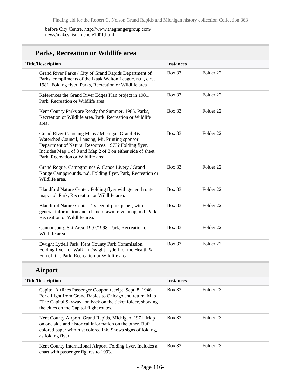### before City Centre. http://www.thegrangergroup.com/ news/makeshisnamehere1001.html

## **Parks, Recreation or Wildlife area**

| <b>Title/Description</b>                                                                                                                                                                                                                                            | <b>Instances</b> |                      |
|---------------------------------------------------------------------------------------------------------------------------------------------------------------------------------------------------------------------------------------------------------------------|------------------|----------------------|
| Grand River Parks / City of Grand Rapids Department of<br>Parks, compliments of the Izaak Walton League. n.d., circa<br>1981. Folding flyer. Parks, Recreation or Wildlife area                                                                                     | <b>Box 33</b>    | Folder <sub>22</sub> |
| References the Grand River Edges Plan project in 1981.<br>Park, Recreation or Wildlife area.                                                                                                                                                                        | <b>Box 33</b>    | Folder <sub>22</sub> |
| Kent County Parks are Ready for Summer. 1985. Parks,<br>Recreation or Wildlife area. Park, Recreation or Wildlife<br>area.                                                                                                                                          | <b>Box 33</b>    | Folder <sub>22</sub> |
| Grand River Canoeing Maps / Michigan Grand River<br>Watershed Council, Lansing, Mi. Printing sponsor,<br>Department of Natural Resources. 1973? Folding flyer.<br>Includes Map 1 of 8 and Map 2 of 8 on either side of sheet.<br>Park, Recreation or Wildlife area. | <b>Box 33</b>    | Folder <sub>22</sub> |
| Grand Rogue, Campgrounds & Canoe Livery / Grand<br>Rouge Campgrounds. n.d. Folding flyer. Park, Recreation or<br>Wildlife area.                                                                                                                                     | <b>Box 33</b>    | Folder <sub>22</sub> |
| Blandford Nature Center. Folding flyer with general route<br>map. n.d. Park, Recreation or Wildlife area.                                                                                                                                                           | <b>Box 33</b>    | Folder <sub>22</sub> |
| Blandford Nature Center. 1 sheet of pink paper, with<br>general information and a hand drawn travel map, n.d. Park,<br>Recreation or Wildlife area.                                                                                                                 | <b>Box 33</b>    | Folder <sub>22</sub> |
| Cannonsburg Ski Area, 1997/1998. Park, Recreation or<br>Wildlife area.                                                                                                                                                                                              | <b>Box 33</b>    | Folder <sub>22</sub> |
| Dwight Lydell Park, Kent County Park Commission.<br>Folding flyer for Walk in Dwight Lydell for the Health &<br>Fun of it  Park, Recreation or Wildlife area.                                                                                                       | <b>Box 33</b>    | Folder <sub>22</sub> |

### **Airport**

| <b>Title/Description</b>                                                                                                                                                                                                         | <b>Instances</b> |           |  |
|----------------------------------------------------------------------------------------------------------------------------------------------------------------------------------------------------------------------------------|------------------|-----------|--|
| Capitol Airlines Passenger Coupon receipt. Sept. 8, 1946.<br>For a flight from Grand Rapids to Chicago and return. Map<br>"The Capital Skyway" on back on the ticket folder, showing<br>the cities on the Capitol flight routes. | Box 33           | Folder 23 |  |
| Kent County Airport, Grand Rapids, Michigan, 1971. Map<br>on one side and historical information on the other. Buff<br>colored paper with rust colored ink. Shows signs of folding,<br>as folding flyer.                         | Box 33           | Folder 23 |  |
| Kent County International Airport. Folding flyer. Includes a<br>chart with passenger figures to 1993.                                                                                                                            | <b>Box 33</b>    | Folder 23 |  |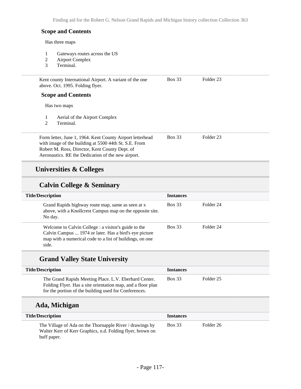Finding aid for the Robert G. Nelson Grand Rapids and Michigan history collection Collection 363

### **Scope and Contents**

Has three maps

- 1 Gateways routes across the US<br>2 Airport Complex
- 2 Airport Complex<br>3 Terminal.
- Terminal.

| Kent county International Airport. A variant of the one<br>above. Oct. 1995. Folding flyer. | <b>Box 33</b> | Folder 23 |  |
|---------------------------------------------------------------------------------------------|---------------|-----------|--|
| <b>Scope and Contents</b>                                                                   |               |           |  |

Has two maps

- 1 Aerial of the Airport Complex
- 2 Terminal.

| Form letter, June 1, 1964. Kent County Airport letterhead | Box 33 | Folder 23 |
|-----------------------------------------------------------|--------|-----------|
| with image of the building at 5500 44th St. S.E. From     |        |           |
| Robert M. Ross, Director, Kent County Dept. of            |        |           |
| Aeronautics. RE the Dedication of the new airport.        |        |           |

## **Universities & Colleges**

## **Calvin College & Seminary**

| <b>Title/Description</b>                                                                                                                                                            | <b>Instances</b> |           |
|-------------------------------------------------------------------------------------------------------------------------------------------------------------------------------------|------------------|-----------|
| Grand Rapids highway route map, same as seen at x<br>above, with a Knollcrest Campus map on the opposite site.<br>No day.                                                           | <b>Box 33</b>    | Folder 24 |
| Welcome to Calvin College : a visitor's guide to the<br>Calvin Campus  1974 or later. Has a bird's eye picture<br>map with a numerical code to a list of buildings, on one<br>side. | <b>Box 33</b>    | Folder 24 |

### **Grand Valley State University**

| <b>Title/Description</b>                                                                                                                                                      | <b>Instances</b> |           |
|-------------------------------------------------------------------------------------------------------------------------------------------------------------------------------|------------------|-----------|
| The Grand Rapids Meeting Place. L.V. Eberhard Center.<br>Folding Flyer. Has a site orientation map, and a floor plan<br>for the portion of the building used for Conferences. | Box 33           | Folder 25 |

### **Ada, Michigan**

| <b>Title/Description</b>                                                                                                              | <b>Instances</b> |           |
|---------------------------------------------------------------------------------------------------------------------------------------|------------------|-----------|
| The Village of Ada on the Thornapple River / drawings by<br>Walter Kerr of Kerr Graphics, n.d. Folding flyer, brown on<br>buff paper. | <b>Box 33</b>    | Folder 26 |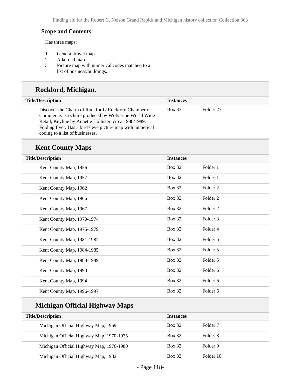### **Scope and Contents**

Has three maps:

- 1 General travel map<br>2 Ada road map
- 2 Ada road map<br>3 Picture map wi
- Picture map with numerical codes matched to a list of business/buildings.

## **Rockford, Michigan.**

| <b>Title/Description</b>                                                                                                                                                                                                                                               | <b>Instances</b> |           |
|------------------------------------------------------------------------------------------------------------------------------------------------------------------------------------------------------------------------------------------------------------------------|------------------|-----------|
| Discover the Charm of Rockford / Rockford Chamber of<br>Commerce. Brochure produced by Wolverine World Wide<br>Retail, Keyline by Annette Hollister. circa 1988/1989.<br>Folding flyer. Has a bird's eye picture map with numerical<br>coding to a list of businesses. | <b>Box 33</b>    | Folder 27 |

### **Kent County Maps**

| <b>Title/Description</b>   | <b>Instances</b> |          |
|----------------------------|------------------|----------|
| Kent County Map, 1956      | <b>Box 32</b>    | Folder 1 |
| Kent County Map, 1957      | <b>Box 32</b>    | Folder 1 |
| Kent County Map, 1962      | <b>Box 32</b>    | Folder 2 |
| Kent County Map, 1966      | <b>Box 32</b>    | Folder 2 |
| Kent County Map, 1967      | <b>Box 32</b>    | Folder 2 |
| Kent County Map, 1970-1974 | <b>Box 32</b>    | Folder 3 |
| Kent County Map, 1975-1979 | <b>Box 32</b>    | Folder 4 |
| Kent County Map, 1981-1982 | <b>Box 32</b>    | Folder 5 |
| Kent County Map, 1984-1985 | <b>Box 32</b>    | Folder 5 |
| Kent County Map, 1988-1989 | <b>Box 32</b>    | Folder 5 |
| Kent County Map, 1990      | <b>Box 32</b>    | Folder 6 |
| Kent County Map, 1994      | <b>Box 32</b>    | Folder 6 |
| Kent County Map, 1996-1997 | <b>Box 32</b>    | Folder 6 |

## **Michigan Official Highway Maps**

| <b>Title/Description</b>                 | <b>Instances</b> |                     |
|------------------------------------------|------------------|---------------------|
| Michigan Official Highway Map, 1969      | <b>Box 32</b>    | Folder <sub>7</sub> |
| Michigan Official Highway Map, 1970-1975 | <b>Box 32</b>    | Folder 8            |
| Michigan Official Highway Map, 1976-1980 | <b>Box 32</b>    | Folder 9            |
| Michigan Official Highway Map, 1982      | <b>Box 32</b>    | Folder 10           |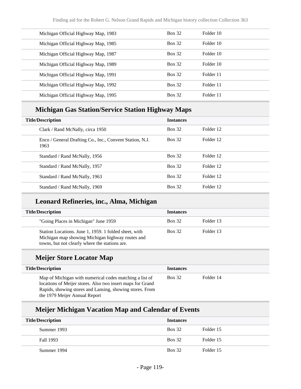| Michigan Official Highway Map, 1983 | <b>Box 32</b> | Folder 10 |
|-------------------------------------|---------------|-----------|
| Michigan Official Highway Map, 1985 | <b>Box 32</b> | Folder 10 |
| Michigan Official Highway Map, 1987 | <b>Box 32</b> | Folder 10 |
| Michigan Official Highway Map, 1989 | <b>Box 32</b> | Folder 10 |
| Michigan Official Highway Map, 1991 | <b>Box 32</b> | Folder 11 |
| Michigan Official Highway Map, 1992 | <b>Box 32</b> | Folder 11 |
| Michigan Official Highway Map, 1995 | <b>Box 32</b> | Folder 11 |

## **Michigan Gas Station/Service Station Highway Maps**

| <b>Title/Description</b> |                                                                  | <b>Instances</b> |           |
|--------------------------|------------------------------------------------------------------|------------------|-----------|
|                          | Clark / Rand McNally, circa 1950                                 | <b>Box 32</b>    | Folder 12 |
|                          | Enco / General Drafting Co., Inc., Convent Station, N.J.<br>1963 | <b>Box 32</b>    | Folder 12 |
|                          | Standard / Rand McNally, 1956                                    | <b>Box 32</b>    | Folder 12 |
|                          | Standard / Rand McNally, 1957                                    | <b>Box 32</b>    | Folder 12 |
|                          | Standard / Rand McNally, 1963                                    | <b>Box 32</b>    | Folder 12 |
|                          | Standard / Rand McNally, 1969                                    | <b>Box 32</b>    | Folder 12 |

## **Leonard Refineries, inc., Alma, Michigan**

| <b>Title/Description</b> |                                                                                                                                                             | <b>Instances</b> |           |
|--------------------------|-------------------------------------------------------------------------------------------------------------------------------------------------------------|------------------|-----------|
|                          | "Going Places in Michigan" June 1959                                                                                                                        | <b>Box 32</b>    | Folder 13 |
|                          | Station Locations. June 1, 1959. 1 folded sheet, with<br>Michigan map showing Michigan highway routes and<br>towns, but not clearly where the stations are. | <b>Box 32</b>    | Folder 13 |

## **Meijer Store Locator Map**

| <b>Title/Description</b>                                                                                                                                                                                           | <b>Instances</b> |           |
|--------------------------------------------------------------------------------------------------------------------------------------------------------------------------------------------------------------------|------------------|-----------|
| Map of Michigan with numerical codes matching a list of<br>locations of Meijer stores. Also two insert maps for Grand<br>Rapids, showing stores and Lansing, showing stores. From<br>the 1979 Meijer Annual Report | <b>Box 32</b>    | Folder 14 |

## **Meijer Michigan Vacation Map and Calendar of Events**

| <b>Title/Description</b> | <b>Instances</b> |           |
|--------------------------|------------------|-----------|
| Summer 1993              | <b>Box 32</b>    | Folder 15 |
| Fall 1993                | <b>Box 32</b>    | Folder 15 |
| Summer 1994              | <b>Box 32</b>    | Folder 15 |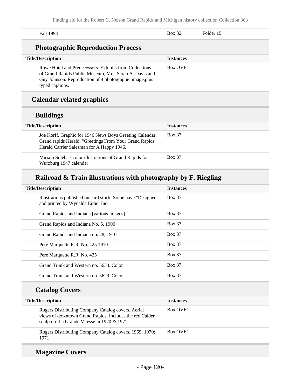| Fall 1994                                                                                                                                                                                      | <b>Box 32</b>    | Folder 15 |
|------------------------------------------------------------------------------------------------------------------------------------------------------------------------------------------------|------------------|-----------|
| <b>Photographic Reproduction Process</b>                                                                                                                                                       |                  |           |
| <b>Title/Description</b>                                                                                                                                                                       | <b>Instances</b> |           |
| Rowe Hotel and Predecessors. Exhibits from Collections<br>of Grand Rapids Public Museum, Mrs. Sarah A. Davis and<br>Guy Johnson. Reproduction of 4 photographic image, plus<br>typed captions. | <b>Box OVE1</b>  |           |

# **Calendar related graphics**

## **Buildings**

| <b>Title/Description</b>                                                                                                                                        | <b>Instances</b> |
|-----------------------------------------------------------------------------------------------------------------------------------------------------------------|------------------|
| Joe Korff. Graphic for 1946 News Boys Greeting Calendar,<br>Grand rapids Herald. "Greetings From Your Grand Rapids<br>Herald Carrier Salesman for A Happy 1946. | <b>Box 37</b>    |
| Miriam Suleba's color illustrations of Grand Rapids for<br>Wurzburg 1947 calendar                                                                               | <b>Box 37</b>    |

## **Railroad & Train illustrations with photography by F. Riegling**

| <b>Title/Description</b>                                                                           | <b>Instances</b> |
|----------------------------------------------------------------------------------------------------|------------------|
| Illustrations published on card stock. Some have "Designed"<br>and printed by Wynalda Litho, Inc." | <b>Box 37</b>    |
| Grand Rapids and Indiana [various images]                                                          | <b>Box 37</b>    |
| Grand Rapids and Indiana No. 5, 1900                                                               | <b>Box 37</b>    |
| Grand Rapids and Indiana no. 28, 1910                                                              | <b>Box 37</b>    |
| Pere Marquette R.R. No. 425 1910                                                                   | <b>Box 37</b>    |
| Pere Marquette R.R. No. 425                                                                        | <b>Box 37</b>    |
| Grand Trunk and Western no. 5634. Color                                                            | <b>Box 37</b>    |
| Grand Trunk and Western no. 5629. Color                                                            | <b>Box 37</b>    |
|                                                                                                    |                  |

## **Catalog Covers**

| <b>Title/Description</b>                                                                                                                                     | <b>Instances</b>     |
|--------------------------------------------------------------------------------------------------------------------------------------------------------------|----------------------|
| Rogers Distributing Company Catalog covers. Aerial<br>views of downtown Grand Rapids. Includes the red Calder<br>sculpture La Grande Vitesse in 1970 & 1971. | Box OVE <sub>1</sub> |
| Rogers Distributing Company Catalog covers. 1969; 1970;<br>1971                                                                                              | <b>Box OVE1</b>      |

## **Magazine Covers**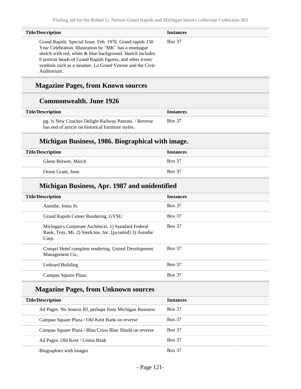| <b>Title/Description</b>                                                                                                                                                                                                                                                                                                 | <b>Instances</b> |
|--------------------------------------------------------------------------------------------------------------------------------------------------------------------------------------------------------------------------------------------------------------------------------------------------------------------------|------------------|
| Grand Rapids. Special Issue. Feb. 1976. Grand rapids 150<br>Year Celebration. Illustration by "MK" has a montague<br>sketch with red, white & blue background. Sketch includes<br>6 portrait heads of Grand Rapids figures, and other iconic<br>symbols such as a steamer, La Grand Vitesse and the Civic<br>Auditorium. | <b>Box 37</b>    |

## **Magazine Pages, from Known sources**

## **Commonwealth. June 1926**

| <b>Title/Description</b>                                                                                    | <i><u><b>Instances</b></u></i> |
|-------------------------------------------------------------------------------------------------------------|--------------------------------|
| pg. 34 New Coaches Delight Railway Patrons. / Reverse<br>has end of article on historical furniture styles. | <b>Box 37</b>                  |

## **Michigan Business, 1986. Biographical with image.**

| <b>Title/Description</b> | <b>Instances</b> |
|--------------------------|------------------|
| Glenn Brewer, March      | <b>Box 37</b>    |
| Orson Grant, June.       | <b>Box 37</b>    |

## **Michigan Business, Apr. 1987 and unidentified**

| <b>Title/Description</b>                                                                                                 | <b>Instances</b> |
|--------------------------------------------------------------------------------------------------------------------------|------------------|
| Autodie, Ionia St.                                                                                                       | <b>Box 37</b>    |
| Grand Rapids Center Rendering, GVSU                                                                                      | <b>Box 37</b>    |
| Michigan's Corporate Architects. 1) Standard Federal<br>Bank, Troy, Mi. 2) Steelcase, Inc. [pyramid] 3) Autodie<br>Corp. | <b>Box 37</b>    |
| Compri Hotel complete rendering. United Development<br>Management Co.,                                                   | <b>Box 37</b>    |
| Ledyard Building                                                                                                         | <b>Box 37</b>    |
| Campau Square Plaza                                                                                                      | <b>Box 37</b>    |

## **Magazine Pages, from Unknown sources**

| <b>Title/Description</b>                                | <b>Instances</b> |
|---------------------------------------------------------|------------------|
| Ad Pages. No Source ID, perhaps from Michigan Business  | <b>Box 37</b>    |
| Campau Square Plaza / Old Kent Bank on reverse          | <b>Box 37</b>    |
| Campau Square Plaza / Blue Cross Blue Shield on reverse | <b>Box 37</b>    |
| Ad Pages. Old Kent / Union Bank                         | <b>Box 37</b>    |
| Biographies with images                                 | <b>Box 37</b>    |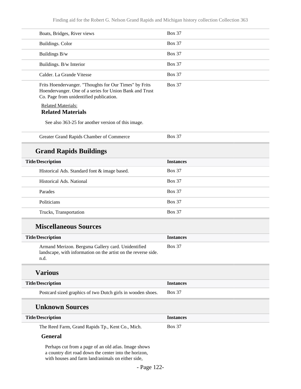| Boats, Bridges, River views                                                                                                                                        | <b>Box 37</b>    |
|--------------------------------------------------------------------------------------------------------------------------------------------------------------------|------------------|
| Buildings. Color                                                                                                                                                   | <b>Box 37</b>    |
| Buildings B/w                                                                                                                                                      | <b>Box 37</b>    |
| Buildings. B/w Interior                                                                                                                                            | <b>Box 37</b>    |
| Calder. La Grande Vitesse                                                                                                                                          | <b>Box 37</b>    |
| Frits Hoendervanger. "Thoughts for Our Times" by Frits<br>Hoendervanger. One of a series for Union Bank and Trust<br>Co. Page from unidentified publication.       | <b>Box 37</b>    |
| <b>Related Materials:</b><br><b>Related Materials</b>                                                                                                              |                  |
| See also 363-25 for another version of this image.                                                                                                                 |                  |
| Greater Grand Rapids Chamber of Commerce                                                                                                                           | <b>Box 37</b>    |
| <b>Grand Rapids Buildings</b>                                                                                                                                      |                  |
| <b>Title/Description</b>                                                                                                                                           | <b>Instances</b> |
| Historical Ads. Standard font & image based.                                                                                                                       | <b>Box 37</b>    |
| Historical Ads. National                                                                                                                                           | <b>Box 37</b>    |
| Parades                                                                                                                                                            | <b>Box 37</b>    |
| Politicians                                                                                                                                                        | <b>Box 37</b>    |
| Trucks, Transportation                                                                                                                                             | <b>Box 37</b>    |
| <b>Miscellaneous Sources</b>                                                                                                                                       |                  |
| <b>Title/Description</b>                                                                                                                                           | <b>Instances</b> |
| Armand Merizon. Bergsma Gallery card. Unidentified<br>landscape, with information on the artist on the reverse side.<br>n.d.                                       | <b>Box 37</b>    |
| <b>Various</b>                                                                                                                                                     |                  |
| <b>Title/Description</b>                                                                                                                                           | <b>Instances</b> |
| Postcard sized graphics of two Dutch girls in wooden shoes.                                                                                                        | <b>Box 37</b>    |
| <b>Unknown Sources</b>                                                                                                                                             |                  |
| <b>Title/Description</b>                                                                                                                                           | <b>Instances</b> |
| The Reed Farm, Grand Rapids Tp., Kent Co., Mich.                                                                                                                   | <b>Box 37</b>    |
| <b>General</b>                                                                                                                                                     |                  |
| Perhaps cut from a page of an old atlas. Image shows<br>a country dirt road down the center into the horizon,<br>with houses and farm land/animals on either side, |                  |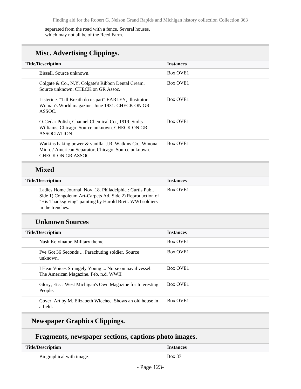separated from the road with a fence. Several houses, which may not all be of the Reed Farm.

## **Misc. Advertising Clippings.**

| <b>Title/Description</b>                                                                                                                | <b>Instances</b>     |
|-----------------------------------------------------------------------------------------------------------------------------------------|----------------------|
| Bissell. Source unknown.                                                                                                                | Box OVE <sub>1</sub> |
| Colgate & Co., N.Y. Colgate's Ribbon Dental Cream.<br>Source unknown, CHECK on GR Assoc.                                                | Box OVE <sub>1</sub> |
| Listerine. "Till Breath do us part" EARLEY, illustrator.<br>Woman's World magazine, June 1931. CHECK ON GR<br>ASSOC.                    | <b>Box OVE1</b>      |
| O-Cedar Polish, Channel Chemical Co., 1919. Stolts<br>Williams, Chicago. Source unknown. CHECK ON GR<br><b>ASSOCIATION</b>              | Box OVE <sub>1</sub> |
| Watkins baking power & vanilla. J.R. Watkins Co., Winona,<br>Minn. / American Separator, Chicago. Source unknown.<br>CHECK ON GR ASSOC. | Box OVE <sub>1</sub> |

## **Mixed**

| <b>Title/Description</b>                                                                                                                                                                               | <b>Instances</b>     |
|--------------------------------------------------------------------------------------------------------------------------------------------------------------------------------------------------------|----------------------|
| Ladies Home Journal. Nov. 18. Philadelphia: Curtis Publ.<br>Side 1) Congoleum Art-Carpets Ad. Side 2) Reproduction of<br>"His Thanksgiving" painting by Harold Brett. WWI soldiers<br>in the trenches. | Box OVE <sub>1</sub> |

### **Unknown Sources**

| <b>Title/Description</b>                                                                       | <b>Instances</b>     |
|------------------------------------------------------------------------------------------------|----------------------|
| Nash Kelvinator. Military theme.                                                               | Box OVE <sub>1</sub> |
| I've Got 36 Seconds  Parachuting soldier. Source<br>unknown.                                   | Box OVE <sub>1</sub> |
| I Hear Voices Strangely Young  Nurse on naval vessel.<br>The American Magazine. Feb. n.d. WWII | Box OVE <sub>1</sub> |
| Glory, Etc.: West Michigan's Own Magazine for Interesting<br>People.                           | <b>Box OVE1</b>      |
| Cover. Art by M. Elizabeth Wiechec. Shows an old house in<br>a field.                          | Box OVE <sub>1</sub> |
|                                                                                                |                      |

## **Newspaper Graphics Clippings.**

## **Fragments, newspaper sections, captions photo images.**

| <b>Title/Description</b> |       |
|--------------------------|-------|
| Biographical with image. | 20x37 |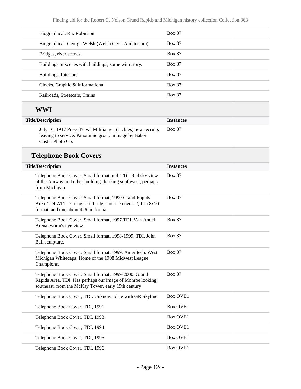| Biographical. Rix Robinson                           | <b>Box 37</b> |
|------------------------------------------------------|---------------|
| Biographical. George Welsh (Welsh Civic Auditorium)  | <b>Box 37</b> |
| Bridges, river scenes.                               | <b>Box 37</b> |
| Buildings or scenes with buildings, some with story. | <b>Box 37</b> |
| Buildings, Interiors.                                | <b>Box 37</b> |
| Clocks. Graphic & Informational                      | <b>Box 37</b> |
| Railroads, Streetcars, Trains                        | <b>Box 37</b> |
|                                                      |               |

## **WWI**

| <b>Title/Description</b>                                                                                                                | <b>Instances</b> |
|-----------------------------------------------------------------------------------------------------------------------------------------|------------------|
| July 16, 1917 Press. Naval Militiamen (Jackies) new recruits<br>leaving to service. Panoramic group immage by Baker<br>Coster Photo Co. | <b>Box 37</b>    |

# **Telephone Book Covers**

| <b>Title/Description</b>                                                                                                                                                 | <b>Instances</b> |
|--------------------------------------------------------------------------------------------------------------------------------------------------------------------------|------------------|
| Telephone Book Cover. Small format, n.d. TDI. Red sky view<br>of the Amway and other buildings looking southwest, perhaps<br>from Michigan.                              | <b>Box 37</b>    |
| Telephone Book Cover. Small format, 1990 Grand Rapids<br>Area. TDI ATT. 7 images of bridges on the cover. 2, 1 in 8x10<br>format, and one about 4x6 in. format.          | <b>Box 37</b>    |
| Telephone Book Cover. Small format, 1997 TDI. Van Andel<br>Arena, worm's eye view.                                                                                       | <b>Box 37</b>    |
| Telephone Book Cover. Small format, 1998-1999. TDI. John<br>Ball sculpture.                                                                                              | <b>Box 37</b>    |
| Telephone Book Cover. Small format, 1999. Ameritech. West<br>Michigan Whitecaps. Home of the 1998 Midwest League<br>Champions.                                           | <b>Box 37</b>    |
| Telephone Book Cover. Small format, 1999-2000. Grand<br>Rapids Area. TDI. Has perhaps our image of Monroe looking<br>southeast, from the McKay Tower, early 19th century | <b>Box 37</b>    |
| Telephone Book Cover, TDI. Unknown date with GR Skyline                                                                                                                  | <b>Box OVE1</b>  |
| Telephone Book Cover, TDI, 1991                                                                                                                                          | <b>Box OVE1</b>  |
| Telephone Book Cover, TDI, 1993                                                                                                                                          | <b>Box OVE1</b>  |
| Telephone Book Cover, TDI, 1994                                                                                                                                          | <b>Box OVE1</b>  |
| Telephone Book Cover, TDI, 1995                                                                                                                                          | <b>Box OVE1</b>  |
| Telephone Book Cover, TDI, 1996                                                                                                                                          | <b>Box OVE1</b>  |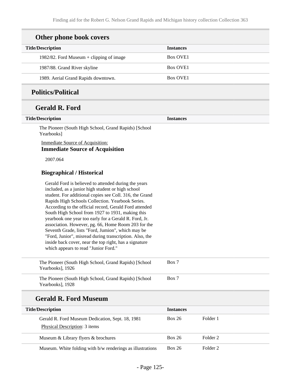# **Other phone book covers**

| <b>Title/Description</b>                   | <b>Instances</b>     |
|--------------------------------------------|----------------------|
| 1982/82. Ford Museum $+$ clipping of image | <b>Box OVE1</b>      |
| 1987/88. Grand River skyline               | <b>Box OVE1</b>      |
| 1989. Aerial Grand Rapids downtown.        | Box OVE <sub>1</sub> |

## **Politics/Political**

## **Gerald R. Ford**

| <b>Title/Description</b>                                                                                                                                                                                                                                                                                                                                                                                                                                                                                                                                                                                                                                                 | <b>Instances</b> |                     |
|--------------------------------------------------------------------------------------------------------------------------------------------------------------------------------------------------------------------------------------------------------------------------------------------------------------------------------------------------------------------------------------------------------------------------------------------------------------------------------------------------------------------------------------------------------------------------------------------------------------------------------------------------------------------------|------------------|---------------------|
| The Pioneer (South High School, Grand Rapids) [School<br>Yearbooks]                                                                                                                                                                                                                                                                                                                                                                                                                                                                                                                                                                                                      |                  |                     |
| Immediate Source of Acquisition:                                                                                                                                                                                                                                                                                                                                                                                                                                                                                                                                                                                                                                         |                  |                     |
| <b>Immediate Source of Acquisition</b>                                                                                                                                                                                                                                                                                                                                                                                                                                                                                                                                                                                                                                   |                  |                     |
| 2007.064                                                                                                                                                                                                                                                                                                                                                                                                                                                                                                                                                                                                                                                                 |                  |                     |
| <b>Biographical / Historical</b>                                                                                                                                                                                                                                                                                                                                                                                                                                                                                                                                                                                                                                         |                  |                     |
| Gerald Ford is believed to attended during the years<br>included, as a junior high student or high school<br>student. For additional copies see Coll. 316, the Grand<br>Rapids High Schools Collection. Yearbook Series.<br>According to the official record, Gerald Ford attended<br>South High School from 1927 to 1931, making this<br>yearbook one year too early for a Gerald R. Ford, Jr.<br>association. However, pg. 66, Home Room 203 for the<br>Seventh Grade, lists "Ford, Jumion", which may be<br>"Ford, Junior", misread during transcription. Also, the<br>inside back cover, near the top right, has a signature<br>which appears to read "Junior Ford." |                  |                     |
| The Pioneer (South High School, Grand Rapids) [School<br>Yearbooks], 1926                                                                                                                                                                                                                                                                                                                                                                                                                                                                                                                                                                                                | Box 7            |                     |
| The Pioneer (South High School, Grand Rapids) [School<br>Yearbooks], 1928                                                                                                                                                                                                                                                                                                                                                                                                                                                                                                                                                                                                | Box 7            |                     |
| <b>Gerald R. Ford Museum</b>                                                                                                                                                                                                                                                                                                                                                                                                                                                                                                                                                                                                                                             |                  |                     |
| <b>Title/Description</b>                                                                                                                                                                                                                                                                                                                                                                                                                                                                                                                                                                                                                                                 | <b>Instances</b> |                     |
| Gerald R. Ford Museum Dedication, Sept. 18, 1981                                                                                                                                                                                                                                                                                                                                                                                                                                                                                                                                                                                                                         | <b>Box 26</b>    | Folder 1            |
| Physical Description: 3 items                                                                                                                                                                                                                                                                                                                                                                                                                                                                                                                                                                                                                                            |                  |                     |
| Museum & Library flyers & brochures                                                                                                                                                                                                                                                                                                                                                                                                                                                                                                                                                                                                                                      | <b>Box 26</b>    | Folder <sub>2</sub> |
| Museum. White folding with b/w renderings as illustrations                                                                                                                                                                                                                                                                                                                                                                                                                                                                                                                                                                                                               | <b>Box 26</b>    | Folder <sub>2</sub> |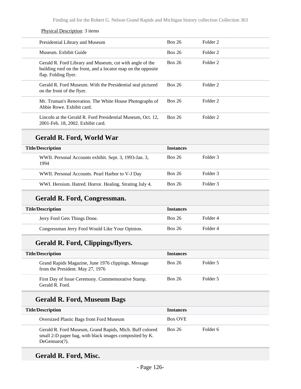#### Physical Description: 3 items

| Presidential Library and Museum                                                                                                                   | Box 26        | Folder <sub>2</sub> |
|---------------------------------------------------------------------------------------------------------------------------------------------------|---------------|---------------------|
| Museum. Exhibit Guide                                                                                                                             | Box 26        | Folder <sub>2</sub> |
| Gerald R. Ford Library and Museum, cut with angle of the<br>building roof on the front, and a locator map on the opposite<br>flap. Folding flyer. | Box 26        | Folder <sub>2</sub> |
| Gerald R. Ford Museum. With the Presidential seal pictured<br>on the front of the flyer.                                                          | Box 26        | Folder <sub>2</sub> |
| Mr. Truman's Renovation. The White House Photographs of<br>Abbie Rowe, Exhibit card.                                                              | <b>Box 26</b> | Folder <sub>2</sub> |
| Lincoln at the Gerald R. Ford Presidential Museum, Oct. 12,<br>2001-Feb. 18, 2002. Exhibit card.                                                  | <b>Box 26</b> | Folder <sub>2</sub> |

### **Gerald R. Ford, World War**

| <b>Title/Description</b>                                       | <b>Instances</b> |          |
|----------------------------------------------------------------|------------------|----------|
| WWII. Personal Accounts exhibit. Sept. 3, 1993-Jan. 3,<br>1994 | <b>Box 26</b>    | Folder 3 |
| WWII. Personal Accounts. Pearl Harbor to V-J Day               | <b>Box 26</b>    | Folder 3 |
| WWI. Heroism. Hatred. Horror. Healing. Strating July 4.        | <b>Box 26</b>    | Folder 3 |

## **Gerald R. Ford, Congressman.**

| <b>Box 26</b><br>Jerry Ford Gets Things Done.<br>Folder 4<br><b>Box 26</b><br>Congressman Jerry Ford Would Like Your Opinion.<br>Folder 4 | <b>Title/Description</b> |  | <b>Instances</b> |  |
|-------------------------------------------------------------------------------------------------------------------------------------------|--------------------------|--|------------------|--|
|                                                                                                                                           |                          |  |                  |  |
|                                                                                                                                           |                          |  |                  |  |

## **Gerald R. Ford, Clippings/flyers.**

| Title/Description |                                                                                         | <b>Instances</b> |          |
|-------------------|-----------------------------------------------------------------------------------------|------------------|----------|
|                   | Grand Rapids Magazine, June 1976 clippings. Message<br>from the President. May 27, 1976 | <b>Box 26</b>    | Folder 5 |
|                   | First Day of Issue Ceremony. Commemorative Stamp.<br>Gerald R. Ford.                    | <b>Box 26</b>    | Folder 5 |

## **Gerald R. Ford, Museum Bags**

| <b>Title/Description</b>                                                                                                               | <b>Instances</b> |          |
|----------------------------------------------------------------------------------------------------------------------------------------|------------------|----------|
| Oversized Plastic Bags from Ford Museum                                                                                                | <b>Box OVE</b>   |          |
| Gerald R. Ford Museum, Grand Rapids, Mich. Buff colored<br>small 2-D paper bag, with black images composited by K.<br>$DeGennaro(?)$ . | <b>Box 26</b>    | Folder 6 |

## **Gerald R. Ford, Misc.**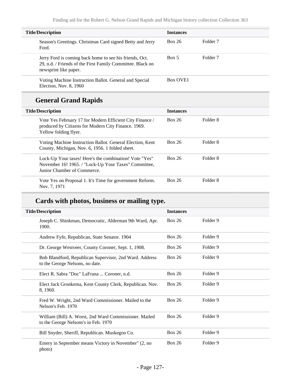| <b>Title/Description</b> |                                                                                                                                                | <b>Instances</b>     |                     |
|--------------------------|------------------------------------------------------------------------------------------------------------------------------------------------|----------------------|---------------------|
|                          | Season's Greetings. Christmas Card signed Betty and Jerry<br>Ford.                                                                             | Box 26               | Folder <sub>7</sub> |
|                          | Jerry Ford is coming back home to see his friends, Oct.<br>29, n.d. / Friends of the First Family Committee. Black on<br>newsprint like paper. | Box 5                | Folder <sub>7</sub> |
|                          | Voting Machine Instruction Ballot. General and Special<br>Election, Nov. 8, 1960                                                               | Box OVE <sub>1</sub> |                     |

# **General Grand Rapids**

| <b>Title/Description</b>                                                                                                                      | <b>Instances</b> |          |
|-----------------------------------------------------------------------------------------------------------------------------------------------|------------------|----------|
| Vote Yes February 17 for Modern Efficient City Finance /<br>produced by Citizens for Modern City Finance. 1969.<br>Yellow folding flyer.      | Box 26           | Folder 8 |
| Voting Machine Instruction Ballot. General Election, Kent<br>County, Michigan, Nov. 6, 1956. 1 folded sheet.                                  | Box 26           | Folder 8 |
| Lock-Up Your taxes! Here's the combination! Vote "Yes"<br>November 16! 1965. / "Lock-Up Your Taxes" Committee,<br>Junior Chamber of Commerce. | Box 26           | Folder 8 |
| Vote Yes on Proposal 1. It's Time for government Reform.<br>Nov. 7, 1971                                                                      | Box 26           | Folder 8 |

# **Cards with photos, business or mailing type.**

| <b>Title/Description</b>                                                                       | <b>Instances</b> |          |
|------------------------------------------------------------------------------------------------|------------------|----------|
| Joseph C. Shinkman, Democratic, Alderman 9th Ward, Apr.<br>1900.                               | <b>Box 26</b>    | Folder 9 |
| Andrew Fyfe, Republican, State Senator. 1904                                                   | <b>Box 26</b>    | Folder 9 |
| Dr. George Westveer, County Coroner, Sept. 1, 1908.                                            | <b>Box 26</b>    | Folder 9 |
| Bob Blandford, Republican Supervisor, 2nd Ward. Address<br>to the George Nelsons, no date.     | <b>Box 26</b>    | Folder 9 |
| Elect R. Sabra "Doc" LaFrana  Coroner, n.d.                                                    | Box 26           | Folder 9 |
| Elect Jack Gronkema, Kent County Clerk, Republican. Nov.<br>8, 1960.                           | <b>Box 26</b>    | Folder 9 |
| Fred W. Wright, 2nd Ward Commissioner. Mailed to the<br>Nelson's Feb. 1970                     | <b>Box 26</b>    | Folder 9 |
| William (Bill) A. Worst, 2nd Ward Commissioner. Mailed<br>to the George Nelsons's in Feb. 1970 | <b>Box 26</b>    | Folder 9 |
| Bill Snyder, Sheriff, Republican. Muskegon Co.                                                 | <b>Box 26</b>    | Folder 9 |
| Emery in September means Victory in November" (2, no<br>photo)                                 | <b>Box 26</b>    | Folder 9 |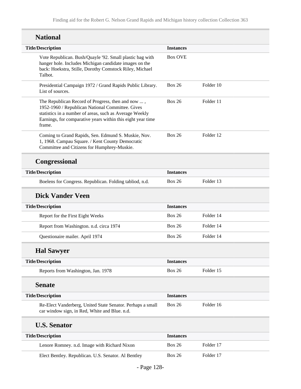| <b>National</b>                                                                                                                                                                                                                           |                  |           |
|-------------------------------------------------------------------------------------------------------------------------------------------------------------------------------------------------------------------------------------------|------------------|-----------|
| <b>Title/Description</b>                                                                                                                                                                                                                  | <b>Instances</b> |           |
| Vote Republican. Bush/Quayle '92. Small plastic bag with<br>hanger hole. Includes Michigan candidate images on the<br>back: Hoekstra, Stille, Dorothy Comstock Riley, Michael<br>Talbot.                                                  | <b>Box OVE</b>   |           |
| Presidential Campaign 1972 / Grand Rapids Public Library.<br>List of sources.                                                                                                                                                             | <b>Box 26</b>    | Folder 10 |
| The Republican Record of Progress, then and now ,<br>1952-1960 / Republican National Committee. Gives<br>statistics in a number of areas, such as Average Weekly<br>Earnings, for comparative years within this eight year time<br>frame. | <b>Box 26</b>    | Folder 11 |
| Coming to Grand Rapids, Sen. Edmund S. Muskie, Nov.<br>1, 1968. Campau Square. / Kent County Democratic<br>Committee and Citizens for Humphrey-Muskie.                                                                                    | <b>Box 26</b>    | Folder 12 |
| <b>Congressional</b>                                                                                                                                                                                                                      |                  |           |
| <b>Title/Description</b>                                                                                                                                                                                                                  | <b>Instances</b> |           |
| Boelens for Congress. Republican. Folding tabliod, n.d.                                                                                                                                                                                   | <b>Box 26</b>    | Folder 13 |
| <b>Dick Vander Veen</b>                                                                                                                                                                                                                   |                  |           |
| <b>Title/Description</b>                                                                                                                                                                                                                  | <b>Instances</b> |           |
| Report for the First Eight Weeks                                                                                                                                                                                                          | <b>Box 26</b>    | Folder 14 |
| Report from Washington. n.d. circa 1974                                                                                                                                                                                                   | <b>Box 26</b>    | Folder 14 |
| Questionaire mailer. April 1974                                                                                                                                                                                                           | <b>Box 26</b>    | Folder 14 |
| <b>Hal Sawyer</b>                                                                                                                                                                                                                         |                  |           |
| <b>Title/Description</b>                                                                                                                                                                                                                  | <b>Instances</b> |           |
| Reports from Washington, Jan. 1978                                                                                                                                                                                                        | <b>Box 26</b>    | Folder 15 |
| <b>Senate</b>                                                                                                                                                                                                                             |                  |           |
| <b>Title/Description</b>                                                                                                                                                                                                                  | <b>Instances</b> |           |
| Re-Elect Vanderberg, United State Senator. Perhaps a small<br>car window sign, in Red, White and Blue. n.d.                                                                                                                               | <b>Box 26</b>    | Folder 16 |
| <b>U.S. Senator</b>                                                                                                                                                                                                                       |                  |           |
| <b>Title/Description</b>                                                                                                                                                                                                                  | <b>Instances</b> |           |
| Lenore Romney. n.d. Image with Richard Nixon                                                                                                                                                                                              | <b>Box 26</b>    | Folder 17 |
| Elect Bentley. Republican. U.S. Senator. Al Bentley                                                                                                                                                                                       | <b>Box 26</b>    | Folder 17 |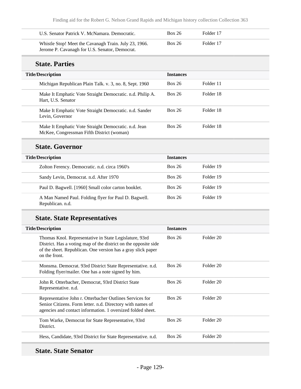| U.S. Senator Patrick V. McNamara. Democratic.                                                           | <b>Box 26</b> | Folder 17 |
|---------------------------------------------------------------------------------------------------------|---------------|-----------|
| Whistle Stop! Meet the Cavanagh Train. July 23, 1966.<br>Jerome P. Cavanagh for U.S. Senator, Democrat. | <b>Box 26</b> | Folder 17 |

### **State. Parties**

| <b>Title/Description</b>                                                                          | <b>Instances</b> |           |
|---------------------------------------------------------------------------------------------------|------------------|-----------|
| Michigan Republican Plain Talk. v. 3, no. 8, Sept. 1960                                           | <b>Box 26</b>    | Folder 11 |
| Make It Emphatic Vote Straight Democratic. n.d. Philip A.<br>Hart, U.S. Senator                   | <b>Box 26</b>    | Folder 18 |
| Make It Emphatic Vote Straight Democratic. n.d. Sander<br>Levin, Governor                         | <b>Box 26</b>    | Folder 18 |
| Make It Emphatic Vote Straight Democratic. n.d. Jean<br>McKee, Congressman Fifth District (woman) | <b>Box 26</b>    | Folder 18 |

## **State. Governor**

| <b>Title/Description</b>                                                 | <b>Instances</b> |           |
|--------------------------------------------------------------------------|------------------|-----------|
| Zolton Ferency. Democratic. n.d. circa 1960's                            | <b>Box 26</b>    | Folder 19 |
| Sandy Levin, Democrat. n.d. After 1970                                   | <b>Box 26</b>    | Folder 19 |
| Paul D. Bagwell. [1960] Small color carton booklet.                      | <b>Box 26</b>    | Folder 19 |
| A Man Named Paul. Folding flyer for Paul D. Bagwell.<br>Republican. n.d. | <b>Box 26</b>    | Folder 19 |

## **State. State Representatives**

| <b>Title/Description</b>                                                                                                                                                                                   | <b>Instances</b> |           |  |
|------------------------------------------------------------------------------------------------------------------------------------------------------------------------------------------------------------|------------------|-----------|--|
| Thomas Knol. Representative in State Legislature, 93rd<br>District. Has a voting map of the district on the opposite side<br>of the sheet. Republican. One version has a gray slick paper<br>on the front. | <b>Box 26</b>    | Folder 20 |  |
| Monsma. Democrat. 93rd District State Representative. n.d.<br>Folding flyer/mailer. One has a note signed by him.                                                                                          | <b>Box 26</b>    | Folder 20 |  |
| John R. Otterbacher, Democrat, 93rd District State<br>Representative. n.d.                                                                                                                                 | <b>Box 26</b>    | Folder 20 |  |
| Representative John r. Otterbacher Outlines Services for<br>Senior Citizens. Form letter. n.d. Directory with names of<br>agencies and contact information. 1 oversized folded sheet.                      | <b>Box 26</b>    | Folder 20 |  |
| Tom Warke, Democrat for State Representative, 93rd<br>District.                                                                                                                                            | <b>Box 26</b>    | Folder 20 |  |
| Hess, Candidate, 93rd District for State Representative. n.d.                                                                                                                                              | <b>Box 26</b>    | Folder 20 |  |

## **State. State Senator**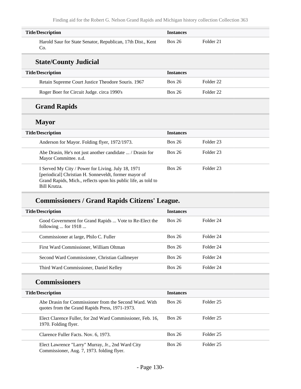| <b>Title/Description</b>                                                                                                                                                                      | <b>Instances</b> |                      |
|-----------------------------------------------------------------------------------------------------------------------------------------------------------------------------------------------|------------------|----------------------|
| Harold Saur for State Senator, Republican, 17th Dist., Kent<br>Co.                                                                                                                            | <b>Box 26</b>    | Folder 21            |
| <b>State/County Judicial</b>                                                                                                                                                                  |                  |                      |
| <b>Title/Description</b>                                                                                                                                                                      | <b>Instances</b> |                      |
| Retain Supreme Court Justice Theodore Souris. 1967                                                                                                                                            | <b>Box 26</b>    | Folder <sub>22</sub> |
| Roger Boer for Circuit Judge. circa 1990's                                                                                                                                                    | <b>Box 26</b>    | Folder <sub>22</sub> |
| <b>Grand Rapids</b>                                                                                                                                                                           |                  |                      |
| <b>Mayor</b>                                                                                                                                                                                  |                  |                      |
| <b>Title/Description</b>                                                                                                                                                                      | <b>Instances</b> |                      |
| Anderson for Mayor. Folding flyer, 1972/1973.                                                                                                                                                 | <b>Box 26</b>    | Folder <sub>23</sub> |
| Abe Drasin, He's not just another candidate  / Drasin for<br>Mayor Committee. n.d.                                                                                                            | <b>Box 26</b>    | Folder <sub>23</sub> |
| I Served My City / Power for Living. July 18, 1971<br>[periodical] Christian H. Sonneveldt, former mayor of<br>Grand Rapids, Mich., reflects upon his public life, as told to<br>Bill Krutza. | <b>Box 26</b>    | Folder <sub>23</sub> |

## **Commissioners / Grand Rapids Citizens' League.**

| <b>Title/Description</b>                                                        | <b>Instances</b> |           |
|---------------------------------------------------------------------------------|------------------|-----------|
| Good Government for Grand Rapids  Vote to Re-Elect the<br>following  for $1918$ | Box 26           | Folder 24 |
| Commissioner at large, Philo C. Fuller                                          | Box 26           | Folder 24 |
| First Ward Commissioner, William Oltman                                         | Box 26           | Folder 24 |
| Second Ward Commissioner, Christian Gallmeyer                                   | Box 26           | Folder 24 |
| Third Ward Commissioner, Daniel Kelley                                          | Box 26           | Folder 24 |

## **Commissioners**

| <b>Title/Description</b>                                                                                 | <b>Instances</b> |           |
|----------------------------------------------------------------------------------------------------------|------------------|-----------|
| Abe Drasin for Commissioner from the Second Ward, With<br>quotes from the Grand Rapids Press, 1971-1973. | Box 26           | Folder 25 |
| Elect Clarence Fuller, for 2nd Ward Commissioner, Feb. 16,<br>1970. Folding flyer.                       | Box 26           | Folder 25 |
| Clarence Fuller Facts. Nov. 6, 1973.                                                                     | Box 26           | Folder 25 |
| Elect Lawrence "Larry" Murray, Jr., 2nd Ward City<br>Commissioner, Aug. 7, 1973. folding flyer.          | Box 26           | Folder 25 |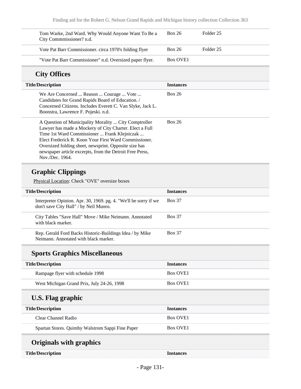| Tom Warke, 2nd Ward. Why Would Anyone Want To Be a<br>City Commmissioner? n.d.                                                                                                                                                                                                                                                                                                                                           | <b>Box 26</b>            | Folder <sub>25</sub> |
|--------------------------------------------------------------------------------------------------------------------------------------------------------------------------------------------------------------------------------------------------------------------------------------------------------------------------------------------------------------------------------------------------------------------------|--------------------------|----------------------|
| Vote Pat Barr Commissioner. circa 1970's folding flyer                                                                                                                                                                                                                                                                                                                                                                   | <b>Box 26</b>            | Folder 25            |
| "Vote Pat Barr Commissioner" n.d. Oversized paper flyer.                                                                                                                                                                                                                                                                                                                                                                 | <b>Box OVE1</b>          |                      |
| <b>City Offices</b>                                                                                                                                                                                                                                                                                                                                                                                                      |                          |                      |
| <b>Title/Description</b>                                                                                                                                                                                                                                                                                                                                                                                                 | <b>Instances</b>         |                      |
| We Are Concerned  Reason  Courage  Vote<br>Candidates for Grand Rapids Board of Education. /<br>Concerned Citizens. Includes Everett C. Van Slyke, Jack L.<br>Boonstra, Lawrence F. Pojeski. n.d.                                                                                                                                                                                                                        | <b>Box 26</b>            |                      |
| A Question of Municipality Morality  City Comptroller<br>Lawyer has made a Mockery of City Charter. Elect a Full<br>Time 1st Ward Commissioner  Frank Klejniczak<br>Elect Frederick R. Koon Your First Ward Commissioner.<br>Oversized folding sheet, newsprint. Opposite size has<br>newspaper article excerpts, from the Detroit Free Press,<br>Nov./Dec. 1964.                                                        | <b>Box 26</b>            |                      |
| <b>Graphic Clippings</b><br>Physical Location: Check "OVE" oversize boxes                                                                                                                                                                                                                                                                                                                                                |                          |                      |
| $T''(1) \wedge T''(1) \wedge T''(1) \wedge T''(1) \wedge T''(1) \wedge T'''(1) \wedge T'''(1) \wedge T'''(1) \wedge T'''(1) \wedge T'''(1) \wedge T'''(1) \wedge T'''(1) \wedge T'''(1) \wedge T'''(1) \wedge T'''(1) \wedge T'''(1) \wedge T'''(1) \wedge T'''(1) \wedge T'''(1) \wedge T'''(1) \wedge T'''(1) \wedge T'''(1) \wedge T'''(1) \wedge T'''(1) \wedge T'''(1) \wedge T'''(1) \wedge T'''(1) \wedge T'''(1$ | $T_{\rm ex}$ at a second |                      |

| <b>Title/Description</b>                                                                                   | <b>Instances</b> |
|------------------------------------------------------------------------------------------------------------|------------------|
| Interpreter Opinion. Apr. 30, 1969. pg. 4. "We'll be sorry if we<br>don't save City Hall" / by Neil Munro. | <b>Box 37</b>    |
| City Tables "Save Hall" Move / Mike Neimann. Annotated<br>with black marker.                               | <b>Box 37</b>    |
| Rep. Gerald Ford Backs Historic-Buildings Idea / by Mike<br>Neimann. Annotated with black marker.          | <b>Box 37</b>    |

## **Sports Graphics Miscellaneous**

| <b>Title/Description</b>                   | <b>Instances</b>     |
|--------------------------------------------|----------------------|
| Rampage flyer with schedule 1998           | Box OVE <sub>1</sub> |
| West Michigan Grand Prix, July 24-26, 1998 | Box OVE <sub>1</sub> |

## **U.S. Flag graphic**

| <b>Title/Description</b>                         | <b>Instances</b>     |
|--------------------------------------------------|----------------------|
| Clear Channel Radio                              | Box OVE <sub>1</sub> |
| Spartan Stores. Quimby Walstrom Sappi Fine Paper | Box OVE <sub>1</sub> |

# **Originals with graphics**

| <b>Title/Description</b> |  |
|--------------------------|--|
|--------------------------|--|

**Title/Description Instances**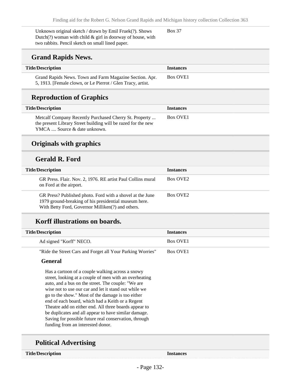Unknown original sketch / drawn by Emil Fruek(?). Shows Dutch(?) woman with child & girl in doorway of house, with two rabbits. Pencil sketch on small lined paper. Box 37

### **Grand Rapids News.**

| <b>Title/Description</b>                                    | <i><u><b>Instances</b></u></i> |
|-------------------------------------------------------------|--------------------------------|
| Grand Rapids News. Town and Farm Magazine Section. Apr.     | Box OVE <sub>1</sub>           |
| 5, 1913. [Female clown, or Le Pierrot / Glen Tracy, artist. |                                |

### **Reproduction of Graphics**

| <b>Title/Description</b>                                                                                                                                | <b>Instances</b>     |
|---------------------------------------------------------------------------------------------------------------------------------------------------------|----------------------|
| Metcalf Company Recently Purchased Cherry St. Property<br>the present Library Street building will be razed for the new<br>YMCA  Source & date unknown. | Box OVE <sub>1</sub> |

### **Originals with graphics**

### **Gerald R. Ford**

| <b>Title/Description</b>                                                                                                                                                | <b>Instances</b>     |
|-------------------------------------------------------------------------------------------------------------------------------------------------------------------------|----------------------|
| GR Press. Flair. Nov. 2, 1976. RE artist Paul Collins mural<br>on Ford at the airport.                                                                                  | Box OVE <sub>2</sub> |
| GR Press? Published photo. Ford with a shovel at the June<br>1979 ground-breaking of his presidential museum here.<br>With Betty Ford, Governor Milliken(?) and others. | Box OVE <sub>2</sub> |

### **Korff illustrations on boards.**

| <b>Title/Description</b> | <b>Instances</b>     |
|--------------------------|----------------------|
| Ad signed "Korff" NECO.  | Box OVE <sub>1</sub> |
|                          |                      |

"Ride the Street Cars and Forget all Your Parking Worries" Box OVE1

### **General**

Has a cartoon of a couple walking across a snowy street, looking at a couple of men with an overheating auto, and a bus on the street. The couple: "We are wise not to use our car and let it stand out while we go to the show." Most of the damage is too either end of each board, which had a Keith or a Regent Theatre add on either end. All three boards appear to be duplicates and all appear to have similar damage. Saving for possible future real conservation, through funding from an interested donor.

## **Political Advertising**

**Title/Description Instances**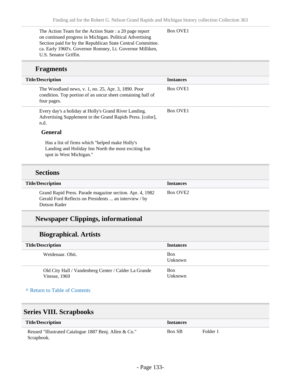Box OVE1

The Action Team for the Action State : a 20 page report on continued progress in Michigan. Political Advertising Section paid for by the Republican State Central Committee. ca. Early 1960's. Governor Romney, Lt. Governor Milliken, U.S. Senator Griffin.

### **Fragments**

| <b>Title/Description</b>                                                                                                          | <b>Instances</b>     |
|-----------------------------------------------------------------------------------------------------------------------------------|----------------------|
| The Woodland news, v. 1, no. 25, Apr. 3, 1890. Poor<br>condition. Top portion of an uncut sheet containing half of<br>four pages. | <b>Box OVE1</b>      |
| Every day's a holiday at Holly's Grand River Landing.<br>Advertising Supplement to the Grand Rapids Press. [color],<br>n.d.       | Box OVE <sub>1</sub> |
| <b>General</b>                                                                                                                    |                      |
| Has a list of firms which "helped make Holly's<br>Landing and Holiday Inn North the most exciting fun<br>spot in West Michigan."  |                      |

### **Sections**

| <b>Title/Description</b>                                                                                          | <b>Instances</b>     |
|-------------------------------------------------------------------------------------------------------------------|----------------------|
| Grand Rapid Press. Parade magazine section. Apr. 4, 1982<br>Gerald Ford Reflects on Presidents  an interview / by | Box OVE <sub>2</sub> |
| Dotson Rader                                                                                                      |                      |

## **Newspaper Clippings, informational**

## **Biographical. Artists**

| <b>Title/Description</b>                                              | <b>Instances</b>      |
|-----------------------------------------------------------------------|-----------------------|
| Weidenaar, Obit.                                                      | <b>Box</b><br>Unknown |
| Old City Hall / Vandenberg Center / Calder La Grande<br>Vitesse, 1969 | <b>Box</b><br>Unknown |

### **^** [Return to Table of Contents](#page-1-0)

## **Series VIII. Scrapbooks**

| <b>Title/Description</b>                                            | <i><u><b>Instances</b></u></i> |          |
|---------------------------------------------------------------------|--------------------------------|----------|
| Reused "Illustrated Catalogue 1887 Benj. Allen & Co."<br>Scrapbook. | <b>Box SB</b>                  | Folder 1 |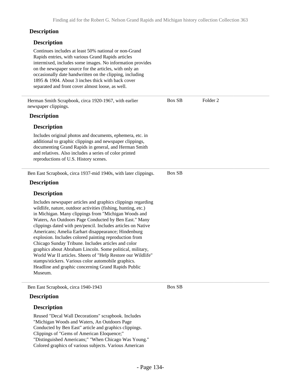### **Description**

### **Description**

Continues includes at least 50% national or non-Grand Rapids entries, with various Grand Rapids articles intermixed, includes some images. No information provides on the newspaper source for the articles, with only an occasionally date handwritten on the clipping, including 1895 & 1904. About 3 inches thick with back cover separated and front cover almost loose, as well. Herman Smith Scrapbook, circa 1920-1967, with earlier newspaper clippings. **Description Description** Includes original photos and documents, ephemera, etc. in additional to graphic clippings and newspaper clippings, documenting Grand Rapids in general, and Herman Smith and relatives. Also includes a series of color printed reproductions of U.S. History scenes. Box SB Folder 2 Ben East Scrapbook, circa 1937-mid 1940s, with later clippings. **Description Description** Includes newspaper articles and graphics clippings regarding wildlife, nature, outdoor activities (fishing, hunting, etc.) in Michigan. Many clippings from "Michigan Woods and Waters, An Outdoors Page Conducted by Ben East." Many clippings dated with pen/pencil. Includes articles on Native Americans; Amelia Earhart disappearance; Hindenburg explosion. Includes colored painting reproduction from Chicago Sunday Tribune. Includes articles and color graphics about Abraham Lincoln. Some political, military, World War II articles. Sheets of "Help Restore our Wildlife" stamps/stickers. Various color automobile graphics. Headline and graphic concerning Grand Rapids Public Museum. Box SB Ben East Scrapbook, circa 1940-1943 Box SB

### **Description**

### **Description**

Reused "Decal Wall Decorations" scrapbook. Includes "Michigan Woods and Waters, An Outdoors Page Conducted by Ben East" article and graphics clippings. Clippings of "Gems of American Eloquence;" "Distinguished Americans;" "When Chicago Was Young." Colored graphics of various subjects. Various American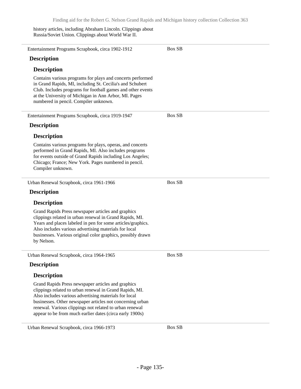history articles, including Abraham Lincoln. Clippings about Russia/Soviet Union. Clippings about World War II.

| Entertainment Programs Scrapbook, circa 1902-1912                                                                                                                                                                                                                                                                                                          | <b>Box SB</b> |
|------------------------------------------------------------------------------------------------------------------------------------------------------------------------------------------------------------------------------------------------------------------------------------------------------------------------------------------------------------|---------------|
| <b>Description</b>                                                                                                                                                                                                                                                                                                                                         |               |
| <b>Description</b>                                                                                                                                                                                                                                                                                                                                         |               |
| Contains various programs for plays and concerts performed<br>in Grand Rapids, MI, including St. Cecilia's and Schubert<br>Club. Includes programs for football games and other events<br>at the University of Michigan in Ann Arbor, MI. Pages<br>numbered in pencil. Compiler unknown.                                                                   |               |
| Entertainment Programs Scrapbook, circa 1919-1947                                                                                                                                                                                                                                                                                                          | <b>Box SB</b> |
| <b>Description</b>                                                                                                                                                                                                                                                                                                                                         |               |
| <b>Description</b>                                                                                                                                                                                                                                                                                                                                         |               |
| Contains various programs for plays, operas, and concerts<br>performed in Grand Rapids, MI. Also includes programs<br>for events outside of Grand Rapids including Los Angeles;<br>Chicago; France; New York. Pages numbered in pencil.<br>Compiler unknown.                                                                                               |               |
| Urban Renewal Scrapbook, circa 1961-1966                                                                                                                                                                                                                                                                                                                   | Box SB        |
| <b>Description</b>                                                                                                                                                                                                                                                                                                                                         |               |
| <b>Description</b>                                                                                                                                                                                                                                                                                                                                         |               |
| Grand Rapids Press newspaper articles and graphics<br>clippings related in urban renewal in Grand Rapids, MI.<br>Years and places labeled in pen for some articles/graphics.<br>Also includes various advertising materials for local<br>businesses. Various original color graphics, possibly drawn<br>by Nelson.                                         |               |
| Urban Renewal Scrapbook, circa 1964-1965                                                                                                                                                                                                                                                                                                                   | <b>Box SB</b> |
| <b>Description</b>                                                                                                                                                                                                                                                                                                                                         |               |
| <b>Description</b>                                                                                                                                                                                                                                                                                                                                         |               |
| Grand Rapids Press newspaper articles and graphics<br>clippings related to urban renewal in Grand Rapids, MI.<br>Also includes various advertising materials for local<br>businesses. Other newspaper articles not concerning urban<br>renewal. Various clippings not related to urban renewal<br>appear to be from much earlier dates (circa early 1900s) |               |
| Urban Renewal Scrapbook, circa 1966-1973                                                                                                                                                                                                                                                                                                                   | <b>Box SB</b> |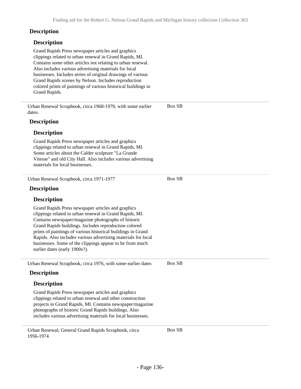Box SB

Box SB

### **Description**

### **Description**

Grand Rapids Press newspaper articles and graphics clippings related to urban renewal in Grand Rapids, MI. Contains some other articles not relating to urban renewal. Also includes various advertising materials for local businesses. Includes series of original drawings of various Grand Rapids scenes by Nelson. Includes reproduction colored prints of paintings of various historical buildings in Grand Rapids.

Urban Renewal Scrapbook, circa 1968-1970, with some earlier dates.

### **Description**

### **Description**

Grand Rapids Press newspaper articles and graphics clippings related to urban renewal in Grand Rapids, MI. Some articles about the Calder sculpture "La Grande Vitesse" and old City Hall. Also includes various advertising materials for local businesses.

Urban Renewal Scrapbook, circa 1971-1977

### **Description**

### **Description**

Grand Rapids Press newspaper articles and graphics clippings related to urban renewal in Grand Rapids, MI. Contains newspaper/magazine photographs of historic Grand Rapids buildings. Includes reproduction colored prints of paintings of various historical buildings in Grand Rapids. Also includes various advertising materials for local businesses. Some of the clippings appear to be from much earlier dates (early 1900s?).

Urban Renewal Scrapbook, circa 1976, with some earlier dates Box SB

### **Description**

### **Description**

Grand Rapids Press newspaper articles and graphics clippings related to urban renewal and other construction projects in Grand Rapids, MI. Contains newspaper/magazine photographs of historic Grand Rapids buildings. Also includes various advertising materials for local businesses.

Urban Renewal; General Grand Rapids Scrapbook, circa 1956-1974

Box SB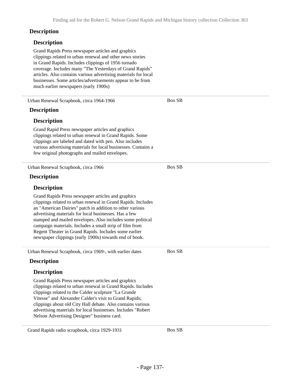Box SB

#### **Description**

### **Description**

Grand Rapids Press newspaper articles and graphics clippings related to urban renewal and other news stories in Grand Rapids. Includes clippings of 1956 tornado coverage. Includes many "The Yesterdays of Grand Rapids" articles. Also contains various advertising materials for local businesses. Some articles/advertisements appear to be from much earlier newspapers (early 1900s)

Urban Renewal Scrapbook, circa 1964-1966

### **Description**

#### **Description**

Grand Rapid Press newspaper articles and graphics clippings related to urban renewal in Grand Rapids. Some clippings are labeled and dated with pen. Also includes various advertising materials for local businesses. Contains a few original photographs and mailed envelopes.

Urban Renewal Scrapbook, circa 1966 **Description Description** Grand Rapids Press newspaper articles and graphics clippings related to urban renewal in Grand Rapids. Includes an "American Dairies" patch in addition to other various advertising materials for local businesses. Has a few stamped and mailed envelopes. Also includes some political campaign materials. Includes a small strip of film from Regent Theater in Grand Rapids. Includes some earlier newspaper clippings (early 1900s) towards end of book. Box SB Urban Renewal Scrapbook, circa 1969-, with earlier dates **Description Description** Grand Rapids Press newspaper articles and graphics clippings related to urban renewal in Grand Rapids. Includes clippings related to the Calder sculpture "La Grande Vitesse" and Alexander Calder's visit to Grand Rapids; clippings about old City Hall debate. Also contains various advertising materials for local businesses. Includes "Robert Nelson Advertising Designer" business card. Box SB

Grand Rapids radio scrapbook, circa 1929-1931 Box SB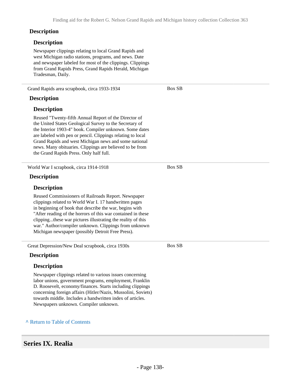#### **Description**

#### **Description**

Newspaper clippings relating to local Grand Rapids and west Michigan radio stations, programs, and news. Date and newspaper labeled for most of the clippings. Clippings from Grand Rapids Press, Grand Rapids Herald, Michigan Tradesman, Daily.

Grand Rapids area scrapbook, circa 1933-1934

#### **Description**

### **Description**

Reused "Twenty-fifth Annual Report of the Director of the United States Geological Survey to the Secretary of the Interior 1903-4" book. Compiler unknown. Some dates are labeled with pen or pencil. Clippings relating to local Grand Rapids and west Michigan news and some national news. Many obituaries. Clippings are believed to be from the Grand Rapids Press. Only half full.

World War I scrapbook, circa 1914-1918

### **Description**

### **Description**

Reused Commissioners of Railroads Report. Newspaper clippings related to World War I. 17 handwritten pages in beginning of book that describe the war, begins with "After reading of the horrors of this war contained in these clipping...these war pictures illustrating the reality of this war." Author/compiler unknown. Clippings from unknown Michigan newspaper (possibly Detroit Free Press).

Great Depression/New Deal scrapbook, circa 1930s

### **Description**

### **Description**

Newspaper clippings related to various issues concerning labor unions, government programs, employment, Franklin D. Roosevelt, economy/finances. Starts including clippings concerning foreign affairs (Hitler/Nazis, Mussolini, Soviets) towards middle. Includes a handwritten index of articles. Newspapers unknown. Compiler unknown.

#### **^** [Return to Table of Contents](#page-1-0)

### **Series IX. Realia**

Box SB

Box SB

Box SB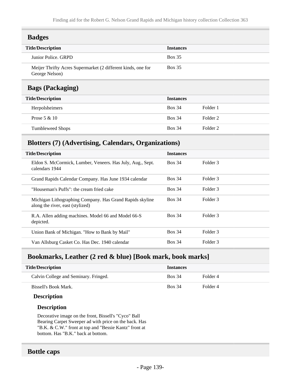| <b>Badges</b>                                                                  |                  |
|--------------------------------------------------------------------------------|------------------|
| <b>Title/Description</b>                                                       | <b>Instances</b> |
| Junior Police, GRPD                                                            | <b>Box 35</b>    |
| Meijer Thrifty Acres Supermarket (2 different kinds, one for<br>George Nelson) | Box 35           |
|                                                                                |                  |

## **Bags (Packaging)**

| <b>Title/Description</b><br><b>Instances</b> |               |          |
|----------------------------------------------|---------------|----------|
| Herpolsheimers                               | <b>Box 34</b> | Folder 1 |
| Prose $5 & 10$                               | <b>Box 34</b> | Folder 2 |
| <b>Tumbleweed Shops</b>                      | <b>Box 34</b> | Folder 2 |

## **Blotters (7) (Advertising, Calendars, Organizations)**

| <b>Title/Description</b>                                                                     | <b>Instances</b> |                     |
|----------------------------------------------------------------------------------------------|------------------|---------------------|
| Eldon S. McCormick, Lumber, Veneers. Has July, Aug., Sept.<br>calendars 1944                 | <b>Box 34</b>    | Folder 3            |
| Grand Rapids Calendar Company. Has June 1934 calendar                                        | <b>Box 34</b>    | Folder 3            |
| "Houseman's Puffs": the cream fried cake                                                     | <b>Box 34</b>    | Folder 3            |
| Michigan Lithographing Company. Has Grand Rapids skyline<br>along the river, east (stylized) | <b>Box 34</b>    | Folder 3            |
| R.A. Allen adding machines. Model 66 and Model 66-S<br>depicted.                             | <b>Box 34</b>    | Folder <sub>3</sub> |
| Union Bank of Michigan. "How to Bank by Mail"                                                | <b>Box 34</b>    | Folder 3            |
| Van Allsburg Casket Co. Has Dec. 1940 calendar                                               | <b>Box 34</b>    | Folder 3            |

## **Bookmarks, Leather (2 red & blue) [Book mark, book marks]**

| <b>Title/Description</b>              | <b>Instances</b> |          |
|---------------------------------------|------------------|----------|
| Calvin College and Seminary. Fringed. | <b>Box 34</b>    | Folder 4 |
| Bissell's Book Mark.                  | <b>Box 34</b>    | Folder 4 |

### **Description**

### **Description**

Decorative image on the front, Bissell's "Cyco" Ball Bearing Carpet Sweeper ad with price on the back. Has "B.K. & C.W." front at top and "Bessie Kantz" front at bottom. Has "B.K." back at bottom.

### **Bottle caps**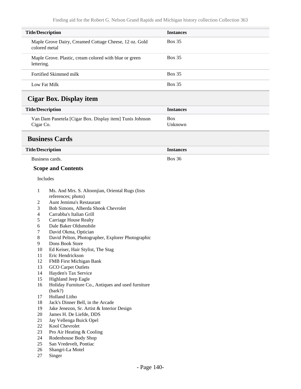| <b>Title/Description</b> |                                                                         | <b>Instances</b>      |  |
|--------------------------|-------------------------------------------------------------------------|-----------------------|--|
|                          | Maple Grove Dairy, Creamed Cottage Cheese, 12 oz. Gold<br>colored metal | <b>Box 35</b>         |  |
| lettering.               | Maple Grove. Plastic, cream colored with blue or green                  | <b>Box 35</b>         |  |
|                          | Fortified Skimmed milk                                                  | <b>Box 35</b>         |  |
|                          | Low Fat Milk                                                            | <b>Box 35</b>         |  |
|                          | <b>Cigar Box. Display item</b>                                          |                       |  |
| <b>Title/Description</b> |                                                                         | <b>Instances</b>      |  |
| Cigar Co.                | Van Dam Panetela [Cigar Box. Display item] Tunis Johnson                | <b>Box</b><br>Unknown |  |
|                          | <b>Business Cards</b>                                                   |                       |  |
| <b>Title/Description</b> |                                                                         | <b>Instances</b>      |  |
|                          | Business cards.                                                         | <b>Box 36</b>         |  |
|                          | <b>Scope and Contents</b>                                               |                       |  |
|                          | Includes                                                                |                       |  |
|                          |                                                                         |                       |  |
| 1                        | Ms. And Mrs. S. Altoonjian, Oriental Rugs (lists                        |                       |  |
|                          | references; photo)                                                      |                       |  |
| 2                        | Aunt Jemima's Restaurant                                                |                       |  |
| 3                        | Bob Simons, Alberda Shook Chevrolet                                     |                       |  |
| 4                        | Carrabba's Italian Grill                                                |                       |  |
| 5                        | <b>Carriage House Realty</b>                                            |                       |  |
| 6                        | Dale Baker Oldsmobile                                                   |                       |  |
| 7                        | David Okma, Optician                                                    |                       |  |
| 8                        | David Pelton, Photographer, Explorer Photographic                       |                       |  |
| 9<br>10                  | Dons Book Store                                                         |                       |  |
| 11                       | Ed Keiser, Hair Stylist, The Stag<br>Eric Hendrickson                   |                       |  |
| 12                       | FMB First Michigan Bank                                                 |                       |  |
| 13                       | GCO Carpet Outlets                                                      |                       |  |
| 14                       | Hayden's Tax Service                                                    |                       |  |
| 15                       | Highland Jeep Eagle                                                     |                       |  |
| 16                       | Holiday Furniture Co., Antiques and used furniture<br>(bark?)           |                       |  |
| 17                       | Holland Litho                                                           |                       |  |
| 18                       | Jack's Dinner Bell, in the Arcade                                       |                       |  |
| 19                       | Jake Jenezon, Sr. Artist & Interior Design                              |                       |  |
| 20                       | James H. De Liefde, DDS                                                 |                       |  |
| 21                       | Jay Vellenga Buick Opel                                                 |                       |  |
| $22\,$                   | Kool Chevrolet                                                          |                       |  |
| 23                       | Pro Air Heating & Cooling                                               |                       |  |
| 24                       | Rodenhouse Body Shop                                                    |                       |  |
| 25                       | San Vredevelt, Pontiac                                                  |                       |  |
| 26                       | Shangri-La Motel                                                        |                       |  |

27 Singer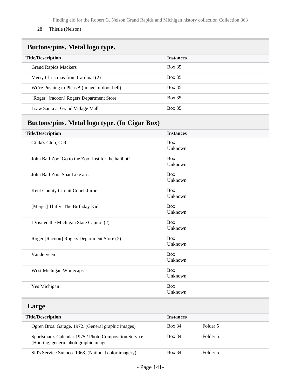Finding aid for the Robert G. Nelson Grand Rapids and Michigan history collection Collection 363

28 Thistle (Nelson)

## **Buttons/pins. Metal logo type.**

| <b>Title/Description</b>                      | <b>Instances</b> |
|-----------------------------------------------|------------------|
| <b>Grand Rapids Mackers</b>                   | <b>Box 35</b>    |
| Merry Christmas from Cardinal (2)             | <b>Box 35</b>    |
| We're Pushing to Please! (image of door bell) | <b>Box 35</b>    |
| "Roger" [racoon] Rogers Department Store      | <b>Box 35</b>    |
| I saw Santa at Grand Village Mall             | <b>Box 35</b>    |

## **Buttons/pins. Metal logo type. (In Cigar Box)**

| <b>Title/Description</b>                                                                       | <b>Instances</b>      |          |  |
|------------------------------------------------------------------------------------------------|-----------------------|----------|--|
| Gilda's Club, G.R.                                                                             | <b>Box</b><br>Unknown |          |  |
| John Ball Zoo. Go to the Zoo, Just for the halibut!                                            | Box<br>Unknown        |          |  |
| John Ball Zoo. Soar Like an                                                                    | <b>Box</b><br>Unknown |          |  |
| Kent County Circuit Court. Juror                                                               | <b>Box</b><br>Unknown |          |  |
| [Meijer] Thifty. The Birthday Kid                                                              | <b>Box</b><br>Unknown |          |  |
| I Visited the Michigan State Capitol (2)                                                       | <b>Box</b><br>Unknown |          |  |
| Roger [Racoon] Rogers Department Store (2)                                                     | <b>Box</b><br>Unknown |          |  |
| Vanderveen                                                                                     | <b>Box</b><br>Unknown |          |  |
| West Michigan Whitecaps                                                                        | <b>Box</b><br>Unknown |          |  |
| Yes Michigan!                                                                                  | Box<br>Unknown        |          |  |
| Large                                                                                          |                       |          |  |
| <b>Title/Description</b>                                                                       | <b>Instances</b>      |          |  |
| Ogren Bros. Garage. 1972. (General graphic images)                                             | <b>Box 34</b>         | Folder 5 |  |
| Sportsman's Calendar 1975 / Photo Composition Service<br>(Hunting, generic photographic images | <b>Box 34</b>         | Folder 5 |  |
| Sid's Service Sunoco. 1963. (National color imagery)                                           | <b>Box 34</b>         | Folder 5 |  |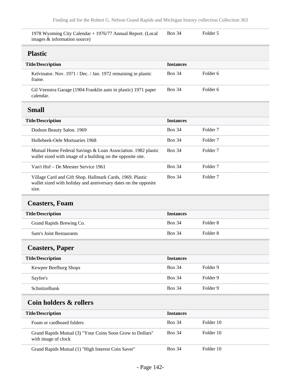| 1978 Wyoming City Calendar + 1976/77 Annual Report. (Local<br>images & information source)                                            | <b>Box 34</b>    | Folder 5            |
|---------------------------------------------------------------------------------------------------------------------------------------|------------------|---------------------|
| <b>Plastic</b>                                                                                                                        |                  |                     |
| <b>Title/Description</b>                                                                                                              | <b>Instances</b> |                     |
| Kelvinator. Nov. 1971 / Dec. / Jan. 1972 remaining in plastic<br>frame.                                                               | <b>Box 34</b>    | Folder <sub>6</sub> |
| Gil Veenstra Garage (1904 Franklin auto in plastic) 1971 paper<br>calendar.                                                           | <b>Box 34</b>    | Folder 6            |
| <b>Small</b>                                                                                                                          |                  |                     |
| <b>Title/Description</b>                                                                                                              | <b>Instances</b> |                     |
| Dodson Beauty Salon. 1969                                                                                                             | <b>Box 34</b>    | Folder <sub>7</sub> |
| Hollebeek-Oele Mortuaries 1968                                                                                                        | <b>Box 34</b>    | Folder <sub>7</sub> |
| Mutual Home Federal Savings & Loan Association. 1982 plastic<br>wallet sized with image of a building on the opposite site.           | <b>Box 34</b>    | Folder <sub>7</sub> |
| Van't Hof - De Meester Service 1961                                                                                                   | <b>Box 34</b>    | Folder <sub>7</sub> |
| Village Card and Gift Shop. Hallmark Cards, 1969. Plastic<br>wallet sized with holiday and anniversary dates on the opposite<br>size. | <b>Box 34</b>    | Folder <sub>7</sub> |
| <b>Coasters, Foam</b>                                                                                                                 |                  |                     |
| <b>Title/Description</b>                                                                                                              | <b>Instances</b> |                     |
| Grand Rapids Brewing Co.                                                                                                              | <b>Box 34</b>    | Folder <sub>8</sub> |
| <b>Sam's Joint Restaurants</b>                                                                                                        | <b>Box 34</b>    | Folder <sub>8</sub> |
| <b>Coasters, Paper</b>                                                                                                                |                  |                     |
| <b>Title/Description</b>                                                                                                              | <b>Instances</b> |                     |
| Kewpee Beefburg Shops                                                                                                                 | <b>Box 34</b>    | Folder 9            |
| Sayfee's                                                                                                                              | <b>Box 34</b>    | Folder 9            |
| Schnitzelbank                                                                                                                         | <b>Box 34</b>    | Folder 9            |
| Coin holders & rollers                                                                                                                |                  |                     |
|                                                                                                                                       |                  |                     |
| <b>Title/Description</b>                                                                                                              | <b>Instances</b> |                     |
| Foam or cardboard folders                                                                                                             | <b>Box 34</b>    | Folder 10           |
| Grand Rapids Mutual (3) "Your Coins Soon Grow to Dollars"<br>with image of clock                                                      | <b>Box 34</b>    | Folder 10           |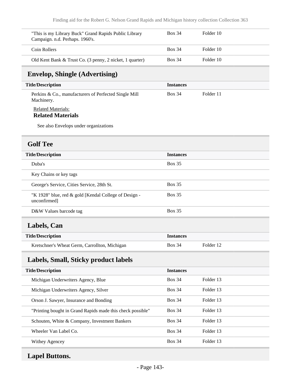| "This is my Library Buck" Grand Rapids Public Library<br>Campaign. n.d. Perhaps. 1960's. | <b>Box 34</b>    | Folder 10 |  |
|------------------------------------------------------------------------------------------|------------------|-----------|--|
| Coin Rollers                                                                             | <b>Box 34</b>    | Folder 10 |  |
| Old Kent Bank & Trust Co. (3 penny, 2 nicket, 1 quarter)                                 | <b>Box 34</b>    | Folder 10 |  |
| <b>Envelop, Shingle (Advertising)</b>                                                    |                  |           |  |
| <b>Title/Description</b>                                                                 | <b>Instances</b> |           |  |
| Perkins & Co., manufacturers of Perfected Single Mill<br>Machinery.                      | <b>Box 34</b>    | Folder 11 |  |
| <b>Related Materials:</b><br><b>Related Materials</b>                                    |                  |           |  |
| See also Envelops under organizations                                                    |                  |           |  |
| <b>Golf Tee</b>                                                                          |                  |           |  |
| <b>Title/Description</b>                                                                 | <b>Instances</b> |           |  |
| Duba's                                                                                   | <b>Box 35</b>    |           |  |
| Key Chains or key tags                                                                   |                  |           |  |
| George's Service, Cities Service, 28th St.                                               | <b>Box 35</b>    |           |  |
| "K 1928" blue, red & gold [Kendal College of Design -<br>unconfirmed]                    | <b>Box 35</b>    |           |  |
| D&W Values barcode tag                                                                   | <b>Box 35</b>    |           |  |
| Labels, Can                                                                              |                  |           |  |
| <b>Title/Description</b>                                                                 | <b>Instances</b> |           |  |
| Kretschner's Wheat Germ, Carrollton, Michigan                                            | <b>Box 34</b>    | Folder 12 |  |
| Labels, Small, Sticky product labels                                                     |                  |           |  |
| <b>Title/Description</b>                                                                 | <b>Instances</b> |           |  |
| Michigan Underwriters Agency, Blue                                                       | <b>Box 34</b>    | Folder 13 |  |
| Michigan Underwriters Agency, Silver                                                     | <b>Box 34</b>    | Folder 13 |  |
| Orson J. Sawyer, Insurance and Bonding                                                   | <b>Box 34</b>    | Folder 13 |  |
| "Printing bought in Grand Rapids made this check possible"                               | <b>Box 34</b>    | Folder 13 |  |
| Schouten, White & Company, Investment Bankers                                            | <b>Box 34</b>    | Folder 13 |  |
| Wheeler Van Label Co.                                                                    | <b>Box 34</b>    | Folder 13 |  |
| Withey Agencey                                                                           | <b>Box 34</b>    | Folder 13 |  |

# **Lapel Buttons.**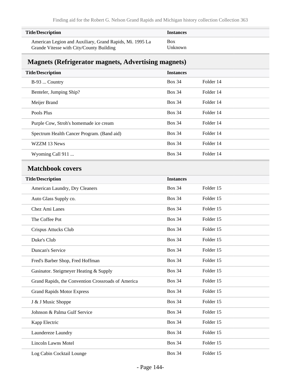| <b>Title/Description</b>                                 | <i>Instances</i> |
|----------------------------------------------------------|------------------|
| American Legion and Auxiliary, Grand Rapids, Mi. 1995 La | <b>Box</b>       |
| Grande Vitesse with City/County Building                 | Unknown          |

## **Magnets (Refrigerator magnets, Advertising magnets)**

| <b>Title/Description</b>                           | <b>Instances</b> |           |  |
|----------------------------------------------------|------------------|-----------|--|
| B-93  Country                                      | <b>Box 34</b>    | Folder 14 |  |
| Benteler, Jumping Ship?                            | <b>Box 34</b>    | Folder 14 |  |
| Meijer Brand                                       | <b>Box 34</b>    | Folder 14 |  |
| Pools Plus                                         | <b>Box 34</b>    | Folder 14 |  |
| Purple Cow, Stroh's homemade ice cream             | <b>Box 34</b>    | Folder 14 |  |
| Spectrum Health Cancer Program. (Band aid)         | <b>Box 34</b>    | Folder 14 |  |
| WZZM 13 News                                       | <b>Box 34</b>    | Folder 14 |  |
| Wyoming Call 911                                   | <b>Box 34</b>    | Folder 14 |  |
| <b>Matchbook covers</b>                            |                  |           |  |
| <b>Title/Description</b>                           | <b>Instances</b> |           |  |
| American Laundry, Dry Cleaners                     | <b>Box 34</b>    | Folder 15 |  |
| Auto Glass Supply co.                              | <b>Box 34</b>    | Folder 15 |  |
| Chez Ami Lanes                                     | <b>Box 34</b>    | Folder 15 |  |
| The Coffee Pot                                     | <b>Box 34</b>    | Folder 15 |  |
| Crispus Attucks Club                               | <b>Box 34</b>    | Folder 15 |  |
| Duke's Club                                        | <b>Box 34</b>    | Folder 15 |  |
| <b>Duncan's Service</b>                            | <b>Box 34</b>    | Folder 15 |  |
| Fred's Barber Shop, Fred Hoffman                   | <b>Box 34</b>    | Folder 15 |  |
| Gasinator. Steigmeyer Heating & Supply             | <b>Box 34</b>    | Folder 15 |  |
| Grand Rapids, the Convention Crossroads of America | <b>Box 34</b>    | Folder 15 |  |
| <b>Grand Rapids Motor Express</b>                  | <b>Box 34</b>    | Folder 15 |  |
| J & J Music Shoppe                                 | <b>Box 34</b>    | Folder 15 |  |
| Johnson & Palma Gulf Service                       | <b>Box 34</b>    | Folder 15 |  |
| Kapp Electric                                      | <b>Box 34</b>    | Folder 15 |  |
| Laundereze Laundry                                 | <b>Box 34</b>    | Folder 15 |  |
| Lincoln Lawns Motel                                | <b>Box 34</b>    | Folder 15 |  |
| Log Cabin Cocktail Lounge                          | <b>Box 34</b>    | Folder 15 |  |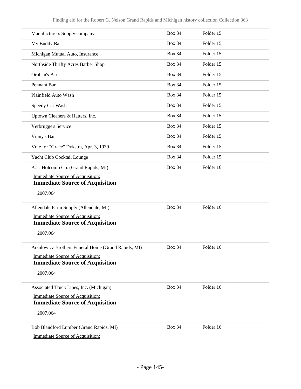| Manufacturers Supply company                                                      | <b>Box 34</b> | Folder 15 |  |
|-----------------------------------------------------------------------------------|---------------|-----------|--|
| My Buddy Bar                                                                      | <b>Box 34</b> | Folder 15 |  |
| Michigan Mutual Auto, Insurance                                                   | <b>Box 34</b> | Folder 15 |  |
| Northside Thrifty Acres Barber Shop                                               | <b>Box 34</b> | Folder 15 |  |
| Orphan's Bar                                                                      | <b>Box 34</b> | Folder 15 |  |
| Pennant Bar                                                                       | <b>Box 34</b> | Folder 15 |  |
| Plainfield Auto Wash                                                              | <b>Box 34</b> | Folder 15 |  |
| Speedy Car Wash                                                                   | <b>Box 34</b> | Folder 15 |  |
| Uptown Cleaners & Hatters, Inc.                                                   | <b>Box 34</b> | Folder 15 |  |
| Verbrugge's Service                                                               | <b>Box 34</b> | Folder 15 |  |
| Vinny's Bar                                                                       | <b>Box 34</b> | Folder 15 |  |
| Vote for "Grace" Dykstra, Apr. 3, 1939                                            | <b>Box 34</b> | Folder 15 |  |
| Yacht Club Cocktail Lounge                                                        | <b>Box 34</b> | Folder 15 |  |
| A.L. Holcomb Co. (Grand Rapids, MI)                                               | <b>Box 34</b> | Folder 16 |  |
| <b>Immediate Source of Acquisition:</b><br><b>Immediate Source of Acquisition</b> |               |           |  |
| 2007.064                                                                          |               |           |  |
| Allendale Farm Supply (Allendale, MI)                                             | <b>Box 34</b> | Folder 16 |  |
| <b>Immediate Source of Acquisition:</b><br><b>Immediate Source of Acquisition</b> |               |           |  |
| 2007.064                                                                          |               |           |  |
| Arsulowicz Brothers Funeral Home (Grand Rapids, MI)                               | <b>Box 34</b> | Folder 16 |  |
| Immediate Source of Acquisition:                                                  |               |           |  |
| <b>Immediate Source of Acquisition</b>                                            |               |           |  |
| 2007.064                                                                          |               |           |  |
| Associated Truck Lines, Inc. (Michigan)                                           | <b>Box 34</b> | Folder 16 |  |
| Immediate Source of Acquisition:                                                  |               |           |  |
| <b>Immediate Source of Acquisition</b><br>2007.064                                |               |           |  |
| Bob Blandford Lumber (Grand Rapids, MI)                                           | <b>Box 34</b> | Folder 16 |  |
| <b>Immediate Source of Acquisition:</b>                                           |               |           |  |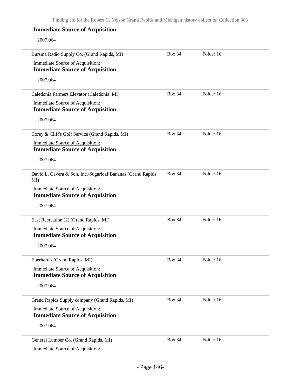## **Immediate Source of Acquisition**

2007.064

| Bursma Radio Supply Co. (Grand Rapids, MI)                                        | <b>Box 34</b> | Folder 16 |  |
|-----------------------------------------------------------------------------------|---------------|-----------|--|
| <b>Immediate Source of Acquisition:</b>                                           |               |           |  |
| <b>Immediate Source of Acquisition</b>                                            |               |           |  |
| 2007.064                                                                          |               |           |  |
| Caledonia Farmers Elevator (Caledonia, MI)                                        | <b>Box 34</b> | Folder 16 |  |
| <b>Immediate Source of Acquisition:</b><br><b>Immediate Source of Acquisition</b> |               |           |  |
| 2007.064                                                                          |               |           |  |
| Corey & Cliff's Golf Service (Grand Rapids, MI)                                   | <b>Box 34</b> | Folder 16 |  |
| <b>Immediate Source of Acquisition:</b><br><b>Immediate Source of Acquisition</b> |               |           |  |
| 2007.064                                                                          |               |           |  |
| David L. Cavera & Son, Inc./Sugarloaf Bananas (Grand Rapids,<br>MI                | <b>Box 34</b> | Folder 16 |  |
| <b>Immediate Source of Acquisition:</b><br><b>Immediate Source of Acquisition</b> |               |           |  |
| 2007.064                                                                          |               |           |  |
| East Recreation (2) (Grand Rapids, MI)                                            | <b>Box 34</b> | Folder 16 |  |
| <b>Immediate Source of Acquisition:</b><br><b>Immediate Source of Acquisition</b> |               |           |  |
| 2007.064                                                                          |               |           |  |
| Eberhard's (Grand Rapids, MI)                                                     | <b>Box 34</b> | Folder 16 |  |
| <b>Immediate Source of Acquisition:</b><br><b>Immediate Source of Acquisition</b> |               |           |  |
| 2007.064                                                                          |               |           |  |
| Grand Rapids Supply company (Grand Rapids, MI)                                    | <b>Box 34</b> | Folder 16 |  |
| <b>Immediate Source of Acquisition:</b><br><b>Immediate Source of Acquisition</b> |               |           |  |
| 2007.064                                                                          |               |           |  |
| General Lumber Co. (Grand Rapids, MI)                                             | <b>Box 34</b> | Folder 16 |  |
| <b>Immediate Source of Acquisition:</b>                                           |               |           |  |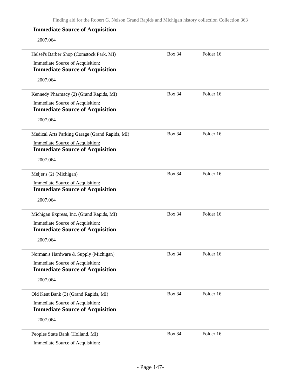## **Immediate Source of Acquisition**

2007.064

| Helsel's Barber Shop (Comstock Park, MI)                                          | <b>Box 34</b> | Folder 16 |  |
|-----------------------------------------------------------------------------------|---------------|-----------|--|
| Immediate Source of Acquisition:                                                  |               |           |  |
| <b>Immediate Source of Acquisition</b>                                            |               |           |  |
| 2007.064                                                                          |               |           |  |
| Kennedy Pharmacy (2) (Grand Rapids, MI)                                           | <b>Box 34</b> | Folder 16 |  |
| <b>Immediate Source of Acquisition:</b><br><b>Immediate Source of Acquisition</b> |               |           |  |
| 2007.064                                                                          |               |           |  |
| Medical Arts Parking Garage (Grand Rapids, MI)                                    | <b>Box 34</b> | Folder 16 |  |
| Immediate Source of Acquisition:<br><b>Immediate Source of Acquisition</b>        |               |           |  |
| 2007.064                                                                          |               |           |  |
|                                                                                   |               |           |  |
| Meijer's (2) (Michigan)                                                           | <b>Box 34</b> | Folder 16 |  |
| Immediate Source of Acquisition:                                                  |               |           |  |
| <b>Immediate Source of Acquisition</b>                                            |               |           |  |
| 2007.064                                                                          |               |           |  |
| Michigan Express, Inc. (Grand Rapids, MI)                                         | <b>Box 34</b> | Folder 16 |  |
| <b>Immediate Source of Acquisition:</b><br><b>Immediate Source of Acquisition</b> |               |           |  |
| 2007.064                                                                          |               |           |  |
| Norman's Hardware & Supply (Michigan)                                             | <b>Box 34</b> | Folder 16 |  |
| <b>Immediate Source of Acquisition:</b><br><b>Immediate Source of Acquisition</b> |               |           |  |
| 2007.064                                                                          |               |           |  |
| Old Kent Bank (3) (Grand Rapids, MI)                                              | <b>Box 34</b> | Folder 16 |  |
| <b>Immediate Source of Acquisition:</b><br><b>Immediate Source of Acquisition</b> |               |           |  |
| 2007.064                                                                          |               |           |  |
| Peoples State Bank (Holland, MI)                                                  | <b>Box 34</b> | Folder 16 |  |
| <b>Immediate Source of Acquisition:</b>                                           |               |           |  |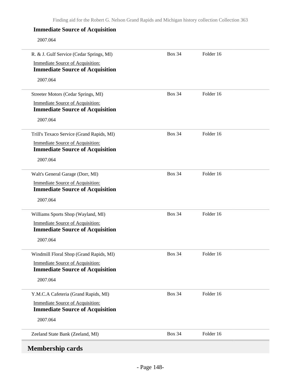### **Immediate Source of Acquisition**

2007.064

| R. & J. Gulf Service (Cedar Springs, MI)                                          | <b>Box 34</b> | Folder 16 |  |
|-----------------------------------------------------------------------------------|---------------|-----------|--|
| <b>Immediate Source of Acquisition:</b>                                           |               |           |  |
| <b>Immediate Source of Acquisition</b>                                            |               |           |  |
| 2007.064                                                                          |               |           |  |
| Streeter Motors (Cedar Springs, MI)                                               | <b>Box 34</b> | Folder 16 |  |
| <b>Immediate Source of Acquisition:</b><br><b>Immediate Source of Acquisition</b> |               |           |  |
| 2007.064                                                                          |               |           |  |
| Trill's Texaco Service (Grand Rapids, MI)                                         | <b>Box 34</b> | Folder 16 |  |
| <b>Immediate Source of Acquisition:</b><br><b>Immediate Source of Acquisition</b> |               |           |  |
| 2007.064                                                                          |               |           |  |
| Walt's General Garage (Dorr, MI)                                                  | <b>Box 34</b> | Folder 16 |  |
| <b>Immediate Source of Acquisition:</b><br><b>Immediate Source of Acquisition</b> |               |           |  |
| 2007.064                                                                          |               |           |  |
| Williams Sports Shop (Wayland, MI)                                                | <b>Box 34</b> | Folder 16 |  |
| <b>Immediate Source of Acquisition:</b><br><b>Immediate Source of Acquisition</b> |               |           |  |
| 2007.064                                                                          |               |           |  |
| Windmill Floral Shop (Grand Rapids, MI)                                           | <b>Box 34</b> | Folder 16 |  |
| <b>Immediate Source of Acquisition:</b><br><b>Immediate Source of Acquisition</b> |               |           |  |
| 2007.064                                                                          |               |           |  |
| Y.M.C.A Cafeteria (Grand Rapids, MI)                                              | <b>Box 34</b> | Folder 16 |  |
| <b>Immediate Source of Acquisition:</b><br><b>Immediate Source of Acquisition</b> |               |           |  |
| 2007.064                                                                          |               |           |  |
| Zeeland State Bank (Zeeland, MI)                                                  | <b>Box 34</b> | Folder 16 |  |
| <b>Membership cards</b>                                                           |               |           |  |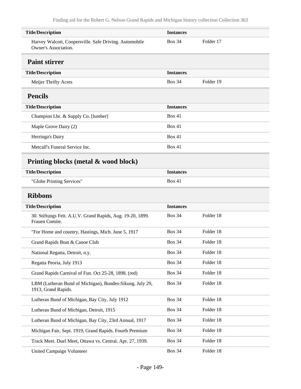| <b>Title/Description</b>                                                        | <b>Instances</b> |           |
|---------------------------------------------------------------------------------|------------------|-----------|
| Harvey Walcott, Coopersville. Safe Driving. Automobile<br>Owner's Association.  | <b>Box 34</b>    | Folder 17 |
| <b>Paint stirrer</b>                                                            |                  |           |
| <b>Title/Description</b>                                                        | <b>Instances</b> |           |
| Meijer Thrifty Acres                                                            | <b>Box 34</b>    | Folder 19 |
| <b>Pencils</b>                                                                  |                  |           |
| <b>Title/Description</b>                                                        | <b>Instances</b> |           |
| Champion Lbr. & Supply Co. [lumber]                                             | Box 41           |           |
| Maple Grove Dairy (2)                                                           | <b>Box 41</b>    |           |
| Herringa's Dairy                                                                | <b>Box 41</b>    |           |
| Metcalf's Funeral Service Inc.                                                  | <b>Box 41</b>    |           |
| Printing blocks (metal & wood block)                                            |                  |           |
| <b>Title/Description</b>                                                        | <b>Instances</b> |           |
| "Globe Printing Services"                                                       | <b>Box 41</b>    |           |
| <b>Ribbons</b>                                                                  |                  |           |
| <b>Title/Description</b>                                                        | <b>Instances</b> |           |
| 30. Stiftungs Feit. A.U.V. Grand Rapids, Aug. 19-20, 1899.<br>Frauen Comite.    | <b>Box 34</b>    | Folder 18 |
| "For Home and country, Hastings, Mich. June 5, 1917                             | <b>Box 34</b>    | Folder 18 |
| Grand Rapids Boat & Canoe Club                                                  | <b>Box 34</b>    | Folder 18 |
| National Regatta, Detroit, n.y.                                                 | <b>Box 34</b>    | Folder 18 |
| Regatta Peoria, July 1913                                                       | <b>Box 34</b>    | Folder 18 |
| Grand Rapids Carnival of Fun. Oct 25-28, 1898. (red)                            | <b>Box 34</b>    | Folder 18 |
| LBM (Lutheran Bund of Michigan), Bundes-Sikung. July 29,<br>1913, Grand Rapids. | <b>Box 34</b>    | Folder 18 |
| Lutheran Bund of Michigan, Bay City, July 1912                                  | <b>Box 34</b>    | Folder 18 |
| Lutheran Bund of Michigan, Detroit, 1915                                        | <b>Box 34</b>    | Folder 18 |
| Lutheran Bund of Michigan, Bay City, 23rd Annual, 1917                          | <b>Box 34</b>    | Folder 18 |
| Michigan Fair, Sept. 1919, Grand Rapids. Fourth Premium                         | <b>Box 34</b>    | Folder 18 |
| Track Meet. Duel Meet, Ottawa vs. Central. Apr. 27, 1939.                       | <b>Box 34</b>    | Folder 18 |
| <b>United Campaign Volunteer</b>                                                | <b>Box 34</b>    | Folder 18 |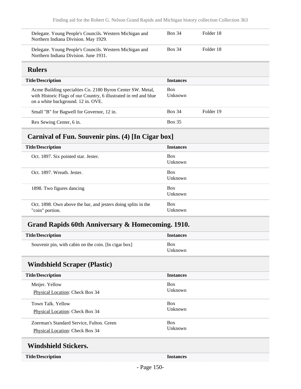| Delegate. Young People's Councils. Western Michigan and<br>Northern Indiana Division. May 1929.  | Box 34        | Folder 18 |  |
|--------------------------------------------------------------------------------------------------|---------------|-----------|--|
| Delegate. Young People's Councils. Western Michigan and<br>Northern Indiana Division. June 1931. | <b>Box 34</b> | Folder 18 |  |

## **Rulers**

| <b>Title/Description</b>                                                                                                                                              | <b>Instances</b>      |           |
|-----------------------------------------------------------------------------------------------------------------------------------------------------------------------|-----------------------|-----------|
| Acme Building specialties Co. 2180 Byron Center SW. Metal,<br>with Historic Flags of our Country, 6 illustrated in red and blue<br>on a white background. 12 in. OVE. | <b>Box</b><br>Unknown |           |
| Small "B" for Bagwell for Governor, 12 in.                                                                                                                            | <b>Box 34</b>         | Folder 19 |
| Rex Sewing Center, 6 in.                                                                                                                                              | <b>Box 35</b>         |           |

# **Carnival of Fun. Souvenir pins. (4) [In Cigar box]**

| <b>Title/Description</b>                                                         | <b>Instances</b>             |
|----------------------------------------------------------------------------------|------------------------------|
| Oct. 1897. Six pointed star. Jester.                                             | <b>Box</b><br>Unknown        |
| Oct. 1897. Wreath. Jester.                                                       | <b>Box</b><br>Unknown        |
| 1898. Two figures dancing                                                        | <b>Box</b><br>Unknown        |
| Oct. 1898. Own above the bar, and jesters doing splits in the<br>"coin" portion. | <b>Box</b><br><b>Unknown</b> |

# **Grand Rapids 60th Anniversary & Homecoming. 1910.**

| <b>Title/Description</b>                             | <b>Instances</b>      |
|------------------------------------------------------|-----------------------|
| Souvenir pin, with cabin on the coin. [In cigar box] | <b>Box</b><br>Unknown |

# **Windshield Scraper (Plastic)**

| <b>Title/Description</b>                  | <b>Instances</b> |
|-------------------------------------------|------------------|
| Meijer. Yellow                            | <b>Box</b>       |
| Physical Location: Check Box 34           | <b>Unknown</b>   |
| Town Talk, Yellow                         | <b>Box</b>       |
| Physical Location: Check Box 34           | Unknown          |
| Zoerman's Standard Service, Fulton. Green | <b>Box</b>       |
| <b>Physical Location: Check Box 34</b>    | <b>Unknown</b>   |
| <b>Windshield Stickers.</b>               |                  |

#### **Title/Description Instances**